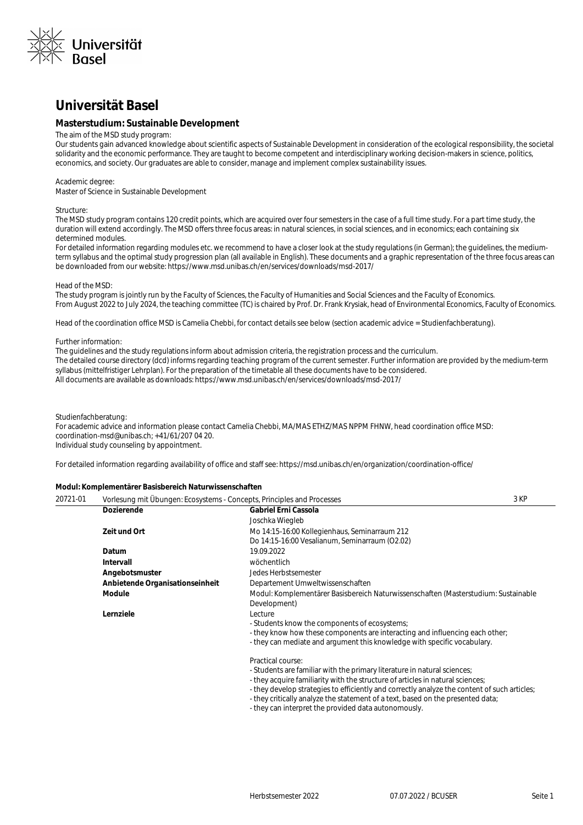

### **Universität Basel**

#### **Masterstudium: Sustainable Development**

#### The aim of the MSD study program:

Our students gain advanced knowledge about scientific aspects of Sustainable Development in consideration of the ecological responsibility, the societal solidarity and the economic performance. They are taught to become competent and interdisciplinary working decision-makers in science, politics, economics, and society. Our graduates are able to consider, manage and implement complex sustainability issues.

#### Academic degree:

Master of Science in Sustainable Development

#### Structure:

The MSD study program contains 120 credit points, which are acquired over four semesters in the case of a full time study. For a part time study, the duration will extend accordingly. The MSD offers three focus areas: in natural sciences, in social sciences, and in economics; each containing six determined modules.

For detailed information regarding modules etc. we recommend to have a closer look at the study regulations (in German); the quidelines, the mediumterm syllabus and the optimal study progression plan (all available in English). These documents and a graphic representation of the three focus areas can be downloaded from our website: https://www.msd.unibas.ch/en/services/downloads/msd-2017/

#### Head of the MSD:

The study program is jointly run by the Faculty of Sciences, the Faculty of Humanities and Social Sciences and the Faculty of Economics. From August 2022 to July 2024, the teaching committee (TC) is chaired by Prof. Dr. Frank Krysiak, head of Environmental Economics, Faculty of Economics.

Head of the coordination office MSD is Camelia Chebbi, for contact details see below (section academic advice = Studienfachberatung).

#### Further information:

The guidelines and the study regulations inform about admission criteria, the registration process and the curriculum. The detailed course directory (dcd) informs regarding teaching program of the current semester. Further information are provided by the medium-term syllabus (mittelfristiger Lehrplan). For the preparation of the timetable all these documents have to be considered. All documents are available as downloads: https://www.msd.unibas.ch/en/services/downloads/msd-2017/

#### Studienfachberatung:

For academic advice and information please contact Camelia Chebbi, MA/MAS ETHZ/MAS NPPM FHNW, head coordination office MSD: coordination-msd@unibas.ch; +41/61/207 04 20. Individual study counseling by appointment.

For detailed information regarding availability of office and staff see: https://msd.unibas.ch/en/organization/coordination-office/

#### **Modul: Komplementärer Basisbereich Naturwissenschaften**

| 20721-01 | Vorlesung mit Übungen: Ecosystems - Concepts, Principles and Processes |                                                                                                    | 3 KP |
|----------|------------------------------------------------------------------------|----------------------------------------------------------------------------------------------------|------|
|          | <b>Dozierende</b>                                                      | Gabriel Erni Cassola                                                                               |      |
|          |                                                                        | Joschka Wiegleb                                                                                    |      |
|          | Zeit und Ort                                                           | Mo 14:15-16:00 Kollegienhaus, Seminarraum 212                                                      |      |
|          |                                                                        | Do 14:15-16:00 Vesalianum, Seminarraum (O2.02)                                                     |      |
|          | Datum                                                                  | 19.09.2022                                                                                         |      |
|          | Intervall                                                              | wöchentlich                                                                                        |      |
|          | Angebotsmuster                                                         | Jedes Herbstsemester                                                                               |      |
|          | Anbietende Organisationseinheit                                        | Departement Umweltwissenschaften                                                                   |      |
|          | Module                                                                 | Modul: Komplementärer Basisbereich Naturwissenschaften (Masterstudium: Sustainable<br>Development) |      |
|          | Lernziele                                                              | Lecture                                                                                            |      |
|          |                                                                        | - Students know the components of ecosystems;                                                      |      |
|          |                                                                        | - they know how these components are interacting and influencing each other;                       |      |
|          |                                                                        | - they can mediate and argument this knowledge with specific vocabulary.                           |      |
|          |                                                                        | Practical course:                                                                                  |      |
|          |                                                                        | - Students are familiar with the primary literature in natural sciences;                           |      |
|          |                                                                        | - they acquire familiarity with the structure of articles in natural sciences;                     |      |

- they develop strategies to efficiently and correctly analyze the content of such articles;

- they critically analyze the statement of a text, based on the presented data;
- they can interpret the provided data autonomously.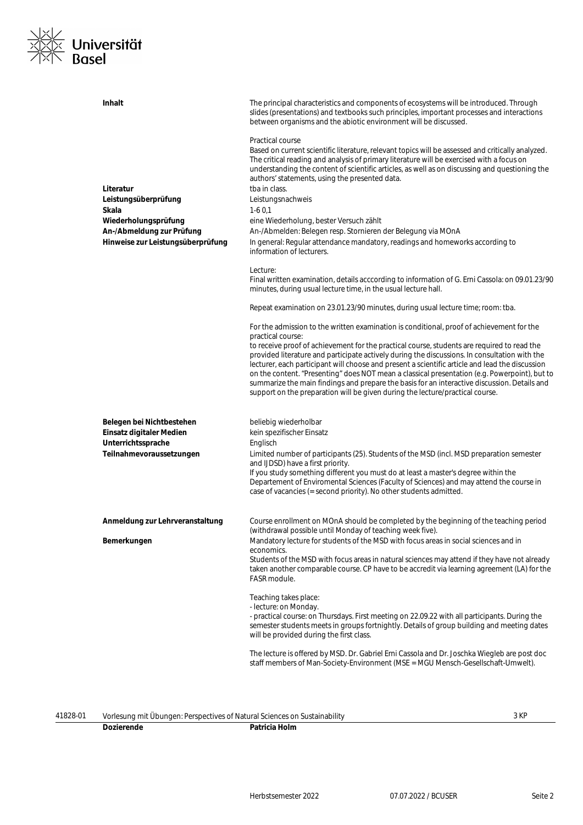

| Inhalt                                                | The principal characteristics and components of ecosystems will be introduced. Through<br>slides (presentations) and textbooks such principles, important processes and interactions<br>between organisms and the abiotic environment will be discussed.                                                                                                                                                                                                                                                                                                                          |
|-------------------------------------------------------|-----------------------------------------------------------------------------------------------------------------------------------------------------------------------------------------------------------------------------------------------------------------------------------------------------------------------------------------------------------------------------------------------------------------------------------------------------------------------------------------------------------------------------------------------------------------------------------|
| Literatur                                             | Practical course<br>Based on current scientific literature, relevant topics will be assessed and critically analyzed.<br>The critical reading and analysis of primary literature will be exercised with a focus on<br>understanding the content of scientific articles, as well as on discussing and questioning the<br>authors' statements, using the presented data.<br>tba in class.                                                                                                                                                                                           |
| Leistungsüberprüfung                                  | Leistungsnachweis                                                                                                                                                                                                                                                                                                                                                                                                                                                                                                                                                                 |
| Skala                                                 | $1-60,1$                                                                                                                                                                                                                                                                                                                                                                                                                                                                                                                                                                          |
| Wiederholungsprüfung                                  | eine Wiederholung, bester Versuch zählt                                                                                                                                                                                                                                                                                                                                                                                                                                                                                                                                           |
| An-/Abmeldung zur Prüfung                             | An-/Abmelden: Belegen resp. Stornieren der Belegung via MOnA                                                                                                                                                                                                                                                                                                                                                                                                                                                                                                                      |
| Hinweise zur Leistungsüberprüfung                     | In general: Regular attendance mandatory, readings and homeworks according to<br>information of lecturers.                                                                                                                                                                                                                                                                                                                                                                                                                                                                        |
|                                                       | Lecture:                                                                                                                                                                                                                                                                                                                                                                                                                                                                                                                                                                          |
|                                                       | Final written examination, details acccording to information of G. Erni Cassola: on 09.01.23/90<br>minutes, during usual lecture time, in the usual lecture hall.                                                                                                                                                                                                                                                                                                                                                                                                                 |
|                                                       | Repeat examination on 23.01.23/90 minutes, during usual lecture time; room: tba.                                                                                                                                                                                                                                                                                                                                                                                                                                                                                                  |
|                                                       | For the admission to the written examination is conditional, proof of achievement for the<br>practical course:                                                                                                                                                                                                                                                                                                                                                                                                                                                                    |
|                                                       | to receive proof of achievement for the practical course, students are required to read the<br>provided literature and participate actively during the discussions. In consultation with the<br>lecturer, each participant will choose and present a scientific article and lead the discussion<br>on the content. "Presenting" does NOT mean a classical presentation (e.g. Powerpoint), but to<br>summarize the main findings and prepare the basis for an interactive discussion. Details and<br>support on the preparation will be given during the lecture/practical course. |
| Belegen bei Nichtbestehen<br>Einsatz digitaler Medien | beliebig wiederholbar<br>kein spezifischer Einsatz                                                                                                                                                                                                                                                                                                                                                                                                                                                                                                                                |
| Unterrichtssprache                                    | Englisch                                                                                                                                                                                                                                                                                                                                                                                                                                                                                                                                                                          |
| Teilnahmevoraussetzungen                              | Limited number of participants (25). Students of the MSD (incl. MSD preparation semester<br>and IJDSD) have a first priority.<br>If you study something different you must do at least a master's degree within the<br>Departement of Enviromental Sciences (Faculty of Sciences) and may attend the course in<br>case of vacancies (= second priority). No other students admitted.                                                                                                                                                                                              |
| Anmeldung zur Lehrveranstaltung                       | Course enrollment on MOnA should be completed by the beginning of the teaching period<br>(withdrawal possible until Monday of teaching week five).                                                                                                                                                                                                                                                                                                                                                                                                                                |
| Bemerkungen                                           | Mandatory lecture for students of the MSD with focus areas in social sciences and in<br>economics.                                                                                                                                                                                                                                                                                                                                                                                                                                                                                |
|                                                       | Students of the MSD with focus areas in natural sciences may attend if they have not already<br>taken another comparable course. CP have to be accredit via learning agreement (LA) for the<br>FASR module.                                                                                                                                                                                                                                                                                                                                                                       |
|                                                       | Teaching takes place:<br>- lecture: on Monday.<br>- practical course: on Thursdays. First meeting on 22.09.22 with all participants. During the<br>semester students meets in groups fortnightly. Details of group building and meeting dates<br>will be provided during the first class.                                                                                                                                                                                                                                                                                         |
|                                                       | The lecture is offered by MSD. Dr. Gabriel Erni Cassola and Dr. Joschka Wiegleb are post doc<br>staff members of Man-Society-Environment (MSE = MGU Mensch-Gesellschaft-Umwelt).                                                                                                                                                                                                                                                                                                                                                                                                  |
|                                                       |                                                                                                                                                                                                                                                                                                                                                                                                                                                                                                                                                                                   |

| 41828-01 | Sustainability<br>Ubungen:<br>: Perspectives of Natural Sciences on I<br>Vorlesung mit<br>. |      | , <b>I/C</b><br>J NI |
|----------|---------------------------------------------------------------------------------------------|------|----------------------|
|          |                                                                                             | Holn |                      |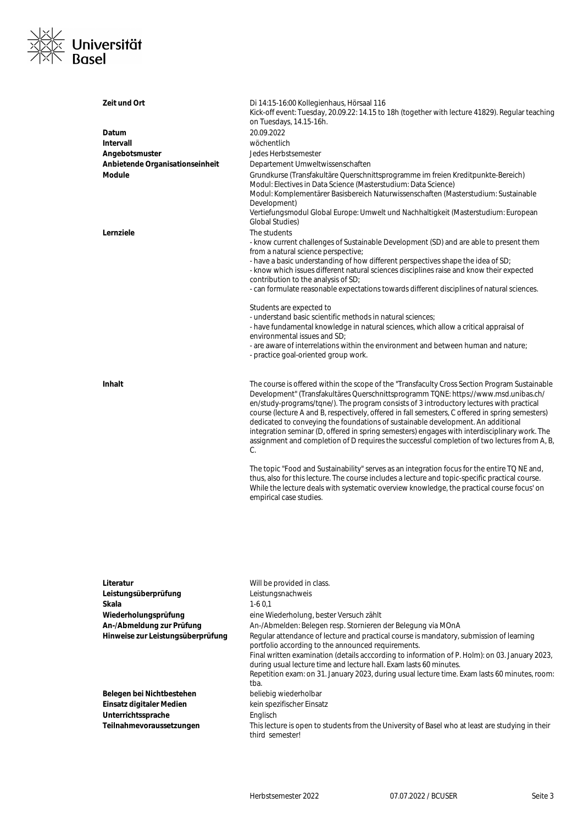

| Zeit und Ort                      | Di 14:15-16:00 Kollegienhaus, Hörsaal 116<br>Kick-off event: Tuesday, 20.09.22: 14.15 to 18h (together with lecture 41829). Regular teaching<br>on Tuesdays, 14.15-16h.                                                                                                                                                                                                                                                                                                                                                                                                                                                                                                         |
|-----------------------------------|---------------------------------------------------------------------------------------------------------------------------------------------------------------------------------------------------------------------------------------------------------------------------------------------------------------------------------------------------------------------------------------------------------------------------------------------------------------------------------------------------------------------------------------------------------------------------------------------------------------------------------------------------------------------------------|
| Datum                             | 20.09.2022                                                                                                                                                                                                                                                                                                                                                                                                                                                                                                                                                                                                                                                                      |
| Intervall                         | wöchentlich                                                                                                                                                                                                                                                                                                                                                                                                                                                                                                                                                                                                                                                                     |
| Angebotsmuster                    | Jedes Herbstsemester                                                                                                                                                                                                                                                                                                                                                                                                                                                                                                                                                                                                                                                            |
| Anbietende Organisationseinheit   | Departement Umweltwissenschaften                                                                                                                                                                                                                                                                                                                                                                                                                                                                                                                                                                                                                                                |
| <b>Module</b>                     | Grundkurse (Transfakultäre Querschnittsprogramme im freien Kreditpunkte-Bereich)<br>Modul: Electives in Data Science (Masterstudium: Data Science)<br>Modul: Komplementärer Basisbereich Naturwissenschaften (Masterstudium: Sustainable<br>Development)<br>Vertiefungsmodul Global Europe: Umwelt und Nachhaltigkeit (Masterstudium: European<br><b>Global Studies)</b>                                                                                                                                                                                                                                                                                                        |
| Lernziele                         | The students<br>- know current challenges of Sustainable Development (SD) and are able to present them                                                                                                                                                                                                                                                                                                                                                                                                                                                                                                                                                                          |
|                                   | from a natural science perspective;<br>- have a basic understanding of how different perspectives shape the idea of SD;<br>- know which issues different natural sciences disciplines raise and know their expected<br>contribution to the analysis of SD;                                                                                                                                                                                                                                                                                                                                                                                                                      |
|                                   | - can formulate reasonable expectations towards different disciplines of natural sciences.                                                                                                                                                                                                                                                                                                                                                                                                                                                                                                                                                                                      |
|                                   | Students are expected to<br>- understand basic scientific methods in natural sciences;<br>- have fundamental knowledge in natural sciences, which allow a critical appraisal of<br>environmental issues and SD:<br>- are aware of interrelations within the environment and between human and nature;                                                                                                                                                                                                                                                                                                                                                                           |
|                                   | - practice goal-oriented group work.                                                                                                                                                                                                                                                                                                                                                                                                                                                                                                                                                                                                                                            |
| <b>Inhalt</b>                     | The course is offered within the scope of the "Transfaculty Cross Section Program Sustainable<br>Development" (Transfakultäres Querschnittsprogramm TQNE: https://www.msd.unibas.ch/<br>en/study-programs/tqne/). The program consists of 3 introductory lectures with practical<br>course (lecture A and B, respectively, offered in fall semesters, C offered in spring semesters)<br>dedicated to conveying the foundations of sustainable development. An additional<br>integration seminar (D, offered in spring semesters) engages with interdisciplinary work. The<br>assignment and completion of D requires the successful completion of two lectures from A, B,<br>C. |
|                                   | The topic "Food and Sustainability" serves as an integration focus for the entire TQ NE and,<br>thus, also for this lecture. The course includes a lecture and topic-specific practical course.<br>While the lecture deals with systematic overview knowledge, the practical course focus' on<br>empirical case studies.                                                                                                                                                                                                                                                                                                                                                        |
|                                   |                                                                                                                                                                                                                                                                                                                                                                                                                                                                                                                                                                                                                                                                                 |
| Literatur                         | Will be provided in class.                                                                                                                                                                                                                                                                                                                                                                                                                                                                                                                                                                                                                                                      |
| Leistungsüberprüfung              | Leistungsnachweis                                                                                                                                                                                                                                                                                                                                                                                                                                                                                                                                                                                                                                                               |
| Skala                             | $1-60,1$                                                                                                                                                                                                                                                                                                                                                                                                                                                                                                                                                                                                                                                                        |
| Wiederholungsprüfung              | eine Wiederholung, bester Versuch zählt                                                                                                                                                                                                                                                                                                                                                                                                                                                                                                                                                                                                                                         |
| An-/Abmeldung zur Prüfung         | An-/Abmelden: Belegen resp. Stornieren der Belegung via MOnA                                                                                                                                                                                                                                                                                                                                                                                                                                                                                                                                                                                                                    |
| Hinweise zur Leistungsüberprüfung | Regular attendance of lecture and practical course is mandatory, submission of learning<br>portfolio according to the announced requirements.<br>Final written examination (details acccording to information of P. Holm): on 03. January 2023,<br>during usual lecture time and lecture hall. Exam lasts 60 minutes.<br>Repetition exam: on 31. January 2023, during usual lecture time. Exam lasts 60 minutes, room:<br>tba.                                                                                                                                                                                                                                                  |
| Belegen bei Nichtbestehen         | beliebig wiederholbar                                                                                                                                                                                                                                                                                                                                                                                                                                                                                                                                                                                                                                                           |
| Einsatz digitaler Medien          | kein spezifischer Einsatz                                                                                                                                                                                                                                                                                                                                                                                                                                                                                                                                                                                                                                                       |
| Unterrichtssprache                | Englisch                                                                                                                                                                                                                                                                                                                                                                                                                                                                                                                                                                                                                                                                        |
| Teilnahmevoraussetzungen          | This lecture is open to students from the University of Basel who at least are studying in their<br>third semester!                                                                                                                                                                                                                                                                                                                                                                                                                                                                                                                                                             |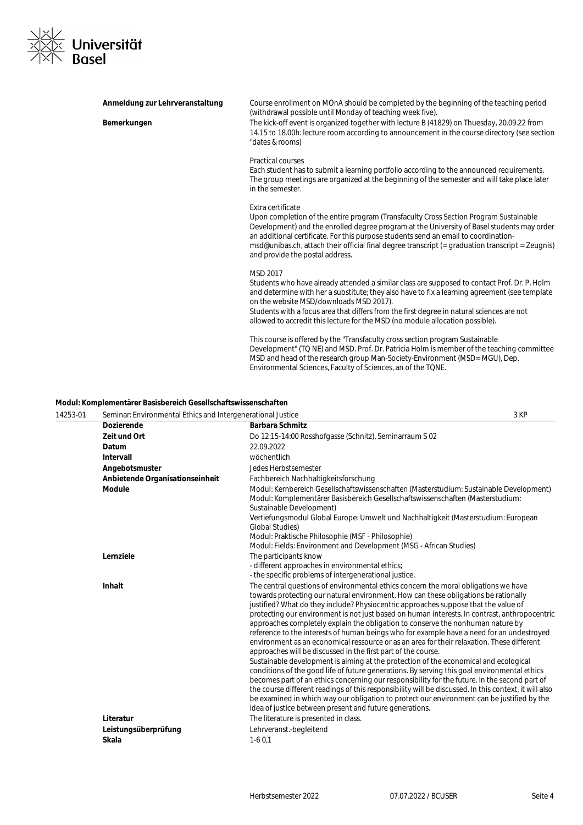

| Anmeldung zur Lehrveranstaltung | Course enrollment on MOnA should be completed by the beginning of the teaching period<br>(withdrawal possible until Monday of teaching week five).                                                                                                                                                                                                                                                                                     |
|---------------------------------|----------------------------------------------------------------------------------------------------------------------------------------------------------------------------------------------------------------------------------------------------------------------------------------------------------------------------------------------------------------------------------------------------------------------------------------|
| Bemerkungen                     | The kick-off event is organized together with lecture B (41829) on Thuesday, 20.09.22 from<br>14.15 to 18.00h: lecture room according to announcement in the course directory (see section<br>"dates & rooms)                                                                                                                                                                                                                          |
|                                 | <b>Practical courses</b><br>Each student has to submit a learning portfolio according to the announced requirements.<br>The group meetings are organized at the beginning of the semester and will take place later<br>in the semester.                                                                                                                                                                                                |
|                                 | Extra certificate<br>Upon completion of the entire program (Transfaculty Cross Section Program Sustainable<br>Development) and the enrolled degree program at the University of Basel students may order<br>an additional certificate. For this purpose students send an email to coordination-<br>msd@unibas.ch, attach their official final degree transcript (= graduation transcript = Zeugnis)<br>and provide the postal address. |
|                                 | MSD 2017<br>Students who have already attended a similar class are supposed to contact Prof. Dr. P. Holm<br>and determine with her a substitute; they also have to fix a learning agreement (see template<br>on the website MSD/downloads MSD 2017).<br>Students with a focus area that differs from the first degree in natural sciences are not<br>allowed to accredit this lecture for the MSD (no module allocation possible).     |
|                                 | This course is offered by the "Transfaculty cross section program Sustainable<br>Development" (TQ NE) and MSD. Prof. Dr. Patricia Holm is member of the teaching committee<br>MSD and head of the research group Man-Society-Environment (MSD= MGU), Dep.<br>Environmental Sciences, Faculty of Sciences, an of the TQNE.                                                                                                              |

#### **Modul: Komplementärer Basisbereich Gesellschaftswissenschaften**

| 14253-01 | Seminar: Environmental Ethics and Intergenerational Justice |                                                                                                                                                                                                                                                                                                                                                                                                                                                                                                                                                                                                                                                                                                                                                                                                                                                                                                                                                                                                                                                                                                                                                                                                                                                                              | 3 KP |
|----------|-------------------------------------------------------------|------------------------------------------------------------------------------------------------------------------------------------------------------------------------------------------------------------------------------------------------------------------------------------------------------------------------------------------------------------------------------------------------------------------------------------------------------------------------------------------------------------------------------------------------------------------------------------------------------------------------------------------------------------------------------------------------------------------------------------------------------------------------------------------------------------------------------------------------------------------------------------------------------------------------------------------------------------------------------------------------------------------------------------------------------------------------------------------------------------------------------------------------------------------------------------------------------------------------------------------------------------------------------|------|
|          | <b>Dozierende</b>                                           | <b>Barbara Schmitz</b>                                                                                                                                                                                                                                                                                                                                                                                                                                                                                                                                                                                                                                                                                                                                                                                                                                                                                                                                                                                                                                                                                                                                                                                                                                                       |      |
|          | Zeit und Ort                                                | Do 12:15-14:00 Rosshofgasse (Schnitz), Seminarraum S 02                                                                                                                                                                                                                                                                                                                                                                                                                                                                                                                                                                                                                                                                                                                                                                                                                                                                                                                                                                                                                                                                                                                                                                                                                      |      |
|          | Datum                                                       | 22.09.2022                                                                                                                                                                                                                                                                                                                                                                                                                                                                                                                                                                                                                                                                                                                                                                                                                                                                                                                                                                                                                                                                                                                                                                                                                                                                   |      |
|          | Intervall                                                   | wöchentlich                                                                                                                                                                                                                                                                                                                                                                                                                                                                                                                                                                                                                                                                                                                                                                                                                                                                                                                                                                                                                                                                                                                                                                                                                                                                  |      |
|          | Angebotsmuster                                              | Jedes Herbstsemester                                                                                                                                                                                                                                                                                                                                                                                                                                                                                                                                                                                                                                                                                                                                                                                                                                                                                                                                                                                                                                                                                                                                                                                                                                                         |      |
|          | Anbietende Organisationseinheit                             | Fachbereich Nachhaltigkeitsforschung                                                                                                                                                                                                                                                                                                                                                                                                                                                                                                                                                                                                                                                                                                                                                                                                                                                                                                                                                                                                                                                                                                                                                                                                                                         |      |
|          | <b>Module</b>                                               | Modul: Kernbereich Gesellschaftswissenschaften (Masterstudium: Sustainable Development)<br>Modul: Komplementärer Basisbereich Gesellschaftswissenschaften (Masterstudium:<br>Sustainable Development)<br>Vertiefungsmodul Global Europe: Umwelt und Nachhaltigkeit (Masterstudium: European<br><b>Global Studies</b> )<br>Modul: Praktische Philosophie (MSF - Philosophie)<br>Modul: Fields: Environment and Development (MSG - African Studies)                                                                                                                                                                                                                                                                                                                                                                                                                                                                                                                                                                                                                                                                                                                                                                                                                            |      |
|          | Lernziele                                                   | The participants know<br>- different approaches in environmental ethics;<br>- the specific problems of intergenerational justice.                                                                                                                                                                                                                                                                                                                                                                                                                                                                                                                                                                                                                                                                                                                                                                                                                                                                                                                                                                                                                                                                                                                                            |      |
|          | <b>Inhalt</b>                                               | The central questions of environmental ethics concern the moral obligations we have<br>towards protecting our natural environment. How can these obligations be rationally<br>justified? What do they include? Physiocentric approaches suppose that the value of<br>protecting our environment is not just based on human interests. In contrast, anthropocentric<br>approaches completely explain the obligation to conserve the nonhuman nature by<br>reference to the interests of human beings who for example have a need for an undestroyed<br>environment as an economical ressource or as an area for their relaxation. These different<br>approaches will be discussed in the first part of the course.<br>Sustainable development is aiming at the protection of the economical and ecological<br>conditions of the good life of future generations. By serving this goal environmental ethics<br>becomes part of an ethics concerning our responsibility for the future. In the second part of<br>the course different readings of this responsibility will be discussed. In this context, it will also<br>be examined in which way our obligation to protect our environment can be justified by the<br>idea of justice between present and future generations. |      |
|          | Literatur                                                   | The literature is presented in class.                                                                                                                                                                                                                                                                                                                                                                                                                                                                                                                                                                                                                                                                                                                                                                                                                                                                                                                                                                                                                                                                                                                                                                                                                                        |      |
|          | Leistungsüberprüfung                                        | Lehrveranst.-begleitend                                                                                                                                                                                                                                                                                                                                                                                                                                                                                                                                                                                                                                                                                                                                                                                                                                                                                                                                                                                                                                                                                                                                                                                                                                                      |      |
|          | <b>Skala</b>                                                | $1-60.1$                                                                                                                                                                                                                                                                                                                                                                                                                                                                                                                                                                                                                                                                                                                                                                                                                                                                                                                                                                                                                                                                                                                                                                                                                                                                     |      |
|          |                                                             |                                                                                                                                                                                                                                                                                                                                                                                                                                                                                                                                                                                                                                                                                                                                                                                                                                                                                                                                                                                                                                                                                                                                                                                                                                                                              |      |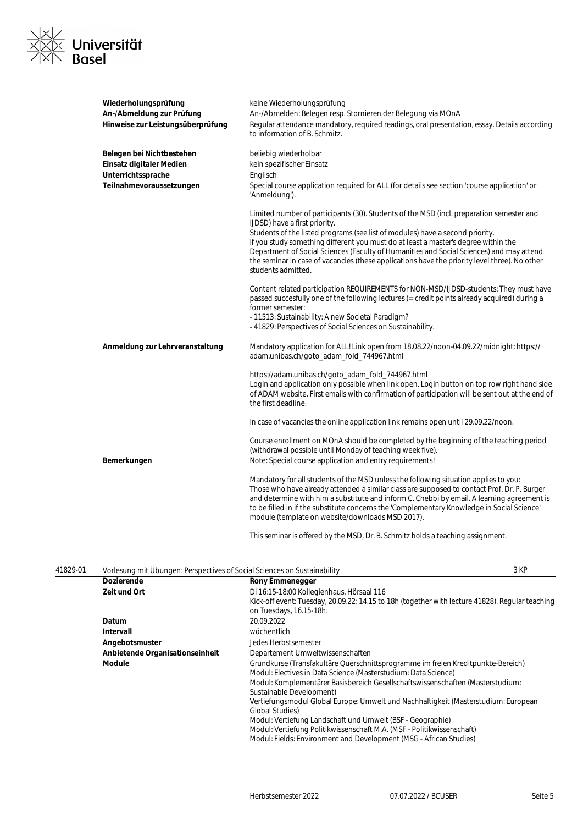

| Wiederholungsprüfung<br>An-/Abmeldung zur Prüfung<br>Hinweise zur Leistungsüberprüfung                  | keine Wiederholungsprüfung<br>An-/Abmelden: Belegen resp. Stornieren der Belegung via MOnA<br>Regular attendance mandatory, required readings, oral presentation, essay. Details according<br>to information of B. Schmitz.                                                                                                                                                                                                                                                                                         |
|---------------------------------------------------------------------------------------------------------|---------------------------------------------------------------------------------------------------------------------------------------------------------------------------------------------------------------------------------------------------------------------------------------------------------------------------------------------------------------------------------------------------------------------------------------------------------------------------------------------------------------------|
| Belegen bei Nichtbestehen<br>Einsatz digitaler Medien<br>Unterrichtssprache<br>Teilnahmevoraussetzungen | beliebig wiederholbar<br>kein spezifischer Einsatz<br>Englisch<br>Special course application required for ALL (for details see section 'course application' or<br>'Anmeldung').                                                                                                                                                                                                                                                                                                                                     |
|                                                                                                         | Limited number of participants (30). Students of the MSD (incl. preparation semester and<br>IJDSD) have a first priority.<br>Students of the listed programs (see list of modules) have a second priority.<br>If you study something different you must do at least a master's degree within the<br>Department of Social Sciences (Faculty of Humanities and Social Sciences) and may attend<br>the seminar in case of vacancies (these applications have the priority level three). No other<br>students admitted. |
|                                                                                                         | Content related participation REQUIREMENTS for NON-MSD/IJDSD-students: They must have<br>passed succesfully one of the following lectures (= credit points already acquired) during a<br>former semester:<br>- 11513: Sustainability: A new Societal Paradigm?<br>-41829: Perspectives of Social Sciences on Sustainability.                                                                                                                                                                                        |
| Anmeldung zur Lehrveranstaltung                                                                         | Mandatory application for ALL! Link open from 18.08.22/noon-04.09.22/midnight: https://<br>adam.unibas.ch/goto_adam_fold_744967.html                                                                                                                                                                                                                                                                                                                                                                                |
|                                                                                                         | https://adam.unibas.ch/goto_adam_fold_744967.html<br>Login and application only possible when link open. Login button on top row right hand side<br>of ADAM website. First emails with confirmation of participation will be sent out at the end of<br>the first deadline.                                                                                                                                                                                                                                          |
|                                                                                                         | In case of vacancies the online application link remains open until 29.09.22/noon.                                                                                                                                                                                                                                                                                                                                                                                                                                  |
| Bemerkungen                                                                                             | Course enrollment on MOnA should be completed by the beginning of the teaching period<br>(withdrawal possible until Monday of teaching week five).<br>Note: Special course application and entry requirements!                                                                                                                                                                                                                                                                                                      |
|                                                                                                         | Mandatory for all students of the MSD unless the following situation applies to you:<br>Those who have already attended a similar class are supposed to contact Prof. Dr. P. Burger<br>and determine with him a substitute and inform C. Chebbi by email. A learning agreement is<br>to be filled in if the substitute concerns the 'Complementary Knowledge in Social Science'<br>module (template on website/downloads MSD 2017).                                                                                 |

This seminar is offered by the MSD, Dr. B. Schmitz holds a teaching assignment.

| 41829-01 | Vorlesung mit Übungen: Perspectives of Social Sciences on Sustainability |                                                                                                                                                                                                                                                                                                                                                                                                                                                                                                                                                                                                 | 3 KP |
|----------|--------------------------------------------------------------------------|-------------------------------------------------------------------------------------------------------------------------------------------------------------------------------------------------------------------------------------------------------------------------------------------------------------------------------------------------------------------------------------------------------------------------------------------------------------------------------------------------------------------------------------------------------------------------------------------------|------|
|          | <b>Dozierende</b>                                                        | <b>Rony Emmenegger</b>                                                                                                                                                                                                                                                                                                                                                                                                                                                                                                                                                                          |      |
|          | Zeit und Ort                                                             | Di 16:15-18:00 Kollegienhaus, Hörsaal 116<br>Kick-off event: Tuesday, 20.09.22: 14.15 to 18h (together with lecture 41828). Regular teaching<br>on Tuesdays, 16.15-18h.                                                                                                                                                                                                                                                                                                                                                                                                                         |      |
|          | Datum                                                                    | 20.09.2022                                                                                                                                                                                                                                                                                                                                                                                                                                                                                                                                                                                      |      |
|          | Intervall                                                                | wöchentlich                                                                                                                                                                                                                                                                                                                                                                                                                                                                                                                                                                                     |      |
|          | Angebotsmuster                                                           | Jedes Herbstsemester                                                                                                                                                                                                                                                                                                                                                                                                                                                                                                                                                                            |      |
|          | Anbietende Organisationseinheit                                          | Departement Umweltwissenschaften                                                                                                                                                                                                                                                                                                                                                                                                                                                                                                                                                                |      |
|          | <b>Module</b>                                                            | Grundkurse (Transfakultäre Querschnittsprogramme im freien Kreditpunkte-Bereich)<br>Modul: Electives in Data Science (Masterstudium: Data Science)<br>Modul: Komplementärer Basisbereich Gesellschaftswissenschaften (Masterstudium:<br>Sustainable Development)<br>Vertiefungsmodul Global Europe: Umwelt und Nachhaltigkeit (Masterstudium: European<br><b>Global Studies</b> )<br>Modul: Vertiefung Landschaft und Umwelt (BSF - Geographie)<br>Modul: Vertiefung Politikwissenschaft M.A. (MSF - Politikwissenschaft)<br>Modul: Fields: Environment and Development (MSG - African Studies) |      |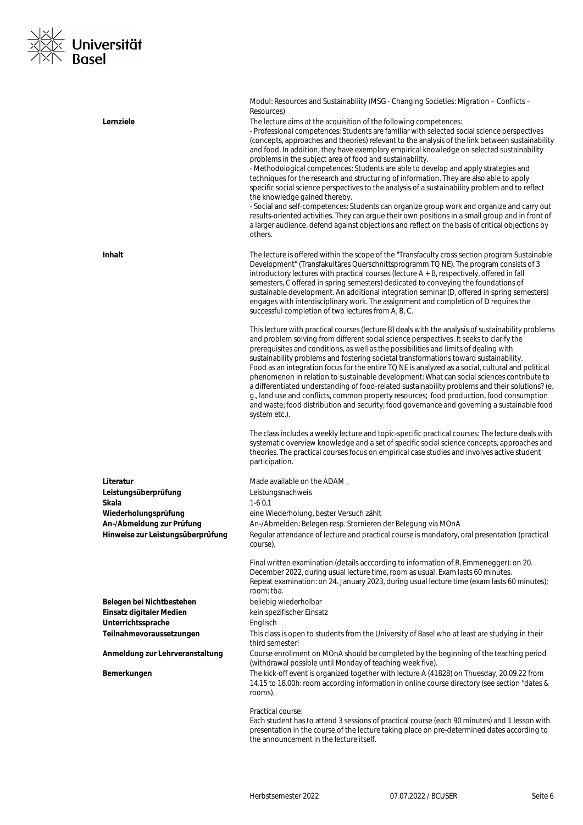### <|∠<br><|∑ Universität<br><|∑ Basel  $\frac{1}{2}$

| Lernziele                         | Modul: Resources and Sustainability (MSG - Changing Societies: Migration - Conflicts -<br>Resources)<br>The lecture aims at the acquisition of the following competences:<br>- Professional competences: Students are familiar with selected social science perspectives<br>(concepts, approaches and theories) relevant to the analysis of the link between sustainability<br>and food. In addition, they have exemplary empirical knowledge on selected sustainability<br>problems in the subject area of food and sustainability.<br>- Methodological competences: Students are able to develop and apply strategies and<br>techniques for the research and structuring of information. They are also able to apply<br>specific social science perspectives to the analysis of a sustainability problem and to reflect<br>the knowledge gained thereby.<br>- Social and self-competences: Students can organize group work and organize and carry out<br>results-oriented activities. They can argue their own positions in a small group and in front of<br>a larger audience, defend against objections and reflect on the basis of critical objections by<br>others.                                                                                                                                                                                                                                                                                                                                                                                                                                                                                                                                                                                                                                                                           |
|-----------------------------------|------------------------------------------------------------------------------------------------------------------------------------------------------------------------------------------------------------------------------------------------------------------------------------------------------------------------------------------------------------------------------------------------------------------------------------------------------------------------------------------------------------------------------------------------------------------------------------------------------------------------------------------------------------------------------------------------------------------------------------------------------------------------------------------------------------------------------------------------------------------------------------------------------------------------------------------------------------------------------------------------------------------------------------------------------------------------------------------------------------------------------------------------------------------------------------------------------------------------------------------------------------------------------------------------------------------------------------------------------------------------------------------------------------------------------------------------------------------------------------------------------------------------------------------------------------------------------------------------------------------------------------------------------------------------------------------------------------------------------------------------------------------------------------------------------------------------------------------------------|
| Inhalt                            | The lecture is offered within the scope of the "Transfaculty cross section program Sustainable<br>Development" (Transfakultäres Querschnittsprogramm TQ NE). The program consists of 3<br>introductory lectures with practical courses (lecture $A + B$ , respectively, offered in fall<br>semesters, C offered in spring semesters) dedicated to conveying the foundations of<br>sustainable development. An additional integration seminar (D, offered in spring semesters)<br>engages with interdisciplinary work. The assignment and completion of D requires the<br>successful completion of two lectures from A, B, C.<br>This lecture with practical courses (lecture B) deals with the analysis of sustainability problems<br>and problem solving from different social science perspectives. It seeks to clarify the<br>prerequisites and conditions, as well as the possibilities and limits of dealing with<br>sustainability problems and fostering societal transformations toward sustainability.<br>Food as an integration focus for the entire TQ NE is analyzed as a social, cultural and political<br>phenomenon in relation to sustainable development: What can social sciences contribute to<br>a differentiated understanding of food-related sustainability problems and their solutions? (e.<br>g., land use and conflicts, common property resources; food production, food consumption<br>and waste; food distribution and security; food governance and governing a sustainable food<br>system etc.).<br>The class includes a weekly lecture and topic-specific practical courses: The lecture deals with<br>systematic overview knowledge and a set of specific social science concepts, approaches and<br>theories. The practical courses focus on empirical case studies and involves active student<br>participation. |
| Literatur                         | Made available on the ADAM.                                                                                                                                                                                                                                                                                                                                                                                                                                                                                                                                                                                                                                                                                                                                                                                                                                                                                                                                                                                                                                                                                                                                                                                                                                                                                                                                                                                                                                                                                                                                                                                                                                                                                                                                                                                                                          |
| Leistungsüberprüfung              | Leistungsnachweis                                                                                                                                                                                                                                                                                                                                                                                                                                                                                                                                                                                                                                                                                                                                                                                                                                                                                                                                                                                                                                                                                                                                                                                                                                                                                                                                                                                                                                                                                                                                                                                                                                                                                                                                                                                                                                    |
| Skala                             | $1-60.1$                                                                                                                                                                                                                                                                                                                                                                                                                                                                                                                                                                                                                                                                                                                                                                                                                                                                                                                                                                                                                                                                                                                                                                                                                                                                                                                                                                                                                                                                                                                                                                                                                                                                                                                                                                                                                                             |
| Wiederholungsprüfung              | eine Wiederholung, bester Versuch zählt                                                                                                                                                                                                                                                                                                                                                                                                                                                                                                                                                                                                                                                                                                                                                                                                                                                                                                                                                                                                                                                                                                                                                                                                                                                                                                                                                                                                                                                                                                                                                                                                                                                                                                                                                                                                              |
| An-/Abmeldung zur Prüfung         | An-/Abmelden: Belegen resp. Stornieren der Belegung via MOnA                                                                                                                                                                                                                                                                                                                                                                                                                                                                                                                                                                                                                                                                                                                                                                                                                                                                                                                                                                                                                                                                                                                                                                                                                                                                                                                                                                                                                                                                                                                                                                                                                                                                                                                                                                                         |
| Hinweise zur Leistungsüberprüfung | Regular attendance of lecture and practical course is mandatory, oral presentation (practical<br>course).                                                                                                                                                                                                                                                                                                                                                                                                                                                                                                                                                                                                                                                                                                                                                                                                                                                                                                                                                                                                                                                                                                                                                                                                                                                                                                                                                                                                                                                                                                                                                                                                                                                                                                                                            |
|                                   | Final written examination (details acccording to information of R. Emmenegger): on 20.<br>December 2022, during usual lecture time, room as usual. Exam lasts 60 minutes.<br>Repeat examination: on 24. January 2023, during usual lecture time (exam lasts 60 minutes);<br>room: tba.                                                                                                                                                                                                                                                                                                                                                                                                                                                                                                                                                                                                                                                                                                                                                                                                                                                                                                                                                                                                                                                                                                                                                                                                                                                                                                                                                                                                                                                                                                                                                               |
| Belegen bei Nichtbestehen         | beliebig wiederholbar                                                                                                                                                                                                                                                                                                                                                                                                                                                                                                                                                                                                                                                                                                                                                                                                                                                                                                                                                                                                                                                                                                                                                                                                                                                                                                                                                                                                                                                                                                                                                                                                                                                                                                                                                                                                                                |
| Einsatz digitaler Medien          | kein spezifischer Einsatz                                                                                                                                                                                                                                                                                                                                                                                                                                                                                                                                                                                                                                                                                                                                                                                                                                                                                                                                                                                                                                                                                                                                                                                                                                                                                                                                                                                                                                                                                                                                                                                                                                                                                                                                                                                                                            |
| Unterrichtssprache                | Englisch                                                                                                                                                                                                                                                                                                                                                                                                                                                                                                                                                                                                                                                                                                                                                                                                                                                                                                                                                                                                                                                                                                                                                                                                                                                                                                                                                                                                                                                                                                                                                                                                                                                                                                                                                                                                                                             |
| Teilnahmevoraussetzungen          | This class is open to students from the University of Basel who at least are studying in their<br>third semester!                                                                                                                                                                                                                                                                                                                                                                                                                                                                                                                                                                                                                                                                                                                                                                                                                                                                                                                                                                                                                                                                                                                                                                                                                                                                                                                                                                                                                                                                                                                                                                                                                                                                                                                                    |
| Anmeldung zur Lehrveranstaltung   | Course enrollment on MOnA should be completed by the beginning of the teaching period<br>(withdrawal possible until Monday of teaching week five).                                                                                                                                                                                                                                                                                                                                                                                                                                                                                                                                                                                                                                                                                                                                                                                                                                                                                                                                                                                                                                                                                                                                                                                                                                                                                                                                                                                                                                                                                                                                                                                                                                                                                                   |
| Bemerkungen                       | The kick-off event is organized together with lecture A (41828) on Thuesday, 20.09.22 from<br>14.15 to 18.00h: room according information in online course directory (see section "dates &<br>rooms).                                                                                                                                                                                                                                                                                                                                                                                                                                                                                                                                                                                                                                                                                                                                                                                                                                                                                                                                                                                                                                                                                                                                                                                                                                                                                                                                                                                                                                                                                                                                                                                                                                                |
|                                   | Practical course:<br>Each student has to attend 3 sessions of practical course (each 90 minutes) and 1 lesson with<br>presentation in the course of the lecture taking place on pre-determined dates according to<br>the announcement in the lecture itself.                                                                                                                                                                                                                                                                                                                                                                                                                                                                                                                                                                                                                                                                                                                                                                                                                                                                                                                                                                                                                                                                                                                                                                                                                                                                                                                                                                                                                                                                                                                                                                                         |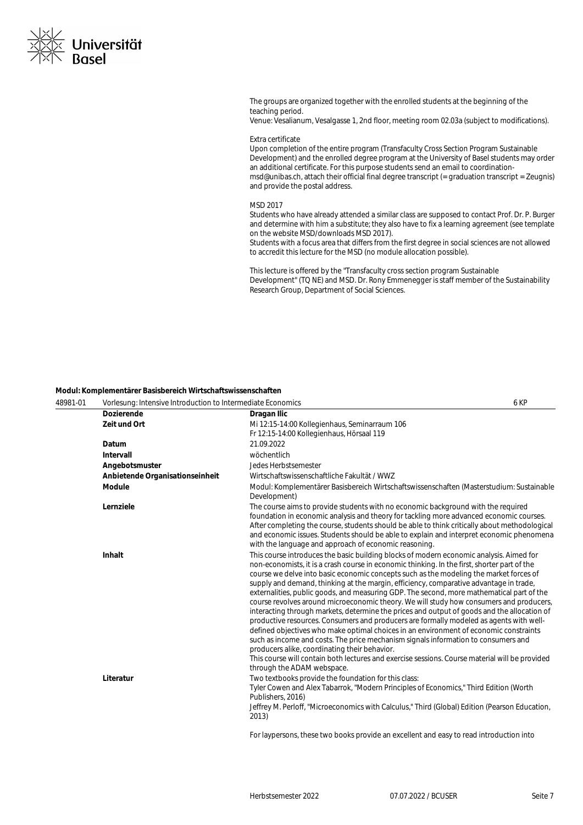

The groups are organized together with the enrolled students at the beginning of the teaching period. Venue: Vesalianum, Vesalgasse 1, 2nd floor, meeting room 02.03a (subject to modifications).

Extra certificate

Upon completion of the entire program (Transfaculty Cross Section Program Sustainable Development) and the enrolled degree program at the University of Basel students may order an additional certificate. For this purpose students send an email to coordinationmsd@unibas.ch, attach their official final degree transcript (= graduation transcript = Zeugnis) and provide the postal address.

#### MSD 2017

Students who have already attended a similar class are supposed to contact Prof. Dr. P. Burger and determine with him a substitute; they also have to fix a learning agreement (see template on the website MSD/downloads MSD 2017).

Students with a focus area that differs from the first degree in social sciences are not allowed to accredit this lecture for the MSD (no module allocation possible).

This lecture is offered by the "Transfaculty cross section program Sustainable Development" (TQ NE) and MSD. Dr. Rony Emmenegger is staff member of the Sustainability Research Group, Department of Social Sciences.

#### **Modul: Komplementärer Basisbereich Wirtschaftswissenschaften**

| 48981-01 | Vorlesung: Intensive Introduction to Intermediate Economics |                                                                                                                                                                                                                                                                                                                                                                                                                                                                                                                                                                                                                                                                                                                                                                                                                                                                                                                                                                                                                                                                                                                               | 6 KP |
|----------|-------------------------------------------------------------|-------------------------------------------------------------------------------------------------------------------------------------------------------------------------------------------------------------------------------------------------------------------------------------------------------------------------------------------------------------------------------------------------------------------------------------------------------------------------------------------------------------------------------------------------------------------------------------------------------------------------------------------------------------------------------------------------------------------------------------------------------------------------------------------------------------------------------------------------------------------------------------------------------------------------------------------------------------------------------------------------------------------------------------------------------------------------------------------------------------------------------|------|
|          | <b>Dozierende</b>                                           | Dragan Ilic                                                                                                                                                                                                                                                                                                                                                                                                                                                                                                                                                                                                                                                                                                                                                                                                                                                                                                                                                                                                                                                                                                                   |      |
|          | Zeit und Ort                                                | Mi 12:15-14:00 Kollegienhaus, Seminarraum 106<br>Fr 12:15-14:00 Kollegienhaus, Hörsaal 119                                                                                                                                                                                                                                                                                                                                                                                                                                                                                                                                                                                                                                                                                                                                                                                                                                                                                                                                                                                                                                    |      |
|          | Datum                                                       | 21.09.2022                                                                                                                                                                                                                                                                                                                                                                                                                                                                                                                                                                                                                                                                                                                                                                                                                                                                                                                                                                                                                                                                                                                    |      |
|          | Intervall                                                   | wöchentlich                                                                                                                                                                                                                                                                                                                                                                                                                                                                                                                                                                                                                                                                                                                                                                                                                                                                                                                                                                                                                                                                                                                   |      |
|          | Angebotsmuster                                              | Jedes Herbstsemester                                                                                                                                                                                                                                                                                                                                                                                                                                                                                                                                                                                                                                                                                                                                                                                                                                                                                                                                                                                                                                                                                                          |      |
|          | Anbietende Organisationseinheit                             | Wirtschaftswissenschaftliche Fakultät / WWZ                                                                                                                                                                                                                                                                                                                                                                                                                                                                                                                                                                                                                                                                                                                                                                                                                                                                                                                                                                                                                                                                                   |      |
|          | <b>Module</b>                                               | Modul: Komplementärer Basisbereich Wirtschaftswissenschaften (Masterstudium: Sustainable<br>Development)                                                                                                                                                                                                                                                                                                                                                                                                                                                                                                                                                                                                                                                                                                                                                                                                                                                                                                                                                                                                                      |      |
|          | Lernziele                                                   | The course aims to provide students with no economic background with the required<br>foundation in economic analysis and theory for tackling more advanced economic courses.<br>After completing the course, students should be able to think critically about methodological<br>and economic issues. Students should be able to explain and interpret economic phenomena<br>with the language and approach of economic reasoning.                                                                                                                                                                                                                                                                                                                                                                                                                                                                                                                                                                                                                                                                                            |      |
|          | Inhalt                                                      | This course introduces the basic building blocks of modern economic analysis. Aimed for<br>non-economists, it is a crash course in economic thinking. In the first, shorter part of the<br>course we delve into basic economic concepts such as the modeling the market forces of<br>supply and demand, thinking at the margin, efficiency, comparative advantage in trade,<br>externalities, public goods, and measuring GDP. The second, more mathematical part of the<br>course revolves around microeconomic theory. We will study how consumers and producers,<br>interacting through markets, determine the prices and output of goods and the allocation of<br>productive resources. Consumers and producers are formally modeled as agents with well-<br>defined objectives who make optimal choices in an environment of economic constraints<br>such as income and costs. The price mechanism signals information to consumers and<br>producers alike, coordinating their behavior.<br>This course will contain both lectures and exercise sessions. Course material will be provided<br>through the ADAM webspace. |      |
|          | Literatur                                                   | Two textbooks provide the foundation for this class:<br>Tyler Cowen and Alex Tabarrok, "Modern Principles of Economics," Third Edition (Worth<br>Publishers, 2016)<br>Jeffrey M. Perloff, "Microeconomics with Calculus," Third (Global) Edition (Pearson Education,<br>2013)                                                                                                                                                                                                                                                                                                                                                                                                                                                                                                                                                                                                                                                                                                                                                                                                                                                 |      |
|          |                                                             | For laypersons, these two books provide an excellent and easy to read introduction into                                                                                                                                                                                                                                                                                                                                                                                                                                                                                                                                                                                                                                                                                                                                                                                                                                                                                                                                                                                                                                       |      |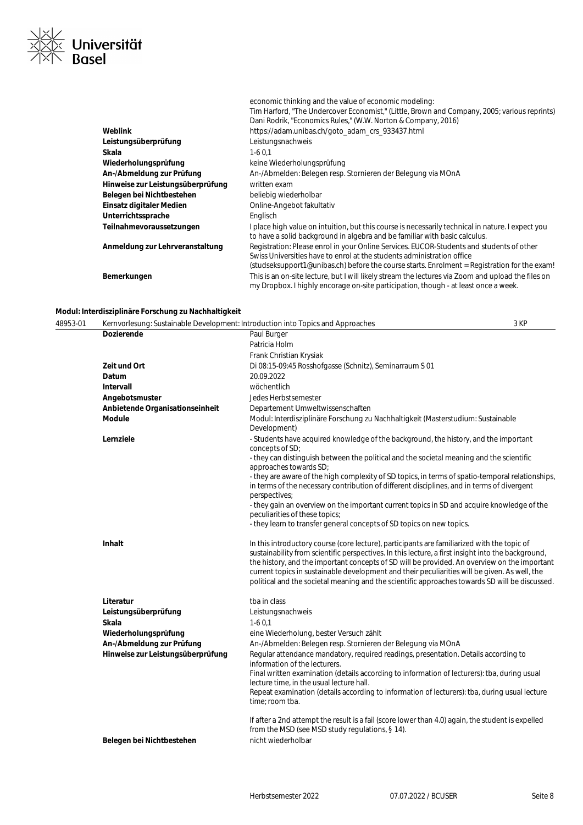

|                                   | economic thinking and the value of economic modeling:<br>Tim Harford, "The Undercover Economist," (Little, Brown and Company, 2005; various reprints)<br>Dani Rodrik, "Economics Rules," (W.W. Norton & Company, 2016)                                             |
|-----------------------------------|--------------------------------------------------------------------------------------------------------------------------------------------------------------------------------------------------------------------------------------------------------------------|
| Weblink                           | https://adam.unibas.ch/goto_adam_crs_933437.html                                                                                                                                                                                                                   |
| Leistungsüberprüfung              | Leistungsnachweis                                                                                                                                                                                                                                                  |
| Skala                             | $1-60.1$                                                                                                                                                                                                                                                           |
| Wiederholungsprüfung              | keine Wiederholungsprüfung                                                                                                                                                                                                                                         |
| An-/Abmeldung zur Prüfung         | An-/Abmelden: Belegen resp. Stornieren der Belegung via MOnA                                                                                                                                                                                                       |
| Hinweise zur Leistungsüberprüfung | written exam                                                                                                                                                                                                                                                       |
| Belegen bei Nichtbestehen         | beliebig wiederholbar                                                                                                                                                                                                                                              |
| Einsatz digitaler Medien          | Online-Angebot fakultativ                                                                                                                                                                                                                                          |
| Unterrichtssprache                | Englisch                                                                                                                                                                                                                                                           |
| Teilnahmevoraussetzungen          | I place high value on intuition, but this course is necessarily technical in nature. I expect you<br>to have a solid background in algebra and be familiar with basic calculus.                                                                                    |
| Anmeldung zur Lehrveranstaltung   | Registration: Please enrol in your Online Services. EUCOR-Students and students of other<br>Swiss Universities have to enrol at the students administration office<br>(studseksupport1@unibas.ch) before the course starts. Enrolment = Registration for the exam! |
| Bemerkungen                       | This is an on-site lecture, but I will likely stream the lectures via Zoom and upload the files on<br>my Dropbox. I highly encorage on-site participation, though - at least once a week.                                                                          |

#### **Modul: Interdisziplinäre Forschung zu Nachhaltigkeit**

| 48953-01 | Kernvorlesung: Sustainable Development: Introduction into Topics and Approaches |                                                                                                                                                                                                                                                                                                                                                                                                                                                                                                      | 3 KP |
|----------|---------------------------------------------------------------------------------|------------------------------------------------------------------------------------------------------------------------------------------------------------------------------------------------------------------------------------------------------------------------------------------------------------------------------------------------------------------------------------------------------------------------------------------------------------------------------------------------------|------|
|          | <b>Dozierende</b>                                                               | Paul Burger                                                                                                                                                                                                                                                                                                                                                                                                                                                                                          |      |
|          |                                                                                 | Patricia Holm                                                                                                                                                                                                                                                                                                                                                                                                                                                                                        |      |
|          |                                                                                 | Frank Christian Krysiak                                                                                                                                                                                                                                                                                                                                                                                                                                                                              |      |
|          | Zeit und Ort                                                                    | Di 08:15-09:45 Rosshofgasse (Schnitz), Seminarraum S 01                                                                                                                                                                                                                                                                                                                                                                                                                                              |      |
|          | Datum                                                                           | 20.09.2022                                                                                                                                                                                                                                                                                                                                                                                                                                                                                           |      |
|          | Intervall                                                                       | wöchentlich                                                                                                                                                                                                                                                                                                                                                                                                                                                                                          |      |
|          | Angebotsmuster                                                                  | Jedes Herbstsemester                                                                                                                                                                                                                                                                                                                                                                                                                                                                                 |      |
|          | Anbietende Organisationseinheit                                                 | Departement Umweltwissenschaften                                                                                                                                                                                                                                                                                                                                                                                                                                                                     |      |
|          | <b>Module</b>                                                                   | Modul: Interdisziplinäre Forschung zu Nachhaltigkeit (Masterstudium: Sustainable<br>Development)                                                                                                                                                                                                                                                                                                                                                                                                     |      |
|          | Lernziele                                                                       | - Students have acquired knowledge of the background, the history, and the important<br>concepts of SD;                                                                                                                                                                                                                                                                                                                                                                                              |      |
|          |                                                                                 | - they can distinguish between the political and the societal meaning and the scientific<br>approaches towards SD;                                                                                                                                                                                                                                                                                                                                                                                   |      |
|          |                                                                                 | - they are aware of the high complexity of SD topics, in terms of spatio-temporal relationships,<br>in terms of the necessary contribution of different disciplines, and in terms of divergent<br>perspectives:                                                                                                                                                                                                                                                                                      |      |
|          |                                                                                 | - they gain an overview on the important current topics in SD and acquire knowledge of the<br>peculiarities of these topics;                                                                                                                                                                                                                                                                                                                                                                         |      |
|          |                                                                                 | - they learn to transfer general concepts of SD topics on new topics.                                                                                                                                                                                                                                                                                                                                                                                                                                |      |
|          | <b>Inhalt</b>                                                                   | In this introductory course (core lecture), participants are familiarized with the topic of<br>sustainability from scientific perspectives. In this lecture, a first insight into the background,<br>the history, and the important concepts of SD will be provided. An overview on the important<br>current topics in sustainable development and their peculiarities will be given. As well, the<br>political and the societal meaning and the scientific approaches towards SD will be discussed. |      |
|          | Literatur                                                                       | tba in class                                                                                                                                                                                                                                                                                                                                                                                                                                                                                         |      |
|          | Leistungsüberprüfung                                                            | Leistungsnachweis                                                                                                                                                                                                                                                                                                                                                                                                                                                                                    |      |
|          | Skala                                                                           | $1-60.1$                                                                                                                                                                                                                                                                                                                                                                                                                                                                                             |      |
|          | Wiederholungsprüfung                                                            | eine Wiederholung, bester Versuch zählt                                                                                                                                                                                                                                                                                                                                                                                                                                                              |      |
|          | An-/Abmeldung zur Prüfung                                                       | An-/Abmelden: Belegen resp. Stornieren der Belegung via MOnA                                                                                                                                                                                                                                                                                                                                                                                                                                         |      |
|          | Hinweise zur Leistungsüberprüfung                                               | Regular attendance mandatory, required readings, presentation. Details according to<br>information of the lecturers.                                                                                                                                                                                                                                                                                                                                                                                 |      |
|          |                                                                                 | Final written examination (details according to information of lecturers): tba, during usual<br>lecture time, in the usual lecture hall.                                                                                                                                                                                                                                                                                                                                                             |      |
|          |                                                                                 | Repeat examination (details according to information of lecturers): tba, during usual lecture<br>time; room tba.                                                                                                                                                                                                                                                                                                                                                                                     |      |
|          | Belegen bei Nichtbestehen                                                       | If after a 2nd attempt the result is a fail (score lower than 4.0) again, the student is expelled<br>from the MSD (see MSD study regulations, § 14).<br>nicht wiederholbar                                                                                                                                                                                                                                                                                                                           |      |
|          |                                                                                 |                                                                                                                                                                                                                                                                                                                                                                                                                                                                                                      |      |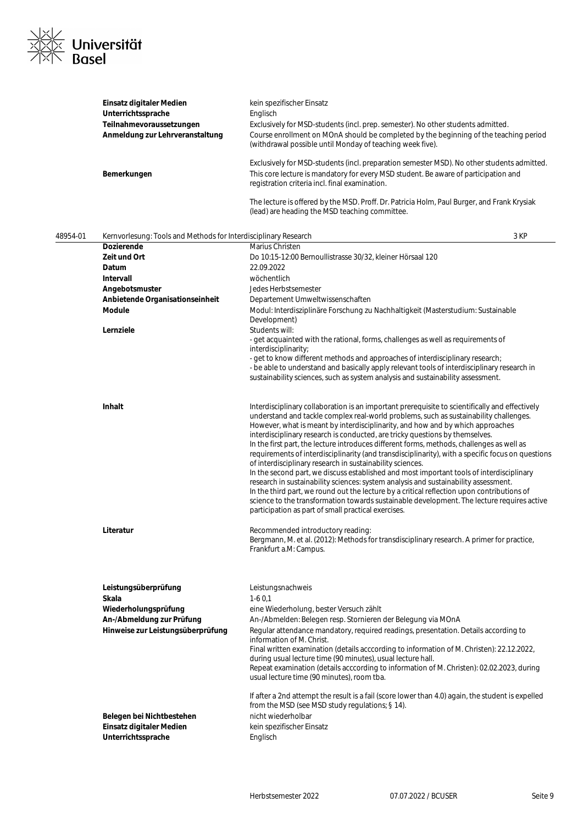

|          | Einsatz digitaler Medien<br>Unterrichtssprache<br>Teilnahmevoraussetzungen<br>Anmeldung zur Lehrveranstaltung<br>Bemerkungen | kein spezifischer Einsatz<br>Englisch<br>Exclusively for MSD-students (incl. prep. semester). No other students admitted.<br>Course enrollment on MOnA should be completed by the beginning of the teaching period<br>(withdrawal possible until Monday of teaching week five).<br>Exclusively for MSD-students (incl. preparation semester MSD). No other students admitted.<br>This core lecture is mandatory for every MSD student. Be aware of participation and<br>registration criteria incl. final examination.<br>The lecture is offered by the MSD. Proff. Dr. Patricia Holm, Paul Burger, and Frank Krysiak<br>(lead) are heading the MSD teaching committee.                                                                                                                                                                                                                                                                                                                                                                                        |
|----------|------------------------------------------------------------------------------------------------------------------------------|----------------------------------------------------------------------------------------------------------------------------------------------------------------------------------------------------------------------------------------------------------------------------------------------------------------------------------------------------------------------------------------------------------------------------------------------------------------------------------------------------------------------------------------------------------------------------------------------------------------------------------------------------------------------------------------------------------------------------------------------------------------------------------------------------------------------------------------------------------------------------------------------------------------------------------------------------------------------------------------------------------------------------------------------------------------|
| 48954-01 | Kernvorlesung: Tools and Methods for Interdisciplinary Research                                                              | 3 KP                                                                                                                                                                                                                                                                                                                                                                                                                                                                                                                                                                                                                                                                                                                                                                                                                                                                                                                                                                                                                                                           |
|          | <b>Dozierende</b>                                                                                                            | Marius Christen                                                                                                                                                                                                                                                                                                                                                                                                                                                                                                                                                                                                                                                                                                                                                                                                                                                                                                                                                                                                                                                |
|          | Zeit und Ort                                                                                                                 | Do 10:15-12:00 Bernoullistrasse 30/32, kleiner Hörsaal 120                                                                                                                                                                                                                                                                                                                                                                                                                                                                                                                                                                                                                                                                                                                                                                                                                                                                                                                                                                                                     |
|          | Datum                                                                                                                        | 22.09.2022                                                                                                                                                                                                                                                                                                                                                                                                                                                                                                                                                                                                                                                                                                                                                                                                                                                                                                                                                                                                                                                     |
|          | <b>Intervall</b>                                                                                                             | wöchentlich                                                                                                                                                                                                                                                                                                                                                                                                                                                                                                                                                                                                                                                                                                                                                                                                                                                                                                                                                                                                                                                    |
|          | Angebotsmuster                                                                                                               | Jedes Herbstsemester                                                                                                                                                                                                                                                                                                                                                                                                                                                                                                                                                                                                                                                                                                                                                                                                                                                                                                                                                                                                                                           |
|          | Anbietende Organisationseinheit<br>Module                                                                                    | Departement Umweltwissenschaften<br>Modul: Interdisziplinäre Forschung zu Nachhaltigkeit (Masterstudium: Sustainable<br>Development)                                                                                                                                                                                                                                                                                                                                                                                                                                                                                                                                                                                                                                                                                                                                                                                                                                                                                                                           |
|          | Lernziele                                                                                                                    | Students will:<br>- get acquainted with the rational, forms, challenges as well as requirements of<br>interdisciplinarity;<br>- get to know different methods and approaches of interdisciplinary research;<br>- be able to understand and basically apply relevant tools of interdisciplinary research in<br>sustainability sciences, such as system analysis and sustainability assessment.                                                                                                                                                                                                                                                                                                                                                                                                                                                                                                                                                                                                                                                                  |
|          | Inhalt                                                                                                                       | Interdisciplinary collaboration is an important prerequisite to scientifically and effectively<br>understand and tackle complex real-world problems, such as sustainability challenges.<br>However, what is meant by interdisciplinarity, and how and by which approaches<br>interdisciplinary research is conducted, are tricky questions by themselves.<br>In the first part, the lecture introduces different forms, methods, challenges as well as<br>requirements of interdisciplinarity (and transdisciplinarity), with a specific focus on questions<br>of interdisciplinary research in sustainability sciences.<br>In the second part, we discuss established and most important tools of interdisciplinary<br>research in sustainability sciences: system analysis and sustainability assessment.<br>In the third part, we round out the lecture by a critical reflection upon contributions of<br>science to the transformation towards sustainable development. The lecture requires active<br>participation as part of small practical exercises. |
|          | Literatur                                                                                                                    | Recommended introductory reading:<br>Bergmann, M. et al. (2012): Methods for transdisciplinary research. A primer for practice,<br>Frankfurt a.M: Campus.                                                                                                                                                                                                                                                                                                                                                                                                                                                                                                                                                                                                                                                                                                                                                                                                                                                                                                      |
|          | Leistungsüberprüfung<br>Skala<br>Wiederholungsprüfung<br>An-/Abmeldung zur Prüfung<br>Hinweise zur Leistungsüberprüfung      | Leistungsnachweis<br>$1-60,1$<br>eine Wiederholung, bester Versuch zählt<br>An-/Abmelden: Belegen resp. Stornieren der Belegung via MOnA<br>Regular attendance mandatory, required readings, presentation. Details according to<br>information of M. Christ.<br>Final written examination (details acccording to information of M. Christen): 22.12.2022,<br>during usual lecture time (90 minutes), usual lecture hall.<br>Repeat examination (details acccording to information of M. Christen): 02.02.2023, during<br>usual lecture time (90 minutes), room tba.                                                                                                                                                                                                                                                                                                                                                                                                                                                                                            |
|          | Belegen bei Nichtbestehen                                                                                                    | If after a 2nd attempt the result is a fail (score lower than 4.0) again, the student is expelled<br>from the MSD (see MSD study regulations; § 14).<br>nicht wiederholbar                                                                                                                                                                                                                                                                                                                                                                                                                                                                                                                                                                                                                                                                                                                                                                                                                                                                                     |

Einsatz digitaler Medien<br>
Unterrichtssprache<br>
Englisch<br>
Englisch **Unterrichtssprache**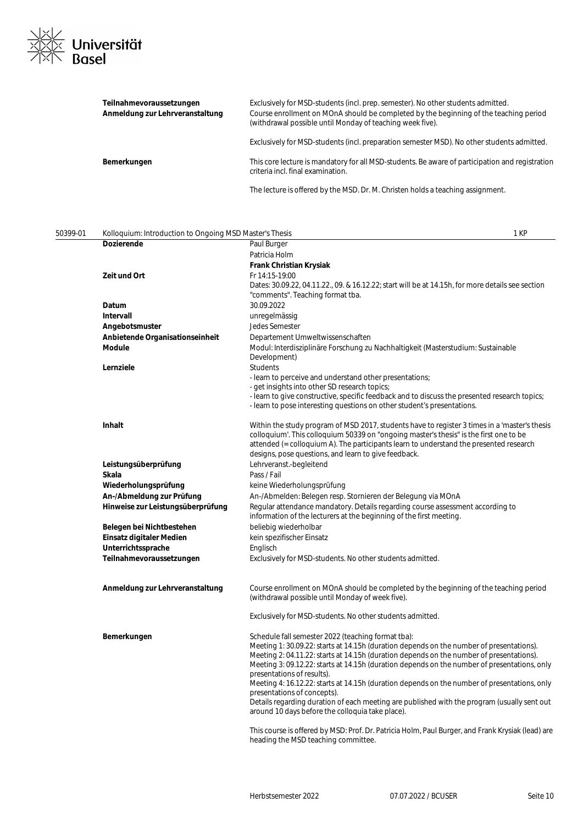

| Teilnahmevoraussetzungen<br>Anmeldung zur Lehrveranstaltung | Exclusively for MSD-students (incl. prep. semester). No other students admitted.<br>Course enrollment on MOnA should be completed by the beginning of the teaching period<br>(withdrawal possible until Monday of teaching week five). |
|-------------------------------------------------------------|----------------------------------------------------------------------------------------------------------------------------------------------------------------------------------------------------------------------------------------|
|                                                             | Exclusively for MSD-students (incl. preparation semester MSD). No other students admitted.                                                                                                                                             |
| Bemerkungen                                                 | This core lecture is mandatory for all MSD-students. Be aware of participation and registration<br>criteria incl. final examination.                                                                                                   |
|                                                             | TIIII CEILIN MARRIM MAILINI III III II                                                                                                                                                                                                 |

The lecture is offered by the MSD. Dr. M. Christen holds a teaching assignment.

| 50399-01 | Kolloquium: Introduction to Ongoing MSD Master's Thesis | 1 KP                                                                                                                                                                                                                                                                                                                                                                                                                                                                                                                                                                                                                                                       |
|----------|---------------------------------------------------------|------------------------------------------------------------------------------------------------------------------------------------------------------------------------------------------------------------------------------------------------------------------------------------------------------------------------------------------------------------------------------------------------------------------------------------------------------------------------------------------------------------------------------------------------------------------------------------------------------------------------------------------------------------|
|          | <b>Dozierende</b>                                       | Paul Burger                                                                                                                                                                                                                                                                                                                                                                                                                                                                                                                                                                                                                                                |
|          |                                                         | Patricia Holm                                                                                                                                                                                                                                                                                                                                                                                                                                                                                                                                                                                                                                              |
|          |                                                         | <b>Frank Christian Krysiak</b>                                                                                                                                                                                                                                                                                                                                                                                                                                                                                                                                                                                                                             |
|          | Zeit und Ort                                            | Fr 14:15-19:00<br>Dates: 30.09.22, 04.11.22., 09. & 16.12.22; start will be at 14.15h, for more details see section<br>"comments". Teaching format tba.                                                                                                                                                                                                                                                                                                                                                                                                                                                                                                    |
|          | Datum                                                   | 30.09.2022                                                                                                                                                                                                                                                                                                                                                                                                                                                                                                                                                                                                                                                 |
|          | Intervall                                               | unregelmässig                                                                                                                                                                                                                                                                                                                                                                                                                                                                                                                                                                                                                                              |
|          | Angebotsmuster                                          | Jedes Semester                                                                                                                                                                                                                                                                                                                                                                                                                                                                                                                                                                                                                                             |
|          | Anbietende Organisationseinheit                         | Departement Umweltwissenschaften                                                                                                                                                                                                                                                                                                                                                                                                                                                                                                                                                                                                                           |
|          | Module                                                  | Modul: Interdisziplinäre Forschung zu Nachhaltigkeit (Masterstudium: Sustainable<br>Development)                                                                                                                                                                                                                                                                                                                                                                                                                                                                                                                                                           |
|          | Lernziele                                               | <b>Students</b>                                                                                                                                                                                                                                                                                                                                                                                                                                                                                                                                                                                                                                            |
|          |                                                         | - learn to perceive and understand other presentations;<br>- get insights into other SD research topics;<br>- learn to give constructive, specific feedback and to discuss the presented research topics;                                                                                                                                                                                                                                                                                                                                                                                                                                                  |
|          |                                                         | - learn to pose interesting questions on other student's presentations.                                                                                                                                                                                                                                                                                                                                                                                                                                                                                                                                                                                    |
|          | Inhalt                                                  | Within the study program of MSD 2017, students have to register 3 times in a 'master's thesis<br>colloquium'. This colloquium 50339 on "ongoing master's thesis" is the first one to be<br>attended (= colloquium A). The participants learn to understand the presented research<br>designs, pose questions, and learn to give feedback.                                                                                                                                                                                                                                                                                                                  |
|          | Leistungsüberprüfung                                    | Lehrveranst.-begleitend                                                                                                                                                                                                                                                                                                                                                                                                                                                                                                                                                                                                                                    |
|          | Skala                                                   | Pass / Fail                                                                                                                                                                                                                                                                                                                                                                                                                                                                                                                                                                                                                                                |
|          | Wiederholungsprüfung                                    | keine Wiederholungsprüfung                                                                                                                                                                                                                                                                                                                                                                                                                                                                                                                                                                                                                                 |
|          | An-/Abmeldung zur Prüfung                               | An-/Abmelden: Belegen resp. Stornieren der Belegung via MOnA                                                                                                                                                                                                                                                                                                                                                                                                                                                                                                                                                                                               |
|          | Hinweise zur Leistungsüberprüfung                       | Regular attendance mandatory. Details regarding course assessment according to<br>information of the lecturers at the beginning of the first meeting.                                                                                                                                                                                                                                                                                                                                                                                                                                                                                                      |
|          | Belegen bei Nichtbestehen                               | beliebig wiederholbar                                                                                                                                                                                                                                                                                                                                                                                                                                                                                                                                                                                                                                      |
|          | Einsatz digitaler Medien                                | kein spezifischer Einsatz                                                                                                                                                                                                                                                                                                                                                                                                                                                                                                                                                                                                                                  |
|          | Unterrichtssprache                                      | Englisch                                                                                                                                                                                                                                                                                                                                                                                                                                                                                                                                                                                                                                                   |
|          | Teilnahmevoraussetzungen                                | Exclusively for MSD-students. No other students admitted.                                                                                                                                                                                                                                                                                                                                                                                                                                                                                                                                                                                                  |
|          | Anmeldung zur Lehrveranstaltung                         | Course enrollment on MOnA should be completed by the beginning of the teaching period<br>(withdrawal possible until Monday of week five).                                                                                                                                                                                                                                                                                                                                                                                                                                                                                                                  |
|          |                                                         | Exclusively for MSD-students. No other students admitted.                                                                                                                                                                                                                                                                                                                                                                                                                                                                                                                                                                                                  |
|          | Bemerkungen                                             | Schedule fall semester 2022 (teaching format tba):<br>Meeting 1: 30.09.22: starts at 14.15h (duration depends on the number of presentations).<br>Meeting 2: 04.11.22: starts at 14.15h (duration depends on the number of presentations).<br>Meeting 3: 09.12.22: starts at 14.15h (duration depends on the number of presentations, only<br>presentations of results).<br>Meeting 4: 16.12.22: starts at 14.15h (duration depends on the number of presentations, only<br>presentations of concepts).<br>Details regarding duration of each meeting are published with the program (usually sent out<br>around 10 days before the colloquia take place). |
|          |                                                         | This course is offered by MSD: Prof. Dr. Patricia Holm, Paul Burger, and Frank Krysiak (lead) are<br>heading the MSD teaching committee.                                                                                                                                                                                                                                                                                                                                                                                                                                                                                                                   |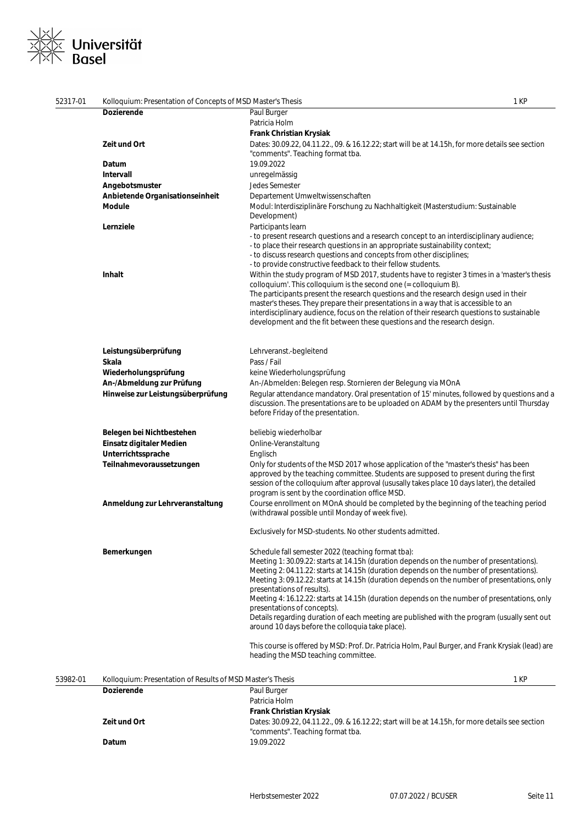# ≪ Universität<br><sup>√</sup> Basel

| 52317-01 | Kolloquium: Presentation of Concepts of MSD Master's Thesis |                                                                                                                                                                                                                                                                               | 1 KP |
|----------|-------------------------------------------------------------|-------------------------------------------------------------------------------------------------------------------------------------------------------------------------------------------------------------------------------------------------------------------------------|------|
|          | <b>Dozierende</b>                                           | Paul Burger                                                                                                                                                                                                                                                                   |      |
|          |                                                             | Patricia Holm                                                                                                                                                                                                                                                                 |      |
|          |                                                             | Frank Christian Krysiak                                                                                                                                                                                                                                                       |      |
|          | Zeit und Ort                                                | Dates: 30.09.22, 04.11.22., 09. & 16.12.22; start will be at 14.15h, for more details see section                                                                                                                                                                             |      |
|          |                                                             | "comments". Teaching format tba.                                                                                                                                                                                                                                              |      |
|          | Datum                                                       | 19.09.2022                                                                                                                                                                                                                                                                    |      |
|          | Intervall                                                   | unregelmässig                                                                                                                                                                                                                                                                 |      |
|          | Angebotsmuster                                              | Jedes Semester                                                                                                                                                                                                                                                                |      |
|          | Anbietende Organisationseinheit                             | Departement Umweltwissenschaften                                                                                                                                                                                                                                              |      |
|          | Module                                                      | Modul: Interdisziplinäre Forschung zu Nachhaltigkeit (Masterstudium: Sustainable<br>Development)                                                                                                                                                                              |      |
|          | Lernziele                                                   | Participants learn                                                                                                                                                                                                                                                            |      |
|          |                                                             | - to present research questions and a research concept to an interdisciplinary audience;<br>- to place their research questions in an appropriate sustainability context;                                                                                                     |      |
|          |                                                             | - to discuss research questions and concepts from other disciplines;<br>- to provide constructive feedback to their fellow students.                                                                                                                                          |      |
|          | <b>Inhalt</b>                                               | Within the study program of MSD 2017, students have to register 3 times in a 'master's thesis                                                                                                                                                                                 |      |
|          |                                                             | colloquium'. This colloquium is the second one $(=$ colloquium B).<br>The participants present the research questions and the research design used in their<br>master's theses. They prepare their presentations in a way that is accessible to an                            |      |
|          |                                                             | interdisciplinary audience, focus on the relation of their research questions to sustainable<br>development and the fit between these questions and the research design.                                                                                                      |      |
|          |                                                             |                                                                                                                                                                                                                                                                               |      |
|          | Leistungsüberprüfung                                        | Lehrveranst.-begleitend                                                                                                                                                                                                                                                       |      |
|          | Skala                                                       | Pass / Fail                                                                                                                                                                                                                                                                   |      |
|          | Wiederholungsprüfung                                        | keine Wiederholungsprüfung                                                                                                                                                                                                                                                    |      |
|          | An-/Abmeldung zur Prüfung                                   | An-/Abmelden: Belegen resp. Stornieren der Belegung via MOnA                                                                                                                                                                                                                  |      |
|          | Hinweise zur Leistungsüberprüfung                           | Regular attendance mandatory. Oral presentation of 15' minutes, followed by questions and a<br>discussion. The presentations are to be uploaded on ADAM by the presenters until Thursday<br>before Friday of the presentation.                                                |      |
|          | Belegen bei Nichtbestehen                                   | beliebig wiederholbar                                                                                                                                                                                                                                                         |      |
|          | Einsatz digitaler Medien                                    | Online-Veranstaltung                                                                                                                                                                                                                                                          |      |
|          | Unterrichtssprache                                          | Englisch                                                                                                                                                                                                                                                                      |      |
|          | Teilnahmevoraussetzungen                                    | Only for students of the MSD 2017 whose application of the "master's thesis" has been<br>approved by the teaching committee. Students are supposed to present during the first<br>session of the colloquium after approval (ususally takes place 10 days later), the detailed |      |
|          |                                                             | program is sent by the coordination office MSD.                                                                                                                                                                                                                               |      |
|          | Anmeldung zur Lehrveranstaltung                             | Course enrollment on MOnA should be completed by the beginning of the teaching period<br>(withdrawal possible until Monday of week five).                                                                                                                                     |      |
|          |                                                             | Exclusively for MSD-students. No other students admitted.                                                                                                                                                                                                                     |      |
|          | Bemerkungen                                                 | Schedule fall semester 2022 (teaching format tba):                                                                                                                                                                                                                            |      |
|          |                                                             | Meeting 1: 30.09.22: starts at 14.15h (duration depends on the number of presentations).                                                                                                                                                                                      |      |
|          |                                                             | Meeting 2: 04.11.22: starts at 14.15h (duration depends on the number of presentations).<br>Meeting 3: 09.12.22: starts at 14.15h (duration depends on the number of presentations, only                                                                                      |      |
|          |                                                             | presentations of results).<br>Meeting 4: 16.12.22: starts at 14.15h (duration depends on the number of presentations, only                                                                                                                                                    |      |
|          |                                                             | presentations of concepts).                                                                                                                                                                                                                                                   |      |
|          |                                                             | Details regarding duration of each meeting are published with the program (usually sent out<br>around 10 days before the colloquia take place).                                                                                                                               |      |
|          |                                                             | This course is offered by MSD: Prof. Dr. Patricia Holm, Paul Burger, and Frank Krysiak (lead) are<br>heading the MSD teaching committee.                                                                                                                                      |      |
| 53982-01 | Kolloquium: Presentation of Results of MSD Master's Thesis  |                                                                                                                                                                                                                                                                               | 1 KP |
|          | <b>Dozierende</b>                                           | Paul Burger                                                                                                                                                                                                                                                                   |      |
|          |                                                             | Patricia Holm                                                                                                                                                                                                                                                                 |      |
|          |                                                             | Frank Christian Krysiak                                                                                                                                                                                                                                                       |      |
|          | Zeit und Ort                                                | Dates: 30.09.22, 04.11.22., 09. & 16.12.22; start will be at 14.15h, for more details see section<br>"comments". Teaching format tba.                                                                                                                                         |      |
|          | Datum                                                       | 19.09.2022                                                                                                                                                                                                                                                                    |      |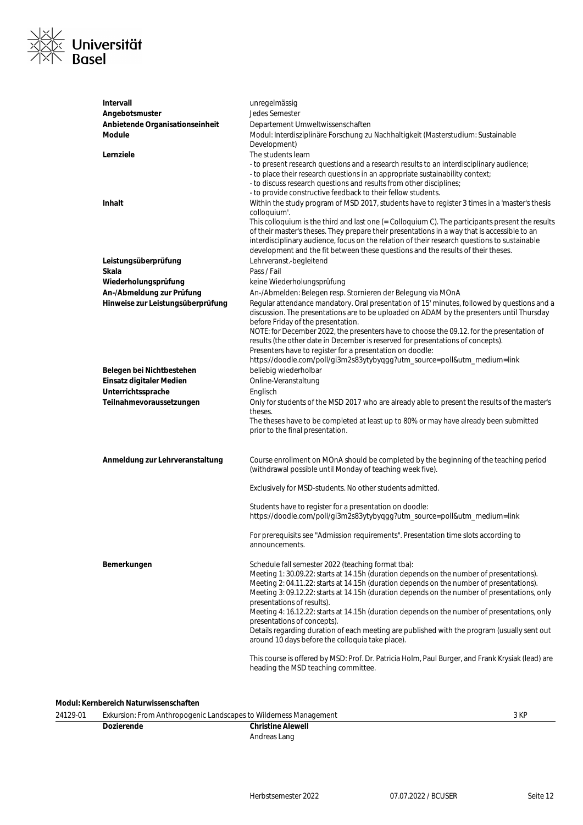

| Intervall                         | unregelmässig                                                                                                                                                                                                                                                                                                                                                                                                                                                                                                                                                                                          |
|-----------------------------------|--------------------------------------------------------------------------------------------------------------------------------------------------------------------------------------------------------------------------------------------------------------------------------------------------------------------------------------------------------------------------------------------------------------------------------------------------------------------------------------------------------------------------------------------------------------------------------------------------------|
| Angebotsmuster                    | <b>Jedes Semester</b>                                                                                                                                                                                                                                                                                                                                                                                                                                                                                                                                                                                  |
| Anbietende Organisationseinheit   | Departement Umweltwissenschaften                                                                                                                                                                                                                                                                                                                                                                                                                                                                                                                                                                       |
| Module                            | Modul: Interdisziplinäre Forschung zu Nachhaltigkeit (Masterstudium: Sustainable<br>Development)                                                                                                                                                                                                                                                                                                                                                                                                                                                                                                       |
| Lernziele                         | The students learn                                                                                                                                                                                                                                                                                                                                                                                                                                                                                                                                                                                     |
|                                   | - to present research questions and a research results to an interdisciplinary audience;<br>- to place their research questions in an appropriate sustainability context;<br>- to discuss research questions and results from other disciplines;<br>- to provide constructive feedback to their fellow students.                                                                                                                                                                                                                                                                                       |
| <b>Inhalt</b>                     | Within the study program of MSD 2017, students have to register 3 times in a 'master's thesis<br>colloquium'.                                                                                                                                                                                                                                                                                                                                                                                                                                                                                          |
|                                   | This colloquium is the third and last one (= Colloquium C). The participants present the results<br>of their master's theses. They prepare their presentations in a way that is accessible to an<br>interdisciplinary audience, focus on the relation of their research questions to sustainable<br>development and the fit between these questions and the results of their theses.                                                                                                                                                                                                                   |
| Leistungsüberprüfung              | Lehrveranst.-begleitend                                                                                                                                                                                                                                                                                                                                                                                                                                                                                                                                                                                |
| Skala                             | Pass / Fail                                                                                                                                                                                                                                                                                                                                                                                                                                                                                                                                                                                            |
| Wiederholungsprüfung              | keine Wiederholungsprüfung                                                                                                                                                                                                                                                                                                                                                                                                                                                                                                                                                                             |
| An-/Abmeldung zur Prüfung         | An-/Abmelden: Belegen resp. Stornieren der Belegung via MOnA                                                                                                                                                                                                                                                                                                                                                                                                                                                                                                                                           |
| Hinweise zur Leistungsüberprüfung | Regular attendance mandatory. Oral presentation of 15' minutes, followed by questions and a<br>discussion. The presentations are to be uploaded on ADAM by the presenters until Thursday<br>before Friday of the presentation.<br>NOTE: for December 2022, the presenters have to choose the 09.12. for the presentation of<br>results (the other date in December is reserved for presentations of concepts).                                                                                                                                                                                         |
|                                   | Presenters have to register for a presentation on doodle:                                                                                                                                                                                                                                                                                                                                                                                                                                                                                                                                              |
|                                   | https://doodle.com/poll/gi3m2s83ytybyqgg?utm_source=poll&utm_medium=link                                                                                                                                                                                                                                                                                                                                                                                                                                                                                                                               |
| Belegen bei Nichtbestehen         | beliebig wiederholbar                                                                                                                                                                                                                                                                                                                                                                                                                                                                                                                                                                                  |
| Einsatz digitaler Medien          | Online-Veranstaltung                                                                                                                                                                                                                                                                                                                                                                                                                                                                                                                                                                                   |
| Unterrichtssprache                | Englisch                                                                                                                                                                                                                                                                                                                                                                                                                                                                                                                                                                                               |
| Teilnahmevoraussetzungen          | Only for students of the MSD 2017 who are already able to present the results of the master's<br>theses.                                                                                                                                                                                                                                                                                                                                                                                                                                                                                               |
|                                   | The theses have to be completed at least up to 80% or may have already been submitted<br>prior to the final presentation.                                                                                                                                                                                                                                                                                                                                                                                                                                                                              |
| Anmeldung zur Lehrveranstaltung   | Course enrollment on MOnA should be completed by the beginning of the teaching period<br>(withdrawal possible until Monday of teaching week five).                                                                                                                                                                                                                                                                                                                                                                                                                                                     |
|                                   | Exclusively for MSD-students. No other students admitted.                                                                                                                                                                                                                                                                                                                                                                                                                                                                                                                                              |
|                                   | Students have to register for a presentation on doodle:<br>https://doodle.com/poll/gi3m2s83ytybyqgg?utm_source=poll&utm_medium=link                                                                                                                                                                                                                                                                                                                                                                                                                                                                    |
|                                   | For prerequisits see "Admission requirements". Presentation time slots according to<br>announcements.                                                                                                                                                                                                                                                                                                                                                                                                                                                                                                  |
| Bemerkungen                       | Schedule fall semester 2022 (teaching format tba):<br>Meeting 1: 30.09.22: starts at 14.15h (duration depends on the number of presentations).<br>Meeting 2: 04.11.22: starts at 14.15h (duration depends on the number of presentations).<br>Meeting 3: 09.12.22: starts at 14.15h (duration depends on the number of presentations, only<br>presentations of results).<br>Meeting 4: 16.12.22: starts at 14.15h (duration depends on the number of presentations, only<br>presentations of concepts).<br>Details regarding duration of each meeting are published with the program (usually sent out |
|                                   | around 10 days before the colloquia take place).                                                                                                                                                                                                                                                                                                                                                                                                                                                                                                                                                       |
|                                   | This course is offered by MSD: Prof. Dr. Patricia Holm, Paul Burger, and Frank Krysiak (lead) are<br>heading the MSD teaching committee.                                                                                                                                                                                                                                                                                                                                                                                                                                                               |

**Modul: Kernbereich Naturwissenschaften**

| 24129-01 | Exkursion: From Anthropogenic Landscapes to Wilderness Management |                          | 3 KP |
|----------|-------------------------------------------------------------------|--------------------------|------|
|          | Dozierende                                                        | <b>Christine Alewell</b> |      |
|          |                                                                   | Andreas Lang             |      |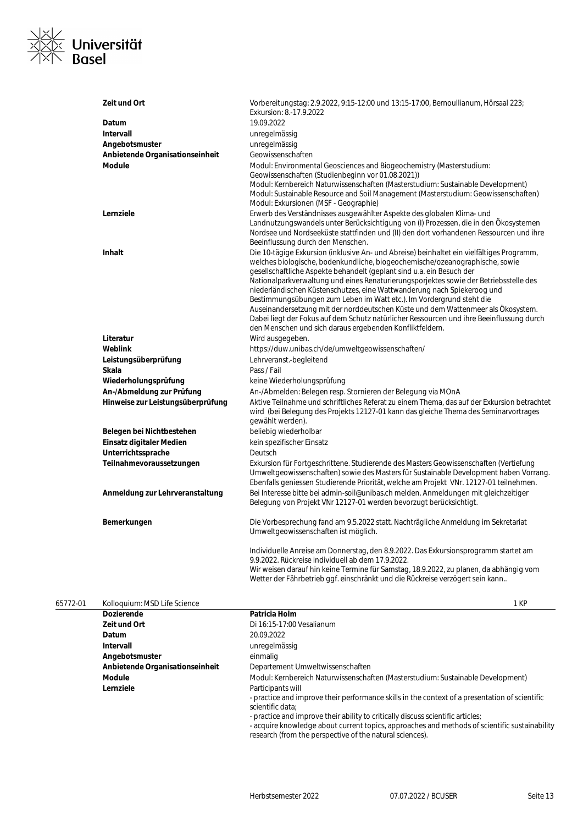

| Zeit und Ort                      | Vorbereitungstag: 2.9.2022, 9:15-12:00 und 13:15-17:00, Bernoullianum, Hörsaal 223;<br>Exkursion: 8.-17.9.2022                                                                                                                                                                                                                                                                                                                                                                                                                                                                                                                                                                                                                             |
|-----------------------------------|--------------------------------------------------------------------------------------------------------------------------------------------------------------------------------------------------------------------------------------------------------------------------------------------------------------------------------------------------------------------------------------------------------------------------------------------------------------------------------------------------------------------------------------------------------------------------------------------------------------------------------------------------------------------------------------------------------------------------------------------|
| Datum                             | 19.09.2022                                                                                                                                                                                                                                                                                                                                                                                                                                                                                                                                                                                                                                                                                                                                 |
| Intervall                         | unregelmässig                                                                                                                                                                                                                                                                                                                                                                                                                                                                                                                                                                                                                                                                                                                              |
| Angebotsmuster                    | unregelmässig                                                                                                                                                                                                                                                                                                                                                                                                                                                                                                                                                                                                                                                                                                                              |
| Anbietende Organisationseinheit   | Geowissenschaften                                                                                                                                                                                                                                                                                                                                                                                                                                                                                                                                                                                                                                                                                                                          |
| <b>Module</b>                     | Modul: Environmental Geosciences and Biogeochemistry (Masterstudium:                                                                                                                                                                                                                                                                                                                                                                                                                                                                                                                                                                                                                                                                       |
|                                   | Geowissenschaften (Studienbeginn vor 01.08.2021))                                                                                                                                                                                                                                                                                                                                                                                                                                                                                                                                                                                                                                                                                          |
|                                   | Modul: Kernbereich Naturwissenschaften (Masterstudium: Sustainable Development)<br>Modul: Sustainable Resource and Soil Management (Masterstudium: Geowissenschaften)<br>Modul: Exkursionen (MSF - Geographie)                                                                                                                                                                                                                                                                                                                                                                                                                                                                                                                             |
| Lernziele                         | Erwerb des Verständnisses ausgewählter Aspekte des globalen Klima- und<br>Landnutzungswandels unter Berücksichtigung von (I) Prozessen, die in den Ökosystemen<br>Nordsee und Nordseeküste stattfinden und (II) den dort vorhandenen Ressourcen und ihre<br>Beeinflussung durch den Menschen.                                                                                                                                                                                                                                                                                                                                                                                                                                              |
| <b>Inhalt</b>                     | Die 10-tägige Exkursion (inklusive An- und Abreise) beinhaltet ein vielfältiges Programm,<br>welches biologische, bodenkundliche, biogeochemische/ozeanographische, sowie<br>gesellschaftliche Aspekte behandelt (geplant sind u.a. ein Besuch der<br>Nationalparkverwaltung und eines Renaturierungsporjektes sowie der Betriebsstelle des<br>niederländischen Küstenschutzes, eine Wattwanderung nach Spiekeroog und<br>Bestimmungsübungen zum Leben im Watt etc.). Im Vordergrund steht die<br>Auseinandersetzung mit der norddeutschen Küste und dem Wattenmeer als Ökosystem.<br>Dabei liegt der Fokus auf dem Schutz natürlicher Ressourcen und ihre Beeinflussung durch<br>den Menschen und sich daraus ergebenden Konfliktfeldern. |
| Literatur                         | Wird ausgegeben.                                                                                                                                                                                                                                                                                                                                                                                                                                                                                                                                                                                                                                                                                                                           |
| Weblink                           | https://duw.unibas.ch/de/umweltgeowissenschaften/                                                                                                                                                                                                                                                                                                                                                                                                                                                                                                                                                                                                                                                                                          |
| Leistungsüberprüfung              | Lehrveranst.-begleitend                                                                                                                                                                                                                                                                                                                                                                                                                                                                                                                                                                                                                                                                                                                    |
| Skala                             | Pass / Fail                                                                                                                                                                                                                                                                                                                                                                                                                                                                                                                                                                                                                                                                                                                                |
| Wiederholungsprüfung              | keine Wiederholungsprüfung                                                                                                                                                                                                                                                                                                                                                                                                                                                                                                                                                                                                                                                                                                                 |
| An-/Abmeldung zur Prüfung         | An-/Abmelden: Belegen resp. Stornieren der Belegung via MOnA                                                                                                                                                                                                                                                                                                                                                                                                                                                                                                                                                                                                                                                                               |
| Hinweise zur Leistungsüberprüfung | Aktive Teilnahme und schriftliches Referat zu einem Thema, das auf der Exkursion betrachtet<br>wird (bei Belegung des Projekts 12127-01 kann das gleiche Thema des Seminarvortrages<br>gewählt werden).                                                                                                                                                                                                                                                                                                                                                                                                                                                                                                                                    |
| Belegen bei Nichtbestehen         | beliebig wiederholbar                                                                                                                                                                                                                                                                                                                                                                                                                                                                                                                                                                                                                                                                                                                      |
| Einsatz digitaler Medien          | kein spezifischer Einsatz                                                                                                                                                                                                                                                                                                                                                                                                                                                                                                                                                                                                                                                                                                                  |
| Unterrichtssprache                | Deutsch                                                                                                                                                                                                                                                                                                                                                                                                                                                                                                                                                                                                                                                                                                                                    |
| Teilnahmevoraussetzungen          | Exkursion für Fortgeschrittene. Studierende des Masters Geowissenschaften (Vertiefung<br>Umweltgeowissenschaften) sowie des Masters für Sustainable Development haben Vorrang.<br>Ebenfalls geniessen Studierende Priorität, welche am Projekt VNr. 12127-01 teilnehmen.                                                                                                                                                                                                                                                                                                                                                                                                                                                                   |
| Anmeldung zur Lehrveranstaltung   | Bei Interesse bitte bei admin-soil@unibas.ch melden. Anmeldungen mit gleichzeitiger<br>Belegung von Projekt VNr 12127-01 werden bevorzugt berücksichtigt.                                                                                                                                                                                                                                                                                                                                                                                                                                                                                                                                                                                  |
| Bemerkungen                       | Die Vorbesprechung fand am 9.5.2022 statt. Nachträgliche Anmeldung im Sekretariat<br>Umweltgeowissenschaften ist möglich.                                                                                                                                                                                                                                                                                                                                                                                                                                                                                                                                                                                                                  |
|                                   | Individuelle Anreise am Donnerstag, den 8.9.2022. Das Exkursionsprogramm startet am<br>9.9.2022. Rückreise individuell ab dem 17.9.2022.<br>Wir weisen darauf hin keine Termine für Samstag, 18.9.2022, zu planen, da abhängig vom<br>Wetter der Fährbetrieb ggf. einschränkt und die Rückreise verzögert sein kann                                                                                                                                                                                                                                                                                                                                                                                                                        |

#### 65772-01 Kolloquium: MSD Life Science 1 KP

| <b>Dozierende</b>               | Patricia Holm                                                                                  |
|---------------------------------|------------------------------------------------------------------------------------------------|
| Zeit und Ort                    | Di 16:15-17:00 Vesalianum                                                                      |
| <b>Datum</b>                    | 20.09.2022                                                                                     |
| Intervall                       | unregelmässig                                                                                  |
| Angebotsmuster                  | einmalig                                                                                       |
| Anbietende Organisationseinheit | Departement Umweltwissenschaften                                                               |
| <b>Module</b>                   | Modul: Kernbereich Naturwissenschaften (Masterstudium: Sustainable Development)                |
| Lernziele                       | Participants will                                                                              |
|                                 | - practice and improve their performance skills in the context of a presentation of scientific |
|                                 | scientific data:                                                                               |
|                                 | - practice and improve their ability to critically discuss scientific articles;                |
|                                 | - acquire knowledge about current topics, approaches and methods of scientific sustainability  |
|                                 | research (from the perspective of the natural sciences).                                       |
|                                 |                                                                                                |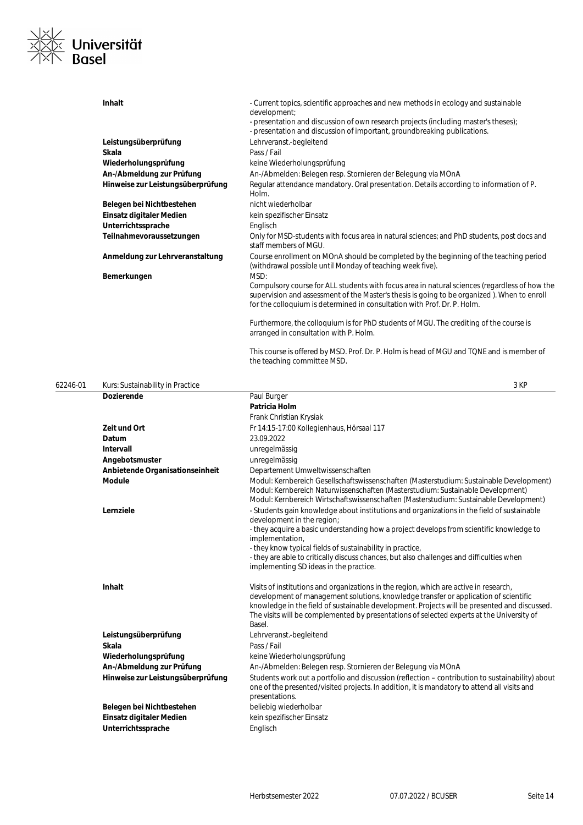

| <b>Inhalt</b>                     | - Current topics, scientific approaches and new methods in ecology and sustainable<br>development;<br>- presentation and discussion of own research projects (including master's theses);<br>- presentation and discussion of important, groundbreaking publications.    |
|-----------------------------------|--------------------------------------------------------------------------------------------------------------------------------------------------------------------------------------------------------------------------------------------------------------------------|
| Leistungsüberprüfung              | Lehrveranst.-begleitend                                                                                                                                                                                                                                                  |
| Skala                             | Pass / Fail                                                                                                                                                                                                                                                              |
| Wiederholungsprüfung              | keine Wiederholungsprüfung                                                                                                                                                                                                                                               |
| An-/Abmeldung zur Prüfung         | An-/Abmelden: Belegen resp. Stornieren der Belegung via MOnA                                                                                                                                                                                                             |
| Hinweise zur Leistungsüberprüfung | Regular attendance mandatory. Oral presentation. Details according to information of P.<br>Holm.                                                                                                                                                                         |
| Belegen bei Nichtbestehen         | nicht wiederholbar                                                                                                                                                                                                                                                       |
| Einsatz digitaler Medien          | kein spezifischer Einsatz                                                                                                                                                                                                                                                |
| Unterrichtssprache                | Englisch                                                                                                                                                                                                                                                                 |
| Teilnahmevoraussetzungen          | Only for MSD-students with focus area in natural sciences; and PhD students, post docs and<br>staff members of MGU.                                                                                                                                                      |
| Anmeldung zur Lehrveranstaltung   | Course enrollment on MOnA should be completed by the beginning of the teaching period<br>(withdrawal possible until Monday of teaching week five).                                                                                                                       |
| Bemerkungen                       | MSD:                                                                                                                                                                                                                                                                     |
|                                   | Compulsory course for ALL students with focus area in natural sciences (regardless of how the<br>supervision and assessment of the Master's thesis is going to be organized). When to enroll<br>for the colloquium is determined in consultation with Prof. Dr. P. Holm. |
|                                   | Furthermore, the colloquium is for PhD students of MGU. The crediting of the course is<br>arranged in consultation with P. Holm.                                                                                                                                         |
|                                   | This course is offered by MSD. Prof. Dr. P. Holm is head of MGU and TQNE and is member of                                                                                                                                                                                |

| 62246-01 | Kurs: Sustainability in Practice  | 3 KP                                                                                                                                                                                                                                                                                                                                                                                 |
|----------|-----------------------------------|--------------------------------------------------------------------------------------------------------------------------------------------------------------------------------------------------------------------------------------------------------------------------------------------------------------------------------------------------------------------------------------|
|          | <b>Dozierende</b>                 | Paul Burger                                                                                                                                                                                                                                                                                                                                                                          |
|          |                                   | Patricia Holm                                                                                                                                                                                                                                                                                                                                                                        |
|          |                                   | Frank Christian Krysiak                                                                                                                                                                                                                                                                                                                                                              |
|          | Zeit und Ort                      | Fr 14:15-17:00 Kollegienhaus, Hörsaal 117                                                                                                                                                                                                                                                                                                                                            |
|          | Datum                             | 23.09.2022                                                                                                                                                                                                                                                                                                                                                                           |
|          | <b>Intervall</b>                  | unregelmässig                                                                                                                                                                                                                                                                                                                                                                        |
|          | Angebotsmuster                    | unregelmässig                                                                                                                                                                                                                                                                                                                                                                        |
|          | Anbietende Organisationseinheit   | Departement Umweltwissenschaften                                                                                                                                                                                                                                                                                                                                                     |
|          | <b>Module</b>                     | Modul: Kernbereich Gesellschaftswissenschaften (Masterstudium: Sustainable Development)<br>Modul: Kernbereich Naturwissenschaften (Masterstudium: Sustainable Development)<br>Modul: Kernbereich Wirtschaftswissenschaften (Masterstudium: Sustainable Development)                                                                                                                  |
|          | Lernziele                         | - Students gain knowledge about institutions and organizations in the field of sustainable<br>development in the region;                                                                                                                                                                                                                                                             |
|          |                                   | - they acquire a basic understanding how a project develops from scientific knowledge to<br>implementation,                                                                                                                                                                                                                                                                          |
|          |                                   | - they know typical fields of sustainability in practice,<br>- they are able to critically discuss chances, but also challenges and difficulties when<br>implementing SD ideas in the practice.                                                                                                                                                                                      |
|          | Inhalt                            | Visits of institutions and organizations in the region, which are active in research,<br>development of management solutions, knowledge transfer or application of scientific<br>knowledge in the field of sustainable development. Projects will be presented and discussed.<br>The visits will be complemented by presentations of selected experts at the University of<br>Basel. |
|          | Leistungsüberprüfung              | Lehrveranst.-begleitend                                                                                                                                                                                                                                                                                                                                                              |
|          | Skala                             | Pass / Fail                                                                                                                                                                                                                                                                                                                                                                          |
|          | Wiederholungsprüfung              | keine Wiederholungsprüfung                                                                                                                                                                                                                                                                                                                                                           |
|          | An-/Abmeldung zur Prüfung         | An-/Abmelden: Belegen resp. Stornieren der Belegung via MOnA                                                                                                                                                                                                                                                                                                                         |
|          | Hinweise zur Leistungsüberprüfung | Students work out a portfolio and discussion (reflection - contribution to sustainability) about<br>one of the presented/visited projects. In addition, it is mandatory to attend all visits and<br>presentations.                                                                                                                                                                   |
|          | Belegen bei Nichtbestehen         | beliebig wiederholbar                                                                                                                                                                                                                                                                                                                                                                |
|          | Einsatz digitaler Medien          | kein spezifischer Einsatz                                                                                                                                                                                                                                                                                                                                                            |
|          | Unterrichtssprache                | Englisch                                                                                                                                                                                                                                                                                                                                                                             |

the teaching committee MSD.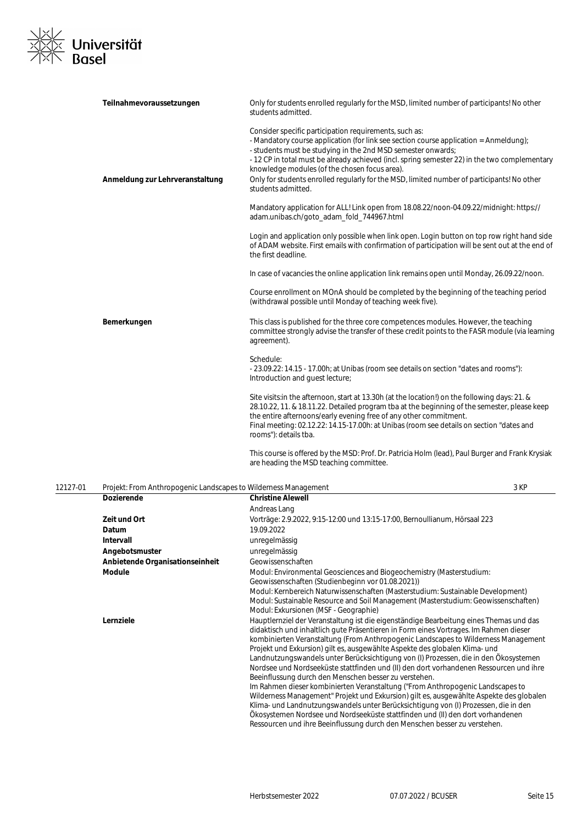

| Teilnahmevoraussetzungen        | Only for students enrolled regularly for the MSD, limited number of participants! No other<br>students admitted.                                                                                                                                                                                                                                                                                                                                                                      |
|---------------------------------|---------------------------------------------------------------------------------------------------------------------------------------------------------------------------------------------------------------------------------------------------------------------------------------------------------------------------------------------------------------------------------------------------------------------------------------------------------------------------------------|
| Anmeldung zur Lehrveranstaltung | Consider specific participation requirements, such as:<br>- Mandatory course application (for link see section course application = Anmeldung);<br>- students must be studying in the 2nd MSD semester onwards;<br>- 12 CP in total must be already achieved (incl. spring semester 22) in the two complementary<br>knowledge modules (of the chosen focus area).<br>Only for students enrolled regularly for the MSD, limited number of participants! No other<br>students admitted. |
|                                 | Mandatory application for ALL! Link open from 18.08.22/noon-04.09.22/midnight: https://<br>adam.unibas.ch/goto_adam_fold_744967.html                                                                                                                                                                                                                                                                                                                                                  |
|                                 | Login and application only possible when link open. Login button on top row right hand side<br>of ADAM website. First emails with confirmation of participation will be sent out at the end of<br>the first deadline.                                                                                                                                                                                                                                                                 |
|                                 | In case of vacancies the online application link remains open until Monday, 26.09.22/noon.                                                                                                                                                                                                                                                                                                                                                                                            |
|                                 | Course enrollment on MOnA should be completed by the beginning of the teaching period<br>(withdrawal possible until Monday of teaching week five).                                                                                                                                                                                                                                                                                                                                    |
| Bemerkungen                     | This class is published for the three core competences modules. However, the teaching<br>committee strongly advise the transfer of these credit points to the FASR module (via learning<br>agreement).                                                                                                                                                                                                                                                                                |
|                                 | Schedule:<br>- 23.09.22: 14.15 - 17.00h; at Unibas (room see details on section "dates and rooms"):<br>Introduction and quest lecture;                                                                                                                                                                                                                                                                                                                                                |
|                                 | Site visits: in the afternoon, start at 13.30h (at the location!) on the following days: 21. &<br>28.10.22, 11. & 18.11.22. Detailed program tba at the beginning of the semester, please keep<br>the entire afternoons/early evening free of any other commitment.<br>Final meeting: 02.12.22: 14.15-17.00h: at Unibas (room see details on section "dates and<br>rooms"): details tba.                                                                                              |
|                                 | This course is offered by the MSD: Prof. Dr. Patricia Holm (lead), Paul Burger and Frank Krysiak<br>are heading the MSD teaching committee.                                                                                                                                                                                                                                                                                                                                           |

| 12127-01 | Projekt: From Anthropogenic Landscapes to Wilderness Management |                                                                                                                                                                                                                                                                                                                                                                                                                                                                                                                                                                                                                                                                                                                                                                                                                                                                                                                                                                                                                                    | 3 KP |
|----------|-----------------------------------------------------------------|------------------------------------------------------------------------------------------------------------------------------------------------------------------------------------------------------------------------------------------------------------------------------------------------------------------------------------------------------------------------------------------------------------------------------------------------------------------------------------------------------------------------------------------------------------------------------------------------------------------------------------------------------------------------------------------------------------------------------------------------------------------------------------------------------------------------------------------------------------------------------------------------------------------------------------------------------------------------------------------------------------------------------------|------|
|          | <b>Dozierende</b>                                               | <b>Christine Alewell</b>                                                                                                                                                                                                                                                                                                                                                                                                                                                                                                                                                                                                                                                                                                                                                                                                                                                                                                                                                                                                           |      |
|          |                                                                 | Andreas Lang                                                                                                                                                                                                                                                                                                                                                                                                                                                                                                                                                                                                                                                                                                                                                                                                                                                                                                                                                                                                                       |      |
|          | Zeit und Ort                                                    | Vorträge: 2.9.2022, 9:15-12:00 und 13:15-17:00, Bernoullianum, Hörsaal 223                                                                                                                                                                                                                                                                                                                                                                                                                                                                                                                                                                                                                                                                                                                                                                                                                                                                                                                                                         |      |
|          | Datum                                                           | 19.09.2022                                                                                                                                                                                                                                                                                                                                                                                                                                                                                                                                                                                                                                                                                                                                                                                                                                                                                                                                                                                                                         |      |
|          | Intervall                                                       | unregelmässig                                                                                                                                                                                                                                                                                                                                                                                                                                                                                                                                                                                                                                                                                                                                                                                                                                                                                                                                                                                                                      |      |
|          | Angebotsmuster                                                  | unregelmässig                                                                                                                                                                                                                                                                                                                                                                                                                                                                                                                                                                                                                                                                                                                                                                                                                                                                                                                                                                                                                      |      |
|          | Anbietende Organisationseinheit                                 | Geowissenschaften                                                                                                                                                                                                                                                                                                                                                                                                                                                                                                                                                                                                                                                                                                                                                                                                                                                                                                                                                                                                                  |      |
|          | <b>Module</b>                                                   | Modul: Environmental Geosciences and Biogeochemistry (Masterstudium:<br>Geowissenschaften (Studienbeginn vor 01.08.2021))<br>Modul: Kernbereich Naturwissenschaften (Masterstudium: Sustainable Development)<br>Modul: Sustainable Resource and Soil Management (Masterstudium: Geowissenschaften)<br>Modul: Exkursionen (MSF - Geographie)                                                                                                                                                                                                                                                                                                                                                                                                                                                                                                                                                                                                                                                                                        |      |
|          | Lernziele                                                       | Hauptlernziel der Veranstaltung ist die eigenständige Bearbeitung eines Themas und das<br>didaktisch und inhaltlich gute Präsentieren in Form eines Vortrages. Im Rahmen dieser<br>kombinierten Veranstaltung (From Anthropogenic Landscapes to Wilderness Management<br>Projekt und Exkursion) gilt es, ausgewählte Aspekte des globalen Klima- und<br>Landnutzungswandels unter Berücksichtigung von (I) Prozessen, die in den Ökosystemen<br>Nordsee und Nordseeküste stattfinden und (II) den dort vorhandenen Ressourcen und ihre<br>Beeinflussung durch den Menschen besser zu verstehen.<br>Im Rahmen dieser kombinierten Veranstaltung ("From Anthropogenic Landscapes to<br>Wilderness Management" Projekt und Exkursion) gilt es, ausgewählte Aspekte des globalen<br>Klima- und Landnutzungswandels unter Berücksichtigung von (I) Prozessen, die in den<br>Ökosystemen Nordsee und Nordseeküste stattfinden und (II) den dort vorhandenen<br>Ressourcen und ihre Beeinflussung durch den Menschen besser zu verstehen. |      |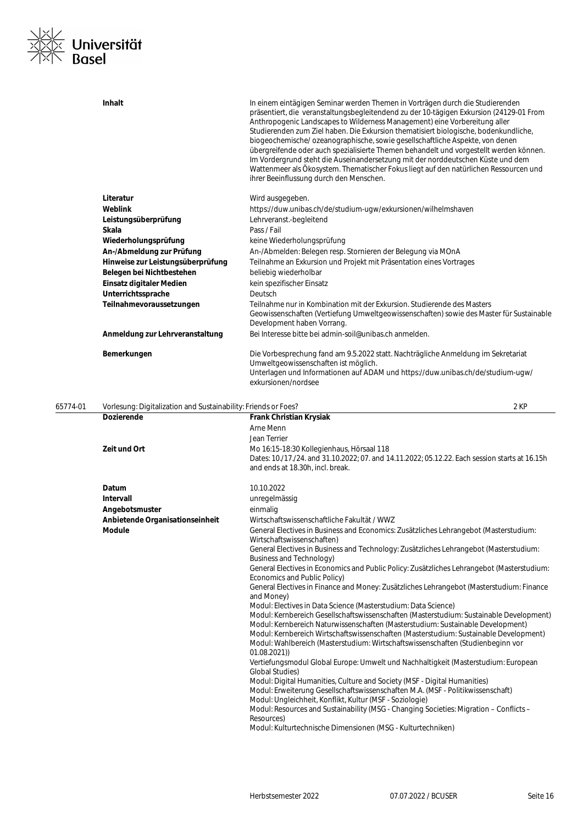

|          | <b>Inhalt</b>                                                                       | In einem eintägigen Seminar werden Themen in Vorträgen durch die Studierenden<br>präsentiert, die veranstaltungsbegleitendend zu der 10-tägigen Exkursion (24129-01 From<br>Anthropogenic Landscapes to Wilderness Management) eine Vorbereitung aller<br>Studierenden zum Ziel haben. Die Exkursion thematisiert biologische, bodenkundliche,<br>biogeochemische/ozeanographische, sowie gesellschaftliche Aspekte, von denen<br>übergreifende oder auch spezialisierte Themen behandelt und vorgestellt werden können.<br>Im Vordergrund steht die Auseinandersetzung mit der norddeutschen Küste und dem<br>Wattenmeer als Ökosystem. Thematischer Fokus liegt auf den natürlichen Ressourcen und<br>ihrer Beeinflussung durch den Menschen. |
|----------|-------------------------------------------------------------------------------------|-------------------------------------------------------------------------------------------------------------------------------------------------------------------------------------------------------------------------------------------------------------------------------------------------------------------------------------------------------------------------------------------------------------------------------------------------------------------------------------------------------------------------------------------------------------------------------------------------------------------------------------------------------------------------------------------------------------------------------------------------|
|          | Literatur                                                                           | Wird ausgegeben.                                                                                                                                                                                                                                                                                                                                                                                                                                                                                                                                                                                                                                                                                                                                |
|          | Weblink                                                                             | https://duw.unibas.ch/de/studium-ugw/exkursionen/wilhelmshaven                                                                                                                                                                                                                                                                                                                                                                                                                                                                                                                                                                                                                                                                                  |
|          | Leistungsüberprüfung                                                                | Lehrveranst.-begleitend                                                                                                                                                                                                                                                                                                                                                                                                                                                                                                                                                                                                                                                                                                                         |
|          | Skala                                                                               | Pass / Fail                                                                                                                                                                                                                                                                                                                                                                                                                                                                                                                                                                                                                                                                                                                                     |
|          | Wiederholungsprüfung                                                                | keine Wiederholungsprüfung                                                                                                                                                                                                                                                                                                                                                                                                                                                                                                                                                                                                                                                                                                                      |
|          | An-/Abmeldung zur Prüfung                                                           | An-/Abmelden: Belegen resp. Stornieren der Belegung via MOnA                                                                                                                                                                                                                                                                                                                                                                                                                                                                                                                                                                                                                                                                                    |
|          | Hinweise zur Leistungsüberprüfung                                                   | Teilnahme an Exkursion und Projekt mit Präsentation eines Vortrages                                                                                                                                                                                                                                                                                                                                                                                                                                                                                                                                                                                                                                                                             |
|          | Belegen bei Nichtbestehen                                                           | beliebig wiederholbar                                                                                                                                                                                                                                                                                                                                                                                                                                                                                                                                                                                                                                                                                                                           |
|          | Einsatz digitaler Medien                                                            | kein spezifischer Einsatz                                                                                                                                                                                                                                                                                                                                                                                                                                                                                                                                                                                                                                                                                                                       |
|          | Unterrichtssprache                                                                  | Deutsch                                                                                                                                                                                                                                                                                                                                                                                                                                                                                                                                                                                                                                                                                                                                         |
|          | Teilnahmevoraussetzungen                                                            | Teilnahme nur in Kombination mit der Exkursion. Studierende des Masters                                                                                                                                                                                                                                                                                                                                                                                                                                                                                                                                                                                                                                                                         |
|          |                                                                                     | Geowissenschaften (Vertiefung Umweltgeowissenschaften) sowie des Master für Sustainable<br>Development haben Vorrang.                                                                                                                                                                                                                                                                                                                                                                                                                                                                                                                                                                                                                           |
|          | Anmeldung zur Lehrveranstaltung                                                     | Bei Interesse bitte bei admin-soil@unibas.ch anmelden.                                                                                                                                                                                                                                                                                                                                                                                                                                                                                                                                                                                                                                                                                          |
|          | Bemerkungen                                                                         | Die Vorbesprechung fand am 9.5.2022 statt. Nachträgliche Anmeldung im Sekretariat<br>Umweltgeowissenschaften ist möglich.<br>Unterlagen und Informationen auf ADAM und https://duw.unibas.ch/de/studium-ugw/<br>exkursionen/nordsee                                                                                                                                                                                                                                                                                                                                                                                                                                                                                                             |
| 65774-01 | Vorlesung: Digitalization and Sustainability: Friends or Foes?<br><b>Dozierende</b> | 2 KP<br>Frank Christian Krysiak                                                                                                                                                                                                                                                                                                                                                                                                                                                                                                                                                                                                                                                                                                                 |
|          |                                                                                     | Arne Menn                                                                                                                                                                                                                                                                                                                                                                                                                                                                                                                                                                                                                                                                                                                                       |
|          |                                                                                     |                                                                                                                                                                                                                                                                                                                                                                                                                                                                                                                                                                                                                                                                                                                                                 |
|          |                                                                                     |                                                                                                                                                                                                                                                                                                                                                                                                                                                                                                                                                                                                                                                                                                                                                 |
|          | Zeit und Ort                                                                        | Jean Terrier<br>Mo 16:15-18:30 Kollegienhaus, Hörsaal 118<br>Dates: 10./17./24. and 31.10.2022; 07. and 14.11.2022; 05.12.22. Each session starts at 16.15h<br>and ends at 18.30h, incl. break.                                                                                                                                                                                                                                                                                                                                                                                                                                                                                                                                                 |
|          | Datum                                                                               |                                                                                                                                                                                                                                                                                                                                                                                                                                                                                                                                                                                                                                                                                                                                                 |
|          | Intervall                                                                           | 10.10.2022                                                                                                                                                                                                                                                                                                                                                                                                                                                                                                                                                                                                                                                                                                                                      |
|          |                                                                                     | unregelmässig<br>einmalig                                                                                                                                                                                                                                                                                                                                                                                                                                                                                                                                                                                                                                                                                                                       |
|          | Angebotsmuster<br>Anbietende Organisationseinheit                                   | Wirtschaftswissenschaftliche Fakultät / WWZ                                                                                                                                                                                                                                                                                                                                                                                                                                                                                                                                                                                                                                                                                                     |
|          | Module                                                                              | General Electives in Business and Economics: Zusätzliches Lehrangebot (Masterstudium:<br>Wirtschaftswissenschaften)                                                                                                                                                                                                                                                                                                                                                                                                                                                                                                                                                                                                                             |
|          |                                                                                     | General Electives in Business and Technology: Zusätzliches Lehrangebot (Masterstudium:<br><b>Business and Technology)</b>                                                                                                                                                                                                                                                                                                                                                                                                                                                                                                                                                                                                                       |
|          |                                                                                     | General Electives in Economics and Public Policy: Zusätzliches Lehrangebot (Masterstudium:<br>Economics and Public Policy)                                                                                                                                                                                                                                                                                                                                                                                                                                                                                                                                                                                                                      |
|          |                                                                                     | General Electives in Finance and Money: Zusätzliches Lehrangebot (Masterstudium: Finance<br>and Money)                                                                                                                                                                                                                                                                                                                                                                                                                                                                                                                                                                                                                                          |
|          |                                                                                     | Modul: Electives in Data Science (Masterstudium: Data Science)<br>Modul: Kernbereich Gesellschaftswissenschaften (Masterstudium: Sustainable Development)<br>Modul: Kernbereich Naturwissenschaften (Masterstudium: Sustainable Development)<br>Modul: Kernbereich Wirtschaftswissenschaften (Masterstudium: Sustainable Development)<br>Modul: Wahlbereich (Masterstudium: Wirtschaftswissenschaften (Studienbeginn vor                                                                                                                                                                                                                                                                                                                        |
|          |                                                                                     | 01.08.2021)<br>Vertiefungsmodul Global Europe: Umwelt und Nachhaltigkeit (Masterstudium: European<br><b>Global Studies)</b>                                                                                                                                                                                                                                                                                                                                                                                                                                                                                                                                                                                                                     |
|          |                                                                                     | Modul: Digital Humanities, Culture and Society (MSF - Digital Humanities)<br>Modul: Erweiterung Gesellschaftswissenschaften M.A. (MSF - Politikwissenschaft)                                                                                                                                                                                                                                                                                                                                                                                                                                                                                                                                                                                    |
|          |                                                                                     | Modul: Ungleichheit, Konflikt, Kultur (MSF - Soziologie)<br>Modul: Resources and Sustainability (MSG - Changing Societies: Migration - Conflicts -<br>Resources)                                                                                                                                                                                                                                                                                                                                                                                                                                                                                                                                                                                |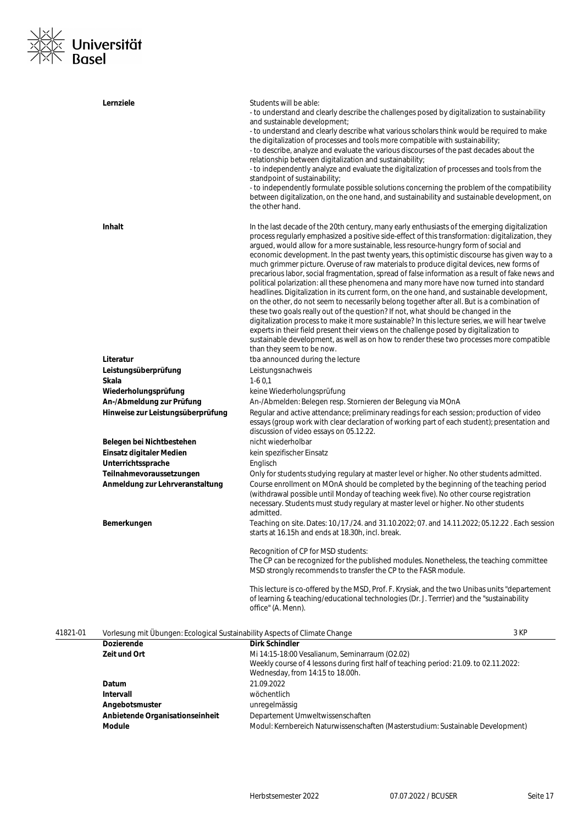

|          | Lernziele                                                                  | Students will be able:<br>- to understand and clearly describe the challenges posed by digitalization to sustainability<br>and sustainable development;<br>- to understand and clearly describe what various scholars think would be required to make<br>the digitalization of processes and tools more compatible with sustainability;<br>- to describe, analyze and evaluate the various discourses of the past decades about the<br>relationship between digitalization and sustainability;<br>- to independently analyze and evaluate the digitalization of processes and tools from the<br>standpoint of sustainability;<br>- to independently formulate possible solutions concerning the problem of the compatibility<br>between digitalization, on the one hand, and sustainability and sustainable development, on<br>the other hand.                                                                                                                                                                                                                                                                                                                                                                                                                                               |      |
|----------|----------------------------------------------------------------------------|----------------------------------------------------------------------------------------------------------------------------------------------------------------------------------------------------------------------------------------------------------------------------------------------------------------------------------------------------------------------------------------------------------------------------------------------------------------------------------------------------------------------------------------------------------------------------------------------------------------------------------------------------------------------------------------------------------------------------------------------------------------------------------------------------------------------------------------------------------------------------------------------------------------------------------------------------------------------------------------------------------------------------------------------------------------------------------------------------------------------------------------------------------------------------------------------------------------------------------------------------------------------------------------------|------|
|          | <b>Inhalt</b>                                                              | In the last decade of the 20th century, many early enthusiasts of the emerging digitalization<br>process regularly emphasized a positive side-effect of this transformation: digitalization, they<br>arqued, would allow for a more sustainable, less resource-hungry form of social and<br>economic development. In the past twenty years, this optimistic discourse has given way to a<br>much grimmer picture. Overuse of raw materials to produce digital devices, new forms of<br>precarious labor, social fragmentation, spread of false information as a result of fake news and<br>political polarization: all these phenomena and many more have now turned into standard<br>headlines. Digitalization in its current form, on the one hand, and sustainable development,<br>on the other, do not seem to necessarily belong together after all. But is a combination of<br>these two goals really out of the question? If not, what should be changed in the<br>digitalization process to make it more sustainable? In this lecture series, we will hear twelve<br>experts in their field present their views on the challenge posed by digitalization to<br>sustainable development, as well as on how to render these two processes more compatible<br>than they seem to be now. |      |
|          | Literatur                                                                  | tba announced during the lecture                                                                                                                                                                                                                                                                                                                                                                                                                                                                                                                                                                                                                                                                                                                                                                                                                                                                                                                                                                                                                                                                                                                                                                                                                                                             |      |
|          | Leistungsüberprüfung                                                       | Leistungsnachweis                                                                                                                                                                                                                                                                                                                                                                                                                                                                                                                                                                                                                                                                                                                                                                                                                                                                                                                                                                                                                                                                                                                                                                                                                                                                            |      |
|          | Skala                                                                      | $1-60,1$                                                                                                                                                                                                                                                                                                                                                                                                                                                                                                                                                                                                                                                                                                                                                                                                                                                                                                                                                                                                                                                                                                                                                                                                                                                                                     |      |
|          | Wiederholungsprüfung                                                       | keine Wiederholungsprüfung                                                                                                                                                                                                                                                                                                                                                                                                                                                                                                                                                                                                                                                                                                                                                                                                                                                                                                                                                                                                                                                                                                                                                                                                                                                                   |      |
|          | An-/Abmeldung zur Prüfung                                                  | An-/Abmelden: Belegen resp. Stornieren der Belegung via MOnA<br>Regular and active attendance; preliminary readings for each session; production of video                                                                                                                                                                                                                                                                                                                                                                                                                                                                                                                                                                                                                                                                                                                                                                                                                                                                                                                                                                                                                                                                                                                                    |      |
|          | Hinweise zur Leistungsüberprüfung                                          | essays (group work with clear declaration of working part of each student); presentation and<br>discussion of video essays on 05.12.22.                                                                                                                                                                                                                                                                                                                                                                                                                                                                                                                                                                                                                                                                                                                                                                                                                                                                                                                                                                                                                                                                                                                                                      |      |
|          | Belegen bei Nichtbestehen                                                  | nicht wiederholbar                                                                                                                                                                                                                                                                                                                                                                                                                                                                                                                                                                                                                                                                                                                                                                                                                                                                                                                                                                                                                                                                                                                                                                                                                                                                           |      |
|          | Einsatz digitaler Medien                                                   | kein spezifischer Einsatz                                                                                                                                                                                                                                                                                                                                                                                                                                                                                                                                                                                                                                                                                                                                                                                                                                                                                                                                                                                                                                                                                                                                                                                                                                                                    |      |
|          | Unterrichtssprache                                                         | Englisch                                                                                                                                                                                                                                                                                                                                                                                                                                                                                                                                                                                                                                                                                                                                                                                                                                                                                                                                                                                                                                                                                                                                                                                                                                                                                     |      |
|          | Teilnahmevoraussetzungen                                                   | Only for students studying regulary at master level or higher. No other students admitted.                                                                                                                                                                                                                                                                                                                                                                                                                                                                                                                                                                                                                                                                                                                                                                                                                                                                                                                                                                                                                                                                                                                                                                                                   |      |
|          | Anmeldung zur Lehrveranstaltung                                            | Course enrollment on MOnA should be completed by the beginning of the teaching period<br>(withdrawal possible until Monday of teaching week five). No other course registration<br>necessary. Students must study regulary at master level or higher. No other students<br>admitted.                                                                                                                                                                                                                                                                                                                                                                                                                                                                                                                                                                                                                                                                                                                                                                                                                                                                                                                                                                                                         |      |
|          | Bemerkungen                                                                | Teaching on site. Dates: 10./17./24. and 31.10.2022; 07. and 14.11.2022; 05.12.22. Each session<br>starts at 16.15h and ends at 18.30h, incl. break.                                                                                                                                                                                                                                                                                                                                                                                                                                                                                                                                                                                                                                                                                                                                                                                                                                                                                                                                                                                                                                                                                                                                         |      |
|          |                                                                            | Recognition of CP for MSD students:<br>The CP can be recognized for the published modules. Nonetheless, the teaching committee<br>MSD strongly recommends to transfer the CP to the FASR module.                                                                                                                                                                                                                                                                                                                                                                                                                                                                                                                                                                                                                                                                                                                                                                                                                                                                                                                                                                                                                                                                                             |      |
|          |                                                                            | This lecture is co-offered by the MSD, Prof. F. Krysiak, and the two Unibas units "departement"<br>of learning & teaching/educational technologies (Dr. J. Terrrier) and the "sustainability<br>office" (A. Menn).                                                                                                                                                                                                                                                                                                                                                                                                                                                                                                                                                                                                                                                                                                                                                                                                                                                                                                                                                                                                                                                                           |      |
| 41821-01 | Vorlesung mit Übungen: Ecological Sustainability Aspects of Climate Change |                                                                                                                                                                                                                                                                                                                                                                                                                                                                                                                                                                                                                                                                                                                                                                                                                                                                                                                                                                                                                                                                                                                                                                                                                                                                                              | 3 KP |
|          | Dozierende                                                                 | <b>Dirk Schindler</b>                                                                                                                                                                                                                                                                                                                                                                                                                                                                                                                                                                                                                                                                                                                                                                                                                                                                                                                                                                                                                                                                                                                                                                                                                                                                        |      |
|          | Zeit und Ort                                                               | Mi 14:15-18:00 Vesalianum, Seminarraum (O2.02)<br>Weekly course of 4 lessons during first half of teaching period: 21.09. to 02.11.2022:<br>Wednesday, from 14:15 to 18.00h.                                                                                                                                                                                                                                                                                                                                                                                                                                                                                                                                                                                                                                                                                                                                                                                                                                                                                                                                                                                                                                                                                                                 |      |
|          | Datum                                                                      | 21.09.2022                                                                                                                                                                                                                                                                                                                                                                                                                                                                                                                                                                                                                                                                                                                                                                                                                                                                                                                                                                                                                                                                                                                                                                                                                                                                                   |      |
|          | <b>Intervall</b>                                                           | wöchentlich                                                                                                                                                                                                                                                                                                                                                                                                                                                                                                                                                                                                                                                                                                                                                                                                                                                                                                                                                                                                                                                                                                                                                                                                                                                                                  |      |
|          | Angebotsmuster                                                             | unregelmässig                                                                                                                                                                                                                                                                                                                                                                                                                                                                                                                                                                                                                                                                                                                                                                                                                                                                                                                                                                                                                                                                                                                                                                                                                                                                                |      |
|          | Anbietende Organisationseinheit                                            | Departement Umweltwissenschaften                                                                                                                                                                                                                                                                                                                                                                                                                                                                                                                                                                                                                                                                                                                                                                                                                                                                                                                                                                                                                                                                                                                                                                                                                                                             |      |
|          | Module                                                                     | Modul: Kernbereich Naturwissenschaften (Masterstudium: Sustainable Development)                                                                                                                                                                                                                                                                                                                                                                                                                                                                                                                                                                                                                                                                                                                                                                                                                                                                                                                                                                                                                                                                                                                                                                                                              |      |
|          |                                                                            |                                                                                                                                                                                                                                                                                                                                                                                                                                                                                                                                                                                                                                                                                                                                                                                                                                                                                                                                                                                                                                                                                                                                                                                                                                                                                              |      |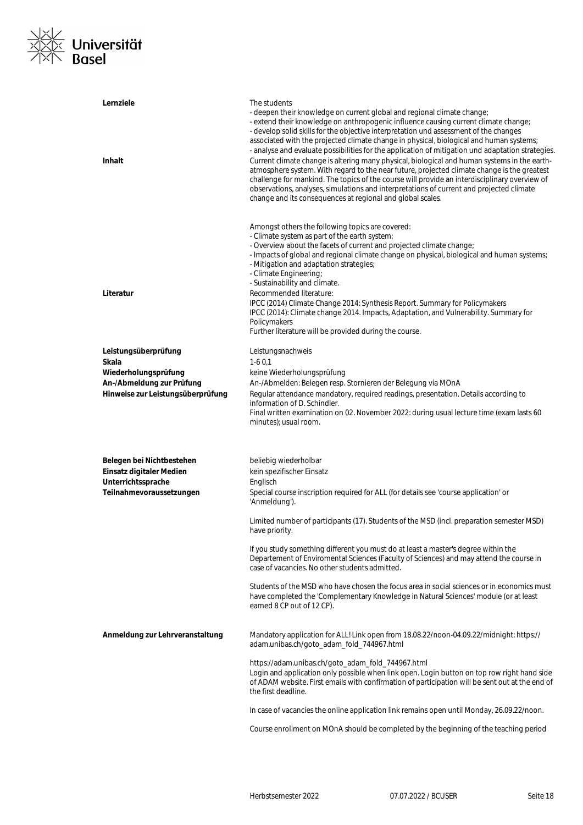

| Lernziele<br>Inhalt                                            | The students<br>- deepen their knowledge on current global and regional climate change;<br>- extend their knowledge on anthropogenic influence causing current climate change;<br>- develop solid skills for the objective interpretation und assessment of the changes<br>associated with the projected climate change in physical, biological and human systems;<br>- analyse and evaluate possibilities for the application of mitigation und adaptation strategies.<br>Current climate change is altering many physical, biological and human systems in the earth-<br>atmosphere system. With regard to the near future, projected climate change is the greatest<br>challenge for mankind. The topics of the course will provide an interdisciplinary overview of<br>observations, analyses, simulations and interpretations of current and projected climate<br>change and its consequences at regional and global scales. |
|----------------------------------------------------------------|-----------------------------------------------------------------------------------------------------------------------------------------------------------------------------------------------------------------------------------------------------------------------------------------------------------------------------------------------------------------------------------------------------------------------------------------------------------------------------------------------------------------------------------------------------------------------------------------------------------------------------------------------------------------------------------------------------------------------------------------------------------------------------------------------------------------------------------------------------------------------------------------------------------------------------------|
| Literatur                                                      | Amongst others the following topics are covered:<br>- Climate system as part of the earth system;<br>- Overview about the facets of current and projected climate change;<br>- Impacts of global and regional climate change on physical, biological and human systems;<br>- Mitigation and adaptation strategies;<br>- Climate Engineering;<br>- Sustainability and climate.<br>Recommended literature:<br>IPCC (2014) Climate Change 2014: Synthesis Report. Summary for Policymakers<br>IPCC (2014): Climate change 2014. Impacts, Adaptation, and Vulnerability. Summary for<br>Policymakers<br>Further literature will be provided during the course.                                                                                                                                                                                                                                                                        |
| Leistungsüberprüfung                                           | Leistungsnachweis                                                                                                                                                                                                                                                                                                                                                                                                                                                                                                                                                                                                                                                                                                                                                                                                                                                                                                                 |
| Skala<br>Wiederholungsprüfung                                  | $1-60,1$<br>keine Wiederholungsprüfung                                                                                                                                                                                                                                                                                                                                                                                                                                                                                                                                                                                                                                                                                                                                                                                                                                                                                            |
| An-/Abmeldung zur Prüfung<br>Hinweise zur Leistungsüberprüfung | An-/Abmelden: Belegen resp. Stornieren der Belegung via MOnA<br>Regular attendance mandatory, required readings, presentation. Details according to<br>information of D. Schindler.<br>Final written examination on 02. November 2022: during usual lecture time (exam lasts 60<br>minutes); usual room.                                                                                                                                                                                                                                                                                                                                                                                                                                                                                                                                                                                                                          |
|                                                                |                                                                                                                                                                                                                                                                                                                                                                                                                                                                                                                                                                                                                                                                                                                                                                                                                                                                                                                                   |
| Belegen bei Nichtbestehen<br>Einsatz digitaler Medien          | beliebig wiederholbar<br>kein spezifischer Einsatz                                                                                                                                                                                                                                                                                                                                                                                                                                                                                                                                                                                                                                                                                                                                                                                                                                                                                |
| Unterrichtssprache                                             | Englisch                                                                                                                                                                                                                                                                                                                                                                                                                                                                                                                                                                                                                                                                                                                                                                                                                                                                                                                          |
| Teilnahmevoraussetzungen                                       | Special course inscription required for ALL (for details see 'course application' or<br>'Anmeldung').                                                                                                                                                                                                                                                                                                                                                                                                                                                                                                                                                                                                                                                                                                                                                                                                                             |
|                                                                | Limited number of participants (17). Students of the MSD (incl. preparation semester MSD)<br>have priority.                                                                                                                                                                                                                                                                                                                                                                                                                                                                                                                                                                                                                                                                                                                                                                                                                       |
|                                                                | If you study something different you must do at least a master's degree within the<br>Departement of Enviromental Sciences (Faculty of Sciences) and may attend the course in<br>case of vacancies. No other students admitted.                                                                                                                                                                                                                                                                                                                                                                                                                                                                                                                                                                                                                                                                                                   |
|                                                                | Students of the MSD who have chosen the focus area in social sciences or in economics must<br>have completed the 'Complementary Knowledge in Natural Sciences' module (or at least<br>earned 8 CP out of 12 CP).                                                                                                                                                                                                                                                                                                                                                                                                                                                                                                                                                                                                                                                                                                                  |
| Anmeldung zur Lehrveranstaltung                                | Mandatory application for ALL! Link open from 18.08.22/noon-04.09.22/midnight: https://<br>adam.unibas.ch/goto_adam_fold_744967.html                                                                                                                                                                                                                                                                                                                                                                                                                                                                                                                                                                                                                                                                                                                                                                                              |
|                                                                | https://adam.unibas.ch/goto_adam_fold_744967.html<br>Login and application only possible when link open. Login button on top row right hand side<br>of ADAM website. First emails with confirmation of participation will be sent out at the end of<br>the first deadline.                                                                                                                                                                                                                                                                                                                                                                                                                                                                                                                                                                                                                                                        |
|                                                                | In case of vacancies the online application link remains open until Monday, 26.09.22/noon.                                                                                                                                                                                                                                                                                                                                                                                                                                                                                                                                                                                                                                                                                                                                                                                                                                        |
|                                                                | Course enrollment on MOnA should be completed by the beginning of the teaching period                                                                                                                                                                                                                                                                                                                                                                                                                                                                                                                                                                                                                                                                                                                                                                                                                                             |
|                                                                |                                                                                                                                                                                                                                                                                                                                                                                                                                                                                                                                                                                                                                                                                                                                                                                                                                                                                                                                   |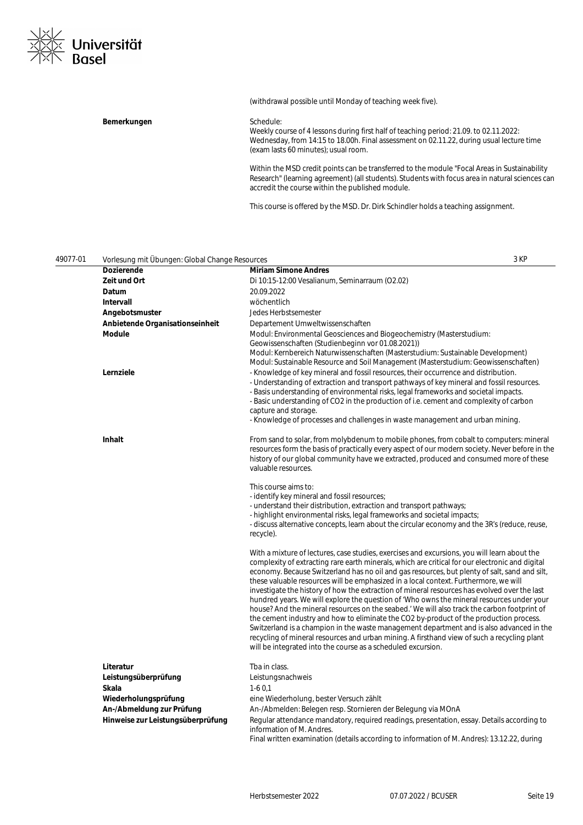

#### (withdrawal possible until Monday of teaching week five).

#### Bemerkungen **Bemerkungen** Schedule:

Weekly course of 4 lessons during first half of teaching period: 21.09. to 02.11.2022: Wednesday, from 14:15 to 18.00h. Final assessment on 02.11.22, during usual lecture time (exam lasts 60 minutes); usual room.

Within the MSD credit points can be transferred to the module "Focal Areas in Sustainability Research" (learning agreement) (all students). Students with focus area in natural sciences can accredit the course within the published module.

This course is offered by the MSD. Dr. Dirk Schindler holds a teaching assignment.

| 49077-01 | Vorlesung mit Übungen: Global Change Resources |                                                                                                                                                                                                                                                                                                                                                                                                                                                                                                                                                                                                                                                                                                                                                                                                                                                                                                                                                                                                                                           | 3 KP |
|----------|------------------------------------------------|-------------------------------------------------------------------------------------------------------------------------------------------------------------------------------------------------------------------------------------------------------------------------------------------------------------------------------------------------------------------------------------------------------------------------------------------------------------------------------------------------------------------------------------------------------------------------------------------------------------------------------------------------------------------------------------------------------------------------------------------------------------------------------------------------------------------------------------------------------------------------------------------------------------------------------------------------------------------------------------------------------------------------------------------|------|
|          | Dozierende                                     | <b>Miriam Simone Andres</b>                                                                                                                                                                                                                                                                                                                                                                                                                                                                                                                                                                                                                                                                                                                                                                                                                                                                                                                                                                                                               |      |
|          | Zeit und Ort                                   | Di 10:15-12:00 Vesalianum, Seminarraum (O2.02)                                                                                                                                                                                                                                                                                                                                                                                                                                                                                                                                                                                                                                                                                                                                                                                                                                                                                                                                                                                            |      |
|          | Datum                                          | 20.09.2022                                                                                                                                                                                                                                                                                                                                                                                                                                                                                                                                                                                                                                                                                                                                                                                                                                                                                                                                                                                                                                |      |
|          | <b>Intervall</b>                               | wöchentlich                                                                                                                                                                                                                                                                                                                                                                                                                                                                                                                                                                                                                                                                                                                                                                                                                                                                                                                                                                                                                               |      |
|          | Angebotsmuster                                 | Jedes Herbstsemester                                                                                                                                                                                                                                                                                                                                                                                                                                                                                                                                                                                                                                                                                                                                                                                                                                                                                                                                                                                                                      |      |
|          | Anbietende Organisationseinheit                | Departement Umweltwissenschaften                                                                                                                                                                                                                                                                                                                                                                                                                                                                                                                                                                                                                                                                                                                                                                                                                                                                                                                                                                                                          |      |
|          | Module                                         | Modul: Environmental Geosciences and Biogeochemistry (Masterstudium:<br>Geowissenschaften (Studienbeginn vor 01.08.2021))<br>Modul: Kernbereich Naturwissenschaften (Masterstudium: Sustainable Development)<br>Modul: Sustainable Resource and Soil Management (Masterstudium: Geowissenschaften)                                                                                                                                                                                                                                                                                                                                                                                                                                                                                                                                                                                                                                                                                                                                        |      |
|          | Lernziele                                      | - Knowledge of key mineral and fossil resources, their occurrence and distribution.<br>- Understanding of extraction and transport pathways of key mineral and fossil resources.<br>- Basis understanding of environmental risks, legal frameworks and societal impacts.<br>- Basic understanding of CO2 in the production of i.e. cement and complexity of carbon<br>capture and storage.<br>- Knowledge of processes and challenges in waste management and urban mining.                                                                                                                                                                                                                                                                                                                                                                                                                                                                                                                                                               |      |
|          | <b>Inhalt</b>                                  | From sand to solar, from molybdenum to mobile phones, from cobalt to computers: mineral<br>resources form the basis of practically every aspect of our modern society. Never before in the<br>history of our global community have we extracted, produced and consumed more of these<br>valuable resources.                                                                                                                                                                                                                                                                                                                                                                                                                                                                                                                                                                                                                                                                                                                               |      |
|          |                                                | This course aims to:<br>- identify key mineral and fossil resources;<br>- understand their distribution, extraction and transport pathways;<br>- highlight environmental risks, legal frameworks and societal impacts;<br>- discuss alternative concepts, learn about the circular economy and the 3R's (reduce, reuse,<br>recycle).                                                                                                                                                                                                                                                                                                                                                                                                                                                                                                                                                                                                                                                                                                      |      |
|          |                                                | With a mixture of lectures, case studies, exercises and excursions, you will learn about the<br>complexity of extracting rare earth minerals, which are critical for our electronic and digital<br>economy. Because Switzerland has no oil and gas resources, but plenty of salt, sand and silt,<br>these valuable resources will be emphasized in a local context. Furthermore, we will<br>investigate the history of how the extraction of mineral resources has evolved over the last<br>hundred years. We will explore the question of 'Who owns the mineral resources under your<br>house? And the mineral resources on the seabed.' We will also track the carbon footprint of<br>the cement industry and how to eliminate the CO2 by-product of the production process.<br>Switzerland is a champion in the waste management department and is also advanced in the<br>recycling of mineral resources and urban mining. A firsthand view of such a recycling plant<br>will be integrated into the course as a scheduled excursion. |      |
|          | Literatur                                      | Tba in class.                                                                                                                                                                                                                                                                                                                                                                                                                                                                                                                                                                                                                                                                                                                                                                                                                                                                                                                                                                                                                             |      |
|          | Leistungsüberprüfung                           | Leistungsnachweis                                                                                                                                                                                                                                                                                                                                                                                                                                                                                                                                                                                                                                                                                                                                                                                                                                                                                                                                                                                                                         |      |
|          | Skala                                          | $1-60,1$                                                                                                                                                                                                                                                                                                                                                                                                                                                                                                                                                                                                                                                                                                                                                                                                                                                                                                                                                                                                                                  |      |
|          | Wiederholungsprüfung                           | eine Wiederholung, bester Versuch zählt                                                                                                                                                                                                                                                                                                                                                                                                                                                                                                                                                                                                                                                                                                                                                                                                                                                                                                                                                                                                   |      |
|          | An-/Abmeldung zur Prüfung                      | An-/Abmelden: Belegen resp. Stornieren der Belegung via MOnA                                                                                                                                                                                                                                                                                                                                                                                                                                                                                                                                                                                                                                                                                                                                                                                                                                                                                                                                                                              |      |
|          | Hinweise zur Leistungsüberprüfung              | Regular attendance mandatory, required readings, presentation, essay. Details according to<br>information of M. Andres.                                                                                                                                                                                                                                                                                                                                                                                                                                                                                                                                                                                                                                                                                                                                                                                                                                                                                                                   |      |

Final written examination (details according to information of M. Andres): 13.12.22, during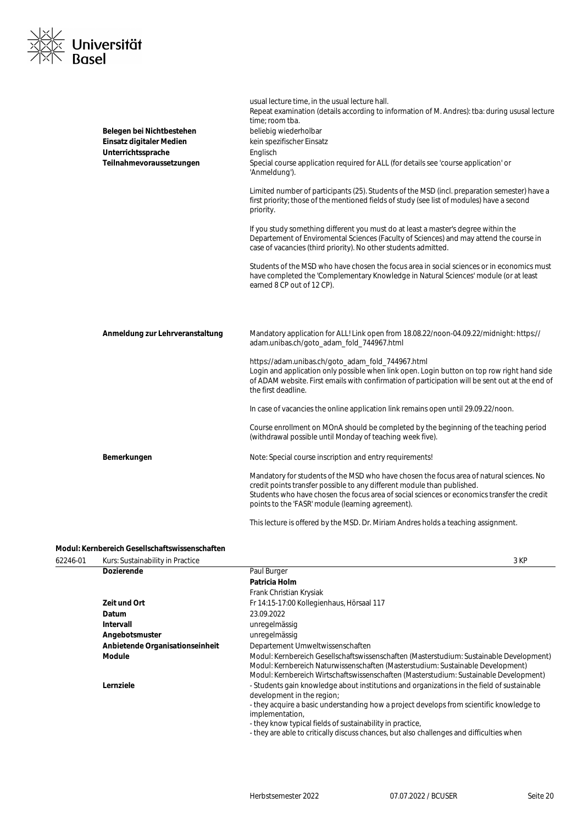| NXIZ |                          |
|------|--------------------------|
|      | <b>xixix Universität</b> |
| /IXN | <b>Basel</b>             |

| Belegen bei Nichtbestehen<br>Einsatz digitaler Medien<br>Unterrichtssprache<br>Teilnahmevoraussetzungen | usual lecture time, in the usual lecture hall.<br>Repeat examination (details according to information of M. Andres): tba: during ususal lecture<br>time; room tba.<br>beliebig wiederholbar<br>kein spezifischer Einsatz<br>Englisch<br>Special course application required for ALL (for details see 'course application' or<br>'Anmeldung').<br>Limited number of participants (25). Students of the MSD (incl. preparation semester) have a<br>first priority; those of the mentioned fields of study (see list of modules) have a second<br>priority.<br>If you study something different you must do at least a master's degree within the<br>Departement of Enviromental Sciences (Faculty of Sciences) and may attend the course in<br>case of vacancies (third priority). No other students admitted.<br>Students of the MSD who have chosen the focus area in social sciences or in economics must<br>have completed the 'Complementary Knowledge in Natural Sciences' module (or at least<br>earned 8 CP out of 12 CP). |
|---------------------------------------------------------------------------------------------------------|-----------------------------------------------------------------------------------------------------------------------------------------------------------------------------------------------------------------------------------------------------------------------------------------------------------------------------------------------------------------------------------------------------------------------------------------------------------------------------------------------------------------------------------------------------------------------------------------------------------------------------------------------------------------------------------------------------------------------------------------------------------------------------------------------------------------------------------------------------------------------------------------------------------------------------------------------------------------------------------------------------------------------------------|
| Anmeldung zur Lehrveranstaltung                                                                         | Mandatory application for ALL! Link open from 18.08.22/noon-04.09.22/midnight: https://<br>adam.unibas.ch/goto_adam_fold_744967.html<br>https://adam.unibas.ch/goto_adam_fold_744967.html<br>Login and application only possible when link open. Login button on top row right hand side<br>of ADAM website. First emails with confirmation of participation will be sent out at the end of<br>the first deadline.<br>In case of vacancies the online application link remains open until 29.09.22/noon.                                                                                                                                                                                                                                                                                                                                                                                                                                                                                                                          |
| Bemerkungen                                                                                             | Course enrollment on MOnA should be completed by the beginning of the teaching period<br>(withdrawal possible until Monday of teaching week five).<br>Note: Special course inscription and entry requirements!<br>Mandatory for students of the MSD who have chosen the focus area of natural sciences. No<br>credit points transfer possible to any different module than published.<br>Students who have chosen the focus area of social sciences or economics transfer the credit<br>points to the 'FASR' module (learning agreement).<br>This lecture is offered by the MSD. Dr. Miriam Andres holds a teaching assignment.                                                                                                                                                                                                                                                                                                                                                                                                   |

#### **Modul: Kernbereich Gesellschaftswissenschaften**

62246-01 Kurs: Sustainability in Practice 3 KP

| <b>Rais: Sustainability in Fractice</b> | ווי ש                                                                                                                                                                                                                                                               |
|-----------------------------------------|---------------------------------------------------------------------------------------------------------------------------------------------------------------------------------------------------------------------------------------------------------------------|
| <b>Dozierende</b>                       | Paul Burger                                                                                                                                                                                                                                                         |
|                                         | Patricia Holm                                                                                                                                                                                                                                                       |
|                                         | Frank Christian Krysiak                                                                                                                                                                                                                                             |
| Zeit und Ort                            | Fr 14:15-17:00 Kollegienhaus, Hörsaal 117                                                                                                                                                                                                                           |
| <b>Datum</b>                            | 23.09.2022                                                                                                                                                                                                                                                          |
| Intervall                               | unregelmässig                                                                                                                                                                                                                                                       |
| Angebotsmuster                          | unregelmässig                                                                                                                                                                                                                                                       |
| Anbietende Organisationseinheit         | Departement Umweltwissenschaften                                                                                                                                                                                                                                    |
| <b>Module</b>                           | Modul: Kernbereich Gesellschaftswissenschaften (Masterstudium: Sustainable Development)<br>Modul: Kernbereich Naturwissenschaften (Masterstudium: Sustainable Development)<br>Modul: Kernbereich Wirtschaftswissenschaften (Masterstudium: Sustainable Development) |
| Lernziele                               | - Students gain knowledge about institutions and organizations in the field of sustainable<br>development in the region;                                                                                                                                            |
|                                         | - they acquire a basic understanding how a project develops from scientific knowledge to<br>implementation,                                                                                                                                                         |
|                                         | - they know typical fields of sustainability in practice,                                                                                                                                                                                                           |
|                                         | - they are able to critically discuss chances, but also challenges and difficulties when                                                                                                                                                                            |
|                                         |                                                                                                                                                                                                                                                                     |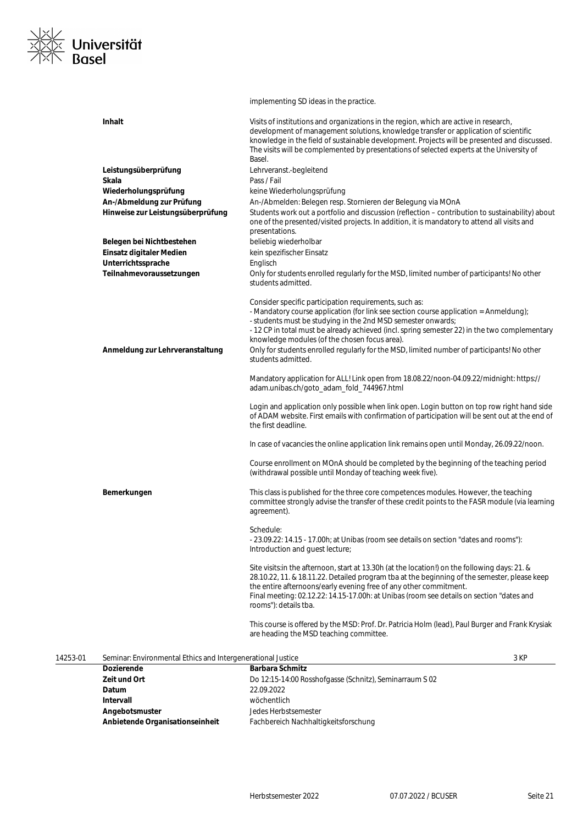

#### implementing SD ideas in the practice.

| <b>Inhalt</b>                     | Visits of institutions and organizations in the region, which are active in research,<br>development of management solutions, knowledge transfer or application of scientific                                                                                                                                                                                                            |
|-----------------------------------|------------------------------------------------------------------------------------------------------------------------------------------------------------------------------------------------------------------------------------------------------------------------------------------------------------------------------------------------------------------------------------------|
|                                   | knowledge in the field of sustainable development. Projects will be presented and discussed.                                                                                                                                                                                                                                                                                             |
|                                   | The visits will be complemented by presentations of selected experts at the University of                                                                                                                                                                                                                                                                                                |
|                                   | Basel.                                                                                                                                                                                                                                                                                                                                                                                   |
| Leistungsüberprüfung              | Lehrveranst.-begleitend                                                                                                                                                                                                                                                                                                                                                                  |
| Skala                             | Pass / Fail                                                                                                                                                                                                                                                                                                                                                                              |
| Wiederholungsprüfung              | keine Wiederholungsprüfung                                                                                                                                                                                                                                                                                                                                                               |
| An-/Abmeldung zur Prüfung         | An-/Abmelden: Belegen resp. Stornieren der Belegung via MOnA                                                                                                                                                                                                                                                                                                                             |
| Hinweise zur Leistungsüberprüfung | Students work out a portfolio and discussion (reflection – contribution to sustainability) about                                                                                                                                                                                                                                                                                         |
|                                   | one of the presented/visited projects. In addition, it is mandatory to attend all visits and                                                                                                                                                                                                                                                                                             |
|                                   | presentations.                                                                                                                                                                                                                                                                                                                                                                           |
| Belegen bei Nichtbestehen         | beliebig wiederholbar                                                                                                                                                                                                                                                                                                                                                                    |
| Einsatz digitaler Medien          | kein spezifischer Einsatz                                                                                                                                                                                                                                                                                                                                                                |
| Unterrichtssprache                | Englisch                                                                                                                                                                                                                                                                                                                                                                                 |
| Teilnahmevoraussetzungen          | Only for students enrolled regularly for the MSD, limited number of participants! No other<br>students admitted.                                                                                                                                                                                                                                                                         |
|                                   | Consider specific participation requirements, such as:                                                                                                                                                                                                                                                                                                                                   |
|                                   | - Mandatory course application (for link see section course application = Anmeldung);                                                                                                                                                                                                                                                                                                    |
|                                   | - students must be studying in the 2nd MSD semester onwards;                                                                                                                                                                                                                                                                                                                             |
|                                   | - 12 CP in total must be already achieved (incl. spring semester 22) in the two complementary                                                                                                                                                                                                                                                                                            |
|                                   | knowledge modules (of the chosen focus area).                                                                                                                                                                                                                                                                                                                                            |
| Anmeldung zur Lehrveranstaltung   | Only for students enrolled regularly for the MSD, limited number of participants! No other                                                                                                                                                                                                                                                                                               |
|                                   | students admitted.                                                                                                                                                                                                                                                                                                                                                                       |
|                                   | Mandatory application for ALL! Link open from 18.08.22/noon-04.09.22/midnight: https://<br>adam.unibas.ch/goto_adam_fold_744967.html                                                                                                                                                                                                                                                     |
|                                   | Login and application only possible when link open. Login button on top row right hand side<br>of ADAM website. First emails with confirmation of participation will be sent out at the end of<br>the first deadline.                                                                                                                                                                    |
|                                   |                                                                                                                                                                                                                                                                                                                                                                                          |
|                                   | In case of vacancies the online application link remains open until Monday, 26.09.22/noon.                                                                                                                                                                                                                                                                                               |
|                                   | Course enrollment on MOnA should be completed by the beginning of the teaching period<br>(withdrawal possible until Monday of teaching week five).                                                                                                                                                                                                                                       |
| Bemerkungen                       | This class is published for the three core competences modules. However, the teaching<br>committee strongly advise the transfer of these credit points to the FASR module (via learning<br>agreement).                                                                                                                                                                                   |
|                                   | Schedule:                                                                                                                                                                                                                                                                                                                                                                                |
|                                   | - 23.09.22: 14.15 - 17.00h; at Unibas (room see details on section "dates and rooms"):<br>Introduction and guest lecture;                                                                                                                                                                                                                                                                |
|                                   | Site visits: in the afternoon, start at 13.30h (at the location!) on the following days: 21. &<br>28.10.22, 11. & 18.11.22. Detailed program tba at the beginning of the semester, please keep<br>the entire afternoons/early evening free of any other commitment.<br>Final meeting: 02.12.22: 14.15-17.00h: at Unibas (room see details on section "dates and<br>rooms"): details tba. |
|                                   | This course is offered by the MSD: Prof. Dr. Patricia Holm (lead), Paul Burger and Frank Krysiak<br>are heading the MSD teaching committee.                                                                                                                                                                                                                                              |

#### 14253-01 Seminar: Environmental Ethics and Intergenerational Justice 3 KP

| <b>Dozierende</b>               | <b>Barbara Schmitz</b>                                  |
|---------------------------------|---------------------------------------------------------|
| Zeit und Ort                    | Do 12:15-14:00 Rosshofgasse (Schnitz), Seminarraum S 02 |
| Datum                           | 22.09.2022                                              |
| Intervall                       | wöchentlich                                             |
| Angebotsmuster                  | Jedes Herbstsemester                                    |
| Anbietende Organisationseinheit | Fachbereich Nachhaltigkeitsforschung                    |
|                                 |                                                         |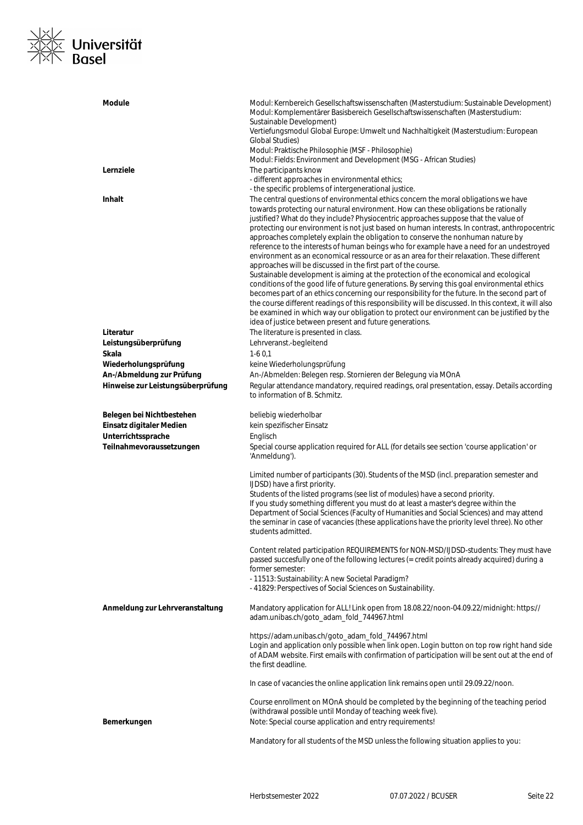

| <b>Module</b>                                                               | Modul: Kernbereich Gesellschaftswissenschaften (Masterstudium: Sustainable Development)<br>Modul: Komplementärer Basisbereich Gesellschaftswissenschaften (Masterstudium:<br>Sustainable Development)<br>Vertiefungsmodul Global Europe: Umwelt und Nachhaltigkeit (Masterstudium: European<br>Global Studies)<br>Modul: Praktische Philosophie (MSF - Philosophie)<br>Modul: Fields: Environment and Development (MSG - African Studies)                                                                                                                                                                                                                                                                                                                                                                                                                                                                                                                                                                                                                                                                                                                                                                                                                                                                                             |
|-----------------------------------------------------------------------------|---------------------------------------------------------------------------------------------------------------------------------------------------------------------------------------------------------------------------------------------------------------------------------------------------------------------------------------------------------------------------------------------------------------------------------------------------------------------------------------------------------------------------------------------------------------------------------------------------------------------------------------------------------------------------------------------------------------------------------------------------------------------------------------------------------------------------------------------------------------------------------------------------------------------------------------------------------------------------------------------------------------------------------------------------------------------------------------------------------------------------------------------------------------------------------------------------------------------------------------------------------------------------------------------------------------------------------------|
| Lernziele                                                                   | The participants know<br>- different approaches in environmental ethics;                                                                                                                                                                                                                                                                                                                                                                                                                                                                                                                                                                                                                                                                                                                                                                                                                                                                                                                                                                                                                                                                                                                                                                                                                                                              |
| <b>Inhalt</b>                                                               | - the specific problems of intergenerational justice.<br>The central questions of environmental ethics concern the moral obligations we have<br>towards protecting our natural environment. How can these obligations be rationally<br>justified? What do they include? Physiocentric approaches suppose that the value of<br>protecting our environment is not just based on human interests. In contrast, anthropocentric<br>approaches completely explain the obligation to conserve the nonhuman nature by<br>reference to the interests of human beings who for example have a need for an undestroyed<br>environment as an economical ressource or as an area for their relaxation. These different<br>approaches will be discussed in the first part of the course.<br>Sustainable development is aiming at the protection of the economical and ecological<br>conditions of the good life of future generations. By serving this goal environmental ethics<br>becomes part of an ethics concerning our responsibility for the future. In the second part of<br>the course different readings of this responsibility will be discussed. In this context, it will also<br>be examined in which way our obligation to protect our environment can be justified by the<br>idea of justice between present and future generations. |
| Literatur                                                                   | The literature is presented in class.                                                                                                                                                                                                                                                                                                                                                                                                                                                                                                                                                                                                                                                                                                                                                                                                                                                                                                                                                                                                                                                                                                                                                                                                                                                                                                 |
| Leistungsüberprüfung                                                        | Lehrveranst.-begleitend                                                                                                                                                                                                                                                                                                                                                                                                                                                                                                                                                                                                                                                                                                                                                                                                                                                                                                                                                                                                                                                                                                                                                                                                                                                                                                               |
| Skala                                                                       | $1-60,1$                                                                                                                                                                                                                                                                                                                                                                                                                                                                                                                                                                                                                                                                                                                                                                                                                                                                                                                                                                                                                                                                                                                                                                                                                                                                                                                              |
| Wiederholungsprüfung                                                        | keine Wiederholungsprüfung                                                                                                                                                                                                                                                                                                                                                                                                                                                                                                                                                                                                                                                                                                                                                                                                                                                                                                                                                                                                                                                                                                                                                                                                                                                                                                            |
| An-/Abmeldung zur Prüfung<br>Hinweise zur Leistungsüberprüfung              | An-/Abmelden: Belegen resp. Stornieren der Belegung via MOnA<br>Regular attendance mandatory, required readings, oral presentation, essay. Details according<br>to information of B. Schmitz.                                                                                                                                                                                                                                                                                                                                                                                                                                                                                                                                                                                                                                                                                                                                                                                                                                                                                                                                                                                                                                                                                                                                         |
| Belegen bei Nichtbestehen<br>Einsatz digitaler Medien<br>Unterrichtssprache | beliebig wiederholbar<br>kein spezifischer Einsatz<br>Englisch                                                                                                                                                                                                                                                                                                                                                                                                                                                                                                                                                                                                                                                                                                                                                                                                                                                                                                                                                                                                                                                                                                                                                                                                                                                                        |
| Teilnahmevoraussetzungen                                                    | Special course application required for ALL (for details see section 'course application' or<br>'Anmeldung').                                                                                                                                                                                                                                                                                                                                                                                                                                                                                                                                                                                                                                                                                                                                                                                                                                                                                                                                                                                                                                                                                                                                                                                                                         |
|                                                                             | Limited number of participants (30). Students of the MSD (incl. preparation semester and<br>IJDSD) have a first priority.<br>Students of the listed programs (see list of modules) have a second priority.<br>If you study something different you must do at least a master's degree within the<br>Department of Social Sciences (Faculty of Humanities and Social Sciences) and may attend<br>the seminar in case of vacancies (these applications have the priority level three). No other<br>students admitted.                                                                                                                                                                                                                                                                                                                                                                                                                                                                                                                                                                                                                                                                                                                                                                                                                   |
|                                                                             | Content related participation REQUIREMENTS for NON-MSD/IJDSD-students: They must have<br>passed succesfully one of the following lectures (= credit points already acquired) during a<br>former semester:<br>- 11513: Sustainability: A new Societal Paradigm?<br>- 41829: Perspectives of Social Sciences on Sustainability.                                                                                                                                                                                                                                                                                                                                                                                                                                                                                                                                                                                                                                                                                                                                                                                                                                                                                                                                                                                                         |
| Anmeldung zur Lehrveranstaltung                                             | Mandatory application for ALL! Link open from 18.08.22/noon-04.09.22/midnight: https://<br>adam.unibas.ch/goto_adam_fold_744967.html                                                                                                                                                                                                                                                                                                                                                                                                                                                                                                                                                                                                                                                                                                                                                                                                                                                                                                                                                                                                                                                                                                                                                                                                  |
|                                                                             | https://adam.unibas.ch/goto_adam_fold_744967.html<br>Login and application only possible when link open. Login button on top row right hand side<br>of ADAM website. First emails with confirmation of participation will be sent out at the end of<br>the first deadline.                                                                                                                                                                                                                                                                                                                                                                                                                                                                                                                                                                                                                                                                                                                                                                                                                                                                                                                                                                                                                                                            |
|                                                                             | In case of vacancies the online application link remains open until 29.09.22/noon.                                                                                                                                                                                                                                                                                                                                                                                                                                                                                                                                                                                                                                                                                                                                                                                                                                                                                                                                                                                                                                                                                                                                                                                                                                                    |
| Bemerkungen                                                                 | Course enrollment on MOnA should be completed by the beginning of the teaching period<br>(withdrawal possible until Monday of teaching week five).<br>Note: Special course application and entry requirements!                                                                                                                                                                                                                                                                                                                                                                                                                                                                                                                                                                                                                                                                                                                                                                                                                                                                                                                                                                                                                                                                                                                        |
|                                                                             | Mandatory for all students of the MSD unless the following situation applies to you:                                                                                                                                                                                                                                                                                                                                                                                                                                                                                                                                                                                                                                                                                                                                                                                                                                                                                                                                                                                                                                                                                                                                                                                                                                                  |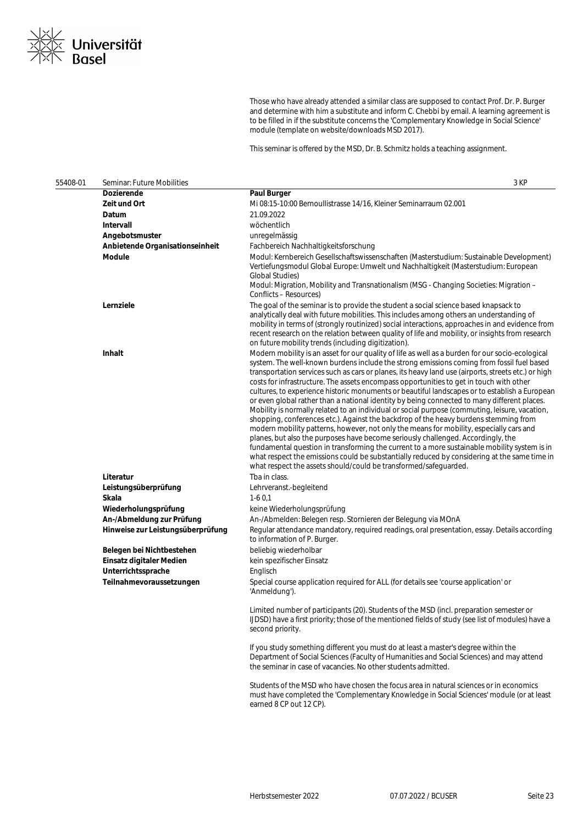

Those who have already attended a similar class are supposed to contact Prof. Dr. P. Burger and determine with him a substitute and inform C. Chebbi by email. A learning agreement is to be filled in if the substitute concerns the 'Complementary Knowledge in Social Science' module (template on website/downloads MSD 2017).

This seminar is offered by the MSD, Dr. B. Schmitz holds a teaching assignment.

| 55408-01 | Seminar: Future Mobilities        | 3 KP                                                                                                                                                                                                                                                                                                                                                                                                                                                                                                                                                                                                                                                                                                                                                                                                                                                                                                                                                                                                                                                                                                                                                                                                                                         |
|----------|-----------------------------------|----------------------------------------------------------------------------------------------------------------------------------------------------------------------------------------------------------------------------------------------------------------------------------------------------------------------------------------------------------------------------------------------------------------------------------------------------------------------------------------------------------------------------------------------------------------------------------------------------------------------------------------------------------------------------------------------------------------------------------------------------------------------------------------------------------------------------------------------------------------------------------------------------------------------------------------------------------------------------------------------------------------------------------------------------------------------------------------------------------------------------------------------------------------------------------------------------------------------------------------------|
|          | Dozierende                        | <b>Paul Burger</b>                                                                                                                                                                                                                                                                                                                                                                                                                                                                                                                                                                                                                                                                                                                                                                                                                                                                                                                                                                                                                                                                                                                                                                                                                           |
|          | Zeit und Ort                      | Mi 08:15-10:00 Bernoullistrasse 14/16, Kleiner Seminarraum 02.001                                                                                                                                                                                                                                                                                                                                                                                                                                                                                                                                                                                                                                                                                                                                                                                                                                                                                                                                                                                                                                                                                                                                                                            |
|          | Datum                             | 21.09.2022                                                                                                                                                                                                                                                                                                                                                                                                                                                                                                                                                                                                                                                                                                                                                                                                                                                                                                                                                                                                                                                                                                                                                                                                                                   |
|          | Intervall                         | wöchentlich                                                                                                                                                                                                                                                                                                                                                                                                                                                                                                                                                                                                                                                                                                                                                                                                                                                                                                                                                                                                                                                                                                                                                                                                                                  |
|          | Angebotsmuster                    | unregelmässig                                                                                                                                                                                                                                                                                                                                                                                                                                                                                                                                                                                                                                                                                                                                                                                                                                                                                                                                                                                                                                                                                                                                                                                                                                |
|          | Anbietende Organisationseinheit   | Fachbereich Nachhaltigkeitsforschung                                                                                                                                                                                                                                                                                                                                                                                                                                                                                                                                                                                                                                                                                                                                                                                                                                                                                                                                                                                                                                                                                                                                                                                                         |
|          | Module                            | Modul: Kernbereich Gesellschaftswissenschaften (Masterstudium: Sustainable Development)<br>Vertiefungsmodul Global Europe: Umwelt und Nachhaltigkeit (Masterstudium: European<br><b>Global Studies)</b><br>Modul: Migration, Mobility and Transnationalism (MSG - Changing Societies: Migration -<br>Conflicts - Resources)                                                                                                                                                                                                                                                                                                                                                                                                                                                                                                                                                                                                                                                                                                                                                                                                                                                                                                                  |
|          | Lernziele                         | The goal of the seminar is to provide the student a social science based knapsack to<br>analytically deal with future mobilities. This includes among others an understanding of<br>mobility in terms of (strongly routinized) social interactions, approaches in and evidence from<br>recent research on the relation between quality of life and mobility, or insights from research<br>on future mobility trends (including digitization).                                                                                                                                                                                                                                                                                                                                                                                                                                                                                                                                                                                                                                                                                                                                                                                                |
|          | Inhalt                            | Modern mobility is an asset for our quality of life as well as a burden for our socio-ecological<br>system. The well-known burdens include the strong emissions coming from fossil fuel based<br>transportation services such as cars or planes, its heavy land use (airports, streets etc.) or high<br>costs for infrastructure. The assets encompass opportunities to get in touch with other<br>cultures, to experience historic monuments or beautiful landscapes or to establish a European<br>or even global rather than a national identity by being connected to many different places.<br>Mobility is normally related to an individual or social purpose (commuting, leisure, vacation,<br>shopping, conferences etc.). Against the backdrop of the heavy burdens stemming from<br>modern mobility patterns, however, not only the means for mobility, especially cars and<br>planes, but also the purposes have become seriously challenged. Accordingly, the<br>fundamental question in transforming the current to a more sustainable mobility system is in<br>what respect the emissions could be substantially reduced by considering at the same time in<br>what respect the assets should/could be transformed/safeguarded. |
|          | Literatur                         | Tba in class.                                                                                                                                                                                                                                                                                                                                                                                                                                                                                                                                                                                                                                                                                                                                                                                                                                                                                                                                                                                                                                                                                                                                                                                                                                |
|          | Leistungsüberprüfung              | Lehrveranst.-begleitend                                                                                                                                                                                                                                                                                                                                                                                                                                                                                                                                                                                                                                                                                                                                                                                                                                                                                                                                                                                                                                                                                                                                                                                                                      |
|          | Skala                             | $1-60.1$                                                                                                                                                                                                                                                                                                                                                                                                                                                                                                                                                                                                                                                                                                                                                                                                                                                                                                                                                                                                                                                                                                                                                                                                                                     |
|          | Wiederholungsprüfung              | keine Wiederholungsprüfung                                                                                                                                                                                                                                                                                                                                                                                                                                                                                                                                                                                                                                                                                                                                                                                                                                                                                                                                                                                                                                                                                                                                                                                                                   |
|          | An-/Abmeldung zur Prüfung         | An-/Abmelden: Belegen resp. Stornieren der Belegung via MOnA                                                                                                                                                                                                                                                                                                                                                                                                                                                                                                                                                                                                                                                                                                                                                                                                                                                                                                                                                                                                                                                                                                                                                                                 |
|          | Hinweise zur Leistungsüberprüfung | Regular attendance mandatory, required readings, oral presentation, essay. Details according<br>to information of P. Burger.                                                                                                                                                                                                                                                                                                                                                                                                                                                                                                                                                                                                                                                                                                                                                                                                                                                                                                                                                                                                                                                                                                                 |
|          | Belegen bei Nichtbestehen         | beliebig wiederholbar                                                                                                                                                                                                                                                                                                                                                                                                                                                                                                                                                                                                                                                                                                                                                                                                                                                                                                                                                                                                                                                                                                                                                                                                                        |
|          | Einsatz digitaler Medien          | kein spezifischer Einsatz                                                                                                                                                                                                                                                                                                                                                                                                                                                                                                                                                                                                                                                                                                                                                                                                                                                                                                                                                                                                                                                                                                                                                                                                                    |
|          | Unterrichtssprache                | Englisch                                                                                                                                                                                                                                                                                                                                                                                                                                                                                                                                                                                                                                                                                                                                                                                                                                                                                                                                                                                                                                                                                                                                                                                                                                     |
|          | Teilnahmevoraussetzungen          | Special course application required for ALL (for details see 'course application' or<br>'Anmeldung').                                                                                                                                                                                                                                                                                                                                                                                                                                                                                                                                                                                                                                                                                                                                                                                                                                                                                                                                                                                                                                                                                                                                        |
|          |                                   | Limited number of participants (20). Students of the MSD (incl. preparation semester or<br>IJDSD) have a first priority; those of the mentioned fields of study (see list of modules) have a<br>second priority.                                                                                                                                                                                                                                                                                                                                                                                                                                                                                                                                                                                                                                                                                                                                                                                                                                                                                                                                                                                                                             |
|          |                                   | If you study something different you must do at least a master's degree within the<br>Department of Social Sciences (Faculty of Humanities and Social Sciences) and may attend<br>the seminar in case of vacancies. No other students admitted.                                                                                                                                                                                                                                                                                                                                                                                                                                                                                                                                                                                                                                                                                                                                                                                                                                                                                                                                                                                              |
|          |                                   | Students of the MSD who have chosen the focus area in natural sciences or in economics<br>must have completed the 'Complementary Knowledge in Social Sciences' module (or at least<br>earned 8 CP out 12 CP).                                                                                                                                                                                                                                                                                                                                                                                                                                                                                                                                                                                                                                                                                                                                                                                                                                                                                                                                                                                                                                |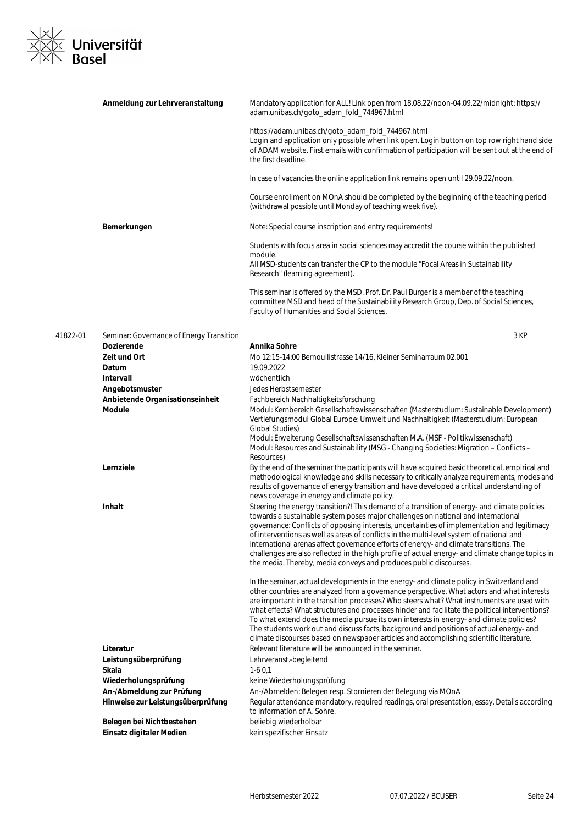

| Anmeldung zur Lehrveranstaltung | Mandatory application for ALL! Link open from 18.08.22/noon-04.09.22/midnight: https://<br>adam.unibas.ch/goto_adam_fold_744967.html                                                                                                                                       |
|---------------------------------|----------------------------------------------------------------------------------------------------------------------------------------------------------------------------------------------------------------------------------------------------------------------------|
|                                 | https://adam.unibas.ch/goto adam fold 744967.html<br>Login and application only possible when link open. Login button on top row right hand side<br>of ADAM website. First emails with confirmation of participation will be sent out at the end of<br>the first deadline. |
|                                 | In case of vacancies the online application link remains open until 29.09.22/noon.                                                                                                                                                                                         |
|                                 | Course enrollment on MOnA should be completed by the beginning of the teaching period<br>(withdrawal possible until Monday of teaching week five).                                                                                                                         |
| Bemerkungen                     | Note: Special course inscription and entry requirements!                                                                                                                                                                                                                   |
|                                 | Students with focus area in social sciences may accredit the course within the published<br>module.                                                                                                                                                                        |
|                                 | All MSD-students can transfer the CP to the module "Focal Areas in Sustainability<br>Research" (learning agreement).                                                                                                                                                       |
|                                 | This seminar is offered by the MSD. Prof. Dr. Paul Burger is a member of the teaching<br>committee MSD and head of the Sustainability Research Group, Dep. of Social Sciences,                                                                                             |

Faculty of Humanities and Social Sciences.

41822-01 Seminar: Governance of Energy Transition 3 KP **Dozierende Annika Sohre Zeit und Ort** Mo 12:15-14:00 Bernoullistrasse 14/16, Kleiner Seminarraum 02.001 **Datum** 19.09.2022 **Intervall** wöchentlich **Angebotsmuster** Jedes Herbstsemester **Anbietende Organisationseinheit** Fachbereich Nachhaltigkeitsforschung **Module** Modul: Kernbereich Gesellschaftswissenschaften (Masterstudium: Sustainable Development) Vertiefungsmodul Global Europe: Umwelt und Nachhaltigkeit (Masterstudium: European Global Studies) Modul: Erweiterung Gesellschaftswissenschaften M.A. (MSF - Politikwissenschaft) Modul: Resources and Sustainability (MSG - Changing Societies: Migration – Conflicts – Resources) **Lernziele** By the end of the seminar the participants will have acquired basic theoretical, empirical and the seminar the participants will have acquired basic theoretical, empirical and methodological knowledge and skills necessary to critically analyze requirements, modes and results of governance of energy transition and have developed a critical understanding of news coverage in energy and climate policy. **Inhalt** Steering the energy transition?! This demand of a transition of energy- and climate policies towards a sustainable system poses major challenges on national and international governance: Conflicts of opposing interests, uncertainties of implementation and legitimacy of interventions as well as areas of conflicts in the multi-level system of national and international arenas affect governance efforts of energy- and climate transitions. The challenges are also reflected in the high profile of actual energy- and climate change topics in the media. Thereby, media conveys and produces public discourses. In the seminar, actual developments in the energy- and climate policy in Switzerland and other countries are analyzed from a governance perspective. What actors and what interests are important in the transition processes? Who steers what? What instruments are used with what effects? What structures and processes hinder and facilitate the political interventions? To what extend does the media pursue its own interests in energy- and climate policies? The students work out and discuss facts, background and positions of actual energy- and climate discourses based on newspaper articles and accomplishing scientific literature. **Literatur Literatur** Relevant literature will be announced in the seminar. **Leistungsüberprüfung** Lehrveranst.-begleitend **Skala** 1-6 0,1 Wiederholungsprüfung **Wiederholungsprüfung** keine Wiederholungsprüfung An-/Abmeldung zur Prüfung **An-/Abmelden: Belegen resp. Stornieren der Belegung via MOnA Hinweise zur Leistungsüberprüfung** Regular attendance mandatory, required readings, oral presentation, essay. Details according to information of A. Sohre. Belegen bei Nichtbestehen beliebig wiederholbar **Einsatz digitaler Medien** kein spezifischer Einsatz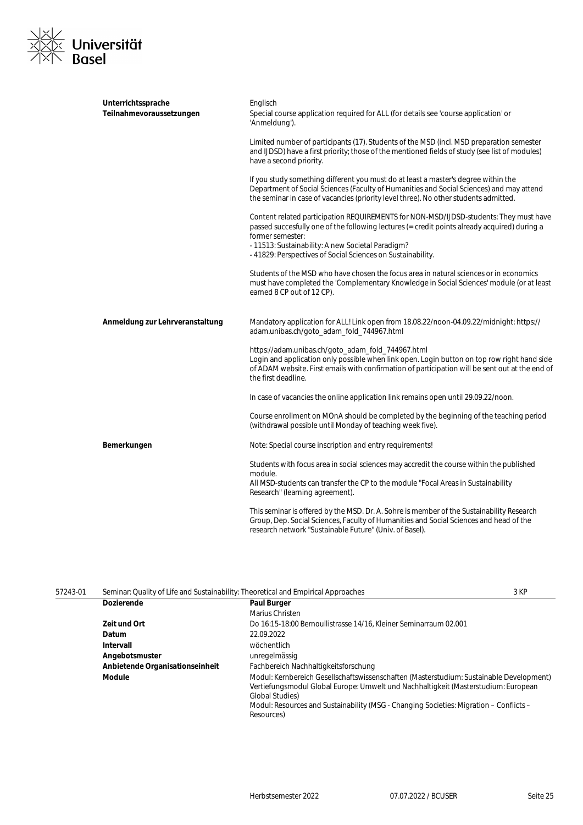

| Unterrichtssprache<br>Teilnahmevoraussetzungen | Englisch<br>Special course application required for ALL (for details see 'course application' or<br>'Anmeldung').                                                                                                                                                                                                             |
|------------------------------------------------|-------------------------------------------------------------------------------------------------------------------------------------------------------------------------------------------------------------------------------------------------------------------------------------------------------------------------------|
|                                                | Limited number of participants (17). Students of the MSD (incl. MSD preparation semester<br>and IJDSD) have a first priority; those of the mentioned fields of study (see list of modules)<br>have a second priority.                                                                                                         |
|                                                | If you study something different you must do at least a master's degree within the<br>Department of Social Sciences (Faculty of Humanities and Social Sciences) and may attend<br>the seminar in case of vacancies (priority level three). No other students admitted.                                                        |
|                                                | Content related participation REQUIREMENTS for NON-MSD/IJDSD-students: They must have<br>passed succesfully one of the following lectures (= credit points already acquired) during a<br>former semester:<br>- 11513: Sustainability: A new Societal Paradigm?<br>- 41829: Perspectives of Social Sciences on Sustainability. |
|                                                | Students of the MSD who have chosen the focus area in natural sciences or in economics<br>must have completed the 'Complementary Knowledge in Social Sciences' module (or at least<br>earned 8 CP out of 12 CP).                                                                                                              |
| Anmeldung zur Lehrveranstaltung                | Mandatory application for ALL! Link open from 18.08.22/noon-04.09.22/midnight: https://<br>adam.unibas.ch/goto_adam_fold_744967.html                                                                                                                                                                                          |
|                                                | https://adam.unibas.ch/goto_adam_fold_744967.html<br>Login and application only possible when link open. Login button on top row right hand side<br>of ADAM website. First emails with confirmation of participation will be sent out at the end of<br>the first deadline.                                                    |
|                                                | In case of vacancies the online application link remains open until 29.09.22/noon.                                                                                                                                                                                                                                            |
|                                                | Course enrollment on MOnA should be completed by the beginning of the teaching period<br>(withdrawal possible until Monday of teaching week five).                                                                                                                                                                            |
| Bemerkungen                                    | Note: Special course inscription and entry requirements!                                                                                                                                                                                                                                                                      |
|                                                | Students with focus area in social sciences may accredit the course within the published<br>module.<br>All MSD-students can transfer the CP to the module "Focal Areas in Sustainability<br>Research" (learning agreement).                                                                                                   |
|                                                | This seminar is offered by the MSD. Dr. A. Sohre is member of the Sustainability Research<br>Group, Dep. Social Sciences, Faculty of Humanities and Social Sciences and head of the<br>research network "Sustainable Future" (Univ. of Basel).                                                                                |

| 57243-01 | Seminar: Quality of Life and Sustainability: Theoretical and Empirical Approaches |                                                                                                                                                                                                                                                                                                                  | 3 KP |
|----------|-----------------------------------------------------------------------------------|------------------------------------------------------------------------------------------------------------------------------------------------------------------------------------------------------------------------------------------------------------------------------------------------------------------|------|
|          | <b>Dozierende</b>                                                                 | <b>Paul Burger</b>                                                                                                                                                                                                                                                                                               |      |
|          |                                                                                   | Marius Christen                                                                                                                                                                                                                                                                                                  |      |
|          | Zeit und Ort                                                                      | Do 16:15-18:00 Bernoullistrasse 14/16, Kleiner Seminarraum 02.001                                                                                                                                                                                                                                                |      |
|          | Datum                                                                             | 22.09.2022                                                                                                                                                                                                                                                                                                       |      |
|          | Intervall                                                                         | wöchentlich                                                                                                                                                                                                                                                                                                      |      |
|          | Angebotsmuster                                                                    | unregelmässig                                                                                                                                                                                                                                                                                                    |      |
|          | Anbietende Organisationseinheit                                                   | Fachbereich Nachhaltigkeitsforschung                                                                                                                                                                                                                                                                             |      |
|          | <b>Module</b>                                                                     | Modul: Kernbereich Gesellschaftswissenschaften (Masterstudium: Sustainable Development)<br>Vertiefungsmodul Global Europe: Umwelt und Nachhaltigkeit (Masterstudium: European<br><b>Global Studies</b> )<br>Modul: Resources and Sustainability (MSG - Changing Societies: Migration - Conflicts -<br>Resources) |      |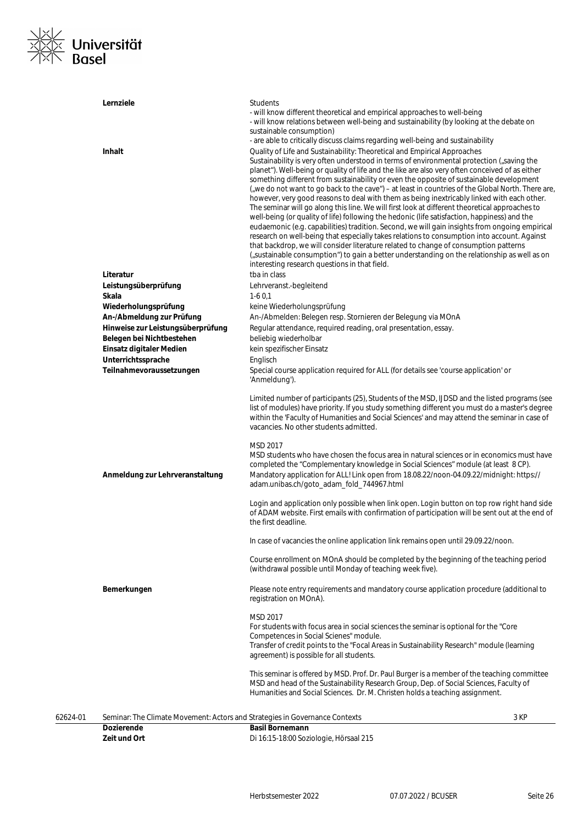

|          | Lernziele                                                                                        | <b>Students</b><br>- will know different theoretical and empirical approaches to well-being<br>- will know relations between well-being and sustainability (by looking at the debate on<br>sustainable consumption)                                                                                                                                                                                                                                                                                                                                                                                                                                                                                                                                                                                                                                                                                                                                                                                                                                                                                                                                                                                                                                                                                   |      |
|----------|--------------------------------------------------------------------------------------------------|-------------------------------------------------------------------------------------------------------------------------------------------------------------------------------------------------------------------------------------------------------------------------------------------------------------------------------------------------------------------------------------------------------------------------------------------------------------------------------------------------------------------------------------------------------------------------------------------------------------------------------------------------------------------------------------------------------------------------------------------------------------------------------------------------------------------------------------------------------------------------------------------------------------------------------------------------------------------------------------------------------------------------------------------------------------------------------------------------------------------------------------------------------------------------------------------------------------------------------------------------------------------------------------------------------|------|
|          | <b>Inhalt</b>                                                                                    | - are able to critically discuss claims regarding well-being and sustainability<br>Quality of Life and Sustainability: Theoretical and Empirical Approaches<br>Sustainability is very often understood in terms of environmental protection ("saving the<br>planet"). Well-being or quality of life and the like are also very often conceived of as either<br>something different from sustainability or even the opposite of sustainable development<br>("we do not want to go back to the cave") – at least in countries of the Global North. There are,<br>however, very good reasons to deal with them as being inextricably linked with each other.<br>The seminar will go along this line. We will first look at different theoretical approaches to<br>well-being (or quality of life) following the hedonic (life satisfaction, happiness) and the<br>eudaemonic (e.g. capabilities) tradition. Second, we will gain insights from ongoing empirical<br>research on well-being that especially takes relations to consumption into account. Against<br>that backdrop, we will consider literature related to change of consumption patterns<br>("sustainable consumption") to gain a better understanding on the relationship as well as on<br>interesting research questions in that field. |      |
|          | Literatur                                                                                        | tba in class                                                                                                                                                                                                                                                                                                                                                                                                                                                                                                                                                                                                                                                                                                                                                                                                                                                                                                                                                                                                                                                                                                                                                                                                                                                                                          |      |
|          | Leistungsüberprüfung                                                                             | Lehrveranst.-begleitend                                                                                                                                                                                                                                                                                                                                                                                                                                                                                                                                                                                                                                                                                                                                                                                                                                                                                                                                                                                                                                                                                                                                                                                                                                                                               |      |
|          | Skala                                                                                            | $1-60.1$                                                                                                                                                                                                                                                                                                                                                                                                                                                                                                                                                                                                                                                                                                                                                                                                                                                                                                                                                                                                                                                                                                                                                                                                                                                                                              |      |
|          | Wiederholungsprüfung                                                                             | keine Wiederholungsprüfung                                                                                                                                                                                                                                                                                                                                                                                                                                                                                                                                                                                                                                                                                                                                                                                                                                                                                                                                                                                                                                                                                                                                                                                                                                                                            |      |
|          | An-/Abmeldung zur Prüfung                                                                        | An-/Abmelden: Belegen resp. Stornieren der Belegung via MOnA                                                                                                                                                                                                                                                                                                                                                                                                                                                                                                                                                                                                                                                                                                                                                                                                                                                                                                                                                                                                                                                                                                                                                                                                                                          |      |
|          | Hinweise zur Leistungsüberprüfung                                                                | Regular attendance, required reading, oral presentation, essay.                                                                                                                                                                                                                                                                                                                                                                                                                                                                                                                                                                                                                                                                                                                                                                                                                                                                                                                                                                                                                                                                                                                                                                                                                                       |      |
|          | Belegen bei Nichtbestehen                                                                        | beliebig wiederholbar                                                                                                                                                                                                                                                                                                                                                                                                                                                                                                                                                                                                                                                                                                                                                                                                                                                                                                                                                                                                                                                                                                                                                                                                                                                                                 |      |
|          | Einsatz digitaler Medien                                                                         | kein spezifischer Einsatz                                                                                                                                                                                                                                                                                                                                                                                                                                                                                                                                                                                                                                                                                                                                                                                                                                                                                                                                                                                                                                                                                                                                                                                                                                                                             |      |
|          | Unterrichtssprache                                                                               | Englisch                                                                                                                                                                                                                                                                                                                                                                                                                                                                                                                                                                                                                                                                                                                                                                                                                                                                                                                                                                                                                                                                                                                                                                                                                                                                                              |      |
|          | Teilnahmevoraussetzungen                                                                         | Special course application required for ALL (for details see 'course application' or<br>'Anmeldung').                                                                                                                                                                                                                                                                                                                                                                                                                                                                                                                                                                                                                                                                                                                                                                                                                                                                                                                                                                                                                                                                                                                                                                                                 |      |
|          |                                                                                                  | Limited number of participants (25), Students of the MSD, IJDSD and the listed programs (see<br>list of modules) have priority. If you study something different you must do a master's degree<br>within the 'Faculty of Humanities and Social Sciences' and may attend the seminar in case of<br>vacancies. No other students admitted.                                                                                                                                                                                                                                                                                                                                                                                                                                                                                                                                                                                                                                                                                                                                                                                                                                                                                                                                                              |      |
|          | Anmeldung zur Lehrveranstaltung                                                                  | MSD 2017<br>MSD students who have chosen the focus area in natural sciences or in economics must have<br>completed the "Complementary knowledge in Social Sciences" module (at least 8 CP).<br>Mandatory application for ALL! Link open from 18.08.22/noon-04.09.22/midnight: https://<br>adam.unibas.ch/goto_adam_fold_744967.html                                                                                                                                                                                                                                                                                                                                                                                                                                                                                                                                                                                                                                                                                                                                                                                                                                                                                                                                                                   |      |
|          |                                                                                                  | Login and application only possible when link open. Login button on top row right hand side<br>of ADAM website. First emails with confirmation of participation will be sent out at the end of<br>the first deadline.                                                                                                                                                                                                                                                                                                                                                                                                                                                                                                                                                                                                                                                                                                                                                                                                                                                                                                                                                                                                                                                                                 |      |
|          |                                                                                                  | In case of vacancies the online application link remains open until 29.09.22/noon.                                                                                                                                                                                                                                                                                                                                                                                                                                                                                                                                                                                                                                                                                                                                                                                                                                                                                                                                                                                                                                                                                                                                                                                                                    |      |
|          |                                                                                                  | Course enrollment on MOnA should be completed by the beginning of the teaching period<br>(withdrawal possible until Monday of teaching week five).                                                                                                                                                                                                                                                                                                                                                                                                                                                                                                                                                                                                                                                                                                                                                                                                                                                                                                                                                                                                                                                                                                                                                    |      |
|          | Bemerkungen                                                                                      | Please note entry requirements and mandatory course application procedure (additional to<br>registration on MOnA).                                                                                                                                                                                                                                                                                                                                                                                                                                                                                                                                                                                                                                                                                                                                                                                                                                                                                                                                                                                                                                                                                                                                                                                    |      |
|          |                                                                                                  | MSD 2017<br>For students with focus area in social sciences the seminar is optional for the "Core"<br>Competences in Social Scienes" module.<br>Transfer of credit points to the "Focal Areas in Sustainability Research" module (learning<br>agreement) is possible for all students.                                                                                                                                                                                                                                                                                                                                                                                                                                                                                                                                                                                                                                                                                                                                                                                                                                                                                                                                                                                                                |      |
|          |                                                                                                  | This seminar is offered by MSD. Prof. Dr. Paul Burger is a member of the teaching committee<br>MSD and head of the Sustainability Research Group, Dep. of Social Sciences, Faculty of<br>Humanities and Social Sciences. Dr. M. Christen holds a teaching assignment.                                                                                                                                                                                                                                                                                                                                                                                                                                                                                                                                                                                                                                                                                                                                                                                                                                                                                                                                                                                                                                 |      |
| 62624-01 | Seminar: The Climate Movement: Actors and Strategies in Governance Contexts<br><b>Dozierende</b> | <b>Basil Bornemann</b>                                                                                                                                                                                                                                                                                                                                                                                                                                                                                                                                                                                                                                                                                                                                                                                                                                                                                                                                                                                                                                                                                                                                                                                                                                                                                | 3 KP |
|          | Zeit und Ort                                                                                     | Di 16:15-18:00 Soziologie, Hörsaal 215                                                                                                                                                                                                                                                                                                                                                                                                                                                                                                                                                                                                                                                                                                                                                                                                                                                                                                                                                                                                                                                                                                                                                                                                                                                                |      |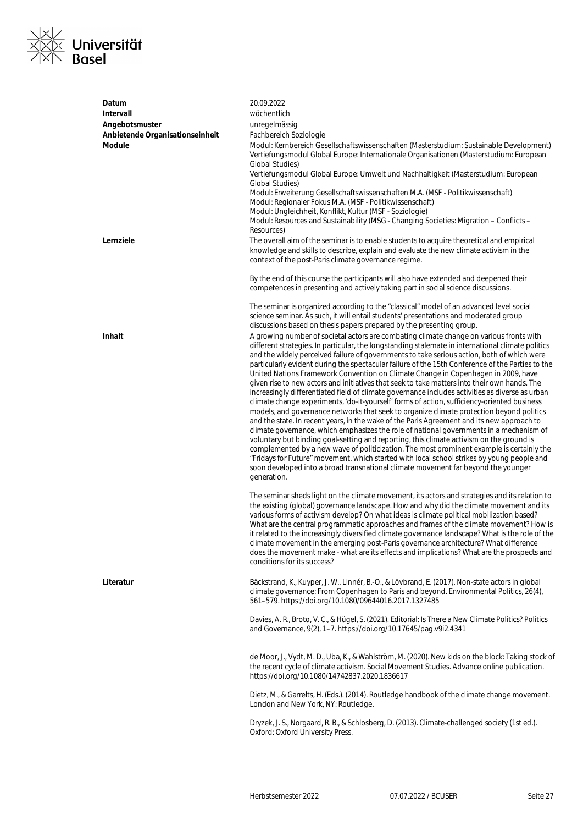

| Datum<br>Intervall<br>Angebotsmuster<br>Anbietende Organisationseinheit<br><b>Module</b> | 20.09.2022<br>wöchentlich<br>unregelmässig<br>Fachbereich Soziologie<br>Modul: Kernbereich Gesellschaftswissenschaften (Masterstudium: Sustainable Development)<br>Vertiefungsmodul Global Europe: Internationale Organisationen (Masterstudium: European<br><b>Global Studies</b> )<br>Vertiefungsmodul Global Europe: Umwelt und Nachhaltigkeit (Masterstudium: European<br>Global Studies)<br>Modul: Erweiterung Gesellschaftswissenschaften M.A. (MSF - Politikwissenschaft)<br>Modul: Regionaler Fokus M.A. (MSF - Politikwissenschaft)<br>Modul: Ungleichheit, Konflikt, Kultur (MSF - Soziologie)<br>Modul: Resources and Sustainability (MSG - Changing Societies: Migration - Conflicts -<br>Resources)                                                                                                                                                                                                                                                                                                                                                                                                                                                                                                                                                                                                                                                                                                                                                                                                                                                                                                                                                                                                                                                                                                                                                                                                                                                                                                                        |
|------------------------------------------------------------------------------------------|-----------------------------------------------------------------------------------------------------------------------------------------------------------------------------------------------------------------------------------------------------------------------------------------------------------------------------------------------------------------------------------------------------------------------------------------------------------------------------------------------------------------------------------------------------------------------------------------------------------------------------------------------------------------------------------------------------------------------------------------------------------------------------------------------------------------------------------------------------------------------------------------------------------------------------------------------------------------------------------------------------------------------------------------------------------------------------------------------------------------------------------------------------------------------------------------------------------------------------------------------------------------------------------------------------------------------------------------------------------------------------------------------------------------------------------------------------------------------------------------------------------------------------------------------------------------------------------------------------------------------------------------------------------------------------------------------------------------------------------------------------------------------------------------------------------------------------------------------------------------------------------------------------------------------------------------------------------------------------------------------------------------------------------------|
| Lernziele                                                                                | The overall aim of the seminar is to enable students to acquire theoretical and empirical<br>knowledge and skills to describe, explain and evaluate the new climate activism in the<br>context of the post-Paris climate governance regime.<br>By the end of this course the participants will also have extended and deepened their                                                                                                                                                                                                                                                                                                                                                                                                                                                                                                                                                                                                                                                                                                                                                                                                                                                                                                                                                                                                                                                                                                                                                                                                                                                                                                                                                                                                                                                                                                                                                                                                                                                                                                    |
|                                                                                          | competences in presenting and actively taking part in social science discussions.<br>The seminar is organized according to the "classical" model of an advanced level social<br>science seminar. As such, it will entail students' presentations and moderated group                                                                                                                                                                                                                                                                                                                                                                                                                                                                                                                                                                                                                                                                                                                                                                                                                                                                                                                                                                                                                                                                                                                                                                                                                                                                                                                                                                                                                                                                                                                                                                                                                                                                                                                                                                    |
| Inhalt                                                                                   | discussions based on thesis papers prepared by the presenting group.<br>A growing number of societal actors are combating climate change on various fronts with<br>different strategies. In particular, the longstanding stalemate in international climate politics<br>and the widely perceived failure of governments to take serious action, both of which were<br>particularly evident during the spectacular failure of the 15th Conference of the Parties to the<br>United Nations Framework Convention on Climate Change in Copenhagen in 2009, have<br>given rise to new actors and initiatives that seek to take matters into their own hands. The<br>increasingly differentiated field of climate governance includes activities as diverse as urban<br>climate change experiments, 'do-it-yourself' forms of action, sufficiency-oriented business<br>models, and governance networks that seek to organize climate protection beyond politics<br>and the state. In recent years, in the wake of the Paris Agreement and its new approach to<br>climate governance, which emphasizes the role of national governments in a mechanism of<br>voluntary but binding goal-setting and reporting, this climate activism on the ground is<br>complemented by a new wave of politicization. The most prominent example is certainly the<br>"Fridays for Future" movement, which started with local school strikes by young people and<br>soon developed into a broad transnational climate movement far beyond the younger<br>generation.<br>The seminar sheds light on the climate movement, its actors and strategies and its relation to<br>the existing (global) governance landscape. How and why did the climate movement and its<br>various forms of activism develop? On what ideas is climate political mobilization based?<br>What are the central programmatic approaches and frames of the climate movement? How is<br>it related to the increasingly diversified climate governance landscape? What is the role of the |
|                                                                                          | climate movement in the emerging post-Paris governance architecture? What difference<br>does the movement make - what are its effects and implications? What are the prospects and<br>conditions for its success?                                                                                                                                                                                                                                                                                                                                                                                                                                                                                                                                                                                                                                                                                                                                                                                                                                                                                                                                                                                                                                                                                                                                                                                                                                                                                                                                                                                                                                                                                                                                                                                                                                                                                                                                                                                                                       |
| Literatur                                                                                | Bäckstrand, K., Kuyper, J. W., Linnér, B.-O., & Lövbrand, E. (2017). Non-state actors in global<br>climate governance: From Copenhagen to Paris and beyond. Environmental Politics, 26(4),<br>561-579. https://doi.org/10.1080/09644016.2017.1327485                                                                                                                                                                                                                                                                                                                                                                                                                                                                                                                                                                                                                                                                                                                                                                                                                                                                                                                                                                                                                                                                                                                                                                                                                                                                                                                                                                                                                                                                                                                                                                                                                                                                                                                                                                                    |
|                                                                                          | Davies, A. R., Broto, V. C., & Hügel, S. (2021). Editorial: Is There a New Climate Politics? Politics<br>and Governance, 9(2), 1-7. https://doi.org/10.17645/pag.v9i2.4341                                                                                                                                                                                                                                                                                                                                                                                                                                                                                                                                                                                                                                                                                                                                                                                                                                                                                                                                                                                                                                                                                                                                                                                                                                                                                                                                                                                                                                                                                                                                                                                                                                                                                                                                                                                                                                                              |
|                                                                                          | de Moor, J., Vydt, M. D., Uba, K., & Wahlström, M. (2020). New kids on the block: Taking stock of<br>the recent cycle of climate activism. Social Movement Studies. Advance online publication.<br>https://doi.org/10.1080/14742837.2020.1836617                                                                                                                                                                                                                                                                                                                                                                                                                                                                                                                                                                                                                                                                                                                                                                                                                                                                                                                                                                                                                                                                                                                                                                                                                                                                                                                                                                                                                                                                                                                                                                                                                                                                                                                                                                                        |
|                                                                                          | Dietz, M., & Garrelts, H. (Eds.). (2014). Routledge handbook of the climate change movement.<br>London and New York, NY: Routledge.                                                                                                                                                                                                                                                                                                                                                                                                                                                                                                                                                                                                                                                                                                                                                                                                                                                                                                                                                                                                                                                                                                                                                                                                                                                                                                                                                                                                                                                                                                                                                                                                                                                                                                                                                                                                                                                                                                     |
|                                                                                          | Dryzek, J. S., Norgaard, R. B., & Schlosberg, D. (2013). Climate-challenged society (1st ed.).<br>Oxford: Oxford University Press.                                                                                                                                                                                                                                                                                                                                                                                                                                                                                                                                                                                                                                                                                                                                                                                                                                                                                                                                                                                                                                                                                                                                                                                                                                                                                                                                                                                                                                                                                                                                                                                                                                                                                                                                                                                                                                                                                                      |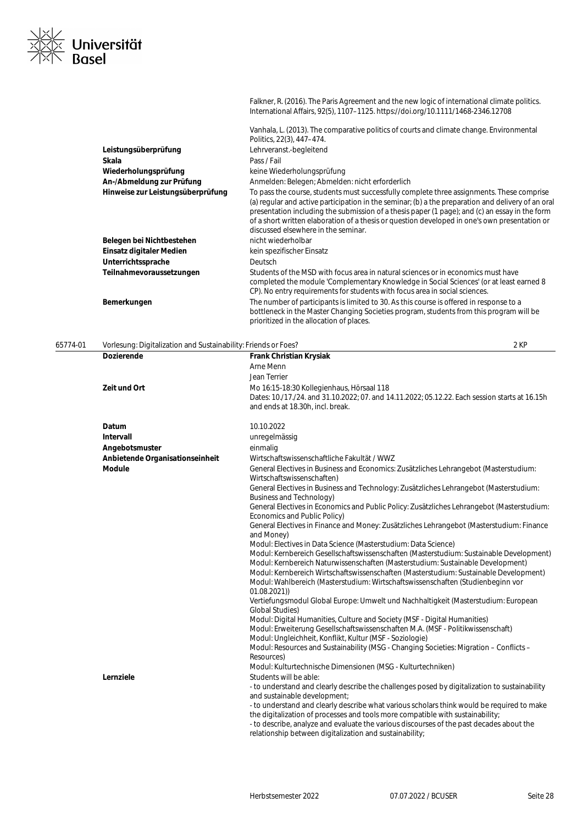Falkner, R. (2016). The Paris Agreement and the new logic of international climate politics. International Affairs, 92(5), 1107–1125. https://doi.org/10.1111/1468-2346.12708

|                                   | Vanhala, L. (2013). The comparative politics of courts and climate change. Environmental                                                                                                                                                                                                                                                                                                                                                  |
|-----------------------------------|-------------------------------------------------------------------------------------------------------------------------------------------------------------------------------------------------------------------------------------------------------------------------------------------------------------------------------------------------------------------------------------------------------------------------------------------|
|                                   | Politics, 22(3), 447-474.                                                                                                                                                                                                                                                                                                                                                                                                                 |
| Leistungsüberprüfung              | Lehrveranst.-begleitend                                                                                                                                                                                                                                                                                                                                                                                                                   |
| Skala                             | Pass / Fail                                                                                                                                                                                                                                                                                                                                                                                                                               |
| Wiederholungsprüfung              | keine Wiederholungsprüfung                                                                                                                                                                                                                                                                                                                                                                                                                |
| An-/Abmeldung zur Prüfung         | Anmelden: Belegen: Abmelden: nicht erforderlich                                                                                                                                                                                                                                                                                                                                                                                           |
| Hinweise zur Leistungsüberprüfung | To pass the course, students must successfully complete three assignments. These comprise<br>(a) regular and active participation in the seminar; (b) a the preparation and delivery of an oral<br>presentation including the submission of a thesis paper (1 page); and (c) an essay in the form<br>of a short written elaboration of a thesis or question developed in one's own presentation or<br>discussed elsewhere in the seminar. |
| Belegen bei Nichtbestehen         | nicht wiederholbar                                                                                                                                                                                                                                                                                                                                                                                                                        |
| Einsatz digitaler Medien          | kein spezifischer Einsatz                                                                                                                                                                                                                                                                                                                                                                                                                 |
| Unterrichtssprache                | <b>Deutsch</b>                                                                                                                                                                                                                                                                                                                                                                                                                            |
| Teilnahmevoraussetzungen          | Students of the MSD with focus area in natural sciences or in economics must have<br>completed the module 'Complementary Knowledge in Social Sciences' (or at least earned 8<br>CP). No entry requirements for students with focus area in social sciences.                                                                                                                                                                               |
| Bemerkungen                       | The number of participants is limited to 30. As this course is offered in response to a<br>bottleneck in the Master Changing Societies program, students from this program will be<br>prioritized in the allocation of places.                                                                                                                                                                                                            |

Universität

#### 65774-01 Vorlesung: Digitalization and Sustainability: Friends or Foes? 2 KP **Dozierende Frank Christian Krysiak** Arne Menn Jean Terrier **Zeit und Ort** Mo 16:15-18:30 Kollegienhaus, Hörsaal 118 Dates: 10./17./24. and 31.10.2022; 07. and 14.11.2022; 05.12.22. Each session starts at 16.15h and ends at 18.30h, incl. break. **Datum** 10.10.2022 **Intervall** unregelmässig **Angebotsmuster** einmalig **Anbietende Organisationseinheit** Wirtschaftswissenschaftliche Fakultät / WWZ Module **General Electives in Business and Economics: Zusätzliches Lehrangebot (Masterstudium:** Wirtschaftswissenschaften) General Electives in Business and Technology: Zusätzliches Lehrangebot (Masterstudium: Business and Technology) General Electives in Economics and Public Policy: Zusätzliches Lehrangebot (Masterstudium: Economics and Public Policy) General Electives in Finance and Money: Zusätzliches Lehrangebot (Masterstudium: Finance and Money) Modul: Electives in Data Science (Masterstudium: Data Science) Modul: Kernbereich Gesellschaftswissenschaften (Masterstudium: Sustainable Development) Modul: Kernbereich Naturwissenschaften (Masterstudium: Sustainable Development) Modul: Kernbereich Wirtschaftswissenschaften (Masterstudium: Sustainable Development) Modul: Wahlbereich (Masterstudium: Wirtschaftswissenschaften (Studienbeginn vor 01.08.2021)) Vertiefungsmodul Global Europe: Umwelt und Nachhaltigkeit (Masterstudium: European Global Studies) Modul: Digital Humanities, Culture and Society (MSF - Digital Humanities) Modul: Erweiterung Gesellschaftswissenschaften M.A. (MSF - Politikwissenschaft) Modul: Ungleichheit, Konflikt, Kultur (MSF - Soziologie) Modul: Resources and Sustainability (MSG - Changing Societies: Migration – Conflicts – Resources) Modul: Kulturtechnische Dimensionen (MSG - Kulturtechniken) **Lernziele** Students will be able: - to understand and clearly describe the challenges posed by digitalization to sustainability and sustainable development; - to understand and clearly describe what various scholars think would be required to make the digitalization of processes and tools more compatible with sustainability; - to describe, analyze and evaluate the various discourses of the past decades about the relationship between digitalization and sustainability;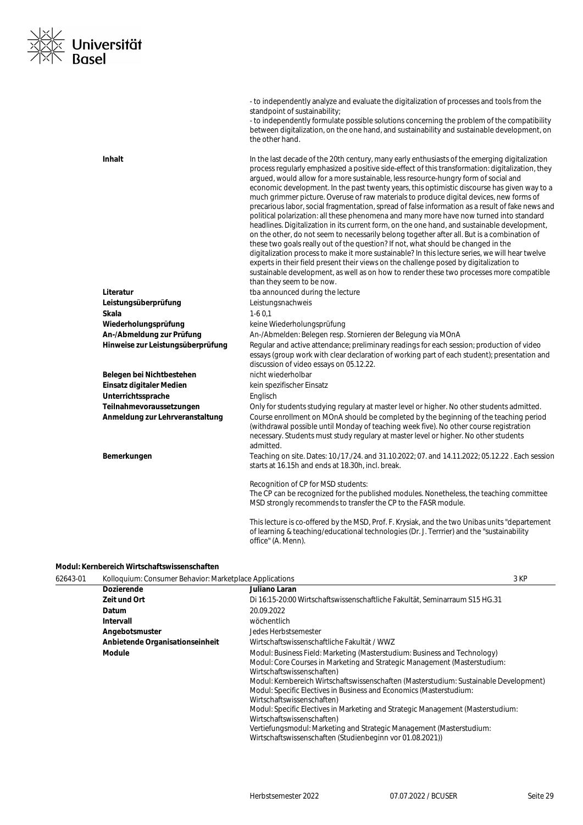

|                                   | - to independently analyze and evaluate the digitalization of processes and tools from the<br>standpoint of sustainability;<br>- to independently formulate possible solutions concerning the problem of the compatibility<br>between digitalization, on the one hand, and sustainability and sustainable development, on<br>the other hand.                                                                                                                                                                                                                                                                                                                                                                                                                                                                                                                                                                                                                                                                                                                                                                                                                                                                                                                                                 |
|-----------------------------------|----------------------------------------------------------------------------------------------------------------------------------------------------------------------------------------------------------------------------------------------------------------------------------------------------------------------------------------------------------------------------------------------------------------------------------------------------------------------------------------------------------------------------------------------------------------------------------------------------------------------------------------------------------------------------------------------------------------------------------------------------------------------------------------------------------------------------------------------------------------------------------------------------------------------------------------------------------------------------------------------------------------------------------------------------------------------------------------------------------------------------------------------------------------------------------------------------------------------------------------------------------------------------------------------|
| <b>Inhalt</b>                     | In the last decade of the 20th century, many early enthusiasts of the emerging digitalization<br>process regularly emphasized a positive side-effect of this transformation: digitalization, they<br>argued, would allow for a more sustainable, less resource-hungry form of social and<br>economic development. In the past twenty years, this optimistic discourse has given way to a<br>much grimmer picture. Overuse of raw materials to produce digital devices, new forms of<br>precarious labor, social fragmentation, spread of false information as a result of fake news and<br>political polarization: all these phenomena and many more have now turned into standard<br>headlines. Digitalization in its current form, on the one hand, and sustainable development,<br>on the other, do not seem to necessarily belong together after all. But is a combination of<br>these two goals really out of the question? If not, what should be changed in the<br>digitalization process to make it more sustainable? In this lecture series, we will hear twelve<br>experts in their field present their views on the challenge posed by digitalization to<br>sustainable development, as well as on how to render these two processes more compatible<br>than they seem to be now. |
| Literatur                         | tba announced during the lecture                                                                                                                                                                                                                                                                                                                                                                                                                                                                                                                                                                                                                                                                                                                                                                                                                                                                                                                                                                                                                                                                                                                                                                                                                                                             |
| Leistungsüberprüfung              | Leistungsnachweis                                                                                                                                                                                                                                                                                                                                                                                                                                                                                                                                                                                                                                                                                                                                                                                                                                                                                                                                                                                                                                                                                                                                                                                                                                                                            |
| Skala                             | $1-60.1$                                                                                                                                                                                                                                                                                                                                                                                                                                                                                                                                                                                                                                                                                                                                                                                                                                                                                                                                                                                                                                                                                                                                                                                                                                                                                     |
| Wiederholungsprüfung              | keine Wiederholungsprüfung                                                                                                                                                                                                                                                                                                                                                                                                                                                                                                                                                                                                                                                                                                                                                                                                                                                                                                                                                                                                                                                                                                                                                                                                                                                                   |
| An-/Abmeldung zur Prüfung         | An-/Abmelden: Belegen resp. Stornieren der Belegung via MOnA                                                                                                                                                                                                                                                                                                                                                                                                                                                                                                                                                                                                                                                                                                                                                                                                                                                                                                                                                                                                                                                                                                                                                                                                                                 |
| Hinweise zur Leistungsüberprüfung | Regular and active attendance; preliminary readings for each session; production of video<br>essays (group work with clear declaration of working part of each student); presentation and<br>discussion of video essays on 05.12.22.                                                                                                                                                                                                                                                                                                                                                                                                                                                                                                                                                                                                                                                                                                                                                                                                                                                                                                                                                                                                                                                         |
| Belegen bei Nichtbestehen         | nicht wiederholbar                                                                                                                                                                                                                                                                                                                                                                                                                                                                                                                                                                                                                                                                                                                                                                                                                                                                                                                                                                                                                                                                                                                                                                                                                                                                           |
| Einsatz digitaler Medien          | kein spezifischer Einsatz                                                                                                                                                                                                                                                                                                                                                                                                                                                                                                                                                                                                                                                                                                                                                                                                                                                                                                                                                                                                                                                                                                                                                                                                                                                                    |
| Unterrichtssprache                | Englisch                                                                                                                                                                                                                                                                                                                                                                                                                                                                                                                                                                                                                                                                                                                                                                                                                                                                                                                                                                                                                                                                                                                                                                                                                                                                                     |
| Teilnahmevoraussetzungen          | Only for students studying regulary at master level or higher. No other students admitted.                                                                                                                                                                                                                                                                                                                                                                                                                                                                                                                                                                                                                                                                                                                                                                                                                                                                                                                                                                                                                                                                                                                                                                                                   |
| Anmeldung zur Lehrveranstaltung   | Course enrollment on MOnA should be completed by the beginning of the teaching period<br>(withdrawal possible until Monday of teaching week five). No other course registration<br>necessary. Students must study regulary at master level or higher. No other students<br>admitted.                                                                                                                                                                                                                                                                                                                                                                                                                                                                                                                                                                                                                                                                                                                                                                                                                                                                                                                                                                                                         |
| Bemerkungen                       | Teaching on site. Dates: 10./17./24. and 31.10.2022; 07. and 14.11.2022; 05.12.22. Each session<br>starts at 16.15h and ends at 18.30h, incl. break.                                                                                                                                                                                                                                                                                                                                                                                                                                                                                                                                                                                                                                                                                                                                                                                                                                                                                                                                                                                                                                                                                                                                         |
|                                   | Recognition of CP for MSD students:<br>The CP can be recognized for the published modules. Nonetheless, the teaching committee<br>MSD strongly recommends to transfer the CP to the FASR module.                                                                                                                                                                                                                                                                                                                                                                                                                                                                                                                                                                                                                                                                                                                                                                                                                                                                                                                                                                                                                                                                                             |
|                                   | This lecture is co-offered by the MSD, Prof. F. Krysiak, and the two Unibas units "departement"<br>of learning & teaching/educational technologies (Dr. J. Terrrier) and the "sustainability<br>office" (A. Menn).                                                                                                                                                                                                                                                                                                                                                                                                                                                                                                                                                                                                                                                                                                                                                                                                                                                                                                                                                                                                                                                                           |

#### **Modul: Kernbereich Wirtschaftswissenschaften**

| 62643-01 | Kolloquium: Consumer Behavior: Marketplace Applications |                                                                                                                                                                                                                                                                                                                                                                                                                                                                                                                                                                                                                                          | 3 KP |
|----------|---------------------------------------------------------|------------------------------------------------------------------------------------------------------------------------------------------------------------------------------------------------------------------------------------------------------------------------------------------------------------------------------------------------------------------------------------------------------------------------------------------------------------------------------------------------------------------------------------------------------------------------------------------------------------------------------------------|------|
|          | <b>Dozierende</b>                                       | Juliano Laran                                                                                                                                                                                                                                                                                                                                                                                                                                                                                                                                                                                                                            |      |
|          | <b>Zeit und Ort</b>                                     | Di 16:15-20:00 Wirtschaftswissenschaftliche Fakultät. Seminarraum S15 HG.31                                                                                                                                                                                                                                                                                                                                                                                                                                                                                                                                                              |      |
|          | Datum                                                   | 20.09.2022                                                                                                                                                                                                                                                                                                                                                                                                                                                                                                                                                                                                                               |      |
|          | Intervall                                               | wöchentlich                                                                                                                                                                                                                                                                                                                                                                                                                                                                                                                                                                                                                              |      |
|          | Angebotsmuster                                          | Jedes Herbstsemester                                                                                                                                                                                                                                                                                                                                                                                                                                                                                                                                                                                                                     |      |
|          | Anbietende Organisationseinheit                         | Wirtschaftswissenschaftliche Fakultät / WWZ                                                                                                                                                                                                                                                                                                                                                                                                                                                                                                                                                                                              |      |
|          | <b>Module</b>                                           | Modul: Business Field: Marketing (Masterstudium: Business and Technology)<br>Modul: Core Courses in Marketing and Strategic Management (Masterstudium:<br>Wirtschaftswissenschaften)<br>Modul: Kernbereich Wirtschaftswissenschaften (Masterstudium: Sustainable Development)<br>Modul: Specific Electives in Business and Economics (Masterstudium:<br>Wirtschaftswissenschaften)<br>Modul: Specific Electives in Marketing and Strategic Management (Masterstudium:<br>Wirtschaftswissenschaften)<br>Vertiefungsmodul: Marketing and Strategic Management (Masterstudium:<br>Wirtschaftswissenschaften (Studienbeginn vor 01.08.2021)) |      |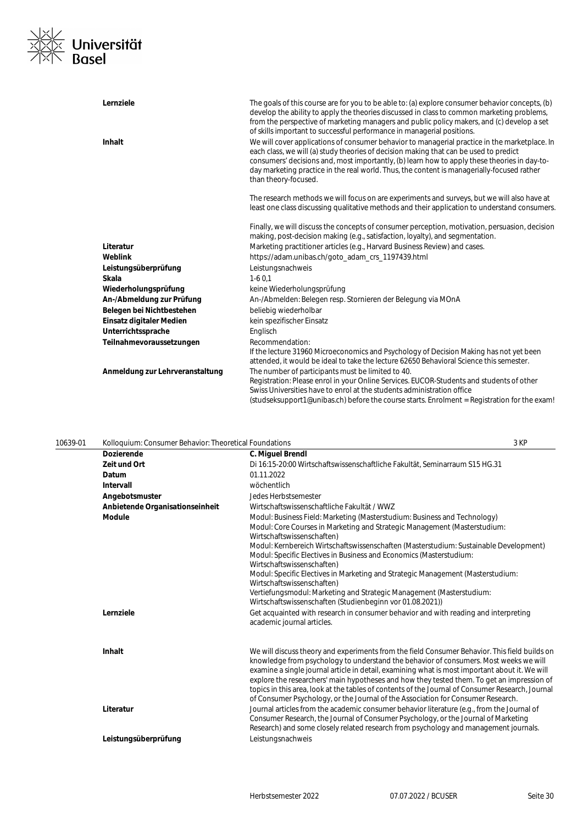

| Lernziele                       | The goals of this course are for you to be able to: (a) explore consumer behavior concepts, (b)<br>develop the ability to apply the theories discussed in class to common marketing problems,<br>from the perspective of marketing managers and public policy makers, and (c) develop a set<br>of skills important to successful performance in managerial positions.                                        |
|---------------------------------|--------------------------------------------------------------------------------------------------------------------------------------------------------------------------------------------------------------------------------------------------------------------------------------------------------------------------------------------------------------------------------------------------------------|
| <b>Inhalt</b>                   | We will cover applications of consumer behavior to managerial practice in the marketplace. In<br>each class, we will (a) study theories of decision making that can be used to predict<br>consumers' decisions and, most importantly, (b) learn how to apply these theories in day-to-<br>day marketing practice in the real world. Thus, the content is managerially-focused rather<br>than theory-focused. |
|                                 | The research methods we will focus on are experiments and surveys, but we will also have at<br>least one class discussing qualitative methods and their application to understand consumers.                                                                                                                                                                                                                 |
|                                 | Finally, we will discuss the concepts of consumer perception, motivation, persuasion, decision<br>making, post-decision making (e.g., satisfaction, loyalty), and segmentation.                                                                                                                                                                                                                              |
| Literatur                       | Marketing practitioner articles (e.g., Harvard Business Review) and cases.                                                                                                                                                                                                                                                                                                                                   |
| Weblink                         | https://adam.unibas.ch/goto_adam_crs_1197439.html                                                                                                                                                                                                                                                                                                                                                            |
| Leistungsüberprüfung            | Leistungsnachweis                                                                                                                                                                                                                                                                                                                                                                                            |
| Skala                           | $1-60,1$                                                                                                                                                                                                                                                                                                                                                                                                     |
| Wiederholungsprüfung            | keine Wiederholungsprüfung                                                                                                                                                                                                                                                                                                                                                                                   |
| An-/Abmeldung zur Prüfung       | An-/Abmelden: Belegen resp. Stornieren der Belegung via MOnA                                                                                                                                                                                                                                                                                                                                                 |
| Belegen bei Nichtbestehen       | beliebig wiederholbar                                                                                                                                                                                                                                                                                                                                                                                        |
| Einsatz digitaler Medien        | kein spezifischer Einsatz                                                                                                                                                                                                                                                                                                                                                                                    |
| Unterrichtssprache              | Englisch                                                                                                                                                                                                                                                                                                                                                                                                     |
| Teilnahmevoraussetzungen        | Recommendation:                                                                                                                                                                                                                                                                                                                                                                                              |
|                                 | If the lecture 31960 Microeconomics and Psychology of Decision Making has not yet been<br>attended, it would be ideal to take the lecture 62650 Behavioral Science this semester.                                                                                                                                                                                                                            |
| Anmeldung zur Lehrveranstaltung | The number of participants must be limited to 40.                                                                                                                                                                                                                                                                                                                                                            |
|                                 | Registration: Please enrol in your Online Services. EUCOR-Students and students of other<br>Swiss Universities have to enrol at the students administration office                                                                                                                                                                                                                                           |
|                                 | (studseksupport1@unibas.ch) before the course starts. Enrolment = Registration for the exam!                                                                                                                                                                                                                                                                                                                 |

|                                 |                                                                                                                                                                                                                                                                                                                                                                                                                                                                                                                                                                                | 3 KP                                                                                                                                                                                                              |
|---------------------------------|--------------------------------------------------------------------------------------------------------------------------------------------------------------------------------------------------------------------------------------------------------------------------------------------------------------------------------------------------------------------------------------------------------------------------------------------------------------------------------------------------------------------------------------------------------------------------------|-------------------------------------------------------------------------------------------------------------------------------------------------------------------------------------------------------------------|
| <b>Dozierende</b>               | C. Miguel Brendl                                                                                                                                                                                                                                                                                                                                                                                                                                                                                                                                                               |                                                                                                                                                                                                                   |
| Zeit und Ort                    | Di 16:15-20:00 Wirtschaftswissenschaftliche Fakultät. Seminarraum S15 HG.31                                                                                                                                                                                                                                                                                                                                                                                                                                                                                                    |                                                                                                                                                                                                                   |
| Datum                           | 01.11.2022                                                                                                                                                                                                                                                                                                                                                                                                                                                                                                                                                                     |                                                                                                                                                                                                                   |
| <b>Intervall</b>                | wöchentlich                                                                                                                                                                                                                                                                                                                                                                                                                                                                                                                                                                    |                                                                                                                                                                                                                   |
| Angebotsmuster                  | Jedes Herbstsemester                                                                                                                                                                                                                                                                                                                                                                                                                                                                                                                                                           |                                                                                                                                                                                                                   |
| Anbietende Organisationseinheit | Wirtschaftswissenschaftliche Fakultät / WWZ                                                                                                                                                                                                                                                                                                                                                                                                                                                                                                                                    |                                                                                                                                                                                                                   |
| <b>Module</b>                   | Modul: Business Field: Marketing (Masterstudium: Business and Technology)<br>Modul: Core Courses in Marketing and Strategic Management (Masterstudium:<br>Wirtschaftswissenschaften)<br>Modul: Kernbereich Wirtschaftswissenschaften (Masterstudium: Sustainable Development)<br>Modul: Specific Electives in Business and Economics (Masterstudium:<br>Wirtschaftswissenschaften)<br>Modul: Specific Electives in Marketing and Strategic Management (Masterstudium:<br>Wirtschaftswissenschaften)<br>Vertiefungsmodul: Marketing and Strategic Management (Masterstudium:    |                                                                                                                                                                                                                   |
| Lernziele                       | Get acquainted with research in consumer behavior and with reading and interpreting<br>academic journal articles.                                                                                                                                                                                                                                                                                                                                                                                                                                                              |                                                                                                                                                                                                                   |
| Inhalt                          | We will discuss theory and experiments from the field Consumer Behavior. This field builds on<br>knowledge from psychology to understand the behavior of consumers. Most weeks we will<br>examine a single journal article in detail, examining what is most important about it. We will<br>explore the researchers' main hypotheses and how they tested them. To get an impression of<br>topics in this area, look at the tables of contents of the Journal of Consumer Research, Journal<br>of Consumer Psychology, or the Journal of the Association for Consumer Research. |                                                                                                                                                                                                                   |
|                                 | Consumer Research, the Journal of Consumer Psychology, or the Journal of Marketing<br>Research) and some closely related research from psychology and management journals.                                                                                                                                                                                                                                                                                                                                                                                                     |                                                                                                                                                                                                                   |
| Leistungsüberprüfung            | Leistungsnachweis                                                                                                                                                                                                                                                                                                                                                                                                                                                                                                                                                              |                                                                                                                                                                                                                   |
|                                 | Literatur                                                                                                                                                                                                                                                                                                                                                                                                                                                                                                                                                                      | Kolloquium: Consumer Behavior: Theoretical Foundations<br>Wirtschaftswissenschaften (Studienbeginn vor 01.08.2021))<br>Journal articles from the academic consumer behavior literature (e.g., from the Journal of |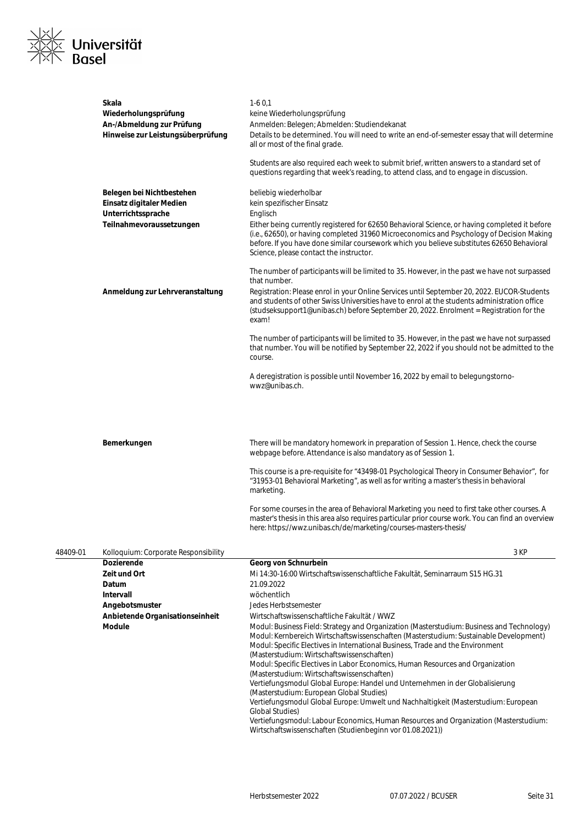

|          | <b>Dozierende</b><br>$7 - 11 - 10 - 10 - 1$                                            | Georg von Schnurbein<br>M1.14.30.14.00 Whitehold of the decoracing filling of Folicities. Considering use C1E UC 31                                                                                                                                                                                                                                                          |
|----------|----------------------------------------------------------------------------------------|------------------------------------------------------------------------------------------------------------------------------------------------------------------------------------------------------------------------------------------------------------------------------------------------------------------------------------------------------------------------------|
| 48409-01 | Kolloquium: Corporate Responsibility                                                   | 3 KP                                                                                                                                                                                                                                                                                                                                                                         |
|          |                                                                                        | For some courses in the area of Behavioral Marketing you need to first take other courses. A<br>master's thesis in this area also requires particular prior course work. You can find an overview<br>here: https://wwz.unibas.ch/de/marketing/courses-masters-thesis/                                                                                                        |
|          |                                                                                        | This course is a pre-requisite for "43498-01 Psychological Theory in Consumer Behavior", for<br>"31953-01 Behavioral Marketing", as well as for writing a master's thesis in behavioral<br>marketing.                                                                                                                                                                        |
|          | Bemerkungen                                                                            | There will be mandatory homework in preparation of Session 1. Hence, check the course<br>webpage before. Attendance is also mandatory as of Session 1.                                                                                                                                                                                                                       |
|          |                                                                                        | A deregistration is possible until November 16, 2022 by email to belegungstorno-<br>wwz@unibas.ch.                                                                                                                                                                                                                                                                           |
|          |                                                                                        | The number of participants will be limited to 35. However, in the past we have not surpassed<br>that number. You will be notified by September 22, 2022 if you should not be admitted to the<br>course.                                                                                                                                                                      |
|          | Anmeldung zur Lehrveranstaltung                                                        | Registration: Please enrol in your Online Services until September 20, 2022. EUCOR-Students<br>and students of other Swiss Universities have to enrol at the students administration office<br>(studseksupport1@unibas.ch) before September 20, 2022. Enrolment = Registration for the<br>exam!                                                                              |
|          |                                                                                        | The number of participants will be limited to 35. However, in the past we have not surpassed<br>that number.                                                                                                                                                                                                                                                                 |
|          | Einsatz digitaler Medien<br>Unterrichtssprache<br>Teilnahmevoraussetzungen             | kein spezifischer Einsatz<br>Englisch<br>Either being currently registered for 62650 Behavioral Science, or having completed it before<br>(i.e., 62650), or having completed 31960 Microeconomics and Psychology of Decision Making<br>before. If you have done similar coursework which you believe substitutes 62650 Behavioral<br>Science, please contact the instructor. |
|          | Belegen bei Nichtbestehen                                                              | questions regarding that week's reading, to attend class, and to engage in discussion.<br>beliebig wiederholbar                                                                                                                                                                                                                                                              |
|          |                                                                                        | Students are also required each week to submit brief, written answers to a standard set of                                                                                                                                                                                                                                                                                   |
|          | Wiederholungsprüfung<br>An-/Abmeldung zur Prüfung<br>Hinweise zur Leistungsüberprüfung | keine Wiederholungsprüfung<br>Anmelden: Belegen; Abmelden: Studiendekanat<br>Details to be determined. You will need to write an end-of-semester essay that will determine<br>all or most of the final grade.                                                                                                                                                                |
|          | <b>Skala</b>                                                                           | $1-60.1$                                                                                                                                                                                                                                                                                                                                                                     |

| <b>Dozierende</b>               | Georg von Schnurbein                                                                                                                                                                                                                                                                                                                                                                                                                                                                                                                                                                                                                                                                                                                                                                                                                                 |
|---------------------------------|------------------------------------------------------------------------------------------------------------------------------------------------------------------------------------------------------------------------------------------------------------------------------------------------------------------------------------------------------------------------------------------------------------------------------------------------------------------------------------------------------------------------------------------------------------------------------------------------------------------------------------------------------------------------------------------------------------------------------------------------------------------------------------------------------------------------------------------------------|
| Zeit und Ort                    | Mi 14:30-16:00 Wirtschaftswissenschaftliche Fakultät, Seminarraum S15 HG.31                                                                                                                                                                                                                                                                                                                                                                                                                                                                                                                                                                                                                                                                                                                                                                          |
| <b>Datum</b>                    | 21.09.2022                                                                                                                                                                                                                                                                                                                                                                                                                                                                                                                                                                                                                                                                                                                                                                                                                                           |
| <b>Intervall</b>                | wöchentlich                                                                                                                                                                                                                                                                                                                                                                                                                                                                                                                                                                                                                                                                                                                                                                                                                                          |
| Angebotsmuster                  | Jedes Herbstsemester                                                                                                                                                                                                                                                                                                                                                                                                                                                                                                                                                                                                                                                                                                                                                                                                                                 |
| Anbietende Organisationseinheit | Wirtschaftswissenschaftliche Fakultät / WWZ                                                                                                                                                                                                                                                                                                                                                                                                                                                                                                                                                                                                                                                                                                                                                                                                          |
| Module                          | Modul: Business Field: Strategy and Organization (Masterstudium: Business and Technology)<br>Modul: Kernbereich Wirtschaftswissenschaften (Masterstudium: Sustainable Development)<br>Modul: Specific Electives in International Business, Trade and the Environment<br>(Masterstudium: Wirtschaftswissenschaften)<br>Modul: Specific Electives in Labor Economics, Human Resources and Organization<br>(Masterstudium: Wirtschaftswissenschaften)<br>Vertiefungsmodul Global Europe: Handel und Unternehmen in der Globalisierung<br>(Masterstudium: European Global Studies)<br>Vertiefungsmodul Global Europe: Umwelt und Nachhaltigkeit (Masterstudium: European<br><b>Global Studies</b> )<br>Vertiefungsmodul: Labour Economics, Human Resources and Organization (Masterstudium:<br>Wirtschaftswissenschaften (Studienbeginn vor 01.08.2021)) |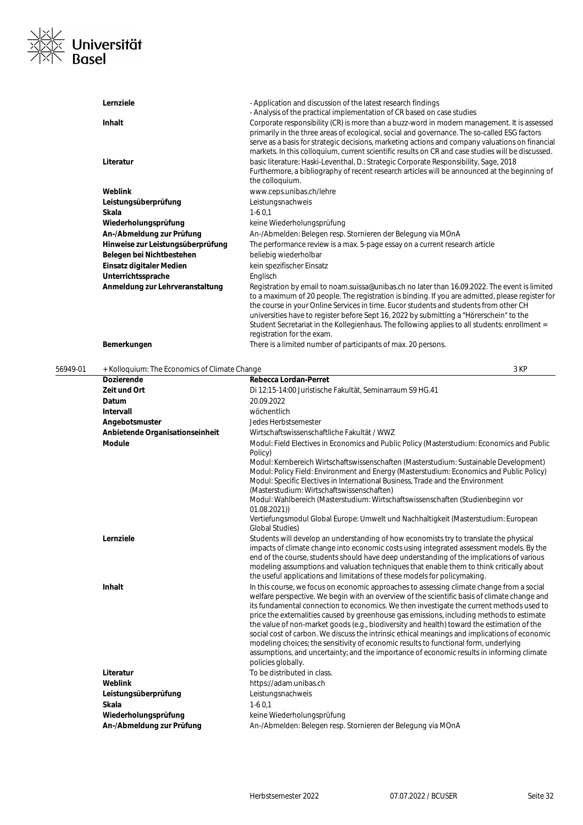

| Lernziele                         | - Application and discussion of the latest research findings                                                                                                                                                                                                                                                                                                                                                                                                                                                         |
|-----------------------------------|----------------------------------------------------------------------------------------------------------------------------------------------------------------------------------------------------------------------------------------------------------------------------------------------------------------------------------------------------------------------------------------------------------------------------------------------------------------------------------------------------------------------|
| Inhalt                            | - Analysis of the practical implementation of CR based on case studies<br>Corporate responsibility (CR) is more than a buzz-word in modern management. It is assessed<br>primarily in the three areas of ecological, social and governance. The so-called ESG factors<br>serve as a basis for strategic decisions, marketing actions and company valuations on financial                                                                                                                                             |
| Literatur                         | markets. In this colloquium, current scientific results on CR and case studies will be discussed.<br>basic literature: Haski-Leventhal, D.: Strategic Corporate Responsibility, Sage, 2018<br>Furthermore, a bibliography of recent research articles will be announced at the beginning of<br>the colloquium.                                                                                                                                                                                                       |
| Weblink                           | www.ceps.unibas.ch/lehre                                                                                                                                                                                                                                                                                                                                                                                                                                                                                             |
| Leistungsüberprüfung              | Leistungsnachweis                                                                                                                                                                                                                                                                                                                                                                                                                                                                                                    |
| Skala                             | $1-60.1$                                                                                                                                                                                                                                                                                                                                                                                                                                                                                                             |
| Wiederholungsprüfung              | keine Wiederholungsprüfung                                                                                                                                                                                                                                                                                                                                                                                                                                                                                           |
| An-/Abmeldung zur Prüfung         | An-/Abmelden: Belegen resp. Stornieren der Belegung via MOnA                                                                                                                                                                                                                                                                                                                                                                                                                                                         |
| Hinweise zur Leistungsüberprüfung | The performance review is a max. 5-page essay on a current research article                                                                                                                                                                                                                                                                                                                                                                                                                                          |
| Belegen bei Nichtbestehen         | beliebig wiederholbar                                                                                                                                                                                                                                                                                                                                                                                                                                                                                                |
| Einsatz digitaler Medien          | kein spezifischer Einsatz                                                                                                                                                                                                                                                                                                                                                                                                                                                                                            |
| Unterrichtssprache                | Englisch                                                                                                                                                                                                                                                                                                                                                                                                                                                                                                             |
| Anmeldung zur Lehrveranstaltung   | Registration by email to noam.suissa@unibas.ch no later than 16.09.2022. The event is limited<br>to a maximum of 20 people. The registration is binding. If you are admitted, please register for<br>the course in your Online Services in time. Eucor students and students from other CH<br>universities have to register before Sept 16, 2022 by submitting a "Hörerschein" to the<br>Student Secretariat in the Kollegienhaus. The following applies to all students: enrollment =<br>registration for the exam. |
| Bemerkungen                       | There is a limited number of participants of max. 20 persons.                                                                                                                                                                                                                                                                                                                                                                                                                                                        |

| + Kolloquium: The Economics of Climate Change |                                                              | 3 KP                                                                                                                                                                                                                                                                                                                                                                                                                                                                                                                                                                                                                                                                                                                                                                                                                                                                                                                                                                                                                                                                                                                                                                                                                                                                                                                                                                                                                                                                                                                                                                                                                                                                                                                                                                                            |
|-----------------------------------------------|--------------------------------------------------------------|-------------------------------------------------------------------------------------------------------------------------------------------------------------------------------------------------------------------------------------------------------------------------------------------------------------------------------------------------------------------------------------------------------------------------------------------------------------------------------------------------------------------------------------------------------------------------------------------------------------------------------------------------------------------------------------------------------------------------------------------------------------------------------------------------------------------------------------------------------------------------------------------------------------------------------------------------------------------------------------------------------------------------------------------------------------------------------------------------------------------------------------------------------------------------------------------------------------------------------------------------------------------------------------------------------------------------------------------------------------------------------------------------------------------------------------------------------------------------------------------------------------------------------------------------------------------------------------------------------------------------------------------------------------------------------------------------------------------------------------------------------------------------------------------------|
| <b>Dozierende</b>                             | Rebecca Lordan-Perret                                        |                                                                                                                                                                                                                                                                                                                                                                                                                                                                                                                                                                                                                                                                                                                                                                                                                                                                                                                                                                                                                                                                                                                                                                                                                                                                                                                                                                                                                                                                                                                                                                                                                                                                                                                                                                                                 |
| Zeit und Ort                                  | Di 12:15-14:00 Juristische Fakultät, Seminarraum S9 HG.41    |                                                                                                                                                                                                                                                                                                                                                                                                                                                                                                                                                                                                                                                                                                                                                                                                                                                                                                                                                                                                                                                                                                                                                                                                                                                                                                                                                                                                                                                                                                                                                                                                                                                                                                                                                                                                 |
| Datum                                         | 20.09.2022                                                   |                                                                                                                                                                                                                                                                                                                                                                                                                                                                                                                                                                                                                                                                                                                                                                                                                                                                                                                                                                                                                                                                                                                                                                                                                                                                                                                                                                                                                                                                                                                                                                                                                                                                                                                                                                                                 |
| <b>Intervall</b>                              | wöchentlich                                                  |                                                                                                                                                                                                                                                                                                                                                                                                                                                                                                                                                                                                                                                                                                                                                                                                                                                                                                                                                                                                                                                                                                                                                                                                                                                                                                                                                                                                                                                                                                                                                                                                                                                                                                                                                                                                 |
| Angebotsmuster                                | Jedes Herbstsemester                                         |                                                                                                                                                                                                                                                                                                                                                                                                                                                                                                                                                                                                                                                                                                                                                                                                                                                                                                                                                                                                                                                                                                                                                                                                                                                                                                                                                                                                                                                                                                                                                                                                                                                                                                                                                                                                 |
| Anbietende Organisationseinheit               | Wirtschaftswissenschaftliche Fakultät / WWZ                  |                                                                                                                                                                                                                                                                                                                                                                                                                                                                                                                                                                                                                                                                                                                                                                                                                                                                                                                                                                                                                                                                                                                                                                                                                                                                                                                                                                                                                                                                                                                                                                                                                                                                                                                                                                                                 |
| <b>Module</b>                                 | Policy)                                                      |                                                                                                                                                                                                                                                                                                                                                                                                                                                                                                                                                                                                                                                                                                                                                                                                                                                                                                                                                                                                                                                                                                                                                                                                                                                                                                                                                                                                                                                                                                                                                                                                                                                                                                                                                                                                 |
|                                               | (Masterstudium: Wirtschaftswissenschaften)                   |                                                                                                                                                                                                                                                                                                                                                                                                                                                                                                                                                                                                                                                                                                                                                                                                                                                                                                                                                                                                                                                                                                                                                                                                                                                                                                                                                                                                                                                                                                                                                                                                                                                                                                                                                                                                 |
|                                               |                                                              |                                                                                                                                                                                                                                                                                                                                                                                                                                                                                                                                                                                                                                                                                                                                                                                                                                                                                                                                                                                                                                                                                                                                                                                                                                                                                                                                                                                                                                                                                                                                                                                                                                                                                                                                                                                                 |
|                                               | <b>Global Studies</b> )                                      |                                                                                                                                                                                                                                                                                                                                                                                                                                                                                                                                                                                                                                                                                                                                                                                                                                                                                                                                                                                                                                                                                                                                                                                                                                                                                                                                                                                                                                                                                                                                                                                                                                                                                                                                                                                                 |
| Lernziele                                     |                                                              |                                                                                                                                                                                                                                                                                                                                                                                                                                                                                                                                                                                                                                                                                                                                                                                                                                                                                                                                                                                                                                                                                                                                                                                                                                                                                                                                                                                                                                                                                                                                                                                                                                                                                                                                                                                                 |
| Inhalt                                        | policies globally.                                           |                                                                                                                                                                                                                                                                                                                                                                                                                                                                                                                                                                                                                                                                                                                                                                                                                                                                                                                                                                                                                                                                                                                                                                                                                                                                                                                                                                                                                                                                                                                                                                                                                                                                                                                                                                                                 |
| Literatur                                     | To be distributed in class.                                  |                                                                                                                                                                                                                                                                                                                                                                                                                                                                                                                                                                                                                                                                                                                                                                                                                                                                                                                                                                                                                                                                                                                                                                                                                                                                                                                                                                                                                                                                                                                                                                                                                                                                                                                                                                                                 |
| Weblink                                       | https://adam.unibas.ch                                       |                                                                                                                                                                                                                                                                                                                                                                                                                                                                                                                                                                                                                                                                                                                                                                                                                                                                                                                                                                                                                                                                                                                                                                                                                                                                                                                                                                                                                                                                                                                                                                                                                                                                                                                                                                                                 |
| Leistungsüberprüfung                          | Leistungsnachweis                                            |                                                                                                                                                                                                                                                                                                                                                                                                                                                                                                                                                                                                                                                                                                                                                                                                                                                                                                                                                                                                                                                                                                                                                                                                                                                                                                                                                                                                                                                                                                                                                                                                                                                                                                                                                                                                 |
| <b>Skala</b>                                  | $1-60,1$                                                     |                                                                                                                                                                                                                                                                                                                                                                                                                                                                                                                                                                                                                                                                                                                                                                                                                                                                                                                                                                                                                                                                                                                                                                                                                                                                                                                                                                                                                                                                                                                                                                                                                                                                                                                                                                                                 |
| Wiederholungsprüfung                          | keine Wiederholungsprüfung                                   |                                                                                                                                                                                                                                                                                                                                                                                                                                                                                                                                                                                                                                                                                                                                                                                                                                                                                                                                                                                                                                                                                                                                                                                                                                                                                                                                                                                                                                                                                                                                                                                                                                                                                                                                                                                                 |
| An-/Abmeldung zur Prüfung                     | An-/Abmelden: Belegen resp. Stornieren der Belegung via MOnA |                                                                                                                                                                                                                                                                                                                                                                                                                                                                                                                                                                                                                                                                                                                                                                                                                                                                                                                                                                                                                                                                                                                                                                                                                                                                                                                                                                                                                                                                                                                                                                                                                                                                                                                                                                                                 |
|                                               |                                                              | Modul: Field Electives in Economics and Public Policy (Masterstudium: Economics and Public<br>Modul: Kernbereich Wirtschaftswissenschaften (Masterstudium: Sustainable Development)<br>Modul: Policy Field: Environment and Energy (Masterstudium: Economics and Public Policy)<br>Modul: Specific Electives in International Business, Trade and the Environment<br>Modul: Wahlbereich (Masterstudium: Wirtschaftswissenschaften (Studienbeginn vor<br>01.08.2021)<br>Vertiefungsmodul Global Europe: Umwelt und Nachhaltigkeit (Masterstudium: European<br>Students will develop an understanding of how economists try to translate the physical<br>impacts of climate change into economic costs using integrated assessment models. By the<br>end of the course, students should have deep understanding of the implications of various<br>modeling assumptions and valuation techniques that enable them to think critically about<br>the useful applications and limitations of these models for policymaking.<br>In this course, we focus on economic approaches to assessing climate change from a social<br>welfare perspective. We begin with an overview of the scientific basis of climate change and<br>its fundamental connection to economics. We then investigate the current methods used to<br>price the externalities caused by greenhouse gas emissions, including methods to estimate<br>the value of non-market goods (e.g., biodiversity and health) toward the estimation of the<br>social cost of carbon. We discuss the intrinsic ethical meanings and implications of economic<br>modeling choices; the sensitivity of economic results to functional form, underlying<br>assumptions, and uncertainty; and the importance of economic results in informing climate |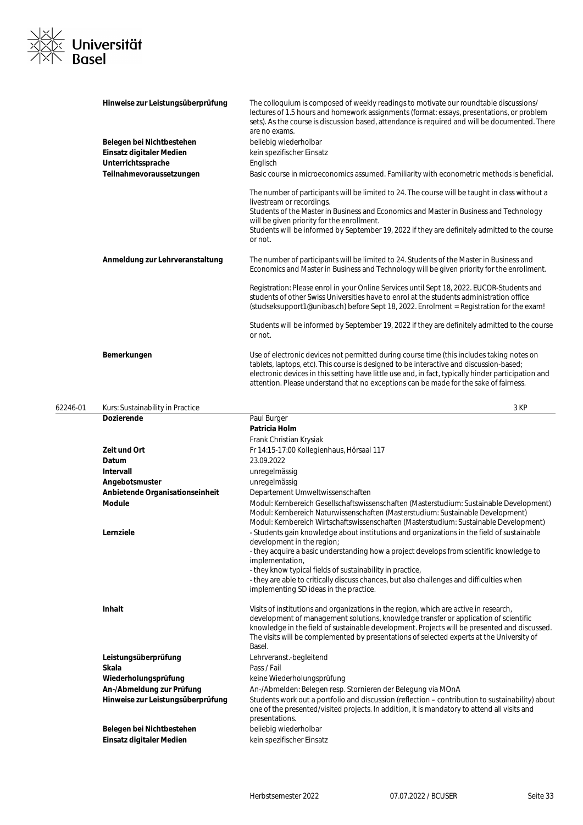

|          | Hinweise zur Leistungsüberprüfung | The colloquium is composed of weekly readings to motivate our roundtable discussions/<br>lectures of 1.5 hours and homework assignments (format: essays, presentations, or problem<br>sets). As the course is discussion based, attendance is required and will be documented. There<br>are no exams.                                                                                |
|----------|-----------------------------------|--------------------------------------------------------------------------------------------------------------------------------------------------------------------------------------------------------------------------------------------------------------------------------------------------------------------------------------------------------------------------------------|
|          | Belegen bei Nichtbestehen         | beliebig wiederholbar                                                                                                                                                                                                                                                                                                                                                                |
|          | Einsatz digitaler Medien          | kein spezifischer Einsatz                                                                                                                                                                                                                                                                                                                                                            |
|          | Unterrichtssprache                | Englisch                                                                                                                                                                                                                                                                                                                                                                             |
|          | Teilnahmevoraussetzungen          | Basic course in microeconomics assumed. Familiarity with econometric methods is beneficial.                                                                                                                                                                                                                                                                                          |
|          |                                   | The number of participants will be limited to 24. The course will be taught in class without a<br>livestream or recordings.<br>Students of the Master in Business and Economics and Master in Business and Technology<br>will be given priority for the enrollment.<br>Students will be informed by September 19, 2022 if they are definitely admitted to the course<br>or not.      |
|          | Anmeldung zur Lehrveranstaltung   | The number of participants will be limited to 24. Students of the Master in Business and<br>Economics and Master in Business and Technology will be given priority for the enrollment.                                                                                                                                                                                               |
|          |                                   | Registration: Please enrol in your Online Services until Sept 18, 2022. EUCOR-Students and<br>students of other Swiss Universities have to enrol at the students administration office<br>(studseksupport1@unibas.ch) before Sept 18, 2022. Enrolment = Registration for the exam!                                                                                                   |
|          |                                   | Students will be informed by September 19, 2022 if they are definitely admitted to the course<br>or not.                                                                                                                                                                                                                                                                             |
|          | Bemerkungen                       | Use of electronic devices not permitted during course time (this includes taking notes on<br>tablets, laptops, etc). This course is designed to be interactive and discussion-based;<br>electronic devices in this setting have little use and, in fact, typically hinder participation and<br>attention. Please understand that no exceptions can be made for the sake of fairness. |
| 62246-01 | Kurs: Sustainability in Practice  | 3 KP                                                                                                                                                                                                                                                                                                                                                                                 |
|          | <b>Dozierende</b>                 | Paul Burger                                                                                                                                                                                                                                                                                                                                                                          |
|          |                                   | Patricia Holm                                                                                                                                                                                                                                                                                                                                                                        |
|          |                                   | Frank Christian Krysiak                                                                                                                                                                                                                                                                                                                                                              |
|          | Zeit und Ort                      | Fr 14:15-17:00 Kollegienhaus, Hörsaal 117                                                                                                                                                                                                                                                                                                                                            |
|          | Datum                             | 23.09.2022                                                                                                                                                                                                                                                                                                                                                                           |
|          | <b>Intervall</b>                  | unregelmässig                                                                                                                                                                                                                                                                                                                                                                        |
|          | Angebotsmuster                    | unregelmässig                                                                                                                                                                                                                                                                                                                                                                        |
|          | Anbietende Organisationseinheit   | Departement Umweltwissenschaften                                                                                                                                                                                                                                                                                                                                                     |
|          | <b>Module</b>                     | Modul: Kernbereich Gesellschaftswissenschaften (Masterstudium: Sustainable Development)<br>Modul: Kernbereich Naturwissenschaften (Masterstudium: Sustainable Development)<br>Modul: Kernbereich Wirtschaftswissenschaften (Masterstudium: Sustainable Development)                                                                                                                  |
|          | Lernziele                         | - Students gain knowledge about institutions and organizations in the field of sustainable<br>development in the region;<br>- they acquire a basic understanding how a project develops from scientific knowledge to<br>implementation,                                                                                                                                              |
|          |                                   | - they know typical fields of sustainability in practice,<br>- they are able to critically discuss chances, but also challenges and difficulties when<br>implementing SD ideas in the practice.                                                                                                                                                                                      |

|                                   | miptomontmig op racas in the practice.                                                                                                                                                                                                                                                                                                                                               |
|-----------------------------------|--------------------------------------------------------------------------------------------------------------------------------------------------------------------------------------------------------------------------------------------------------------------------------------------------------------------------------------------------------------------------------------|
| <b>Inhalt</b>                     | Visits of institutions and organizations in the region, which are active in research,<br>development of management solutions, knowledge transfer or application of scientific<br>knowledge in the field of sustainable development. Projects will be presented and discussed.<br>The visits will be complemented by presentations of selected experts at the University of<br>Basel. |
| Leistungsüberprüfung              | Lehrveranst.-begleitend                                                                                                                                                                                                                                                                                                                                                              |
| Skala                             | Pass / Fail                                                                                                                                                                                                                                                                                                                                                                          |
| Wiederholungsprüfung              | keine Wiederholungsprüfung                                                                                                                                                                                                                                                                                                                                                           |
| An-/Abmeldung zur Prüfung         | An-/Abmelden: Belegen resp. Stornieren der Belegung via MOnA                                                                                                                                                                                                                                                                                                                         |
| Hinweise zur Leistungsüberprüfung | Students work out a portfolio and discussion (reflection – contribution to sustainability) about<br>one of the presented/visited projects. In addition, it is mandatory to attend all visits and<br>presentations.                                                                                                                                                                   |
| Belegen bei Nichtbestehen         | beliebig wiederholbar                                                                                                                                                                                                                                                                                                                                                                |
| Einsatz digitaler Medien          | kein spezifischer Einsatz                                                                                                                                                                                                                                                                                                                                                            |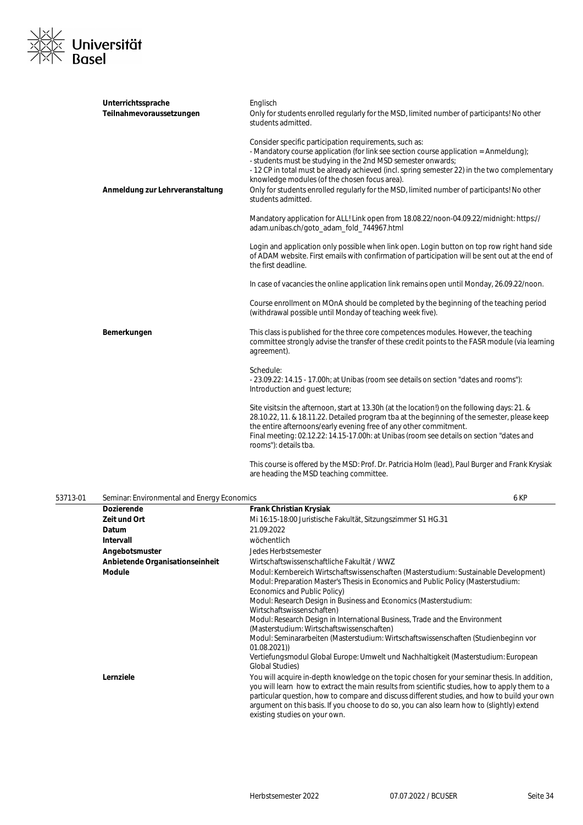

| Unterrichtssprache              | Englisch                                                                                                                                                                                                                                                                                                                                                                                                                                                                             |
|---------------------------------|--------------------------------------------------------------------------------------------------------------------------------------------------------------------------------------------------------------------------------------------------------------------------------------------------------------------------------------------------------------------------------------------------------------------------------------------------------------------------------------|
| Teilnahmevoraussetzungen        | Only for students enrolled regularly for the MSD, limited number of participants! No other<br>students admitted.                                                                                                                                                                                                                                                                                                                                                                     |
| Anmeldung zur Lehrveranstaltung | Consider specific participation requirements, such as:<br>- Mandatory course application (for link see section course application = Anmeldung);<br>- students must be studying in the 2nd MSD semester onwards;<br>-12 CP in total must be already achieved (incl. spring semester 22) in the two complementary<br>knowledge modules (of the chosen focus area).<br>Only for students enrolled regularly for the MSD, limited number of participants! No other<br>students admitted. |
|                                 | Mandatory application for ALL! Link open from 18.08.22/noon-04.09.22/midnight: https://<br>adam.unibas.ch/goto_adam_fold_744967.html                                                                                                                                                                                                                                                                                                                                                 |
|                                 | Login and application only possible when link open. Login button on top row right hand side<br>of ADAM website. First emails with confirmation of participation will be sent out at the end of<br>the first deadline.                                                                                                                                                                                                                                                                |
|                                 | In case of vacancies the online application link remains open until Monday, 26.09.22/noon.                                                                                                                                                                                                                                                                                                                                                                                           |
|                                 | Course enrollment on MOnA should be completed by the beginning of the teaching period<br>(withdrawal possible until Monday of teaching week five).                                                                                                                                                                                                                                                                                                                                   |
| Bemerkungen                     | This class is published for the three core competences modules. However, the teaching<br>committee strongly advise the transfer of these credit points to the FASR module (via learning<br>agreement).                                                                                                                                                                                                                                                                               |
|                                 | Schedule:<br>- 23.09.22: 14.15 - 17.00h; at Unibas (room see details on section "dates and rooms"):<br>Introduction and quest lecture;                                                                                                                                                                                                                                                                                                                                               |
|                                 | Site visits: in the afternoon, start at 13.30h (at the location!) on the following days: 21. &<br>28.10.22, 11. & 18.11.22. Detailed program tba at the beginning of the semester, please keep<br>the entire afternoons/early evening free of any other commitment.<br>Final meeting: 02.12.22: 14.15-17.00h: at Unibas (room see details on section "dates and<br>rooms"): details tba.                                                                                             |
|                                 | This course is offered by the MSD: Prof. Dr. Patricia Holm (lead), Paul Burger and Frank Krysiak<br>are heading the MSD teaching committee.                                                                                                                                                                                                                                                                                                                                          |

| 53713-01 | Seminar: Environmental and Energy Economics |                                                                                                                                                                                                                                                                                                                                                                                                                                                                                                                                                                                                                                                                 | 6 KP |
|----------|---------------------------------------------|-----------------------------------------------------------------------------------------------------------------------------------------------------------------------------------------------------------------------------------------------------------------------------------------------------------------------------------------------------------------------------------------------------------------------------------------------------------------------------------------------------------------------------------------------------------------------------------------------------------------------------------------------------------------|------|
|          | <b>Dozierende</b>                           | <b>Frank Christian Krysiak</b>                                                                                                                                                                                                                                                                                                                                                                                                                                                                                                                                                                                                                                  |      |
|          | Zeit und Ort                                | Mi 16:15-18:00 Juristische Fakultät, Sitzungszimmer S1 HG.31                                                                                                                                                                                                                                                                                                                                                                                                                                                                                                                                                                                                    |      |
|          | Datum                                       | 21.09.2022                                                                                                                                                                                                                                                                                                                                                                                                                                                                                                                                                                                                                                                      |      |
|          | Intervall                                   | wöchentlich                                                                                                                                                                                                                                                                                                                                                                                                                                                                                                                                                                                                                                                     |      |
|          | Angebotsmuster                              | Jedes Herbstsemester                                                                                                                                                                                                                                                                                                                                                                                                                                                                                                                                                                                                                                            |      |
|          | Anbietende Organisationseinheit             | Wirtschaftswissenschaftliche Fakultät / WWZ                                                                                                                                                                                                                                                                                                                                                                                                                                                                                                                                                                                                                     |      |
|          | <b>Module</b>                               | Modul: Kernbereich Wirtschaftswissenschaften (Masterstudium: Sustainable Development)<br>Modul: Preparation Master's Thesis in Economics and Public Policy (Masterstudium:<br>Economics and Public Policy)<br>Modul: Research Design in Business and Economics (Masterstudium:<br>Wirtschaftswissenschaften)<br>Modul: Research Design in International Business, Trade and the Environment<br>(Masterstudium: Wirtschaftswissenschaften)<br>Modul: Seminararbeiten (Masterstudium: Wirtschaftswissenschaften (Studienbeginn vor<br>01.08.2021)<br>Vertiefungsmodul Global Europe: Umwelt und Nachhaltigkeit (Masterstudium: European<br><b>Global Studies)</b> |      |
|          | Lernziele                                   | You will acquire in-depth knowledge on the topic chosen for your seminar thesis. In addition,<br>you will learn how to extract the main results from scientific studies, how to apply them to a<br>particular question, how to compare and discuss different studies, and how to build your own<br>argument on this basis. If you choose to do so, you can also learn how to (slightly) extend<br>existing studies on your own.                                                                                                                                                                                                                                 |      |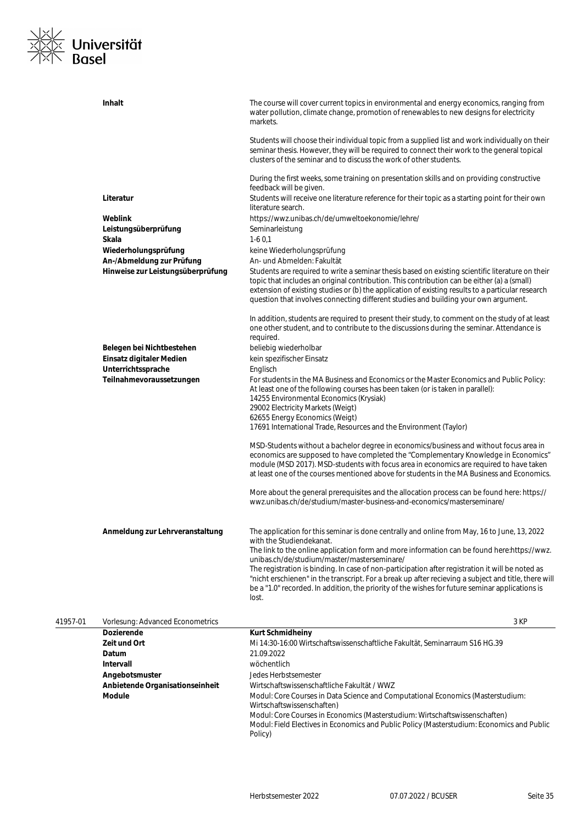

|          | Inhalt                            | The course will cover current topics in environmental and energy economics, ranging from<br>water pollution, climate change, promotion of renewables to new designs for electricity<br>markets.                                                                                                                                                                                             |
|----------|-----------------------------------|---------------------------------------------------------------------------------------------------------------------------------------------------------------------------------------------------------------------------------------------------------------------------------------------------------------------------------------------------------------------------------------------|
|          |                                   | Students will choose their individual topic from a supplied list and work individually on their<br>seminar thesis. However, they will be required to connect their work to the general topical<br>clusters of the seminar and to discuss the work of other students.                                                                                                                        |
|          |                                   | During the first weeks, some training on presentation skills and on providing constructive<br>feedback will be given.                                                                                                                                                                                                                                                                       |
|          | Literatur                         | Students will receive one literature reference for their topic as a starting point for their own<br>literature search.                                                                                                                                                                                                                                                                      |
|          | Weblink                           | https://wwz.unibas.ch/de/umweltoekonomie/lehre/                                                                                                                                                                                                                                                                                                                                             |
|          | Leistungsüberprüfung              | Seminarleistung                                                                                                                                                                                                                                                                                                                                                                             |
|          | Skala                             | $1-60,1$                                                                                                                                                                                                                                                                                                                                                                                    |
|          | Wiederholungsprüfung              | keine Wiederholungsprüfung                                                                                                                                                                                                                                                                                                                                                                  |
|          | An-/Abmeldung zur Prüfung         | An- und Abmelden: Fakultät                                                                                                                                                                                                                                                                                                                                                                  |
|          | Hinweise zur Leistungsüberprüfung | Students are required to write a seminar thesis based on existing scientific literature on their<br>topic that includes an original contribution. This contribution can be either (a) a (small)<br>extension of existing studies or (b) the application of existing results to a particular research<br>question that involves connecting different studies and building your own argument. |
|          |                                   | In addition, students are required to present their study, to comment on the study of at least<br>one other student, and to contribute to the discussions during the seminar. Attendance is<br>required.                                                                                                                                                                                    |
|          | Belegen bei Nichtbestehen         | beliebig wiederholbar                                                                                                                                                                                                                                                                                                                                                                       |
|          | Einsatz digitaler Medien          | kein spezifischer Einsatz                                                                                                                                                                                                                                                                                                                                                                   |
|          | Unterrichtssprache                | Englisch                                                                                                                                                                                                                                                                                                                                                                                    |
|          | Teilnahmevoraussetzungen          | For students in the MA Business and Economics or the Master Economics and Public Policy:<br>At least one of the following courses has been taken (or is taken in parallel):<br>14255 Environmental Economics (Krysiak)<br>29002 Electricity Markets (Weigt)                                                                                                                                 |
|          |                                   | 62655 Energy Economics (Weigt)<br>17691 International Trade, Resources and the Environment (Taylor)                                                                                                                                                                                                                                                                                         |
|          |                                   | MSD-Students without a bachelor degree in economics/business and without focus area in<br>economics are supposed to have completed the "Complementary Knowledge in Economics"<br>module (MSD 2017). MSD-students with focus area in economics are required to have taken<br>at least one of the courses mentioned above for students in the MA Business and Economics.                      |
|          |                                   | More about the general prerequisites and the allocation process can be found here: https://<br>wwz.unibas.ch/de/studium/master-business-and-economics/masterseminare/                                                                                                                                                                                                                       |
|          | Anmeldung zur Lehrveranstaltung   | The application for this seminar is done centrally and online from May, 16 to June, 13, 2022<br>with the Studiendekanat.                                                                                                                                                                                                                                                                    |
|          |                                   | The link to the online application form and more information can be found here:https://wwz.<br>unibas.ch/de/studium/master/masterseminare/<br>The registration is binding. In case of non-participation after registration it will be noted as<br>"nicht erschienen" in the transcript. For a break up after recieving a subject and title, there will                                      |
|          |                                   | be a "1.0" recorded. In addition, the priority of the wishes for future seminar applications is<br>lost.                                                                                                                                                                                                                                                                                    |
| 41957-01 | Vorlesung: Advanced Econometrics  | 3 KP                                                                                                                                                                                                                                                                                                                                                                                        |
|          | Dozierende                        | <b>Kurt Schmidheiny</b>                                                                                                                                                                                                                                                                                                                                                                     |
|          | Zeit und Ort                      | Mi 14:30-16:00 Wirtschaftswissenschaftliche Fakultät, Seminarraum S16 HG.39                                                                                                                                                                                                                                                                                                                 |
|          | Datum                             | 21.09.2022                                                                                                                                                                                                                                                                                                                                                                                  |
|          | <b>Intervall</b>                  | wöchentlich                                                                                                                                                                                                                                                                                                                                                                                 |
|          | Angebotsmuster                    | Jedes Herbstsemester                                                                                                                                                                                                                                                                                                                                                                        |
|          | Anbietende Organisationseinheit   | Wirtschaftswissenschaftliche Fakultät / WWZ                                                                                                                                                                                                                                                                                                                                                 |
|          | <b>Module</b>                     | Modul: Core Courses in Data Science and Computational Economics (Masterstudium:<br>Wirtschaftswissenschaften)                                                                                                                                                                                                                                                                               |
|          |                                   | Modul: Core Courses in Economics (Masterstudium: Wirtschaftswissenschaften)<br>Modul: Field Electives in Economics and Public Policy (Masterstudium: Economics and Public                                                                                                                                                                                                                   |

Policy)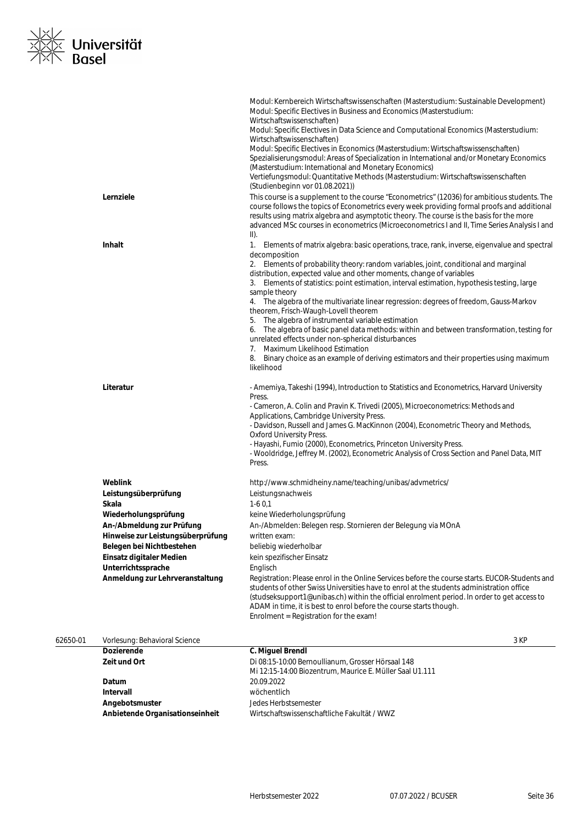

|          | Lernziele                         | Modul: Kernbereich Wirtschaftswissenschaften (Masterstudium: Sustainable Development)<br>Modul: Specific Electives in Business and Economics (Masterstudium:<br>Wirtschaftswissenschaften)<br>Modul: Specific Electives in Data Science and Computational Economics (Masterstudium:<br>Wirtschaftswissenschaften)<br>Modul: Specific Electives in Economics (Masterstudium: Wirtschaftswissenschaften)<br>Spezialisierungsmodul: Areas of Specialization in International and/or Monetary Economics<br>(Masterstudium: International and Monetary Economics)<br>Vertiefungsmodul: Quantitative Methods (Masterstudium: Wirtschaftswissenschaften<br>(Studienbeginn vor 01.08.2021))<br>This course is a supplement to the course "Econometrics" (12036) for ambitious students. The<br>course follows the topics of Econometrics every week providing formal proofs and additional<br>results using matrix algebra and asymptotic theory. The course is the basis for the more |
|----------|-----------------------------------|--------------------------------------------------------------------------------------------------------------------------------------------------------------------------------------------------------------------------------------------------------------------------------------------------------------------------------------------------------------------------------------------------------------------------------------------------------------------------------------------------------------------------------------------------------------------------------------------------------------------------------------------------------------------------------------------------------------------------------------------------------------------------------------------------------------------------------------------------------------------------------------------------------------------------------------------------------------------------------|
|          |                                   | advanced MSc courses in econometrics (Microeconometrics I and II, Time Series Analysis I and<br>II).                                                                                                                                                                                                                                                                                                                                                                                                                                                                                                                                                                                                                                                                                                                                                                                                                                                                           |
|          | <b>Inhalt</b>                     | 1. Elements of matrix algebra: basic operations, trace, rank, inverse, eigenvalue and spectral<br>decomposition<br>2. Elements of probability theory: random variables, joint, conditional and marginal<br>distribution, expected value and other moments, change of variables<br>3. Elements of statistics: point estimation, interval estimation, hypothesis testing, large<br>sample theory<br>4. The algebra of the multivariate linear regression: degrees of freedom, Gauss-Markov<br>theorem, Frisch-Waugh-Lovell theorem<br>5. The algebra of instrumental variable estimation<br>6. The algebra of basic panel data methods: within and between transformation, testing for<br>unrelated effects under non-spherical disturbances<br>7. Maximum Likelihood Estimation<br>8. Binary choice as an example of deriving estimators and their properties using maximum<br>likelihood                                                                                       |
|          | Literatur                         | - Amemiya, Takeshi (1994), Introduction to Statistics and Econometrics, Harvard University<br>Press.<br>- Cameron, A. Colin and Pravin K. Trivedi (2005), Microeconometrics: Methods and<br>Applications, Cambridge University Press.<br>- Davidson, Russell and James G. MacKinnon (2004), Econometric Theory and Methods,<br><b>Oxford University Press.</b><br>- Hayashi, Fumio (2000), Econometrics, Princeton University Press.<br>- Wooldridge, Jeffrey M. (2002), Econometric Analysis of Cross Section and Panel Data, MIT<br>Press.                                                                                                                                                                                                                                                                                                                                                                                                                                   |
|          | <b>Weblink</b>                    | http://www.schmidheiny.name/teaching/unibas/advmetrics/                                                                                                                                                                                                                                                                                                                                                                                                                                                                                                                                                                                                                                                                                                                                                                                                                                                                                                                        |
|          | Leistungsüberprüfung              | Leistungsnachweis                                                                                                                                                                                                                                                                                                                                                                                                                                                                                                                                                                                                                                                                                                                                                                                                                                                                                                                                                              |
|          | Skala                             | $1-60,1$                                                                                                                                                                                                                                                                                                                                                                                                                                                                                                                                                                                                                                                                                                                                                                                                                                                                                                                                                                       |
|          | Wiederholungsprüfung              | keine Wiederholungsprüfung                                                                                                                                                                                                                                                                                                                                                                                                                                                                                                                                                                                                                                                                                                                                                                                                                                                                                                                                                     |
|          | An-/Abmeldung zur Prüfung         | An-/Abmelden: Belegen resp. Stornieren der Belegung via MOnA                                                                                                                                                                                                                                                                                                                                                                                                                                                                                                                                                                                                                                                                                                                                                                                                                                                                                                                   |
|          | Hinweise zur Leistungsüberprüfung | written exam:                                                                                                                                                                                                                                                                                                                                                                                                                                                                                                                                                                                                                                                                                                                                                                                                                                                                                                                                                                  |
|          | Belegen bei Nichtbestehen         | beliebig wiederholbar                                                                                                                                                                                                                                                                                                                                                                                                                                                                                                                                                                                                                                                                                                                                                                                                                                                                                                                                                          |
|          | Einsatz digitaler Medien          | kein spezifischer Einsatz                                                                                                                                                                                                                                                                                                                                                                                                                                                                                                                                                                                                                                                                                                                                                                                                                                                                                                                                                      |
|          | Unterrichtssprache                | Englisch                                                                                                                                                                                                                                                                                                                                                                                                                                                                                                                                                                                                                                                                                                                                                                                                                                                                                                                                                                       |
|          | Anmeldung zur Lehrveranstaltung   | Registration: Please enrol in the Online Services before the course starts. EUCOR-Students and<br>students of other Swiss Universities have to enrol at the students administration office<br>(studseksupport1@unibas.ch) within the official enrolment period. In order to get access to<br>ADAM in time, it is best to enrol before the course starts though.<br>Enrolment = Registration for the exam!                                                                                                                                                                                                                                                                                                                                                                                                                                                                                                                                                                      |
| 62650-01 | Vorlesung: Behavioral Science     | 3 KP                                                                                                                                                                                                                                                                                                                                                                                                                                                                                                                                                                                                                                                                                                                                                                                                                                                                                                                                                                           |
|          | <b>Dozierende</b>                 | C. Miguel Brendl                                                                                                                                                                                                                                                                                                                                                                                                                                                                                                                                                                                                                                                                                                                                                                                                                                                                                                                                                               |
|          | Zeit und Ort                      | Di 08:15-10:00 Bernoullianum, Grosser Hörsaal 148<br>Mi 12:15-14:00 Biozentrum, Maurice E. Müller Saal U1.111                                                                                                                                                                                                                                                                                                                                                                                                                                                                                                                                                                                                                                                                                                                                                                                                                                                                  |
|          | Datum                             | 20.09.2022                                                                                                                                                                                                                                                                                                                                                                                                                                                                                                                                                                                                                                                                                                                                                                                                                                                                                                                                                                     |
|          | Intervall                         | wöchentlich                                                                                                                                                                                                                                                                                                                                                                                                                                                                                                                                                                                                                                                                                                                                                                                                                                                                                                                                                                    |
|          | Angebotsmuster                    | Jedes Herbstsemester                                                                                                                                                                                                                                                                                                                                                                                                                                                                                                                                                                                                                                                                                                                                                                                                                                                                                                                                                           |
|          | Anbietende Organisationseinheit   | Wirtschaftswissenschaftliche Fakultät / WWZ                                                                                                                                                                                                                                                                                                                                                                                                                                                                                                                                                                                                                                                                                                                                                                                                                                                                                                                                    |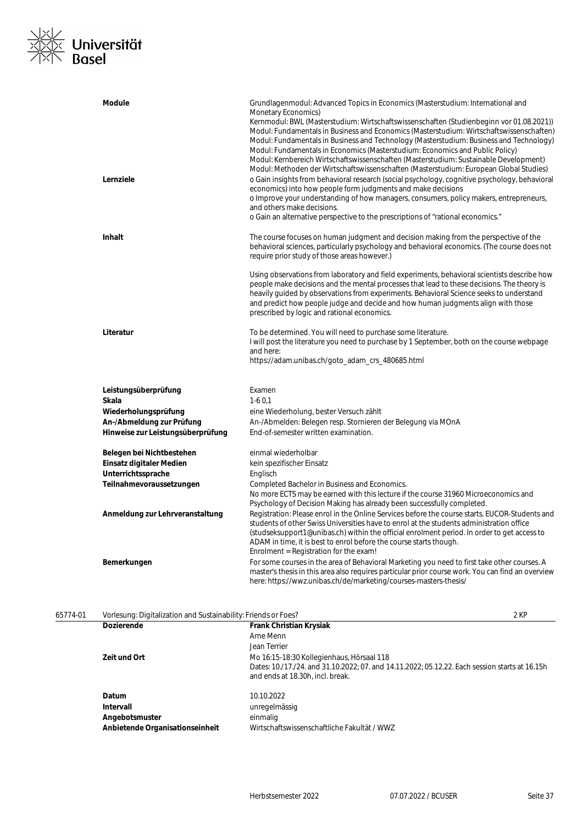### ※∠<br>※≪ Universität<br>※下 Basel  $\frac{1}{x}$

| <b>Module</b>                     | Grundlagenmodul: Advanced Topics in Economics (Masterstudium: International and<br>Monetary Economics)<br>Kernmodul: BWL (Masterstudium: Wirtschaftswissenschaften (Studienbeginn vor 01.08.2021))<br>Modul: Fundamentals in Business and Economics (Masterstudium: Wirtschaftswissenschaften)<br>Modul: Fundamentals in Business and Technology (Masterstudium: Business and Technology)<br>Modul: Fundamentals in Economics (Masterstudium: Economics and Public Policy)<br>Modul: Kernbereich Wirtschaftswissenschaften (Masterstudium: Sustainable Development)<br>Modul: Methoden der Wirtschaftswissenschaften (Masterstudium: European Global Studies) |
|-----------------------------------|---------------------------------------------------------------------------------------------------------------------------------------------------------------------------------------------------------------------------------------------------------------------------------------------------------------------------------------------------------------------------------------------------------------------------------------------------------------------------------------------------------------------------------------------------------------------------------------------------------------------------------------------------------------|
| Lernziele                         | o Gain insights from behavioral research (social psychology, cognitive psychology, behavioral<br>economics) into how people form judgments and make decisions<br>o Improve your understanding of how managers, consumers, policy makers, entrepreneurs,<br>and others make decisions.<br>o Gain an alternative perspective to the prescriptions of "rational economics."                                                                                                                                                                                                                                                                                      |
| <b>Inhalt</b>                     | The course focuses on human judgment and decision making from the perspective of the<br>behavioral sciences, particularly psychology and behavioral economics. (The course does not<br>require prior study of those areas however.)                                                                                                                                                                                                                                                                                                                                                                                                                           |
|                                   | Using observations from laboratory and field experiments, behavioral scientists describe how<br>people make decisions and the mental processes that lead to these decisions. The theory is<br>heavily guided by observations from experiments. Behavioral Science seeks to understand<br>and predict how people judge and decide and how human judgments align with those<br>prescribed by logic and rational economics.                                                                                                                                                                                                                                      |
| Literatur                         | To be determined. You will need to purchase some literature.<br>I will post the literature you need to purchase by 1 September, both on the course webpage<br>and here:<br>https://adam.unibas.ch/goto_adam_crs_480685.html                                                                                                                                                                                                                                                                                                                                                                                                                                   |
| Leistungsüberprüfung              | Examen                                                                                                                                                                                                                                                                                                                                                                                                                                                                                                                                                                                                                                                        |
| Skala                             | $1-60,1$                                                                                                                                                                                                                                                                                                                                                                                                                                                                                                                                                                                                                                                      |
| Wiederholungsprüfung              | eine Wiederholung, bester Versuch zählt                                                                                                                                                                                                                                                                                                                                                                                                                                                                                                                                                                                                                       |
| An-/Abmeldung zur Prüfung         | An-/Abmelden: Belegen resp. Stornieren der Belegung via MOnA                                                                                                                                                                                                                                                                                                                                                                                                                                                                                                                                                                                                  |
| Hinweise zur Leistungsüberprüfung | End-of-semester written examination.                                                                                                                                                                                                                                                                                                                                                                                                                                                                                                                                                                                                                          |
| Belegen bei Nichtbestehen         | einmal wiederholbar                                                                                                                                                                                                                                                                                                                                                                                                                                                                                                                                                                                                                                           |
| Einsatz digitaler Medien          | kein spezifischer Einsatz                                                                                                                                                                                                                                                                                                                                                                                                                                                                                                                                                                                                                                     |
| Unterrichtssprache                | Englisch                                                                                                                                                                                                                                                                                                                                                                                                                                                                                                                                                                                                                                                      |
| Teilnahmevoraussetzungen          | Completed Bachelor in Business and Economics.<br>No more ECTS may be earned with this lecture if the course 31960 Microeconomics and<br>Psychology of Decision Making has already been successfully completed.                                                                                                                                                                                                                                                                                                                                                                                                                                                |
| Anmeldung zur Lehrveranstaltung   | Registration: Please enrol in the Online Services before the course starts. EUCOR-Students and<br>students of other Swiss Universities have to enrol at the students administration office<br>(studseksupport1@unibas.ch) within the official enrolment period. In order to get access to<br>ADAM in time, it is best to enrol before the course starts though.<br>Enrolment = Registration for the exam!                                                                                                                                                                                                                                                     |
| Bemerkungen                       | For some courses in the area of Behavioral Marketing you need to first take other courses. A<br>master's thesis in this area also requires particular prior course work. You can find an overview<br>here: https://wwz.unibas.ch/de/marketing/courses-masters-thesis/                                                                                                                                                                                                                                                                                                                                                                                         |

| 65774-01 | Vorlesung: Digitalization and Sustainability: Friends or Foes? |                                                                                                                                    | 2 KP |
|----------|----------------------------------------------------------------|------------------------------------------------------------------------------------------------------------------------------------|------|
|          | <b>Dozierende</b>                                              | <b>Frank Christian Krysiak</b>                                                                                                     |      |
|          |                                                                | Arne Menn                                                                                                                          |      |
|          |                                                                | Jean Terrier                                                                                                                       |      |
|          | Zeit und Ort                                                   | Mo 16:15-18:30 Kollegienhaus, Hörsaal 118                                                                                          |      |
|          |                                                                | Dates: 10./17./24. and 31.10.2022; 07. and 14.11.2022; 05.12.22. Each session starts at 16.15h<br>and ends at 18.30h, incl. break. |      |
|          | Datum                                                          | 10.10.2022                                                                                                                         |      |
|          | Intervall                                                      | unregelmässig                                                                                                                      |      |
|          | Angebotsmuster                                                 | einmalig                                                                                                                           |      |
|          | Anbietende Organisationseinheit                                | Wirtschaftswissenschaftliche Fakultät / WWZ                                                                                        |      |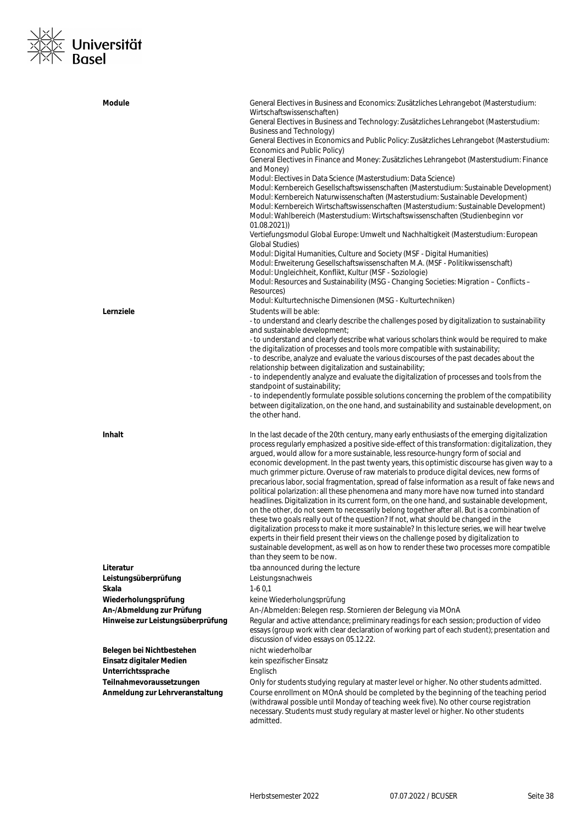### <u>|×|∕</u><br>|∑|× **Universität**<br>|×|∖ Basel  $\frac{1}{\sqrt{2}}$

| Module                            | General Electives in Business and Economics: Zusätzliches Lehrangebot (Masterstudium:<br>Wirtschaftswissenschaften)<br>General Electives in Business and Technology: Zusätzliches Lehrangebot (Masterstudium:<br>Business and Technology)<br>General Electives in Economics and Public Policy: Zusätzliches Lehrangebot (Masterstudium:<br>Economics and Public Policy)<br>General Electives in Finance and Money: Zusätzliches Lehrangebot (Masterstudium: Finance<br>and Money)<br>Modul: Electives in Data Science (Masterstudium: Data Science)<br>Modul: Kernbereich Gesellschaftswissenschaften (Masterstudium: Sustainable Development)<br>Modul: Kernbereich Naturwissenschaften (Masterstudium: Sustainable Development)<br>Modul: Kernbereich Wirtschaftswissenschaften (Masterstudium: Sustainable Development)<br>Modul: Wahlbereich (Masterstudium: Wirtschaftswissenschaften (Studienbeginn vor<br>01.08.2021)<br>Vertiefungsmodul Global Europe: Umwelt und Nachhaltigkeit (Masterstudium: European                                                                                                                                                                                                                                                                           |
|-----------------------------------|----------------------------------------------------------------------------------------------------------------------------------------------------------------------------------------------------------------------------------------------------------------------------------------------------------------------------------------------------------------------------------------------------------------------------------------------------------------------------------------------------------------------------------------------------------------------------------------------------------------------------------------------------------------------------------------------------------------------------------------------------------------------------------------------------------------------------------------------------------------------------------------------------------------------------------------------------------------------------------------------------------------------------------------------------------------------------------------------------------------------------------------------------------------------------------------------------------------------------------------------------------------------------------------------|
|                                   | <b>Global Studies)</b><br>Modul: Digital Humanities, Culture and Society (MSF - Digital Humanities)<br>Modul: Erweiterung Gesellschaftswissenschaften M.A. (MSF - Politikwissenschaft)<br>Modul: Ungleichheit, Konflikt, Kultur (MSF - Soziologie)<br>Modul: Resources and Sustainability (MSG - Changing Societies: Migration - Conflicts -<br>Resources)                                                                                                                                                                                                                                                                                                                                                                                                                                                                                                                                                                                                                                                                                                                                                                                                                                                                                                                                   |
| Lernziele                         | Modul: Kulturtechnische Dimensionen (MSG - Kulturtechniken)<br>Students will be able:<br>- to understand and clearly describe the challenges posed by digitalization to sustainability<br>and sustainable development;<br>- to understand and clearly describe what various scholars think would be required to make<br>the digitalization of processes and tools more compatible with sustainability;<br>- to describe, analyze and evaluate the various discourses of the past decades about the<br>relationship between digitalization and sustainability;<br>- to independently analyze and evaluate the digitalization of processes and tools from the<br>standpoint of sustainability;<br>- to independently formulate possible solutions concerning the problem of the compatibility<br>between digitalization, on the one hand, and sustainability and sustainable development, on<br>the other hand.                                                                                                                                                                                                                                                                                                                                                                                |
| <b>Inhalt</b>                     | In the last decade of the 20th century, many early enthusiasts of the emerging digitalization<br>process regularly emphasized a positive side-effect of this transformation: digitalization, they<br>argued, would allow for a more sustainable, less resource-hungry form of social and<br>economic development. In the past twenty years, this optimistic discourse has given way to a<br>much grimmer picture. Overuse of raw materials to produce digital devices, new forms of<br>precarious labor, social fragmentation, spread of false information as a result of fake news and<br>political polarization: all these phenomena and many more have now turned into standard<br>headlines. Digitalization in its current form, on the one hand, and sustainable development,<br>on the other, do not seem to necessarily belong together after all. But is a combination of<br>these two goals really out of the question? If not, what should be changed in the<br>digitalization process to make it more sustainable? In this lecture series, we will hear twelve<br>experts in their field present their views on the challenge posed by digitalization to<br>sustainable development, as well as on how to render these two processes more compatible<br>than they seem to be now. |
| Literatur                         | tba announced during the lecture                                                                                                                                                                                                                                                                                                                                                                                                                                                                                                                                                                                                                                                                                                                                                                                                                                                                                                                                                                                                                                                                                                                                                                                                                                                             |
| Leistungsüberprüfung              | Leistungsnachweis                                                                                                                                                                                                                                                                                                                                                                                                                                                                                                                                                                                                                                                                                                                                                                                                                                                                                                                                                                                                                                                                                                                                                                                                                                                                            |
| Skala                             | $1-60,1$                                                                                                                                                                                                                                                                                                                                                                                                                                                                                                                                                                                                                                                                                                                                                                                                                                                                                                                                                                                                                                                                                                                                                                                                                                                                                     |
| Wiederholungsprüfung              | keine Wiederholungsprüfung                                                                                                                                                                                                                                                                                                                                                                                                                                                                                                                                                                                                                                                                                                                                                                                                                                                                                                                                                                                                                                                                                                                                                                                                                                                                   |
| An-/Abmeldung zur Prüfung         | An-/Abmelden: Belegen resp. Stornieren der Belegung via MOnA                                                                                                                                                                                                                                                                                                                                                                                                                                                                                                                                                                                                                                                                                                                                                                                                                                                                                                                                                                                                                                                                                                                                                                                                                                 |
| Hinweise zur Leistungsüberprüfung | Regular and active attendance; preliminary readings for each session; production of video<br>essays (group work with clear declaration of working part of each student); presentation and<br>discussion of video essays on 05.12.22.                                                                                                                                                                                                                                                                                                                                                                                                                                                                                                                                                                                                                                                                                                                                                                                                                                                                                                                                                                                                                                                         |
| Belegen bei Nichtbestehen         | nicht wiederholbar                                                                                                                                                                                                                                                                                                                                                                                                                                                                                                                                                                                                                                                                                                                                                                                                                                                                                                                                                                                                                                                                                                                                                                                                                                                                           |
| Einsatz digitaler Medien          | kein spezifischer Einsatz                                                                                                                                                                                                                                                                                                                                                                                                                                                                                                                                                                                                                                                                                                                                                                                                                                                                                                                                                                                                                                                                                                                                                                                                                                                                    |
| Unterrichtssprache                | Englisch                                                                                                                                                                                                                                                                                                                                                                                                                                                                                                                                                                                                                                                                                                                                                                                                                                                                                                                                                                                                                                                                                                                                                                                                                                                                                     |
| Teilnahmevoraussetzungen          | Only for students studying regulary at master level or higher. No other students admitted.                                                                                                                                                                                                                                                                                                                                                                                                                                                                                                                                                                                                                                                                                                                                                                                                                                                                                                                                                                                                                                                                                                                                                                                                   |
| Anmeldung zur Lehrveranstaltung   | Course enrollment on MOnA should be completed by the beginning of the teaching period<br>(withdrawal possible until Monday of teaching week five). No other course registration<br>necessary. Students must study regulary at master level or higher. No other students<br>admitted.                                                                                                                                                                                                                                                                                                                                                                                                                                                                                                                                                                                                                                                                                                                                                                                                                                                                                                                                                                                                         |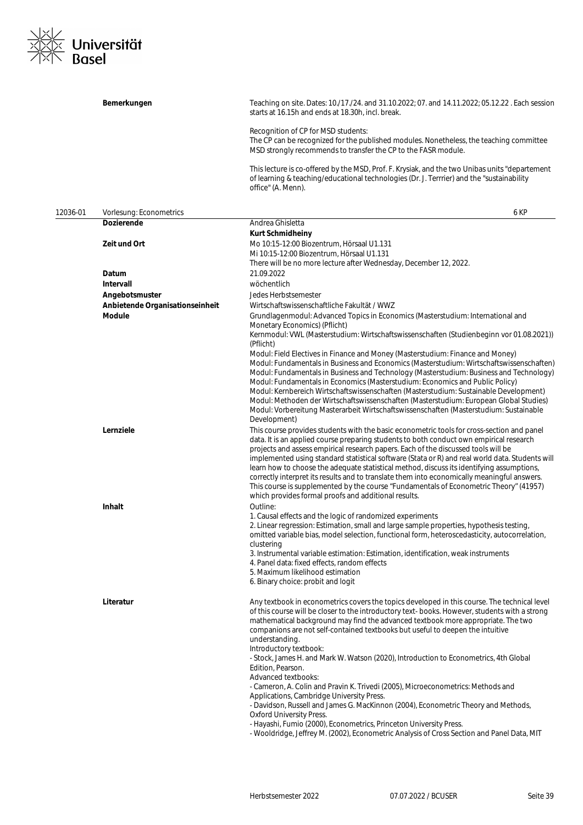

|          | Bemerkungen                     | Teaching on site. Dates: 10./17./24. and 31.10.2022; 07. and 14.11.2022; 05.12.22. Each session<br>starts at 16.15h and ends at 18.30h, incl. break.                                                                                                                                                                                                                                                                                                                                                                                                                                                                                                                                                                                                                                                                                                                                                                                                                               |
|----------|---------------------------------|------------------------------------------------------------------------------------------------------------------------------------------------------------------------------------------------------------------------------------------------------------------------------------------------------------------------------------------------------------------------------------------------------------------------------------------------------------------------------------------------------------------------------------------------------------------------------------------------------------------------------------------------------------------------------------------------------------------------------------------------------------------------------------------------------------------------------------------------------------------------------------------------------------------------------------------------------------------------------------|
|          |                                 | Recognition of CP for MSD students:<br>The CP can be recognized for the published modules. Nonetheless, the teaching committee<br>MSD strongly recommends to transfer the CP to the FASR module.                                                                                                                                                                                                                                                                                                                                                                                                                                                                                                                                                                                                                                                                                                                                                                                   |
|          |                                 | This lecture is co-offered by the MSD, Prof. F. Krysiak, and the two Unibas units "departement<br>of learning & teaching/educational technologies (Dr. J. Terrrier) and the "sustainability<br>office" (A. Menn).                                                                                                                                                                                                                                                                                                                                                                                                                                                                                                                                                                                                                                                                                                                                                                  |
| 12036-01 | Vorlesung: Econometrics         | 6 KP                                                                                                                                                                                                                                                                                                                                                                                                                                                                                                                                                                                                                                                                                                                                                                                                                                                                                                                                                                               |
|          | <b>Dozierende</b>               | Andrea Ghisletta                                                                                                                                                                                                                                                                                                                                                                                                                                                                                                                                                                                                                                                                                                                                                                                                                                                                                                                                                                   |
|          | Zeit und Ort                    | <b>Kurt Schmidheiny</b><br>Mo 10:15-12:00 Biozentrum, Hörsaal U1.131<br>Mi 10:15-12:00 Biozentrum, Hörsaal U1.131<br>There will be no more lecture after Wednesday, December 12, 2022.                                                                                                                                                                                                                                                                                                                                                                                                                                                                                                                                                                                                                                                                                                                                                                                             |
|          | Datum                           | 21.09.2022                                                                                                                                                                                                                                                                                                                                                                                                                                                                                                                                                                                                                                                                                                                                                                                                                                                                                                                                                                         |
|          | Intervall                       | wöchentlich                                                                                                                                                                                                                                                                                                                                                                                                                                                                                                                                                                                                                                                                                                                                                                                                                                                                                                                                                                        |
|          | Angebotsmuster                  | Jedes Herbstsemester                                                                                                                                                                                                                                                                                                                                                                                                                                                                                                                                                                                                                                                                                                                                                                                                                                                                                                                                                               |
|          | Anbietende Organisationseinheit | Wirtschaftswissenschaftliche Fakultät / WWZ                                                                                                                                                                                                                                                                                                                                                                                                                                                                                                                                                                                                                                                                                                                                                                                                                                                                                                                                        |
|          | <b>Module</b>                   | Grundlagenmodul: Advanced Topics in Economics (Masterstudium: International and<br>Monetary Economics) (Pflicht)                                                                                                                                                                                                                                                                                                                                                                                                                                                                                                                                                                                                                                                                                                                                                                                                                                                                   |
|          |                                 | Kernmodul: VWL (Masterstudium: Wirtschaftswissenschaften (Studienbeginn vor 01.08.2021))<br>(Pflicht)<br>Modul: Field Electives in Finance and Money (Masterstudium: Finance and Money)<br>Modul: Fundamentals in Business and Economics (Masterstudium: Wirtschaftswissenschaften)<br>Modul: Fundamentals in Business and Technology (Masterstudium: Business and Technology)<br>Modul: Fundamentals in Economics (Masterstudium: Economics and Public Policy)<br>Modul: Kernbereich Wirtschaftswissenschaften (Masterstudium: Sustainable Development)<br>Modul: Methoden der Wirtschaftswissenschaften (Masterstudium: European Global Studies)<br>Modul: Vorbereitung Masterarbeit Wirtschaftswissenschaften (Masterstudium: Sustainable<br>Development)                                                                                                                                                                                                                       |
|          | Lernziele                       | This course provides students with the basic econometric tools for cross-section and panel<br>data. It is an applied course preparing students to both conduct own empirical research<br>projects and assess empirical research papers. Each of the discussed tools will be<br>implemented using standard statistical software (Stata or R) and real world data. Students will<br>learn how to choose the adequate statistical method, discuss its identifying assumptions,<br>correctly interpret its results and to translate them into economically meaningful answers.<br>This course is supplemented by the course "Fundamentals of Econometric Theory" (41957)<br>which provides formal proofs and additional results.                                                                                                                                                                                                                                                       |
|          | Inhalt                          | Outline:<br>1. Causal effects and the logic of randomized experiments<br>2. Linear regression: Estimation, small and large sample properties, hypothesis testing,<br>omitted variable bias, model selection, functional form, heteroscedasticity, autocorrelation,<br>clustering<br>3. Instrumental variable estimation: Estimation, identification, weak instruments<br>4. Panel data: fixed effects, random effects<br>5. Maximum likelihood estimation<br>6. Binary choice: probit and logit                                                                                                                                                                                                                                                                                                                                                                                                                                                                                    |
|          | Literatur                       | Any textbook in econometrics covers the topics developed in this course. The technical level<br>of this course will be closer to the introductory text-books. However, students with a strong<br>mathematical background may find the advanced textbook more appropriate. The two<br>companions are not self-contained textbooks but useful to deepen the intuitive<br>understanding.<br>Introductory textbook:<br>- Stock, James H. and Mark W. Watson (2020), Introduction to Econometrics, 4th Global<br>Edition, Pearson.<br>Advanced textbooks:<br>- Cameron, A. Colin and Pravin K. Trivedi (2005), Microeconometrics: Methods and<br>Applications, Cambridge University Press.<br>- Davidson, Russell and James G. MacKinnon (2004), Econometric Theory and Methods,<br><b>Oxford University Press.</b><br>- Hayashi, Fumio (2000), Econometrics, Princeton University Press.<br>- Wooldridge, Jeffrey M. (2002), Econometric Analysis of Cross Section and Panel Data, MIT |
|          |                                 |                                                                                                                                                                                                                                                                                                                                                                                                                                                                                                                                                                                                                                                                                                                                                                                                                                                                                                                                                                                    |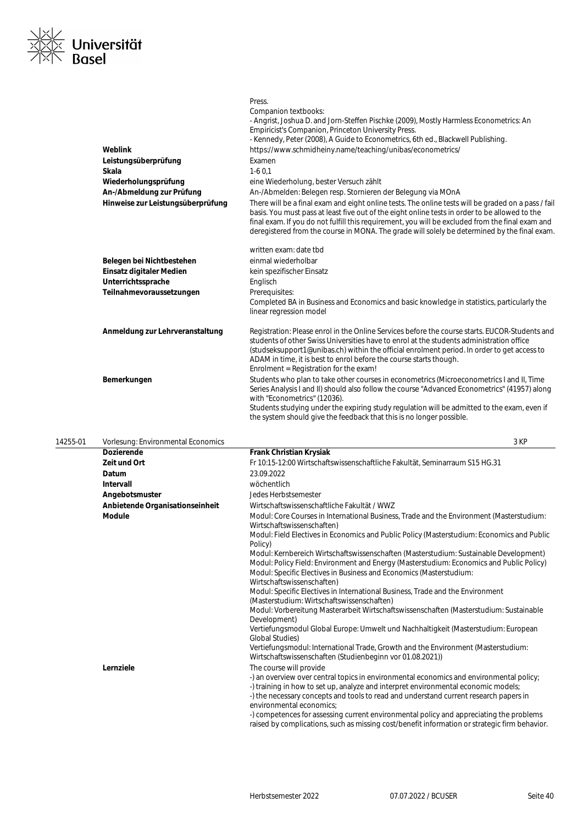

| Weblink<br>Leistungsüberprüfung<br><b>Skala</b><br>Wiederholungsprüfung<br>An-/Abmeldung zur Prüfung<br>Hinweise zur Leistungsüberprüfung | Press.<br>Companion textbooks:<br>- Angrist, Joshua D. and Jorn-Steffen Pischke (2009), Mostly Harmless Econometrics: An<br>Empiricist's Companion, Princeton University Press.<br>- Kennedy, Peter (2008), A Guide to Econometrics, 6th ed., Blackwell Publishing.<br>https://www.schmidheiny.name/teaching/unibas/econometrics/<br>Examen<br>$1-60.1$<br>eine Wiederholung, bester Versuch zählt<br>An-/Abmelden: Belegen resp. Stornieren der Belegung via MOnA<br>There will be a final exam and eight online tests. The online tests will be graded on a pass / fail<br>basis. You must pass at least five out of the eight online tests in order to be allowed to the<br>final exam. If you do not fulfill this requirement, you will be excluded from the final exam and<br>deregistered from the course in MONA. The grade will solely be determined by the final exam. |
|-------------------------------------------------------------------------------------------------------------------------------------------|---------------------------------------------------------------------------------------------------------------------------------------------------------------------------------------------------------------------------------------------------------------------------------------------------------------------------------------------------------------------------------------------------------------------------------------------------------------------------------------------------------------------------------------------------------------------------------------------------------------------------------------------------------------------------------------------------------------------------------------------------------------------------------------------------------------------------------------------------------------------------------|
|                                                                                                                                           | written exam: date tbd                                                                                                                                                                                                                                                                                                                                                                                                                                                                                                                                                                                                                                                                                                                                                                                                                                                          |
| Belegen bei Nichtbestehen                                                                                                                 | einmal wiederholbar                                                                                                                                                                                                                                                                                                                                                                                                                                                                                                                                                                                                                                                                                                                                                                                                                                                             |
| Einsatz digitaler Medien                                                                                                                  | kein spezifischer Einsatz                                                                                                                                                                                                                                                                                                                                                                                                                                                                                                                                                                                                                                                                                                                                                                                                                                                       |
| Unterrichtssprache                                                                                                                        | Englisch                                                                                                                                                                                                                                                                                                                                                                                                                                                                                                                                                                                                                                                                                                                                                                                                                                                                        |
| Teilnahmevoraussetzungen                                                                                                                  | Prerequisites:                                                                                                                                                                                                                                                                                                                                                                                                                                                                                                                                                                                                                                                                                                                                                                                                                                                                  |
|                                                                                                                                           | Completed BA in Business and Economics and basic knowledge in statistics, particularly the<br>linear regression model                                                                                                                                                                                                                                                                                                                                                                                                                                                                                                                                                                                                                                                                                                                                                           |
| Anmeldung zur Lehrveranstaltung                                                                                                           | Registration: Please enrol in the Online Services before the course starts. EUCOR-Students and<br>students of other Swiss Universities have to enrol at the students administration office<br>(studseksupport1@unibas.ch) within the official enrolment period. In order to get access to<br>ADAM in time, it is best to enrol before the course starts though.<br>Enrolment = Registration for the exam!                                                                                                                                                                                                                                                                                                                                                                                                                                                                       |
| Bemerkungen                                                                                                                               | Students who plan to take other courses in econometrics (Microeconometrics I and II, Time<br>Series Analysis I and II) should also follow the course "Advanced Econometrics" (41957) along<br>with "Econometrics" (12036).<br>Students studying under the expiring study regulation will be admitted to the exam, even if<br>the system should give the feedback that this is no longer possible.                                                                                                                                                                                                                                                                                                                                                                                                                                                                               |

| 14255-01 | Vorlesung: Environmental Economics | 3 KP                                                                                                                                                                                                                                                                                                                                                                                                                                                                                                                      |
|----------|------------------------------------|---------------------------------------------------------------------------------------------------------------------------------------------------------------------------------------------------------------------------------------------------------------------------------------------------------------------------------------------------------------------------------------------------------------------------------------------------------------------------------------------------------------------------|
|          | <b>Dozierende</b>                  | <b>Frank Christian Krysiak</b>                                                                                                                                                                                                                                                                                                                                                                                                                                                                                            |
|          | Zeit und Ort                       | Fr 10:15-12:00 Wirtschaftswissenschaftliche Fakultät, Seminarraum S15 HG.31                                                                                                                                                                                                                                                                                                                                                                                                                                               |
|          | Datum                              | 23.09.2022                                                                                                                                                                                                                                                                                                                                                                                                                                                                                                                |
|          | Intervall                          | wöchentlich                                                                                                                                                                                                                                                                                                                                                                                                                                                                                                               |
|          | Angebotsmuster                     | Jedes Herbstsemester                                                                                                                                                                                                                                                                                                                                                                                                                                                                                                      |
|          | Anbietende Organisationseinheit    | Wirtschaftswissenschaftliche Fakultät / WWZ                                                                                                                                                                                                                                                                                                                                                                                                                                                                               |
|          | <b>Module</b>                      | Modul: Core Courses in International Business, Trade and the Environment (Masterstudium:<br>Wirtschaftswissenschaften)                                                                                                                                                                                                                                                                                                                                                                                                    |
|          |                                    | Modul: Field Electives in Economics and Public Policy (Masterstudium: Economics and Public<br>Policy)                                                                                                                                                                                                                                                                                                                                                                                                                     |
|          |                                    | Modul: Kernbereich Wirtschaftswissenschaften (Masterstudium: Sustainable Development)<br>Modul: Policy Field: Environment and Energy (Masterstudium: Economics and Public Policy)<br>Modul: Specific Electives in Business and Economics (Masterstudium:<br>Wirtschaftswissenschaften)                                                                                                                                                                                                                                    |
|          |                                    | Modul: Specific Electives in International Business, Trade and the Environment<br>(Masterstudium: Wirtschaftswissenschaften)                                                                                                                                                                                                                                                                                                                                                                                              |
|          |                                    | Modul: Vorbereitung Masterarbeit Wirtschaftswissenschaften (Masterstudium: Sustainable<br>Development)                                                                                                                                                                                                                                                                                                                                                                                                                    |
|          |                                    | Vertiefungsmodul Global Europe: Umwelt und Nachhaltigkeit (Masterstudium: European<br><b>Global Studies)</b>                                                                                                                                                                                                                                                                                                                                                                                                              |
|          |                                    | Vertiefungsmodul: International Trade, Growth and the Environment (Masterstudium:<br>Wirtschaftswissenschaften (Studienbeginn vor 01.08.2021))                                                                                                                                                                                                                                                                                                                                                                            |
|          | Lernziele                          | The course will provide<br>-) an overview over central topics in environmental economics and environmental policy;<br>-) training in how to set up, analyze and interpret environmental economic models;<br>-) the necessary concepts and tools to read and understand current research papers in<br>environmental economics:<br>-) competences for assessing current environmental policy and appreciating the problems<br>raised by complications, such as missing cost/benefit information or strategic firm behavior. |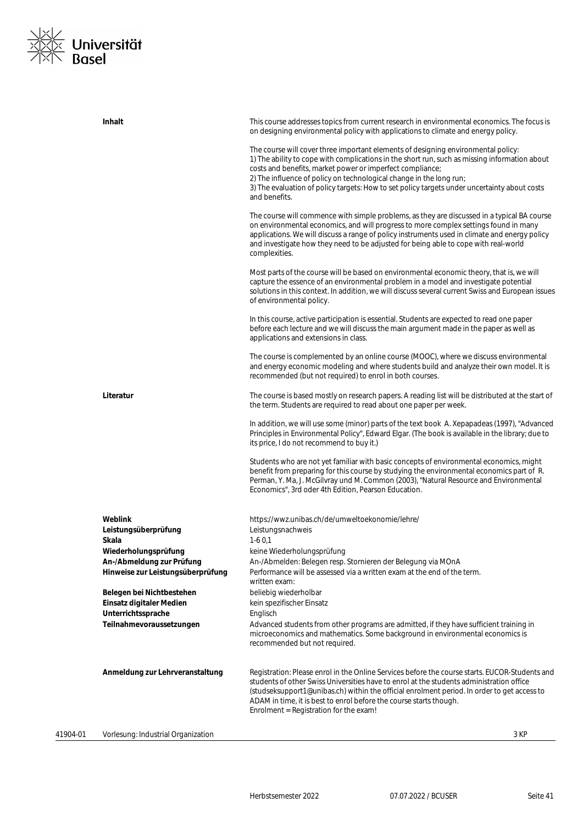## <u><|/</u><br>|<|Xillit\_\/<br>|x||\ ||Xillitario ||Xillitario ||Xillitario ||Xillitario ||Xillitario ||Xillitario ||Xillitario |<br>|Xillitario ||Xillitario ||Xillitario ||Xillitario ||Xillitario ||Xillitario ||Xillitario ||Xillitario  $\frac{1}{2}$

|          | Inhalt                                                         | This course addresses topics from current research in environmental economics. The focus is<br>on designing environmental policy with applications to climate and energy policy.                                                                                                                                                                                                                                                        |
|----------|----------------------------------------------------------------|-----------------------------------------------------------------------------------------------------------------------------------------------------------------------------------------------------------------------------------------------------------------------------------------------------------------------------------------------------------------------------------------------------------------------------------------|
|          |                                                                | The course will cover three important elements of designing environmental policy:<br>1) The ability to cope with complications in the short run, such as missing information about<br>costs and benefits, market power or imperfect compliance;<br>2) The influence of policy on technological change in the long run;<br>3) The evaluation of policy targets: How to set policy targets under uncertainty about costs<br>and benefits. |
|          |                                                                | The course will commence with simple problems, as they are discussed in a typical BA course<br>on environmental economics, and will progress to more complex settings found in many<br>applications. We will discuss a range of policy instruments used in climate and energy policy<br>and investigate how they need to be adjusted for being able to cope with real-world<br>complexities.                                            |
|          |                                                                | Most parts of the course will be based on environmental economic theory, that is, we will<br>capture the essence of an environmental problem in a model and investigate potential<br>solutions in this context. In addition, we will discuss several current Swiss and European issues<br>of environmental policy.                                                                                                                      |
|          |                                                                | In this course, active participation is essential. Students are expected to read one paper<br>before each lecture and we will discuss the main argument made in the paper as well as<br>applications and extensions in class.                                                                                                                                                                                                           |
|          |                                                                | The course is complemented by an online course (MOOC), where we discuss environmental<br>and energy economic modeling and where students build and analyze their own model. It is<br>recommended (but not required) to enrol in both courses.                                                                                                                                                                                           |
|          | Literatur                                                      | The course is based mostly on research papers. A reading list will be distributed at the start of<br>the term. Students are required to read about one paper per week.                                                                                                                                                                                                                                                                  |
|          |                                                                | In addition, we will use some (minor) parts of the text book A. Xepapadeas (1997), "Advanced<br>Principles in Environmental Policy", Edward Elgar. (The book is available in the library; due to<br>its price, I do not recommend to buy it.)                                                                                                                                                                                           |
|          |                                                                | Students who are not yet familiar with basic concepts of environmental economics, might<br>benefit from preparing for this course by studying the environmental economics part of R.<br>Perman, Y. Ma, J. McGilvray und M. Common (2003), "Natural Resource and Environmental<br>Economics", 3rd oder 4th Edition, Pearson Education.                                                                                                   |
|          | Weblink<br>Leistungsüberprüfung                                | https://wwz.unibas.ch/de/umweltoekonomie/lehre/<br>Leistungsnachweis                                                                                                                                                                                                                                                                                                                                                                    |
|          | Skala                                                          | $1-60.1$                                                                                                                                                                                                                                                                                                                                                                                                                                |
|          | Wiederholungsprüfung                                           | keine Wiederholungsprüfung                                                                                                                                                                                                                                                                                                                                                                                                              |
|          | An-/Abmeldung zur Prüfung<br>Hinweise zur Leistungsüberprüfung | An-/Abmelden: Belegen resp. Stornieren der Belegung via MOnA<br>Performance will be assessed via a written exam at the end of the term.<br>written exam:                                                                                                                                                                                                                                                                                |
|          | Belegen bei Nichtbestehen                                      | beliebig wiederholbar                                                                                                                                                                                                                                                                                                                                                                                                                   |
|          | Einsatz digitaler Medien                                       | kein spezifischer Einsatz                                                                                                                                                                                                                                                                                                                                                                                                               |
|          | Unterrichtssprache                                             | Englisch                                                                                                                                                                                                                                                                                                                                                                                                                                |
|          | Teilnahmevoraussetzungen                                       | Advanced students from other programs are admitted, if they have sufficient training in<br>microeconomics and mathematics. Some background in environmental economics is<br>recommended but not required.                                                                                                                                                                                                                               |
|          | Anmeldung zur Lehrveranstaltung                                | Registration: Please enrol in the Online Services before the course starts. EUCOR-Students and<br>students of other Swiss Universities have to enrol at the students administration office<br>(studseksupport1@unibas.ch) within the official enrolment period. In order to get access to<br>ADAM in time, it is best to enrol before the course starts though.<br>Enrolment = Registration for the exam!                               |
| 41904-01 | Vorlesung: Industrial Organization                             | 3 KP                                                                                                                                                                                                                                                                                                                                                                                                                                    |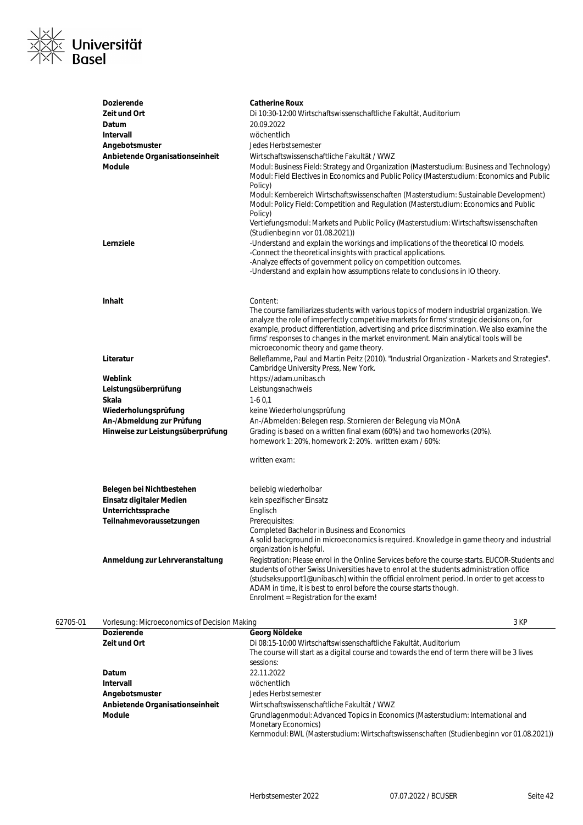

| <b>Dozierende</b>                 | <b>Catherine Roux</b>                                                                                                                                                                                                                                                                                   |
|-----------------------------------|---------------------------------------------------------------------------------------------------------------------------------------------------------------------------------------------------------------------------------------------------------------------------------------------------------|
| Zeit und Ort                      | Di 10:30-12:00 Wirtschaftswissenschaftliche Fakultät, Auditorium                                                                                                                                                                                                                                        |
| Datum                             | 20.09.2022                                                                                                                                                                                                                                                                                              |
| <b>Intervall</b>                  | wöchentlich                                                                                                                                                                                                                                                                                             |
| Angebotsmuster                    | Jedes Herbstsemester                                                                                                                                                                                                                                                                                    |
| Anbietende Organisationseinheit   | Wirtschaftswissenschaftliche Fakultät / WWZ                                                                                                                                                                                                                                                             |
| <b>Module</b>                     | Modul: Business Field: Strategy and Organization (Masterstudium: Business and Technology)<br>Modul: Field Electives in Economics and Public Policy (Masterstudium: Economics and Public<br>Policy)                                                                                                      |
|                                   | Modul: Kernbereich Wirtschaftswissenschaften (Masterstudium: Sustainable Development)<br>Modul: Policy Field: Competition and Regulation (Masterstudium: Economics and Public<br>Policy)                                                                                                                |
|                                   | Vertiefungsmodul: Markets and Public Policy (Masterstudium: Wirtschaftswissenschaften<br>(Studienbeginn vor 01.08.2021))                                                                                                                                                                                |
| Lernziele                         | -Understand and explain the workings and implications of the theoretical IO models.<br>-Connect the theoretical insights with practical applications.                                                                                                                                                   |
|                                   | -Analyze effects of government policy on competition outcomes.                                                                                                                                                                                                                                          |
|                                   | -Understand and explain how assumptions relate to conclusions in IO theory.                                                                                                                                                                                                                             |
|                                   |                                                                                                                                                                                                                                                                                                         |
| <b>Inhalt</b>                     | Content:                                                                                                                                                                                                                                                                                                |
|                                   | The course familiarizes students with various topics of modern industrial organization. We                                                                                                                                                                                                              |
|                                   | analyze the role of imperfectly competitive markets for firms' strategic decisions on, for                                                                                                                                                                                                              |
|                                   | example, product differentiation, advertising and price discrimination. We also examine the                                                                                                                                                                                                             |
|                                   | firms' responses to changes in the market environment. Main analytical tools will be                                                                                                                                                                                                                    |
|                                   | microeconomic theory and game theory.                                                                                                                                                                                                                                                                   |
| Literatur                         | Belleflamme, Paul and Martin Peitz (2010). "Industrial Organization - Markets and Strategies".<br>Cambridge University Press, New York.                                                                                                                                                                 |
| Weblink                           | https://adam.unibas.ch                                                                                                                                                                                                                                                                                  |
| Leistungsüberprüfung              | Leistungsnachweis                                                                                                                                                                                                                                                                                       |
| Skala                             | $1-60,1$                                                                                                                                                                                                                                                                                                |
| Wiederholungsprüfung              | keine Wiederholungsprüfung                                                                                                                                                                                                                                                                              |
| An-/Abmeldung zur Prüfung         | An-/Abmelden: Belegen resp. Stornieren der Belegung via MOnA                                                                                                                                                                                                                                            |
| Hinweise zur Leistungsüberprüfung | Grading is based on a written final exam (60%) and two homeworks (20%).<br>homework 1: 20%, homework 2: 20%. written exam / 60%:                                                                                                                                                                        |
|                                   | written exam:                                                                                                                                                                                                                                                                                           |
| Belegen bei Nichtbestehen         | beliebig wiederholbar                                                                                                                                                                                                                                                                                   |
| Einsatz digitaler Medien          | kein spezifischer Einsatz                                                                                                                                                                                                                                                                               |
| Unterrichtssprache                | Englisch                                                                                                                                                                                                                                                                                                |
| Teilnahmevoraussetzungen          | Prerequisites:                                                                                                                                                                                                                                                                                          |
|                                   | Completed Bachelor in Business and Economics                                                                                                                                                                                                                                                            |
|                                   | A solid background in microeconomics is required. Knowledge in game theory and industrial<br>organization is helpful.                                                                                                                                                                                   |
| Anmeldung zur Lehrveranstaltung   | Registration: Please enrol in the Online Services before the course starts. EUCOR-Students and                                                                                                                                                                                                          |
|                                   | students of other Swiss Universities have to enrol at the students administration office<br>(studseksupport1@unibas.ch) within the official enrolment period. In order to get access to<br>ADAM in time, it is best to enrol before the course starts though.<br>Enrolment = Registration for the exam! |
|                                   |                                                                                                                                                                                                                                                                                                         |

| 62705-01 | Vorlesung: Microeconomics of Decision Making |                                                                                                                                                                                                    |
|----------|----------------------------------------------|----------------------------------------------------------------------------------------------------------------------------------------------------------------------------------------------------|
|          | <b>Dozierende</b>                            | Georg Nöldeke                                                                                                                                                                                      |
|          | Zeit und Ort                                 | Di 08:15-10:00 Wirtschaftswissenschaftliche Fakultät, Auditorium                                                                                                                                   |
|          |                                              | The course will start as a digital course and towards the end of term there will be 3 lives<br>sessions:                                                                                           |
|          | Datum                                        | 22.11.2022                                                                                                                                                                                         |
|          | Intervall                                    | wöchentlich                                                                                                                                                                                        |
|          | Angebotsmuster                               | Jedes Herbstsemester                                                                                                                                                                               |
|          | Anbietende Organisationseinheit              | Wirtschaftswissenschaftliche Fakultät / WWZ                                                                                                                                                        |
|          | Module                                       | Grundlagenmodul: Advanced Topics in Economics (Masterstudium: International and<br>Monetary Economics)<br>Kernmodul: BWL (Masterstudium: Wirtschaftswissenschaften (Studienbeginn vor 01.08.2021)) |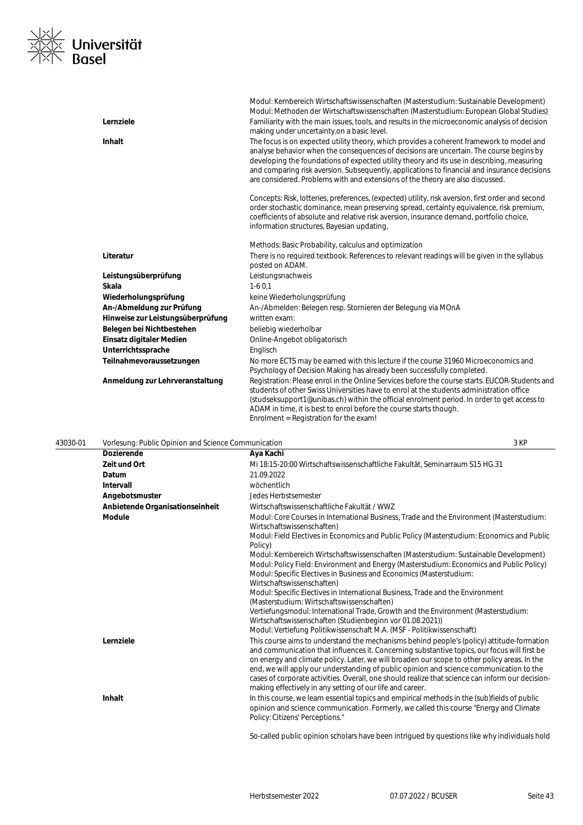

|                                   | Modul: Kernbereich Wirtschaftswissenschaften (Masterstudium: Sustainable Development)<br>Modul: Methoden der Wirtschaftswissenschaften (Masterstudium: European Global Studies)                                                                                                                                                                                                                                                                                      |
|-----------------------------------|----------------------------------------------------------------------------------------------------------------------------------------------------------------------------------------------------------------------------------------------------------------------------------------------------------------------------------------------------------------------------------------------------------------------------------------------------------------------|
| Lernziele                         | Familiarity with the main issues, tools, and results in the microeconomic analysis of decision                                                                                                                                                                                                                                                                                                                                                                       |
|                                   | making under uncertainty on a basic level.                                                                                                                                                                                                                                                                                                                                                                                                                           |
| <b>Inhalt</b>                     | The focus is on expected utility theory, which provides a coherent framework to model and<br>analyse behavior when the consequences of decisions are uncertain. The course begins by<br>developing the foundations of expected utility theory and its use in describing, measuring<br>and comparing risk aversion. Subsequently, applications to financial and insurance decisions<br>are considered. Problems with and extensions of the theory are also discussed. |
|                                   | Concepts: Risk, lotteries, preferences, (expected) utility, risk aversion, first order and second<br>order stochastic dominance, mean preserving spread, certainty equivalence, risk premium,<br>coefficients of absolute and relative risk aversion, insurance demand, portfolio choice,<br>information structures, Bayesian updating,                                                                                                                              |
|                                   | Methods: Basic Probability, calculus and optimization                                                                                                                                                                                                                                                                                                                                                                                                                |
| Literatur                         | There is no required textbook. References to relevant readings will be given in the syllabus<br>posted on ADAM.                                                                                                                                                                                                                                                                                                                                                      |
| Leistungsüberprüfung              | Leistungsnachweis                                                                                                                                                                                                                                                                                                                                                                                                                                                    |
| Skala                             | $1-60.1$                                                                                                                                                                                                                                                                                                                                                                                                                                                             |
| Wiederholungsprüfung              | keine Wiederholungsprüfung                                                                                                                                                                                                                                                                                                                                                                                                                                           |
| An-/Abmeldung zur Prüfung         | An-/Abmelden: Belegen resp. Stornieren der Belegung via MOnA                                                                                                                                                                                                                                                                                                                                                                                                         |
| Hinweise zur Leistungsüberprüfung | written exam:                                                                                                                                                                                                                                                                                                                                                                                                                                                        |
| Belegen bei Nichtbestehen         | beliebig wiederholbar                                                                                                                                                                                                                                                                                                                                                                                                                                                |
| Einsatz digitaler Medien          | Online-Angebot obligatorisch                                                                                                                                                                                                                                                                                                                                                                                                                                         |
| Unterrichtssprache                | Englisch                                                                                                                                                                                                                                                                                                                                                                                                                                                             |
| Teilnahmevoraussetzungen          | No more ECTS may be earned with this lecture if the course 31960 Microeconomics and<br>Psychology of Decision Making has already been successfully completed.                                                                                                                                                                                                                                                                                                        |
| Anmeldung zur Lehrveranstaltung   | Registration: Please enrol in the Online Services before the course starts. EUCOR-Students and<br>students of other Swiss Universities have to enrol at the students administration office<br>(studseksupport1@unibas.ch) within the official enrolment period. In order to get access to<br>ADAM in time, it is best to enrol before the course starts though.<br>Enrolment = Registration for the exam!                                                            |

| 43030-01 | Vorlesung: Public Opinion and Science Communication |                                                                                                                                                                                                                                                                                                                                                                                                                                                                                                                                                       | 3 KP |
|----------|-----------------------------------------------------|-------------------------------------------------------------------------------------------------------------------------------------------------------------------------------------------------------------------------------------------------------------------------------------------------------------------------------------------------------------------------------------------------------------------------------------------------------------------------------------------------------------------------------------------------------|------|
|          | Dozierende                                          | Aya Kachi                                                                                                                                                                                                                                                                                                                                                                                                                                                                                                                                             |      |
|          | Zeit und Ort                                        | Mi 18:15-20:00 Wirtschaftswissenschaftliche Fakultät, Seminarraum S15 HG.31                                                                                                                                                                                                                                                                                                                                                                                                                                                                           |      |
|          | Datum                                               | 21.09.2022                                                                                                                                                                                                                                                                                                                                                                                                                                                                                                                                            |      |
|          | Intervall                                           | wöchentlich                                                                                                                                                                                                                                                                                                                                                                                                                                                                                                                                           |      |
|          | Angebotsmuster                                      | Jedes Herbstsemester                                                                                                                                                                                                                                                                                                                                                                                                                                                                                                                                  |      |
|          | Anbietende Organisationseinheit                     | Wirtschaftswissenschaftliche Fakultät / WWZ                                                                                                                                                                                                                                                                                                                                                                                                                                                                                                           |      |
|          | <b>Module</b>                                       | Modul: Core Courses in International Business, Trade and the Environment (Masterstudium:<br>Wirtschaftswissenschaften)                                                                                                                                                                                                                                                                                                                                                                                                                                |      |
|          |                                                     | Modul: Field Electives in Economics and Public Policy (Masterstudium: Economics and Public<br>Policy)                                                                                                                                                                                                                                                                                                                                                                                                                                                 |      |
|          |                                                     | Modul: Kernbereich Wirtschaftswissenschaften (Masterstudium: Sustainable Development)<br>Modul: Policy Field: Environment and Energy (Masterstudium: Economics and Public Policy)<br>Modul: Specific Electives in Business and Economics (Masterstudium:<br>Wirtschaftswissenschaften)                                                                                                                                                                                                                                                                |      |
|          |                                                     | Modul: Specific Electives in International Business, Trade and the Environment                                                                                                                                                                                                                                                                                                                                                                                                                                                                        |      |
|          |                                                     | (Masterstudium: Wirtschaftswissenschaften)<br>Vertiefungsmodul: International Trade, Growth and the Environment (Masterstudium:                                                                                                                                                                                                                                                                                                                                                                                                                       |      |
|          |                                                     | Wirtschaftswissenschaften (Studienbeginn vor 01.08.2021))                                                                                                                                                                                                                                                                                                                                                                                                                                                                                             |      |
|          |                                                     | Modul: Vertiefung Politikwissenschaft M.A. (MSF - Politikwissenschaft)                                                                                                                                                                                                                                                                                                                                                                                                                                                                                |      |
|          | Lernziele                                           | This course aims to understand the mechanisms behind people's (policy) attitude-formation<br>and communication that influences it. Concerning substantive topics, our focus will first be<br>on energy and climate policy. Later, we will broaden our scope to other policy areas. In the<br>end, we will apply our understanding of public opinion and science communication to the<br>cases of corporate activities. Overall, one should realize that science can inform our decision-<br>making effectively in any setting of our life and career. |      |
|          | Inhalt                                              | In this course, we learn essential topics and empirical methods in the (sub)fields of public<br>opinion and science communication. Formerly, we called this course "Energy and Climate<br>Policy: Citizens' Perceptions."                                                                                                                                                                                                                                                                                                                             |      |

So-called public opinion scholars have been intrigued by questions like why individuals hold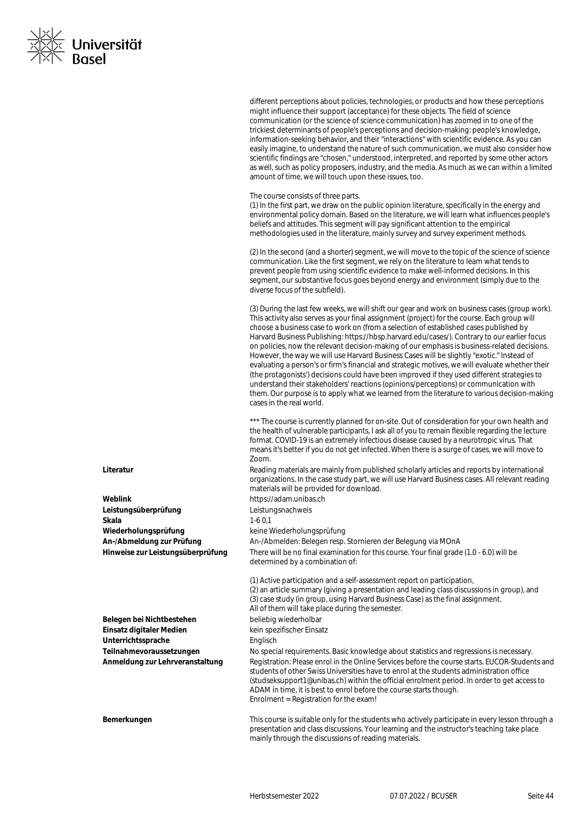

different perceptions about policies, technologies, or products and how these perceptions might influence their support (acceptance) for these objects. The field of science communication (or the science of science communication) has zoomed in to one of the trickiest determinants of people's perceptions and decision-making: people's knowledge, information-seeking behavior, and their "interactions" with scientific evidence. As you can easily imagine, to understand the nature of such communication, we must also consider how scientific findings are "chosen," understood, interpreted, and reported by some other actors as well, such as policy proposers, industry, and the media. As much as we can within a limited amount of time, we will touch upon these issues, too.

The course consists of three parts.

(1) In the first part, we draw on the public opinion literature, specifically in the energy and environmental policy domain. Based on the literature, we will learn what influences people's beliefs and attitudes. This segment will pay significant attention to the empirical methodologies used in the literature, mainly survey and survey experiment methods.

(2) In the second (and a shorter) segment, we will move to the topic of the science of science communication. Like the first segment, we rely on the literature to learn what tends to prevent people from using scientific evidence to make well-informed decisions. In this segment, our substantive focus goes beyond energy and environment (simply due to the diverse focus of the subfield).

(3) During the last few weeks, we will shift our gear and work on business cases (group work). This activity also serves as your final assignment (project) for the course. Each group will choose a business case to work on (from a selection of established cases published by Harvard Business Publishing: https://hbsp.harvard.edu/cases/). Contrary to our earlier focus on policies, now the relevant decision-making of our emphasis is business-related decisions. However, the way we will use Harvard Business Cases will be slightly "exotic." Instead of evaluating a person's or firm's financial and strategic motives, we will evaluate whether their (the protagonists') decisions could have been improved if they used different strategies to understand their stakeholders' reactions (opinions/perceptions) or communication with them. Our purpose is to apply what we learned from the literature to various decision-making cases in the real world.

\*\*\* The course is currently planned for on-site. Out of consideration for your own health and the health of vulnerable participants, I ask all of you to remain flexible regarding the lecture format. COVID-19 is an extremely infectious disease caused by a neurotropic virus. That means it's better if you do not get infected. When there is a surge of cases, we will move to Zoom.

**Literatur** Reading materials are mainly from published scholarly articles and reports by international organizations. In the case study part, we will use Harvard Business cases. All relevant reading materials will be provided for download.

**Weblink** https://adam.unibas.ch **Leistungsüberprüfung** Leistungsnachweis

**Skala** 1-6 0,1

**Wiederholungsprüfung** keine Wiederholungsprüfung

**An-/Abmeldung zur Prüfung** An-/Abmelden: Belegen resp. Stornieren der Belegung via MOnA

**Hinweise zur Leistungsüberprüfung** There will be no final examination for this course. Your final grade (1.0 - 6.0) will be determined by a combination of:

(1) Active participation and a self-assessment report on participation, (2) an article summary (giving a presentation and leading class discussions in group), and (3) case study (in group, using Harvard Business Case) as the final assignment. All of them will take place during the semester. **Belegen bei Nichtbestehen** beliebig wiederholbar **Einsatz digitaler Medien** kein spezifischer Einsatz **Unterrichtssprache** Englisch **Teilnahmevoraussetzungen** No special requirements. Basic knowledge about statistics and regressions is necessary. **Anmeldung zur Lehrveranstaltung** Registration: Please enrol in the Online Services before the course starts. EUCOR-Students and students of other Swiss Universities have to enrol at the students administration office (studseksupport1@unibas.ch) within the official enrolment period. In order to get access to ADAM in time, it is best to enrol before the course starts though. Enrolment = Registration for the exam! **Bemerkungen** This course is suitable only for the students who actively participate in every lesson through a presentation and class discussions. Your learning and the instructor's teaching take place

mainly through the discussions of reading materials.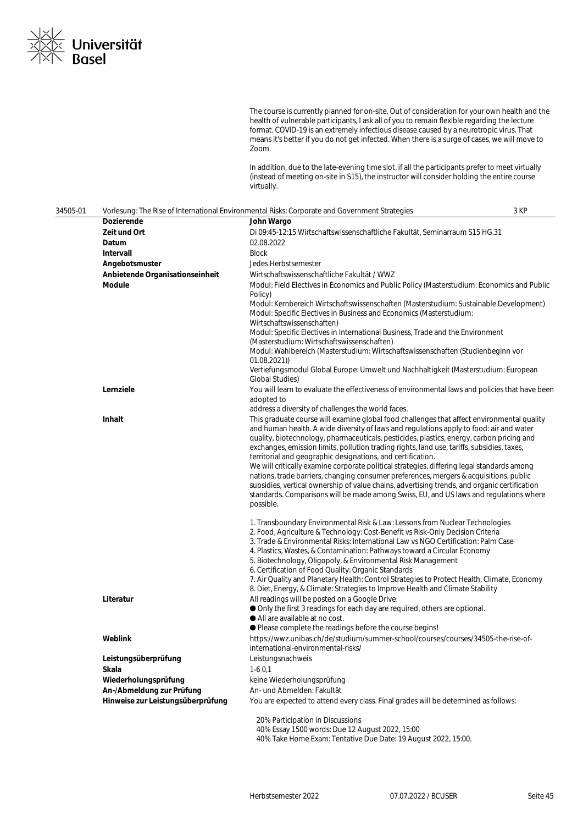

The course is currently planned for on-site. Out of consideration for your own health and the health of vulnerable participants, I ask all of you to remain flexible regarding the lecture format. COVID-19 is an extremely infectious disease caused by a neurotropic virus. That means it's better if you do not get infected. When there is a surge of cases, we will move to Zoom.

In addition, due to the late-evening time slot, if all the participants prefer to meet virtually (instead of meeting on-site in S15), the instructor will consider holding the entire course virtually.

| 34505-01 | 3 KP<br>Vorlesung: The Rise of International Environmental Risks: Corporate and Government Strategies |                                                                                                                                                                                                                                                                                                                                                                                                                                                                                                                                                                                                                                                                                                                                                                                                                                                |  |
|----------|-------------------------------------------------------------------------------------------------------|------------------------------------------------------------------------------------------------------------------------------------------------------------------------------------------------------------------------------------------------------------------------------------------------------------------------------------------------------------------------------------------------------------------------------------------------------------------------------------------------------------------------------------------------------------------------------------------------------------------------------------------------------------------------------------------------------------------------------------------------------------------------------------------------------------------------------------------------|--|
|          | Dozierende                                                                                            | John Wargo                                                                                                                                                                                                                                                                                                                                                                                                                                                                                                                                                                                                                                                                                                                                                                                                                                     |  |
|          | Zeit und Ort                                                                                          | Di 09:45-12:15 Wirtschaftswissenschaftliche Fakultät, Seminarraum S15 HG.31                                                                                                                                                                                                                                                                                                                                                                                                                                                                                                                                                                                                                                                                                                                                                                    |  |
|          | Datum                                                                                                 | 02.08.2022                                                                                                                                                                                                                                                                                                                                                                                                                                                                                                                                                                                                                                                                                                                                                                                                                                     |  |
|          | <b>Intervall</b>                                                                                      | <b>Block</b>                                                                                                                                                                                                                                                                                                                                                                                                                                                                                                                                                                                                                                                                                                                                                                                                                                   |  |
|          | Angebotsmuster                                                                                        | Jedes Herbstsemester                                                                                                                                                                                                                                                                                                                                                                                                                                                                                                                                                                                                                                                                                                                                                                                                                           |  |
|          | Anbietende Organisationseinheit                                                                       | Wirtschaftswissenschaftliche Fakultät / WWZ                                                                                                                                                                                                                                                                                                                                                                                                                                                                                                                                                                                                                                                                                                                                                                                                    |  |
|          | Module                                                                                                | Modul: Field Electives in Economics and Public Policy (Masterstudium: Economics and Public                                                                                                                                                                                                                                                                                                                                                                                                                                                                                                                                                                                                                                                                                                                                                     |  |
|          |                                                                                                       | Policy)<br>Modul: Kernbereich Wirtschaftswissenschaften (Masterstudium: Sustainable Development)<br>Modul: Specific Electives in Business and Economics (Masterstudium:<br>Wirtschaftswissenschaften)<br>Modul: Specific Electives in International Business, Trade and the Environment<br>(Masterstudium: Wirtschaftswissenschaften)<br>Modul: Wahlbereich (Masterstudium: Wirtschaftswissenschaften (Studienbeginn vor                                                                                                                                                                                                                                                                                                                                                                                                                       |  |
|          |                                                                                                       | 01.08.2021)<br>Vertiefungsmodul Global Europe: Umwelt und Nachhaltigkeit (Masterstudium: European<br><b>Global Studies)</b>                                                                                                                                                                                                                                                                                                                                                                                                                                                                                                                                                                                                                                                                                                                    |  |
|          | Lernziele                                                                                             | You will learn to evaluate the effectiveness of environmental laws and policies that have been<br>adopted to<br>address a diversity of challenges the world faces.                                                                                                                                                                                                                                                                                                                                                                                                                                                                                                                                                                                                                                                                             |  |
|          | Inhalt                                                                                                | This graduate course will examine global food challenges that affect environmental quality<br>and human health. A wide diversity of laws and regulations apply to food: air and water<br>quality, biotechnology, pharmaceuticals, pesticides, plastics, energy, carbon pricing and<br>exchanges, emission limits, pollution trading rights, land use, tariffs, subsidies, taxes,<br>territorial and geographic designations, and certification.<br>We will critically examine corporate political strategies, differing legal standards among<br>nations, trade barriers, changing consumer preferences, mergers & acquisitions, public<br>subsidies, vertical ownership of value chains, advertising trends, and organic certification<br>standards. Comparisons will be made among Swiss, EU, and US laws and regulations where<br>possible. |  |
|          |                                                                                                       | 1. Transboundary Environmental Risk & Law: Lessons from Nuclear Technologies<br>2. Food, Agriculture & Technology: Cost-Benefit vs Risk-Only Decision Criteria<br>3. Trade & Environmental Risks: International Law vs NGO Certification: Palm Case<br>4. Plastics, Wastes, & Contamination: Pathways toward a Circular Economy<br>5. Biotechnology, Oligopoly, & Environmental Risk Management<br>6. Certification of Food Quality: Organic Standards<br>7. Air Quality and Planetary Health: Control Strategies to Protect Health, Climate, Economy<br>8. Diet, Energy, & Climate: Strategies to Improve Health and Climate Stability                                                                                                                                                                                                        |  |
|          | Literatur                                                                                             | All readings will be posted on a Google Drive:<br>Only the first 3 readings for each day are required, others are optional.<br>All are available at no cost.<br>● Please complete the readings before the course begins!                                                                                                                                                                                                                                                                                                                                                                                                                                                                                                                                                                                                                       |  |
|          | Weblink                                                                                               | https://wwz.unibas.ch/de/studium/summer-school/courses/courses/34505-the-rise-of-<br>international-environmental-risks/                                                                                                                                                                                                                                                                                                                                                                                                                                                                                                                                                                                                                                                                                                                        |  |
|          | Leistungsüberprüfung                                                                                  | Leistungsnachweis                                                                                                                                                                                                                                                                                                                                                                                                                                                                                                                                                                                                                                                                                                                                                                                                                              |  |
|          | Skala                                                                                                 | $1-60,1$                                                                                                                                                                                                                                                                                                                                                                                                                                                                                                                                                                                                                                                                                                                                                                                                                                       |  |
|          | Wiederholungsprüfung                                                                                  | keine Wiederholungsprüfung                                                                                                                                                                                                                                                                                                                                                                                                                                                                                                                                                                                                                                                                                                                                                                                                                     |  |
|          | An-/Abmeldung zur Prüfung                                                                             | An- und Abmelden: Fakultät                                                                                                                                                                                                                                                                                                                                                                                                                                                                                                                                                                                                                                                                                                                                                                                                                     |  |
|          | Hinweise zur Leistungsüberprüfung                                                                     | You are expected to attend every class. Final grades will be determined as follows:                                                                                                                                                                                                                                                                                                                                                                                                                                                                                                                                                                                                                                                                                                                                                            |  |
|          |                                                                                                       | 20% Participation in Discussions<br>40% Essay 1500 words: Due 12 August 2022, 15:00                                                                                                                                                                                                                                                                                                                                                                                                                                                                                                                                                                                                                                                                                                                                                            |  |

40% Take Home Exam: Tentative Due Date: 19 August 2022, 15:00.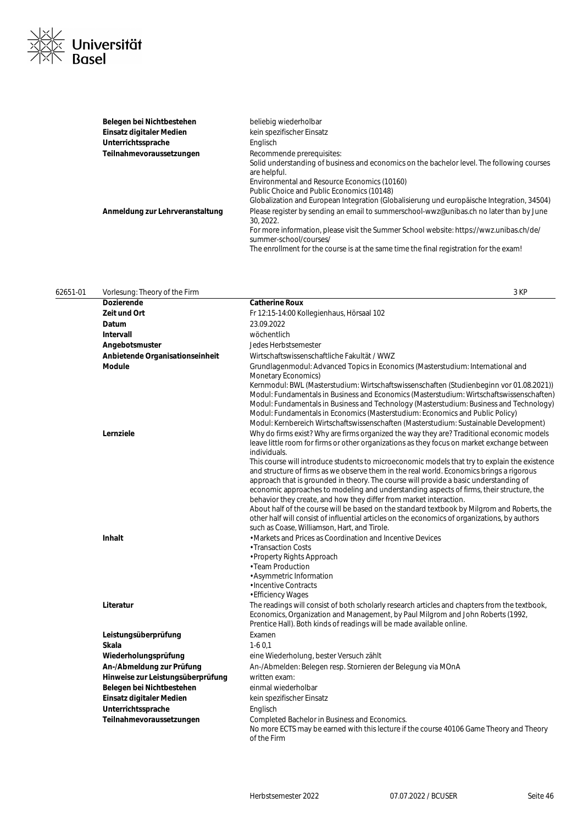

| Belegen bei Nichtbestehen       | beliebig wiederholbar                                                                                             |
|---------------------------------|-------------------------------------------------------------------------------------------------------------------|
| Einsatz digitaler Medien        | kein spezifischer Einsatz                                                                                         |
| Unterrichtssprache              | Englisch                                                                                                          |
| Teilnahmevoraussetzungen        | Recommende prerequisites:                                                                                         |
|                                 | Solid understanding of business and economics on the bachelor level. The following courses<br>are helpful.        |
|                                 | Environmental and Resource Economics (10160)                                                                      |
|                                 | Public Choice and Public Economics (10148)                                                                        |
|                                 | Globalization and European Integration (Globalisierung und europäische Integration, 34504)                        |
| Anmeldung zur Lehrveranstaltung | Please register by sending an email to summerschool-wwz@unibas.ch no later than by June<br>30, 2022.              |
|                                 | For more information, please visit the Summer School website: https://wwz.unibas.ch/de/<br>summer-school/courses/ |
|                                 | The enrollment for the course is at the same time the final registration for the exam!                            |

| 62651-01 | Vorlesung: Theory of the Firm     | 3 KP                                                                                                                                                                                                                                                                                                                                                                                                                                                      |
|----------|-----------------------------------|-----------------------------------------------------------------------------------------------------------------------------------------------------------------------------------------------------------------------------------------------------------------------------------------------------------------------------------------------------------------------------------------------------------------------------------------------------------|
|          | Dozierende                        | <b>Catherine Roux</b>                                                                                                                                                                                                                                                                                                                                                                                                                                     |
|          | Zeit und Ort                      | Fr 12:15-14:00 Kollegienhaus, Hörsaal 102                                                                                                                                                                                                                                                                                                                                                                                                                 |
|          | Datum                             | 23.09.2022                                                                                                                                                                                                                                                                                                                                                                                                                                                |
|          | Intervall                         | wöchentlich                                                                                                                                                                                                                                                                                                                                                                                                                                               |
|          | Angebotsmuster                    | Jedes Herbstsemester                                                                                                                                                                                                                                                                                                                                                                                                                                      |
|          | Anbietende Organisationseinheit   | Wirtschaftswissenschaftliche Fakultät / WWZ                                                                                                                                                                                                                                                                                                                                                                                                               |
|          | <b>Module</b>                     | Grundlagenmodul: Advanced Topics in Economics (Masterstudium: International and<br>Monetary Economics)                                                                                                                                                                                                                                                                                                                                                    |
|          |                                   | Kernmodul: BWL (Masterstudium: Wirtschaftswissenschaften (Studienbeginn vor 01.08.2021))<br>Modul: Fundamentals in Business and Economics (Masterstudium: Wirtschaftswissenschaften)<br>Modul: Fundamentals in Business and Technology (Masterstudium: Business and Technology)<br>Modul: Fundamentals in Economics (Masterstudium: Economics and Public Policy)<br>Modul: Kernbereich Wirtschaftswissenschaften (Masterstudium: Sustainable Development) |
|          | Lernziele                         | Why do firms exist? Why are firms organized the way they are? Traditional economic models<br>leave little room for firms or other organizations as they focus on market exchange between<br>individuals.                                                                                                                                                                                                                                                  |
|          |                                   | This course will introduce students to microeconomic models that try to explain the existence<br>and structure of firms as we observe them in the real world. Economics brings a rigorous<br>approach that is grounded in theory. The course will provide a basic understanding of<br>economic approaches to modeling and understanding aspects of firms, their structure, the<br>behavior they create, and how they differ from market interaction.      |
|          |                                   | About half of the course will be based on the standard textbook by Milgrom and Roberts, the<br>other half will consist of influential articles on the economics of organizations, by authors<br>such as Coase, Williamson, Hart, and Tirole.                                                                                                                                                                                                              |
|          | <b>Inhalt</b>                     | • Markets and Prices as Coordination and Incentive Devices<br>• Transaction Costs<br>• Property Rights Approach<br>• Team Production<br>· Asymmetric Information<br>· Incentive Contracts<br>• Efficiency Wages                                                                                                                                                                                                                                           |
|          | Literatur                         | The readings will consist of both scholarly research articles and chapters from the textbook,<br>Economics, Organization and Management, by Paul Milgrom and John Roberts (1992,<br>Prentice Hall). Both kinds of readings will be made available online.                                                                                                                                                                                                 |
|          | Leistungsüberprüfung              | Examen                                                                                                                                                                                                                                                                                                                                                                                                                                                    |
|          | <b>Skala</b>                      | $1-60.1$                                                                                                                                                                                                                                                                                                                                                                                                                                                  |
|          | Wiederholungsprüfung              | eine Wiederholung, bester Versuch zählt                                                                                                                                                                                                                                                                                                                                                                                                                   |
|          | An-/Abmeldung zur Prüfung         | An-/Abmelden: Belegen resp. Stornieren der Belegung via MOnA                                                                                                                                                                                                                                                                                                                                                                                              |
|          | Hinweise zur Leistungsüberprüfung | written exam:                                                                                                                                                                                                                                                                                                                                                                                                                                             |
|          | Belegen bei Nichtbestehen         | einmal wiederholbar                                                                                                                                                                                                                                                                                                                                                                                                                                       |
|          | Einsatz digitaler Medien          | kein spezifischer Einsatz                                                                                                                                                                                                                                                                                                                                                                                                                                 |
|          | Unterrichtssprache                | Englisch                                                                                                                                                                                                                                                                                                                                                                                                                                                  |
|          | Teilnahmevoraussetzungen          | Completed Bachelor in Business and Economics.<br>No more ECTS may be earned with this lecture if the course 40106 Game Theory and Theory<br>of the Firm                                                                                                                                                                                                                                                                                                   |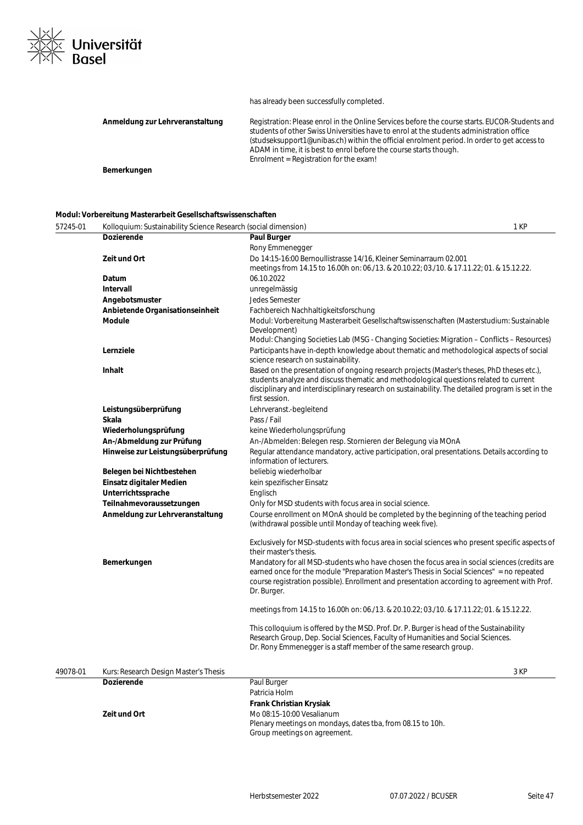

#### has already been successfully completed.

| Anmeldung zur Lehrveranstaltung | Registration: Please enrol in the Online Services before the course starts. EUCOR-Students and<br>students of other Swiss Universities have to enrol at the students administration office<br>(studseksupport1@unibas.ch) within the official enrolment period. In order to get access to<br>ADAM in time, it is best to enrol before the course starts though.<br>Enrolment = Registration for the exam! |
|---------------------------------|-----------------------------------------------------------------------------------------------------------------------------------------------------------------------------------------------------------------------------------------------------------------------------------------------------------------------------------------------------------------------------------------------------------|
| Bemerkungen                     |                                                                                                                                                                                                                                                                                                                                                                                                           |

#### **Modul: Vorbereitung Masterarbeit Gesellschaftswissenschaften**

| 57245-01 | Kolloquium: Sustainability Science Research (social dimension) |                                                                                                                                                                                                                                                                                                            | 1 KP |
|----------|----------------------------------------------------------------|------------------------------------------------------------------------------------------------------------------------------------------------------------------------------------------------------------------------------------------------------------------------------------------------------------|------|
|          | <b>Dozierende</b>                                              | Paul Burger                                                                                                                                                                                                                                                                                                |      |
|          |                                                                | Rony Emmenegger                                                                                                                                                                                                                                                                                            |      |
|          | Zeit und Ort                                                   | Do 14:15-16:00 Bernoullistrasse 14/16, Kleiner Seminarraum 02.001                                                                                                                                                                                                                                          |      |
|          |                                                                | meetings from 14.15 to 16.00h on: 06./13. & 20.10.22; 03./10. & 17.11.22; 01. & 15.12.22.                                                                                                                                                                                                                  |      |
|          | Datum                                                          | 06.10.2022                                                                                                                                                                                                                                                                                                 |      |
|          | Intervall                                                      | unregelmässig                                                                                                                                                                                                                                                                                              |      |
|          | Angebotsmuster                                                 | <b>Jedes Semester</b>                                                                                                                                                                                                                                                                                      |      |
|          | Anbietende Organisationseinheit                                | Fachbereich Nachhaltigkeitsforschung                                                                                                                                                                                                                                                                       |      |
|          | Module                                                         | Modul: Vorbereitung Masterarbeit Gesellschaftswissenschaften (Masterstudium: Sustainable<br>Development)                                                                                                                                                                                                   |      |
|          |                                                                | Modul: Changing Societies Lab (MSG - Changing Societies: Migration - Conflicts - Resources)                                                                                                                                                                                                                |      |
|          | Lernziele                                                      | Participants have in-depth knowledge about thematic and methodological aspects of social<br>science research on sustainability.                                                                                                                                                                            |      |
|          | Inhalt                                                         | Based on the presentation of ongoing research projects (Master's theses, PhD theses etc.),<br>students analyze and discuss thematic and methodological questions related to current<br>disciplinary and interdisciplinary research on sustainability. The detailed program is set in the<br>first session. |      |
|          | Leistungsüberprüfung                                           | Lehrveranst.-begleitend                                                                                                                                                                                                                                                                                    |      |
|          | Skala                                                          | Pass / Fail                                                                                                                                                                                                                                                                                                |      |
|          | Wiederholungsprüfung                                           | keine Wiederholungsprüfung                                                                                                                                                                                                                                                                                 |      |
|          | An-/Abmeldung zur Prüfung                                      | An-/Abmelden: Belegen resp. Stornieren der Belegung via MOnA                                                                                                                                                                                                                                               |      |
|          | Hinweise zur Leistungsüberprüfung                              | Regular attendance mandatory, active participation, oral presentations. Details according to<br>information of lecturers.                                                                                                                                                                                  |      |
|          | Belegen bei Nichtbestehen                                      | beliebig wiederholbar                                                                                                                                                                                                                                                                                      |      |
|          | Einsatz digitaler Medien                                       | kein spezifischer Einsatz                                                                                                                                                                                                                                                                                  |      |
|          | Unterrichtssprache                                             | Englisch                                                                                                                                                                                                                                                                                                   |      |
|          | Teilnahmevoraussetzungen                                       | Only for MSD students with focus area in social science.                                                                                                                                                                                                                                                   |      |
|          | Anmeldung zur Lehrveranstaltung                                | Course enrollment on MOnA should be completed by the beginning of the teaching period<br>(withdrawal possible until Monday of teaching week five).                                                                                                                                                         |      |
|          |                                                                | Exclusively for MSD-students with focus area in social sciences who present specific aspects of<br>their master's thesis.                                                                                                                                                                                  |      |
|          | Bemerkungen                                                    | Mandatory for all MSD-students who have chosen the focus area in social sciences (credits are<br>earned once for the module "Preparation Master's Thesis in Social Sciences" = no repeated<br>course registration possible). Enrollment and presentation according to agreement with Prof.<br>Dr. Burger.  |      |
|          |                                                                | meetings from 14.15 to 16.00h on: 06./13. & 20.10.22; 03./10. & 17.11.22; 01. & 15.12.22.                                                                                                                                                                                                                  |      |
|          |                                                                | This colloquium is offered by the MSD. Prof. Dr. P. Burger is head of the Sustainability<br>Research Group, Dep. Social Sciences, Faculty of Humanities and Social Sciences.<br>Dr. Rony Emmenegger is a staff member of the same research group.                                                          |      |
| 49078-01 | Kurs: Research Design Master's Thesis                          |                                                                                                                                                                                                                                                                                                            | 3 KP |
|          | <b>Dozierende</b>                                              | Paul Burger                                                                                                                                                                                                                                                                                                |      |
|          |                                                                | Patricia Holm                                                                                                                                                                                                                                                                                              |      |
|          |                                                                | Frank Christian Krysiak                                                                                                                                                                                                                                                                                    |      |
|          | Zeit und Ort                                                   | Mo 08:15-10:00 Vesalianum                                                                                                                                                                                                                                                                                  |      |

Group meetings on agreement.

Plenary meetings on mondays, dates tba, from 08.15 to 10h.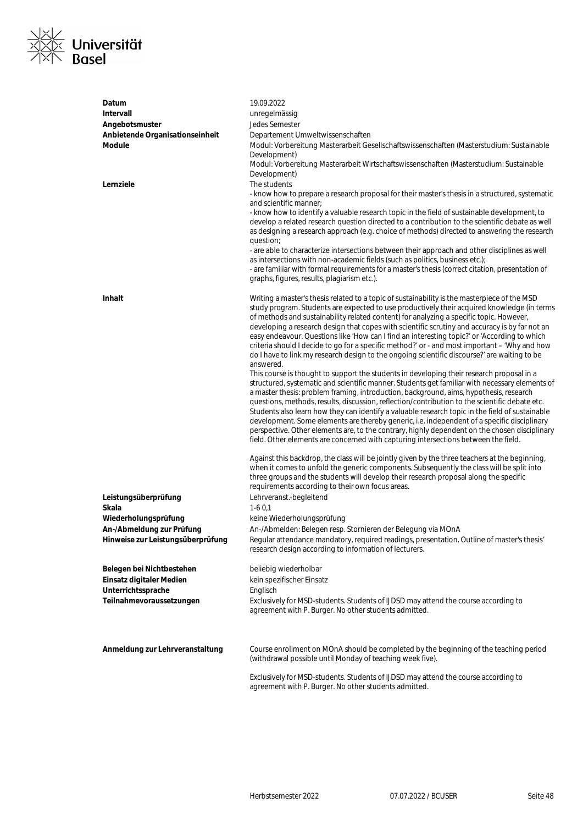

| Datum                                                 | 19.09.2022                                                                                                                                                                                     |
|-------------------------------------------------------|------------------------------------------------------------------------------------------------------------------------------------------------------------------------------------------------|
| Intervall                                             | unregelmässig                                                                                                                                                                                  |
| Angebotsmuster                                        | Jedes Semester                                                                                                                                                                                 |
| Anbietende Organisationseinheit                       | Departement Umweltwissenschaften                                                                                                                                                               |
| <b>Module</b>                                         | Modul: Vorbereitung Masterarbeit Gesellschaftswissenschaften (Masterstudium: Sustainable                                                                                                       |
|                                                       | Development)                                                                                                                                                                                   |
|                                                       | Modul: Vorbereitung Masterarbeit Wirtschaftswissenschaften (Masterstudium: Sustainable                                                                                                         |
| Lernziele                                             | Development)<br>The students                                                                                                                                                                   |
|                                                       | - know how to prepare a research proposal for their master's thesis in a structured, systematic                                                                                                |
|                                                       | and scientific manner;                                                                                                                                                                         |
|                                                       | - know how to identify a valuable research topic in the field of sustainable development, to                                                                                                   |
|                                                       | develop a related research question directed to a contribution to the scientific debate as well                                                                                                |
|                                                       | as designing a research approach (e.g. choice of methods) directed to answering the research                                                                                                   |
|                                                       | question;                                                                                                                                                                                      |
|                                                       | - are able to characterize intersections between their approach and other disciplines as well<br>as intersections with non-academic fields (such as politics, business etc.);                  |
|                                                       | - are familiar with formal requirements for a master's thesis (correct citation, presentation of                                                                                               |
|                                                       | graphs, figures, results, plagiarism etc.).                                                                                                                                                    |
|                                                       |                                                                                                                                                                                                |
| <b>Inhalt</b>                                         | Writing a master's thesis related to a topic of sustainability is the masterpiece of the MSD                                                                                                   |
|                                                       | study program. Students are expected to use productively their acquired knowledge (in terms                                                                                                    |
|                                                       | of methods and sustainability related content) for analyzing a specific topic. However,                                                                                                        |
|                                                       | developing a research design that copes with scientific scrutiny and accuracy is by far not an<br>easy endeavour. Questions like 'How can I find an interesting topic?' or 'According to which |
|                                                       | criteria should I decide to go for a specific method?' or - and most important - 'Why and how                                                                                                  |
|                                                       | do I have to link my research design to the ongoing scientific discourse?' are waiting to be                                                                                                   |
|                                                       | answered.                                                                                                                                                                                      |
|                                                       | This course is thought to support the students in developing their research proposal in a                                                                                                      |
|                                                       | structured, systematic and scientific manner. Students get familiar with necessary elements of                                                                                                 |
|                                                       | a master thesis: problem framing, introduction, background, aims, hypothesis, research<br>questions, methods, results, discussion, reflection/contribution to the scientific debate etc.       |
|                                                       | Students also learn how they can identify a valuable research topic in the field of sustainable                                                                                                |
|                                                       | development. Some elements are thereby generic, i.e. independent of a specific disciplinary                                                                                                    |
|                                                       | perspective. Other elements are, to the contrary, highly dependent on the chosen disciplinary                                                                                                  |
|                                                       | field. Other elements are concerned with capturing intersections between the field.                                                                                                            |
|                                                       |                                                                                                                                                                                                |
|                                                       | Against this backdrop, the class will be jointly given by the three teachers at the beginning,<br>when it comes to unfold the generic components. Subsequently the class will be split into    |
|                                                       | three groups and the students will develop their research proposal along the specific                                                                                                          |
|                                                       | requirements according to their own focus areas.                                                                                                                                               |
| Leistungsüberprüfung                                  | Lehrveranst.-begleitend                                                                                                                                                                        |
| Skala                                                 | $1-60,1$                                                                                                                                                                                       |
| Wiederholungsprüfung                                  | keine Wiederholungsprüfung                                                                                                                                                                     |
| An-/Abmeldung zur Prüfung                             | An-/Abmelden: Belegen resp. Stornieren der Belegung via MOnA                                                                                                                                   |
| Hinweise zur Leistungsüberprüfung                     | Regular attendance mandatory, required readings, presentation. Outline of master's thesis'                                                                                                     |
|                                                       | research design according to information of lecturers.                                                                                                                                         |
|                                                       | beliebig wiederholbar                                                                                                                                                                          |
| Belegen bei Nichtbestehen<br>Einsatz digitaler Medien | kein spezifischer Einsatz                                                                                                                                                                      |
| Unterrichtssprache                                    | Englisch                                                                                                                                                                                       |
| Teilnahmevoraussetzungen                              | Exclusively for MSD-students. Students of IJDSD may attend the course according to                                                                                                             |
|                                                       | agreement with P. Burger. No other students admitted.                                                                                                                                          |
|                                                       |                                                                                                                                                                                                |
|                                                       |                                                                                                                                                                                                |
| Anmeldung zur Lehrveranstaltung                       | Course enrollment on MOnA should be completed by the beginning of the teaching period                                                                                                          |
|                                                       | (withdrawal possible until Monday of teaching week five).                                                                                                                                      |
|                                                       | Exclusively for MSD-students. Students of IJDSD may attend the course according to                                                                                                             |
|                                                       | agreement with P. Burger. No other students admitted.                                                                                                                                          |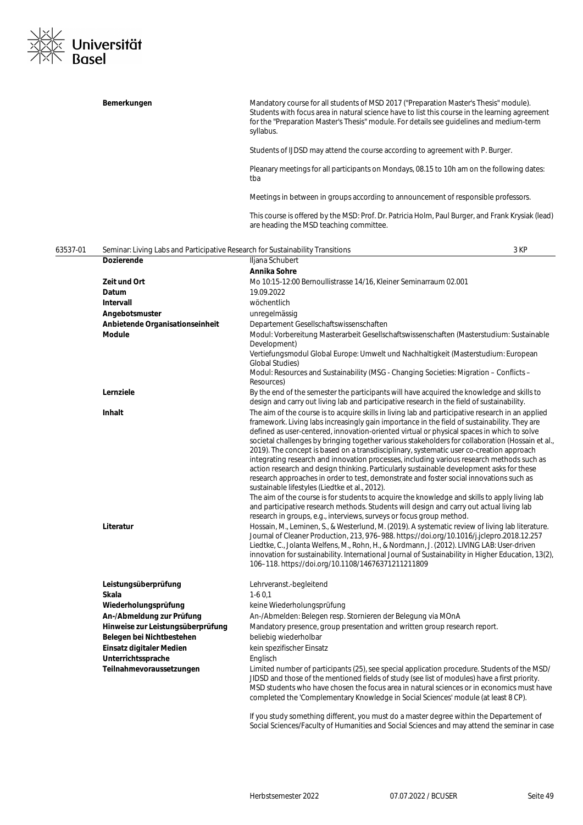

|          | Bemerkungen                                                                    | Mandatory course for all students of MSD 2017 ("Preparation Master's Thesis" module).<br>Students with focus area in natural science have to list this course in the learning agreement<br>for the "Preparation Master's Thesis" module. For details see guidelines and medium-term<br>syllabus.                                                                                                                                                                                                                                                                                                                                                                                                                                                                                                                                                                                                                                                                                                                                                                                                           |
|----------|--------------------------------------------------------------------------------|------------------------------------------------------------------------------------------------------------------------------------------------------------------------------------------------------------------------------------------------------------------------------------------------------------------------------------------------------------------------------------------------------------------------------------------------------------------------------------------------------------------------------------------------------------------------------------------------------------------------------------------------------------------------------------------------------------------------------------------------------------------------------------------------------------------------------------------------------------------------------------------------------------------------------------------------------------------------------------------------------------------------------------------------------------------------------------------------------------|
|          |                                                                                | Students of IJDSD may attend the course according to agreement with P. Burger.                                                                                                                                                                                                                                                                                                                                                                                                                                                                                                                                                                                                                                                                                                                                                                                                                                                                                                                                                                                                                             |
|          |                                                                                | Pleanary meetings for all participants on Mondays, 08.15 to 10h am on the following dates:<br>tba                                                                                                                                                                                                                                                                                                                                                                                                                                                                                                                                                                                                                                                                                                                                                                                                                                                                                                                                                                                                          |
|          |                                                                                | Meetings in between in groups according to announcement of responsible professors.                                                                                                                                                                                                                                                                                                                                                                                                                                                                                                                                                                                                                                                                                                                                                                                                                                                                                                                                                                                                                         |
|          |                                                                                | This course is offered by the MSD: Prof. Dr. Patricia Holm, Paul Burger, and Frank Krysiak (lead)<br>are heading the MSD teaching committee.                                                                                                                                                                                                                                                                                                                                                                                                                                                                                                                                                                                                                                                                                                                                                                                                                                                                                                                                                               |
| 63537-01 | Seminar: Living Labs and Participative Research for Sustainability Transitions | 3 KP                                                                                                                                                                                                                                                                                                                                                                                                                                                                                                                                                                                                                                                                                                                                                                                                                                                                                                                                                                                                                                                                                                       |
|          | <b>Dozierende</b>                                                              | Iljana Schubert                                                                                                                                                                                                                                                                                                                                                                                                                                                                                                                                                                                                                                                                                                                                                                                                                                                                                                                                                                                                                                                                                            |
|          |                                                                                | Annika Sohre                                                                                                                                                                                                                                                                                                                                                                                                                                                                                                                                                                                                                                                                                                                                                                                                                                                                                                                                                                                                                                                                                               |
|          | Zeit und Ort                                                                   | Mo 10:15-12:00 Bernoullistrasse 14/16, Kleiner Seminarraum 02.001                                                                                                                                                                                                                                                                                                                                                                                                                                                                                                                                                                                                                                                                                                                                                                                                                                                                                                                                                                                                                                          |
|          | Datum                                                                          | 19.09.2022                                                                                                                                                                                                                                                                                                                                                                                                                                                                                                                                                                                                                                                                                                                                                                                                                                                                                                                                                                                                                                                                                                 |
|          | Intervall                                                                      | wöchentlich                                                                                                                                                                                                                                                                                                                                                                                                                                                                                                                                                                                                                                                                                                                                                                                                                                                                                                                                                                                                                                                                                                |
|          | Angebotsmuster                                                                 | unregelmässig                                                                                                                                                                                                                                                                                                                                                                                                                                                                                                                                                                                                                                                                                                                                                                                                                                                                                                                                                                                                                                                                                              |
|          |                                                                                |                                                                                                                                                                                                                                                                                                                                                                                                                                                                                                                                                                                                                                                                                                                                                                                                                                                                                                                                                                                                                                                                                                            |
|          | Anbietende Organisationseinheit                                                | Departement Gesellschaftswissenschaften                                                                                                                                                                                                                                                                                                                                                                                                                                                                                                                                                                                                                                                                                                                                                                                                                                                                                                                                                                                                                                                                    |
|          | <b>Module</b>                                                                  | Modul: Vorbereitung Masterarbeit Gesellschaftswissenschaften (Masterstudium: Sustainable<br>Development)<br>Vertiefungsmodul Global Europe: Umwelt und Nachhaltigkeit (Masterstudium: European                                                                                                                                                                                                                                                                                                                                                                                                                                                                                                                                                                                                                                                                                                                                                                                                                                                                                                             |
|          |                                                                                | Global Studies)<br>Modul: Resources and Sustainability (MSG - Changing Societies: Migration - Conflicts -                                                                                                                                                                                                                                                                                                                                                                                                                                                                                                                                                                                                                                                                                                                                                                                                                                                                                                                                                                                                  |
|          | Lernziele                                                                      | Resources)<br>By the end of the semester the participants will have acquired the knowledge and skills to<br>design and carry out living lab and participative research in the field of sustainability.                                                                                                                                                                                                                                                                                                                                                                                                                                                                                                                                                                                                                                                                                                                                                                                                                                                                                                     |
|          | Inhalt                                                                         | The aim of the course is to acquire skills in living lab and participative research in an applied<br>framework. Living labs increasingly gain importance in the field of sustainability. They are<br>defined as user-centered, innovation-oriented virtual or physical spaces in which to solve<br>societal challenges by bringing together various stakeholders for collaboration (Hossain et al.,<br>2019). The concept is based on a transdisciplinary, systematic user co-creation approach<br>integrating research and innovation processes, including various research methods such as<br>action research and design thinking. Particularly sustainable development asks for these<br>research approaches in order to test, demonstrate and foster social innovations such as<br>sustainable lifestyles (Liedtke et al., 2012).<br>The aim of the course is for students to acquire the knowledge and skills to apply living lab<br>and participative research methods. Students will design and carry out actual living lab<br>research in groups, e.g., interviews, surveys or focus group method. |
|          | Literatur                                                                      | Hossain, M., Leminen, S., & Westerlund, M. (2019). A systematic review of living lab literature.<br>Journal of Cleaner Production, 213, 976-988. https://doi.org/10.1016/j.jclepro.2018.12.257<br>Liedtke, C., Jolanta Welfens, M., Rohn, H., & Nordmann, J. (2012). LIVING LAB: User-driven<br>innovation for sustainability. International Journal of Sustainability in Higher Education, 13(2),<br>106-118. https://doi.org/10.1108/14676371211211809                                                                                                                                                                                                                                                                                                                                                                                                                                                                                                                                                                                                                                                   |
|          | Leistungsüberprüfung                                                           | Lehrveranst.-begleitend                                                                                                                                                                                                                                                                                                                                                                                                                                                                                                                                                                                                                                                                                                                                                                                                                                                                                                                                                                                                                                                                                    |
|          | Skala                                                                          | $1-60,1$                                                                                                                                                                                                                                                                                                                                                                                                                                                                                                                                                                                                                                                                                                                                                                                                                                                                                                                                                                                                                                                                                                   |
|          | Wiederholungsprüfung                                                           | keine Wiederholungsprüfung                                                                                                                                                                                                                                                                                                                                                                                                                                                                                                                                                                                                                                                                                                                                                                                                                                                                                                                                                                                                                                                                                 |
|          |                                                                                |                                                                                                                                                                                                                                                                                                                                                                                                                                                                                                                                                                                                                                                                                                                                                                                                                                                                                                                                                                                                                                                                                                            |
|          | An-/Abmeldung zur Prüfung                                                      | An-/Abmelden: Belegen resp. Stornieren der Belegung via MOnA                                                                                                                                                                                                                                                                                                                                                                                                                                                                                                                                                                                                                                                                                                                                                                                                                                                                                                                                                                                                                                               |
|          | Hinweise zur Leistungsüberprüfung                                              | Mandatory presence, group presentation and written group research report.                                                                                                                                                                                                                                                                                                                                                                                                                                                                                                                                                                                                                                                                                                                                                                                                                                                                                                                                                                                                                                  |
|          | Belegen bei Nichtbestehen                                                      | beliebig wiederholbar                                                                                                                                                                                                                                                                                                                                                                                                                                                                                                                                                                                                                                                                                                                                                                                                                                                                                                                                                                                                                                                                                      |
|          | Einsatz digitaler Medien                                                       | kein spezifischer Einsatz                                                                                                                                                                                                                                                                                                                                                                                                                                                                                                                                                                                                                                                                                                                                                                                                                                                                                                                                                                                                                                                                                  |
|          | Unterrichtssprache                                                             | Englisch                                                                                                                                                                                                                                                                                                                                                                                                                                                                                                                                                                                                                                                                                                                                                                                                                                                                                                                                                                                                                                                                                                   |
|          | Teilnahmevoraussetzungen                                                       | Limited number of participants (25), see special application procedure. Students of the MSD/                                                                                                                                                                                                                                                                                                                                                                                                                                                                                                                                                                                                                                                                                                                                                                                                                                                                                                                                                                                                               |
|          |                                                                                | JIDSD and those of the mentioned fields of study (see list of modules) have a first priority.<br>MSD students who have chosen the focus area in natural sciences or in economics must have<br>completed the 'Complementary Knowledge in Social Sciences' module (at least 8 CP).                                                                                                                                                                                                                                                                                                                                                                                                                                                                                                                                                                                                                                                                                                                                                                                                                           |
|          |                                                                                | If you study something different, you must do a master degree within the Denartement of                                                                                                                                                                                                                                                                                                                                                                                                                                                                                                                                                                                                                                                                                                                                                                                                                                                                                                                                                                                                                    |

If you study something different, you must do a master degree within the Departement of Social Sciences/Faculty of Humanities and Social Sciences and may attend the seminar in case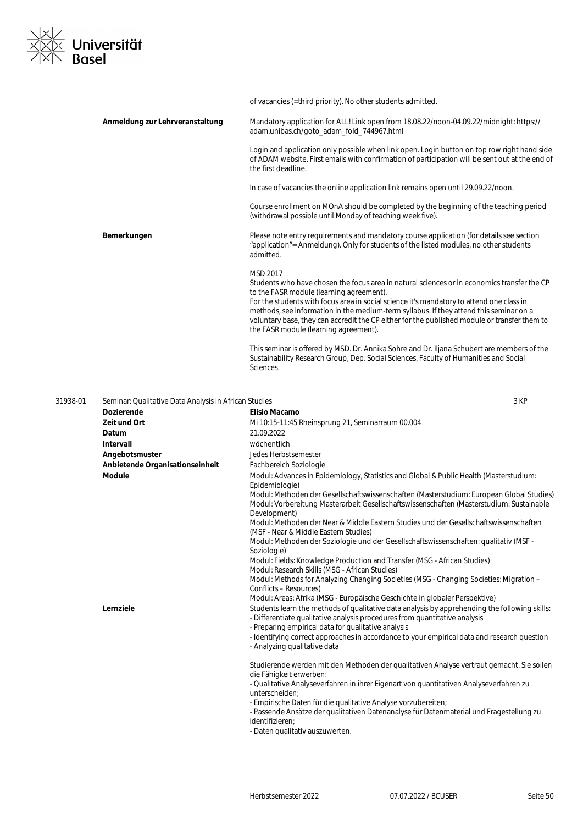

|                                 | of vacancies (=third priority). No other students admitted.                                                                                                                                                                                                                                                                                                                                                                                                                        |
|---------------------------------|------------------------------------------------------------------------------------------------------------------------------------------------------------------------------------------------------------------------------------------------------------------------------------------------------------------------------------------------------------------------------------------------------------------------------------------------------------------------------------|
| Anmeldung zur Lehrveranstaltung | Mandatory application for ALL! Link open from 18.08.22/noon-04.09.22/midnight: https://<br>adam.unibas.ch/goto_adam_fold_744967.html                                                                                                                                                                                                                                                                                                                                               |
|                                 | Login and application only possible when link open. Login button on top row right hand side<br>of ADAM website. First emails with confirmation of participation will be sent out at the end of<br>the first deadline.                                                                                                                                                                                                                                                              |
|                                 | In case of vacancies the online application link remains open until 29.09.22/noon.                                                                                                                                                                                                                                                                                                                                                                                                 |
|                                 | Course enrollment on MOnA should be completed by the beginning of the teaching period<br>(withdrawal possible until Monday of teaching week five).                                                                                                                                                                                                                                                                                                                                 |
| Bemerkungen                     | Please note entry requirements and mandatory course application (for details see section<br>"application" = Anmeldung). Only for students of the listed modules, no other students<br>admitted.                                                                                                                                                                                                                                                                                    |
|                                 | MSD 2017<br>Students who have chosen the focus area in natural sciences or in economics transfer the CP<br>to the FASR module (learning agreement).<br>For the students with focus area in social science it's mandatory to attend one class in<br>methods, see information in the medium-term syllabus. If they attend this seminar on a<br>voluntary base, they can accredit the CP either for the published module or transfer them to<br>the FASR module (learning agreement). |
|                                 | This seminar is offered by MSD. Dr. Annika Sohre and Dr. Iljana Schubert are members of the<br>Sustainability Research Group, Dep. Social Sciences, Faculty of Humanities and Social<br>Sciences.                                                                                                                                                                                                                                                                                  |

| 31938-01 | Seminar: Qualitative Data Analysis in African Studies |                                                                                                                                                                                                                                                                                                                                                                                                                                                                                                                                                                                                                                                                                                                                                                                    | 3 KP |
|----------|-------------------------------------------------------|------------------------------------------------------------------------------------------------------------------------------------------------------------------------------------------------------------------------------------------------------------------------------------------------------------------------------------------------------------------------------------------------------------------------------------------------------------------------------------------------------------------------------------------------------------------------------------------------------------------------------------------------------------------------------------------------------------------------------------------------------------------------------------|------|
|          | <b>Dozierende</b>                                     | <b>Elisio Macamo</b>                                                                                                                                                                                                                                                                                                                                                                                                                                                                                                                                                                                                                                                                                                                                                               |      |
|          | Zeit und Ort                                          | Mi 10:15-11:45 Rheinsprung 21, Seminarraum 00.004                                                                                                                                                                                                                                                                                                                                                                                                                                                                                                                                                                                                                                                                                                                                  |      |
|          | Datum                                                 | 21.09.2022                                                                                                                                                                                                                                                                                                                                                                                                                                                                                                                                                                                                                                                                                                                                                                         |      |
|          | Intervall                                             | wöchentlich                                                                                                                                                                                                                                                                                                                                                                                                                                                                                                                                                                                                                                                                                                                                                                        |      |
|          | Angebotsmuster                                        | Jedes Herbstsemester                                                                                                                                                                                                                                                                                                                                                                                                                                                                                                                                                                                                                                                                                                                                                               |      |
|          | Anbietende Organisationseinheit                       | Fachbereich Soziologie                                                                                                                                                                                                                                                                                                                                                                                                                                                                                                                                                                                                                                                                                                                                                             |      |
|          | <b>Module</b>                                         | Modul: Advances in Epidemiology, Statistics and Global & Public Health (Masterstudium:<br>Epidemiologie)<br>Modul: Methoden der Gesellschaftswissenschaften (Masterstudium: European Global Studies)<br>Modul: Vorbereitung Masterarbeit Gesellschaftswissenschaften (Masterstudium: Sustainable<br>Development)<br>Modul: Methoden der Near & Middle Eastern Studies und der Gesellschaftswissenschaften<br>(MSF - Near & Middle Eastern Studies)<br>Modul: Methoden der Soziologie und der Gesellschaftswissenschaften: qualitativ (MSF -<br>Soziologie)<br>Modul: Fields: Knowledge Production and Transfer (MSG - African Studies)<br>Modul: Research Skills (MSG - African Studies)<br>Modul: Methods for Analyzing Changing Societies (MSG - Changing Societies: Migration - |      |
|          | Lernziele                                             | Conflicts - Resources)<br>Modul: Areas: Afrika (MSG - Europäische Geschichte in globaler Perspektive)<br>Students learn the methods of qualitative data analysis by apprehending the following skills:<br>- Differentiate qualitative analysis procedures from quantitative analysis<br>- Preparing empirical data for qualitative analysis<br>- Identifying correct approaches in accordance to your empirical data and research question<br>- Analyzing qualitative data                                                                                                                                                                                                                                                                                                         |      |
|          |                                                       | Studierende werden mit den Methoden der qualitativen Analyse vertraut gemacht. Sie sollen<br>die Fähigkeit erwerben:<br>- Qualitative Analyseverfahren in ihrer Eigenart von quantitativen Analyseverfahren zu<br>unterscheiden:<br>- Empirische Daten für die qualitative Analyse vorzubereiten;<br>- Passende Ansätze der qualitativen Datenanalyse für Datenmaterial und Fragestellung zu<br>identifizieren:<br>- Daten qualitativ auszuwerten.                                                                                                                                                                                                                                                                                                                                 |      |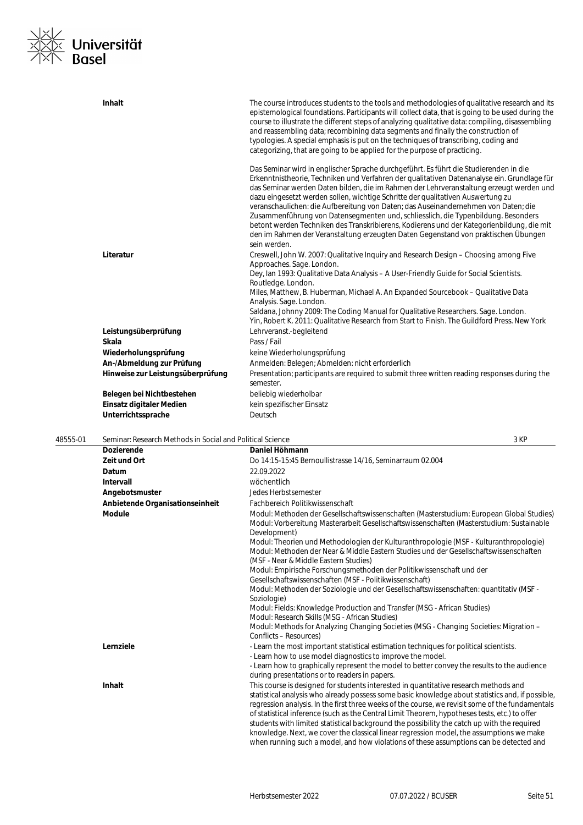

| <b>Inhalt</b>                     | The course introduces students to the tools and methodologies of qualitative research and its<br>epistemological foundations. Participants will collect data, that is going to be used during the<br>course to illustrate the different steps of analyzing qualitative data: compiling, disassembling<br>and reassembling data; recombining data segments and finally the construction of<br>typologies. A special emphasis is put on the techniques of transcribing, coding and<br>categorizing, that are going to be applied for the purpose of practicing.                                                                                                                                                                                    |
|-----------------------------------|--------------------------------------------------------------------------------------------------------------------------------------------------------------------------------------------------------------------------------------------------------------------------------------------------------------------------------------------------------------------------------------------------------------------------------------------------------------------------------------------------------------------------------------------------------------------------------------------------------------------------------------------------------------------------------------------------------------------------------------------------|
|                                   | Das Seminar wird in englischer Sprache durchgeführt. Es führt die Studierenden in die<br>Erkenntnistheorie, Techniken und Verfahren der qualitativen Datenanalyse ein. Grundlage für<br>das Seminar werden Daten bilden, die im Rahmen der Lehrveranstaltung erzeugt werden und<br>dazu eingesetzt werden sollen, wichtige Schritte der qualitativen Auswertung zu<br>veranschaulichen: die Aufbereitung von Daten; das Auseinandernehmen von Daten; die<br>Zusammenführung von Datensegmenten und, schliesslich, die Typenbildung. Besonders<br>betont werden Techniken des Transkribierens, Kodierens und der Kategorienbildung, die mit<br>den im Rahmen der Veranstaltung erzeugten Daten Gegenstand von praktischen Übungen<br>sein werden. |
| Literatur                         | Creswell, John W. 2007: Qualitative Inquiry and Research Design – Choosing among Five<br>Approaches. Sage. London.<br>Dey, Ian 1993: Qualitative Data Analysis - A User-Friendly Guide for Social Scientists.<br>Routledge. London.                                                                                                                                                                                                                                                                                                                                                                                                                                                                                                              |
|                                   | Miles, Matthew, B. Huberman, Michael A. An Expanded Sourcebook - Qualitative Data<br>Analysis. Sage. London.<br>Saldana, Johnny 2009: The Coding Manual for Qualitative Researchers. Sage. London.                                                                                                                                                                                                                                                                                                                                                                                                                                                                                                                                               |
|                                   | Yin, Robert K. 2011: Qualitative Research from Start to Finish. The Guildford Press. New York                                                                                                                                                                                                                                                                                                                                                                                                                                                                                                                                                                                                                                                    |
| Leistungsüberprüfung              | Lehrveranst.-begleitend                                                                                                                                                                                                                                                                                                                                                                                                                                                                                                                                                                                                                                                                                                                          |
| Skala                             | Pass / Fail                                                                                                                                                                                                                                                                                                                                                                                                                                                                                                                                                                                                                                                                                                                                      |
| Wiederholungsprüfung              | keine Wiederholungsprüfung                                                                                                                                                                                                                                                                                                                                                                                                                                                                                                                                                                                                                                                                                                                       |
| An-/Abmeldung zur Prüfung         | Anmelden: Belegen; Abmelden: nicht erforderlich                                                                                                                                                                                                                                                                                                                                                                                                                                                                                                                                                                                                                                                                                                  |
| Hinweise zur Leistungsüberprüfung | Presentation; participants are required to submit three written reading responses during the<br>semester.                                                                                                                                                                                                                                                                                                                                                                                                                                                                                                                                                                                                                                        |
| Belegen bei Nichtbestehen         | beliebig wiederholbar                                                                                                                                                                                                                                                                                                                                                                                                                                                                                                                                                                                                                                                                                                                            |
| Einsatz digitaler Medien          | kein spezifischer Einsatz                                                                                                                                                                                                                                                                                                                                                                                                                                                                                                                                                                                                                                                                                                                        |
| Unterrichtssprache                | Deutsch                                                                                                                                                                                                                                                                                                                                                                                                                                                                                                                                                                                                                                                                                                                                          |

| 48555-01 | Seminar: Research Methods in Social and Political Science |                                                                                                                                                                                                                                                                                                                                                                                                                                                                                                                                                                                                                                                                                                                                                         | 3 KP |
|----------|-----------------------------------------------------------|---------------------------------------------------------------------------------------------------------------------------------------------------------------------------------------------------------------------------------------------------------------------------------------------------------------------------------------------------------------------------------------------------------------------------------------------------------------------------------------------------------------------------------------------------------------------------------------------------------------------------------------------------------------------------------------------------------------------------------------------------------|------|
|          | <b>Dozierende</b>                                         | Daniel Höhmann                                                                                                                                                                                                                                                                                                                                                                                                                                                                                                                                                                                                                                                                                                                                          |      |
|          | Zeit und Ort                                              | Do 14:15-15:45 Bernoullistrasse 14/16. Seminarraum 02.004                                                                                                                                                                                                                                                                                                                                                                                                                                                                                                                                                                                                                                                                                               |      |
|          | Datum                                                     | 22.09.2022                                                                                                                                                                                                                                                                                                                                                                                                                                                                                                                                                                                                                                                                                                                                              |      |
|          | <b>Intervall</b>                                          | wöchentlich                                                                                                                                                                                                                                                                                                                                                                                                                                                                                                                                                                                                                                                                                                                                             |      |
|          | Angebotsmuster                                            | Jedes Herbstsemester                                                                                                                                                                                                                                                                                                                                                                                                                                                                                                                                                                                                                                                                                                                                    |      |
|          | Anbietende Organisationseinheit                           | Fachbereich Politikwissenschaft                                                                                                                                                                                                                                                                                                                                                                                                                                                                                                                                                                                                                                                                                                                         |      |
|          | <b>Module</b>                                             | Modul: Methoden der Gesellschaftswissenschaften (Masterstudium: European Global Studies)<br>Modul: Vorbereitung Masterarbeit Gesellschaftswissenschaften (Masterstudium: Sustainable<br>Development)<br>Modul: Theorien und Methodologien der Kulturanthropologie (MSF - Kulturanthropologie)<br>Modul: Methoden der Near & Middle Eastern Studies und der Gesellschaftswissenschaften<br>(MSF - Near & Middle Eastern Studies)<br>Modul: Empirische Forschungsmethoden der Politikwissenschaft und der<br>Gesellschaftswissenschaften (MSF - Politikwissenschaft)<br>Modul: Methoden der Soziologie und der Gesellschaftswissenschaften: quantitativ (MSF -<br>Soziologie)<br>Modul: Fields: Knowledge Production and Transfer (MSG - African Studies) |      |
|          |                                                           | Modul: Research Skills (MSG - African Studies)<br>Modul: Methods for Analyzing Changing Societies (MSG - Changing Societies: Migration -<br>Conflicts - Resources)                                                                                                                                                                                                                                                                                                                                                                                                                                                                                                                                                                                      |      |
|          | Lernziele                                                 | - Learn the most important statistical estimation techniques for political scientists.<br>- Learn how to use model diagnostics to improve the model.<br>- Learn how to graphically represent the model to better convey the results to the audience<br>during presentations or to readers in papers.                                                                                                                                                                                                                                                                                                                                                                                                                                                    |      |
|          | Inhalt                                                    | This course is designed for students interested in quantitative research methods and<br>statistical analysis who already possess some basic knowledge about statistics and, if possible,<br>regression analysis. In the first three weeks of the course, we revisit some of the fundamentals<br>of statistical inference (such as the Central Limit Theorem, hypotheses tests, etc.) to offer<br>students with limited statistical background the possibility the catch up with the required<br>knowledge. Next, we cover the classical linear regression model, the assumptions we make<br>when running such a model, and how violations of these assumptions can be detected and                                                                      |      |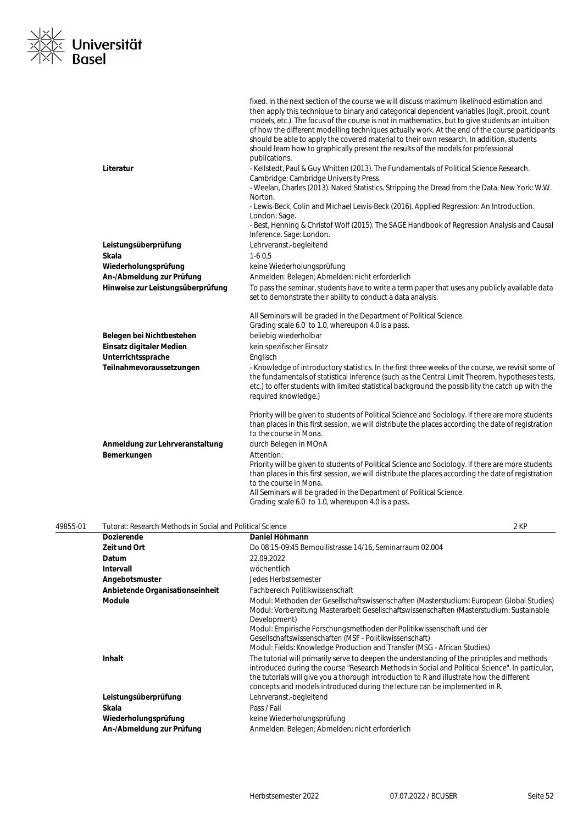

|                                   | fixed. In the next section of the course we will discuss maximum likelihood estimation and<br>then apply this technique to binary and categorical dependent variables (logit, probit, count<br>models, etc.). The focus of the course is not in mathematics, but to give students an intuition<br>of how the different modelling techniques actually work. At the end of the course participants<br>should be able to apply the covered material to their own research. In addition, students<br>should learn how to graphically present the results of the models for professional<br>publications. |
|-----------------------------------|------------------------------------------------------------------------------------------------------------------------------------------------------------------------------------------------------------------------------------------------------------------------------------------------------------------------------------------------------------------------------------------------------------------------------------------------------------------------------------------------------------------------------------------------------------------------------------------------------|
| Literatur                         | - Kellstedt, Paul & Guy Whitten (2013). The Fundamentals of Political Science Research.<br>Cambridge: Cambridge University Press.                                                                                                                                                                                                                                                                                                                                                                                                                                                                    |
|                                   | - Weelan, Charles (2013). Naked Statistics. Stripping the Dread from the Data. New York: W.W.<br>Norton.                                                                                                                                                                                                                                                                                                                                                                                                                                                                                             |
|                                   | - Lewis-Beck, Colin and Michael Lewis-Beck (2016). Applied Regression: An Introduction.                                                                                                                                                                                                                                                                                                                                                                                                                                                                                                              |
|                                   | London: Sage.<br>- Best, Henning & Christof Wolf (2015). The SAGE Handbook of Regression Analysis and Causal<br>Inference. Sage: London.                                                                                                                                                                                                                                                                                                                                                                                                                                                             |
| Leistungsüberprüfung              | Lehrveranst.-begleitend                                                                                                                                                                                                                                                                                                                                                                                                                                                                                                                                                                              |
| <b>Skala</b>                      | $1-60,5$                                                                                                                                                                                                                                                                                                                                                                                                                                                                                                                                                                                             |
| Wiederholungsprüfung              | keine Wiederholungsprüfung                                                                                                                                                                                                                                                                                                                                                                                                                                                                                                                                                                           |
| An-/Abmeldung zur Prüfung         | Anmelden: Belegen; Abmelden: nicht erforderlich                                                                                                                                                                                                                                                                                                                                                                                                                                                                                                                                                      |
| Hinweise zur Leistungsüberprüfung | To pass the seminar, students have to write a term paper that uses any publicly available data<br>set to demonstrate their ability to conduct a data analysis.                                                                                                                                                                                                                                                                                                                                                                                                                                       |
|                                   | All Seminars will be graded in the Department of Political Science.<br>Grading scale 6.0 to 1.0, whereupon 4.0 is a pass.                                                                                                                                                                                                                                                                                                                                                                                                                                                                            |
| Belegen bei Nichtbestehen         | beliebig wiederholbar                                                                                                                                                                                                                                                                                                                                                                                                                                                                                                                                                                                |
| Einsatz digitaler Medien          | kein spezifischer Einsatz                                                                                                                                                                                                                                                                                                                                                                                                                                                                                                                                                                            |
| Unterrichtssprache                | Englisch                                                                                                                                                                                                                                                                                                                                                                                                                                                                                                                                                                                             |
| Teilnahmevoraussetzungen          | - Knowledge of introductory statistics. In the first three weeks of the course, we revisit some of<br>the fundamentals of statistical inference (such as the Central Limit Theorem, hypotheses tests,<br>etc.) to offer students with limited statistical background the possibility the catch up with the<br>required knowledge.)                                                                                                                                                                                                                                                                   |
| Anmeldung zur Lehrveranstaltung   | Priority will be given to students of Political Science and Sociology. If there are more students<br>than places in this first session, we will distribute the places according the date of registration<br>to the course in Mona.<br>durch Belegen in MOnA                                                                                                                                                                                                                                                                                                                                          |
| Bemerkungen                       | Attention:                                                                                                                                                                                                                                                                                                                                                                                                                                                                                                                                                                                           |
|                                   | Priority will be given to students of Political Science and Sociology. If there are more students<br>than places in this first session, we will distribute the places according the date of registration<br>to the course in Mona.<br>All Seminars will be graded in the Department of Political Science.                                                                                                                                                                                                                                                                                            |
|                                   | Grading scale 6.0 to 1.0, whereupon 4.0 is a pass.                                                                                                                                                                                                                                                                                                                                                                                                                                                                                                                                                   |

| Tutorat: Research Methods in Social and Political Science |                                                                                                                                                                                                                                                                                                                                                                                                                     | 2 KP |
|-----------------------------------------------------------|---------------------------------------------------------------------------------------------------------------------------------------------------------------------------------------------------------------------------------------------------------------------------------------------------------------------------------------------------------------------------------------------------------------------|------|
| <b>Dozierende</b>                                         | Daniel Höhmann                                                                                                                                                                                                                                                                                                                                                                                                      |      |
| Zeit und Ort                                              | Do 08:15-09:45 Bernoullistrasse 14/16, Seminarraum 02.004                                                                                                                                                                                                                                                                                                                                                           |      |
| Datum                                                     | 22.09.2022                                                                                                                                                                                                                                                                                                                                                                                                          |      |
| Intervall                                                 | wöchentlich                                                                                                                                                                                                                                                                                                                                                                                                         |      |
| Angebotsmuster                                            | Jedes Herbstsemester                                                                                                                                                                                                                                                                                                                                                                                                |      |
| Anbietende Organisationseinheit                           | Fachbereich Politikwissenschaft                                                                                                                                                                                                                                                                                                                                                                                     |      |
| <b>Module</b>                                             | Modul: Methoden der Gesellschaftswissenschaften (Masterstudium: European Global Studies)<br>Modul: Vorbereitung Masterarbeit Gesellschaftswissenschaften (Masterstudium: Sustainable<br>Development)<br>Modul: Empirische Forschungsmethoden der Politikwissenschaft und der<br>Gesellschaftswissenschaften (MSF - Politikwissenschaft)<br>Modul: Fields: Knowledge Production and Transfer (MSG - African Studies) |      |
| Inhalt                                                    | The tutorial will primarily serve to deepen the understanding of the principles and methods<br>introduced during the course "Research Methods in Social and Political Science". In particular,<br>the tutorials will give you a thorough introduction to R and illustrate how the different<br>concepts and models introduced during the lecture can be implemented in R.                                           |      |
| Leistungsüberprüfung                                      | Lehrveranst.-begleitend                                                                                                                                                                                                                                                                                                                                                                                             |      |
| Skala                                                     | Pass / Fail                                                                                                                                                                                                                                                                                                                                                                                                         |      |
| Wiederholungsprüfung                                      | keine Wiederholungsprüfung                                                                                                                                                                                                                                                                                                                                                                                          |      |
| An-/Abmeldung zur Prüfung                                 | Anmelden: Belegen: Abmelden: nicht erforderlich                                                                                                                                                                                                                                                                                                                                                                     |      |
|                                                           |                                                                                                                                                                                                                                                                                                                                                                                                                     |      |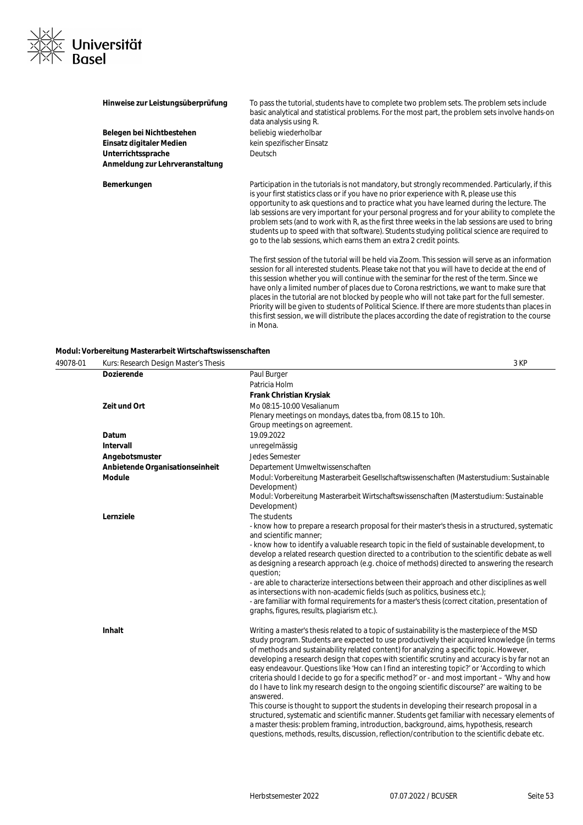

| Hinweise zur Leistungsüberprüfung | To pass the tutorial, students have to complete two problem sets. The problem sets include<br>basic analytical and statistical problems. For the most part, the problem sets involve hands-on<br>data analysis using R.                                                                                                                                                                                                                                                                                                                                                                                                                                                   |
|-----------------------------------|---------------------------------------------------------------------------------------------------------------------------------------------------------------------------------------------------------------------------------------------------------------------------------------------------------------------------------------------------------------------------------------------------------------------------------------------------------------------------------------------------------------------------------------------------------------------------------------------------------------------------------------------------------------------------|
| Belegen bei Nichtbestehen         | beliebig wiederholbar                                                                                                                                                                                                                                                                                                                                                                                                                                                                                                                                                                                                                                                     |
| Einsatz digitaler Medien          | kein spezifischer Einsatz                                                                                                                                                                                                                                                                                                                                                                                                                                                                                                                                                                                                                                                 |
| Unterrichtssprache                | <b>Deutsch</b>                                                                                                                                                                                                                                                                                                                                                                                                                                                                                                                                                                                                                                                            |
| Anmeldung zur Lehrveranstaltung   |                                                                                                                                                                                                                                                                                                                                                                                                                                                                                                                                                                                                                                                                           |
| Bemerkungen                       | Participation in the tutorials is not mandatory, but strongly recommended. Particularly, if this<br>is your first statistics class or if you have no prior experience with R, please use this<br>opportunity to ask questions and to practice what you have learned during the lecture. The<br>lab sessions are very important for your personal progress and for your ability to complete the<br>problem sets (and to work with R, as the first three weeks in the lab sessions are used to bring<br>students up to speed with that software). Students studying political science are required to<br>go to the lab sessions, which earns them an extra 2 credit points. |
|                                   | The first session of the tutorial will be held via Zoom. This session will serve as an information<br>session for all interested students. Please take not that you will have to decide at the end of<br>this session whether you will continue with the seminar for the rest of the term. Since we<br>have only a limited number of places due to Corona restrictions, we want to make sure that                                                                                                                                                                                                                                                                         |

places in the tutorial are not blocked by people who will not take part for the full semester. Priority will be given to students of Political Science. If there are more students than places in this first session, we will distribute the places according the date of registration to the course

**Modul: Vorbereitung Masterarbeit Wirtschaftswissenschaften**

| 49078-01 | Kurs: Research Design Master's Thesis |                                                                                                                                                                                                                                                                                                                                                                                                                                                                                                                                                                                                                                                                                                                                                                                                     | 3 KP |
|----------|---------------------------------------|-----------------------------------------------------------------------------------------------------------------------------------------------------------------------------------------------------------------------------------------------------------------------------------------------------------------------------------------------------------------------------------------------------------------------------------------------------------------------------------------------------------------------------------------------------------------------------------------------------------------------------------------------------------------------------------------------------------------------------------------------------------------------------------------------------|------|
|          | <b>Dozierende</b>                     | Paul Burger                                                                                                                                                                                                                                                                                                                                                                                                                                                                                                                                                                                                                                                                                                                                                                                         |      |
|          |                                       | Patricia Holm                                                                                                                                                                                                                                                                                                                                                                                                                                                                                                                                                                                                                                                                                                                                                                                       |      |
|          |                                       | Frank Christian Krysiak                                                                                                                                                                                                                                                                                                                                                                                                                                                                                                                                                                                                                                                                                                                                                                             |      |
|          | Zeit und Ort                          | Mo 08:15-10:00 Vesalianum                                                                                                                                                                                                                                                                                                                                                                                                                                                                                                                                                                                                                                                                                                                                                                           |      |
|          |                                       | Plenary meetings on mondays, dates tba, from 08.15 to 10h.                                                                                                                                                                                                                                                                                                                                                                                                                                                                                                                                                                                                                                                                                                                                          |      |
|          |                                       | Group meetings on agreement.                                                                                                                                                                                                                                                                                                                                                                                                                                                                                                                                                                                                                                                                                                                                                                        |      |
|          | Datum                                 | 19.09.2022                                                                                                                                                                                                                                                                                                                                                                                                                                                                                                                                                                                                                                                                                                                                                                                          |      |
|          | <b>Intervall</b>                      | unregelmässig                                                                                                                                                                                                                                                                                                                                                                                                                                                                                                                                                                                                                                                                                                                                                                                       |      |
|          | Angebotsmuster                        | Jedes Semester                                                                                                                                                                                                                                                                                                                                                                                                                                                                                                                                                                                                                                                                                                                                                                                      |      |
|          | Anbietende Organisationseinheit       | Departement Umweltwissenschaften                                                                                                                                                                                                                                                                                                                                                                                                                                                                                                                                                                                                                                                                                                                                                                    |      |
|          | <b>Module</b>                         | Modul: Vorbereitung Masterarbeit Gesellschaftswissenschaften (Masterstudium: Sustainable<br>Development)                                                                                                                                                                                                                                                                                                                                                                                                                                                                                                                                                                                                                                                                                            |      |
|          |                                       | Modul: Vorbereitung Masterarbeit Wirtschaftswissenschaften (Masterstudium: Sustainable<br>Development)                                                                                                                                                                                                                                                                                                                                                                                                                                                                                                                                                                                                                                                                                              |      |
|          | Lernziele                             | The students                                                                                                                                                                                                                                                                                                                                                                                                                                                                                                                                                                                                                                                                                                                                                                                        |      |
|          |                                       | - know how to prepare a research proposal for their master's thesis in a structured, systematic<br>and scientific manner:                                                                                                                                                                                                                                                                                                                                                                                                                                                                                                                                                                                                                                                                           |      |
|          |                                       | - know how to identify a valuable research topic in the field of sustainable development, to<br>develop a related research question directed to a contribution to the scientific debate as well<br>as designing a research approach (e.g. choice of methods) directed to answering the research<br>question;                                                                                                                                                                                                                                                                                                                                                                                                                                                                                        |      |
|          |                                       | - are able to characterize intersections between their approach and other disciplines as well<br>as intersections with non-academic fields (such as politics, business etc.);<br>- are familiar with formal requirements for a master's thesis (correct citation, presentation of                                                                                                                                                                                                                                                                                                                                                                                                                                                                                                                   |      |
|          |                                       | graphs, figures, results, plagiarism etc.).                                                                                                                                                                                                                                                                                                                                                                                                                                                                                                                                                                                                                                                                                                                                                         |      |
|          | <b>Inhalt</b>                         | Writing a master's thesis related to a topic of sustainability is the masterpiece of the MSD<br>study program. Students are expected to use productively their acquired knowledge (in terms<br>of methods and sustainability related content) for analyzing a specific topic. However,<br>developing a research design that copes with scientific scrutiny and accuracy is by far not an<br>easy endeavour. Questions like 'How can I find an interesting topic?' or 'According to which<br>criteria should I decide to go for a specific method?' or - and most important - 'Why and how<br>do I have to link my research design to the ongoing scientific discourse?' are waiting to be<br>answered.<br>This course is thought to support the students in developing their research proposal in a |      |
|          |                                       | structured, systematic and scientific manner. Students get familiar with necessary elements of<br>a master thesis: problem framing, introduction, background, aims, hypothesis, research<br>questions, methods, results, discussion, reflection/contribution to the scientific debate etc.                                                                                                                                                                                                                                                                                                                                                                                                                                                                                                          |      |

in Mona.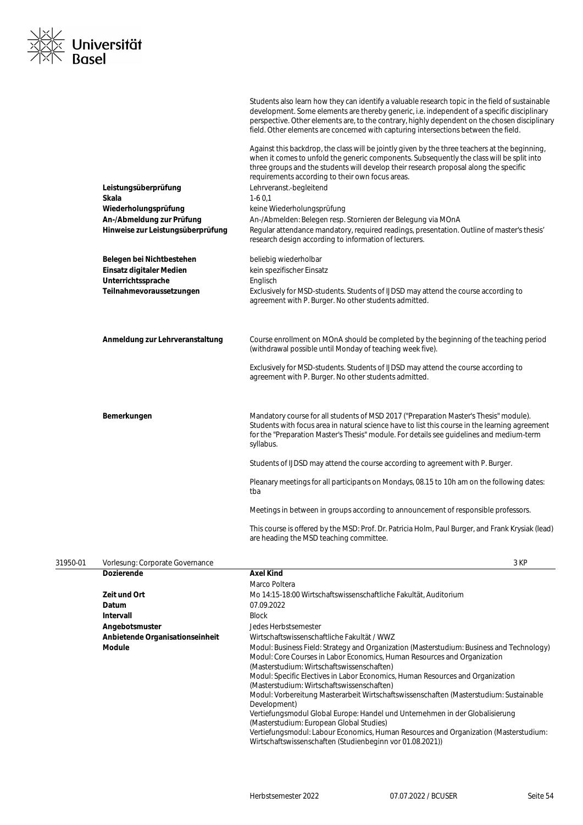| <b>Basel</b> | Universität                       |                                                                                                                                                                                                                                                                                                                                                                                        |
|--------------|-----------------------------------|----------------------------------------------------------------------------------------------------------------------------------------------------------------------------------------------------------------------------------------------------------------------------------------------------------------------------------------------------------------------------------------|
|              |                                   | Students also learn how they can identify a valuable research topic in the field of sustainable<br>development. Some elements are thereby generic, i.e. independent of a specific disciplinary<br>perspective. Other elements are, to the contrary, highly dependent on the chosen disciplinary<br>field. Other elements are concerned with capturing intersections between the field. |
|              |                                   | Against this backdrop, the class will be jointly given by the three teachers at the beginning,<br>when it comes to unfold the generic components. Subsequently the class will be split into<br>three groups and the students will develop their research proposal along the specific<br>requirements according to their own focus areas.                                               |
|              | Leistungsüberprüfung              | Lehrveranst.-begleitend                                                                                                                                                                                                                                                                                                                                                                |
|              | Skala                             | $1-60,1$                                                                                                                                                                                                                                                                                                                                                                               |
|              | Wiederholungsprüfung              | keine Wiederholungsprüfung                                                                                                                                                                                                                                                                                                                                                             |
|              | An-/Abmeldung zur Prüfung         | An-/Abmelden: Belegen resp. Stornieren der Belegung via MOnA                                                                                                                                                                                                                                                                                                                           |
|              | Hinweise zur Leistungsüberprüfung | Regular attendance mandatory, required readings, presentation. Outline of master's thesis'<br>research design according to information of lecturers.                                                                                                                                                                                                                                   |
|              | Belegen bei Nichtbestehen         | beliebig wiederholbar                                                                                                                                                                                                                                                                                                                                                                  |
|              | Einsatz digitaler Medien          | kein spezifischer Einsatz                                                                                                                                                                                                                                                                                                                                                              |
|              | Unterrichtssprache                | Englisch                                                                                                                                                                                                                                                                                                                                                                               |
|              | Teilnahmevoraussetzungen          | Exclusively for MSD-students. Students of IJDSD may attend the course according to<br>agreement with P. Burger. No other students admitted.                                                                                                                                                                                                                                            |
|              | Anmeldung zur Lehrveranstaltung   | Course enrollment on MOnA should be completed by the beginning of the teaching period<br>(withdrawal possible until Monday of teaching week five).                                                                                                                                                                                                                                     |
|              |                                   | Exclusively for MSD-students. Students of IJDSD may attend the course according to<br>agreement with P. Burger. No other students admitted.                                                                                                                                                                                                                                            |
|              | Bemerkungen                       | Mandatory course for all students of MSD 2017 ("Preparation Master's Thesis" module).                                                                                                                                                                                                                                                                                                  |
|              |                                   | Students with focus area in natural science have to list this course in the learning agreement<br>for the "Preparation Master's Thesis" module. For details see guidelines and medium-term<br>syllabus.                                                                                                                                                                                |
|              |                                   | Students of IJDSD may attend the course according to agreement with P. Burger.                                                                                                                                                                                                                                                                                                         |
|              |                                   | Pleanary meetings for all participants on Mondays, 08.15 to 10h am on the following dates:<br>tba                                                                                                                                                                                                                                                                                      |
|              |                                   | Meetings in between in groups according to announcement of responsible professors.                                                                                                                                                                                                                                                                                                     |
|              |                                   | This course is offered by the MSD: Prof. Dr. Patricia Holm, Paul Burger, and Frank Krysiak (lead)<br>are heading the MSD teaching committee.                                                                                                                                                                                                                                           |
| 31950-01     | Vorlesung: Corporate Governance   | 3 KP                                                                                                                                                                                                                                                                                                                                                                                   |

 $\overline{\phantom{a}}$ 

| <u>JIJU VI</u> | <b>VOLICSUITY.</b> OOI DOI UTC OO VCH INTICC | וויש                                                                                                                                                                                                                                                                                                                                                                                                                                                                                                                                                                                                                                                                                                                                           |
|----------------|----------------------------------------------|------------------------------------------------------------------------------------------------------------------------------------------------------------------------------------------------------------------------------------------------------------------------------------------------------------------------------------------------------------------------------------------------------------------------------------------------------------------------------------------------------------------------------------------------------------------------------------------------------------------------------------------------------------------------------------------------------------------------------------------------|
|                | <b>Dozierende</b>                            | <b>Axel Kind</b>                                                                                                                                                                                                                                                                                                                                                                                                                                                                                                                                                                                                                                                                                                                               |
|                |                                              | Marco Poltera                                                                                                                                                                                                                                                                                                                                                                                                                                                                                                                                                                                                                                                                                                                                  |
|                | <b>Zeit und Ort</b>                          | Mo 14:15-18:00 Wirtschaftswissenschaftliche Fakultät. Auditorium                                                                                                                                                                                                                                                                                                                                                                                                                                                                                                                                                                                                                                                                               |
|                | Datum                                        | 07.09.2022                                                                                                                                                                                                                                                                                                                                                                                                                                                                                                                                                                                                                                                                                                                                     |
|                | Intervall                                    | <b>Block</b>                                                                                                                                                                                                                                                                                                                                                                                                                                                                                                                                                                                                                                                                                                                                   |
|                | Angebotsmuster                               | Jedes Herbstsemester                                                                                                                                                                                                                                                                                                                                                                                                                                                                                                                                                                                                                                                                                                                           |
|                | Anbietende Organisationseinheit              | Wirtschaftswissenschaftliche Fakultät / WWZ                                                                                                                                                                                                                                                                                                                                                                                                                                                                                                                                                                                                                                                                                                    |
|                | Module                                       | Modul: Business Field: Strategy and Organization (Masterstudium: Business and Technology)<br>Modul: Core Courses in Labor Economics, Human Resources and Organization<br>(Masterstudium: Wirtschaftswissenschaften)<br>Modul: Specific Electives in Labor Economics, Human Resources and Organization<br>(Masterstudium: Wirtschaftswissenschaften)<br>Modul: Vorbereitung Masterarbeit Wirtschaftswissenschaften (Masterstudium: Sustainable<br>Development)<br>Vertiefungsmodul Global Europe: Handel und Unternehmen in der Globalisierung<br>(Masterstudium: European Global Studies)<br>Vertiefungsmodul: Labour Economics, Human Resources and Organization (Masterstudium:<br>Wirtschaftswissenschaften (Studienbeginn vor 01.08.2021)) |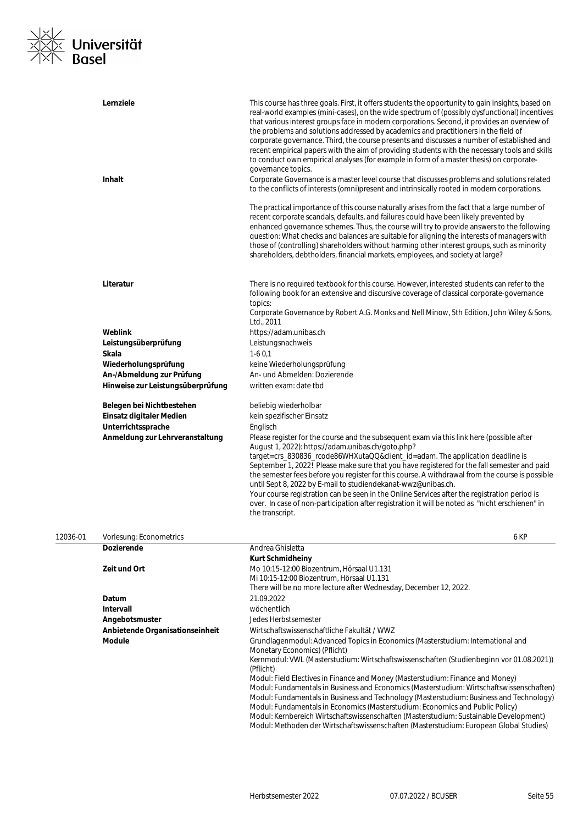

|          | Lernziele<br><b>Inhalt</b>        | This course has three goals. First, it offers students the opportunity to gain insights, based on<br>real-world examples (mini-cases), on the wide spectrum of (possibly dysfunctional) incentives<br>that various interest groups face in modern corporations. Second, it provides an overview of<br>the problems and solutions addressed by academics and practitioners in the field of<br>corporate governance. Third, the course presents and discusses a number of established and<br>recent empirical papers with the aim of providing students with the necessary tools and skills<br>to conduct own empirical analyses (for example in form of a master thesis) on corporate-<br>governance topics.<br>Corporate Governance is a master level course that discusses problems and solutions related<br>to the conflicts of interests (omni)present and intrinsically rooted in modern corporations.<br>The practical importance of this course naturally arises from the fact that a large number of<br>recent corporate scandals, defaults, and failures could have been likely prevented by<br>enhanced governance schemes. Thus, the course will try to provide answers to the following |
|----------|-----------------------------------|----------------------------------------------------------------------------------------------------------------------------------------------------------------------------------------------------------------------------------------------------------------------------------------------------------------------------------------------------------------------------------------------------------------------------------------------------------------------------------------------------------------------------------------------------------------------------------------------------------------------------------------------------------------------------------------------------------------------------------------------------------------------------------------------------------------------------------------------------------------------------------------------------------------------------------------------------------------------------------------------------------------------------------------------------------------------------------------------------------------------------------------------------------------------------------------------------|
|          |                                   | question: What checks and balances are suitable for aligning the interests of managers with<br>those of (controlling) shareholders without harming other interest groups, such as minority<br>shareholders, debtholders, financial markets, employees, and society at large?                                                                                                                                                                                                                                                                                                                                                                                                                                                                                                                                                                                                                                                                                                                                                                                                                                                                                                                       |
|          | Literatur                         | There is no required textbook for this course. However, interested students can refer to the<br>following book for an extensive and discursive coverage of classical corporate-governance<br>topics:<br>Corporate Governance by Robert A.G. Monks and Nell Minow, 5th Edition, John Wiley & Sons,<br>Ltd., 2011                                                                                                                                                                                                                                                                                                                                                                                                                                                                                                                                                                                                                                                                                                                                                                                                                                                                                    |
|          | Weblink                           | https://adam.unibas.ch                                                                                                                                                                                                                                                                                                                                                                                                                                                                                                                                                                                                                                                                                                                                                                                                                                                                                                                                                                                                                                                                                                                                                                             |
|          | Leistungsüberprüfung              | Leistungsnachweis                                                                                                                                                                                                                                                                                                                                                                                                                                                                                                                                                                                                                                                                                                                                                                                                                                                                                                                                                                                                                                                                                                                                                                                  |
|          | Skala                             | $1-60,1$                                                                                                                                                                                                                                                                                                                                                                                                                                                                                                                                                                                                                                                                                                                                                                                                                                                                                                                                                                                                                                                                                                                                                                                           |
|          | Wiederholungsprüfung              | keine Wiederholungsprüfung                                                                                                                                                                                                                                                                                                                                                                                                                                                                                                                                                                                                                                                                                                                                                                                                                                                                                                                                                                                                                                                                                                                                                                         |
|          | An-/Abmeldung zur Prüfung         | An- und Abmelden: Dozierende                                                                                                                                                                                                                                                                                                                                                                                                                                                                                                                                                                                                                                                                                                                                                                                                                                                                                                                                                                                                                                                                                                                                                                       |
|          | Hinweise zur Leistungsüberprüfung | written exam: date tbd                                                                                                                                                                                                                                                                                                                                                                                                                                                                                                                                                                                                                                                                                                                                                                                                                                                                                                                                                                                                                                                                                                                                                                             |
|          |                                   |                                                                                                                                                                                                                                                                                                                                                                                                                                                                                                                                                                                                                                                                                                                                                                                                                                                                                                                                                                                                                                                                                                                                                                                                    |
|          | Belegen bei Nichtbestehen         | beliebig wiederholbar                                                                                                                                                                                                                                                                                                                                                                                                                                                                                                                                                                                                                                                                                                                                                                                                                                                                                                                                                                                                                                                                                                                                                                              |
|          | Einsatz digitaler Medien          | kein spezifischer Einsatz                                                                                                                                                                                                                                                                                                                                                                                                                                                                                                                                                                                                                                                                                                                                                                                                                                                                                                                                                                                                                                                                                                                                                                          |
|          | Unterrichtssprache                | Englisch                                                                                                                                                                                                                                                                                                                                                                                                                                                                                                                                                                                                                                                                                                                                                                                                                                                                                                                                                                                                                                                                                                                                                                                           |
|          | Anmeldung zur Lehrveranstaltung   | Please register for the course and the subsequent exam via this link here (possible after<br>August 1, 2022): https://adam.unibas.ch/goto.php?                                                                                                                                                                                                                                                                                                                                                                                                                                                                                                                                                                                                                                                                                                                                                                                                                                                                                                                                                                                                                                                     |
|          |                                   | target=crs_830836_rcode86WHXutaQQ&client_id=adam. The application deadline is<br>September 1, 2022! Please make sure that you have registered for the fall semester and paid<br>the semester fees before you register for this course. A withdrawal from the course is possible<br>until Sept 8, 2022 by E-mail to studiendekanat-wwz@unibas.ch.<br>Your course registration can be seen in the Online Services after the registration period is<br>over. In case of non-participation after registration it will be noted as "nicht erschienen" in<br>the transcript.                                                                                                                                                                                                                                                                                                                                                                                                                                                                                                                                                                                                                             |
| 12036-01 | Vorlesung: Econometrics           | 6 KP                                                                                                                                                                                                                                                                                                                                                                                                                                                                                                                                                                                                                                                                                                                                                                                                                                                                                                                                                                                                                                                                                                                                                                                               |
|          | <b>Dozierende</b>                 | Andrea Ghisletta                                                                                                                                                                                                                                                                                                                                                                                                                                                                                                                                                                                                                                                                                                                                                                                                                                                                                                                                                                                                                                                                                                                                                                                   |
|          |                                   | <b>Kurt Schmidheiny</b>                                                                                                                                                                                                                                                                                                                                                                                                                                                                                                                                                                                                                                                                                                                                                                                                                                                                                                                                                                                                                                                                                                                                                                            |
|          | Zeit und Ort                      | Mo 10:15-12:00 Biozentrum, Hörsaal U1.131                                                                                                                                                                                                                                                                                                                                                                                                                                                                                                                                                                                                                                                                                                                                                                                                                                                                                                                                                                                                                                                                                                                                                          |
|          |                                   | Mi 10:15-12:00 Biozentrum, Hörsaal U1.131                                                                                                                                                                                                                                                                                                                                                                                                                                                                                                                                                                                                                                                                                                                                                                                                                                                                                                                                                                                                                                                                                                                                                          |
|          |                                   | There will be no more lecture after Wednesday, December 12, 2022.                                                                                                                                                                                                                                                                                                                                                                                                                                                                                                                                                                                                                                                                                                                                                                                                                                                                                                                                                                                                                                                                                                                                  |
|          | Datum                             | 21.09.2022                                                                                                                                                                                                                                                                                                                                                                                                                                                                                                                                                                                                                                                                                                                                                                                                                                                                                                                                                                                                                                                                                                                                                                                         |
|          | <b>Intervall</b>                  | wöchentlich                                                                                                                                                                                                                                                                                                                                                                                                                                                                                                                                                                                                                                                                                                                                                                                                                                                                                                                                                                                                                                                                                                                                                                                        |
|          | Angebotsmuster                    | Jedes Herbstsemester                                                                                                                                                                                                                                                                                                                                                                                                                                                                                                                                                                                                                                                                                                                                                                                                                                                                                                                                                                                                                                                                                                                                                                               |
|          | Anbietende Organisationseinheit   | Wirtschaftswissenschaftliche Fakultät / WWZ                                                                                                                                                                                                                                                                                                                                                                                                                                                                                                                                                                                                                                                                                                                                                                                                                                                                                                                                                                                                                                                                                                                                                        |
|          | <b>Module</b>                     | Grundlagenmodul: Advanced Topics in Economics (Masterstudium: International and<br>Monetary Economics) (Pflicht)                                                                                                                                                                                                                                                                                                                                                                                                                                                                                                                                                                                                                                                                                                                                                                                                                                                                                                                                                                                                                                                                                   |
|          |                                   | Kernmodul: VWL (Masterstudium: Wirtschaftswissenschaften (Studienbeginn vor 01.08.2021))<br>(Pflicht)                                                                                                                                                                                                                                                                                                                                                                                                                                                                                                                                                                                                                                                                                                                                                                                                                                                                                                                                                                                                                                                                                              |
|          |                                   | Modul: Field Electives in Finance and Money (Masterstudium: Finance and Money)<br>Modul: Fundamentals in Business and Economics (Masterstudium: Wirtschaftswissenschaften)<br>Modul: Fundamentals in Business and Technology (Masterstudium: Business and Technology)                                                                                                                                                                                                                                                                                                                                                                                                                                                                                                                                                                                                                                                                                                                                                                                                                                                                                                                              |
|          |                                   | Modul: Fundamentals in Economics (Masterstudium: Economics and Public Policy)                                                                                                                                                                                                                                                                                                                                                                                                                                                                                                                                                                                                                                                                                                                                                                                                                                                                                                                                                                                                                                                                                                                      |

Modul: Kernbereich Wirtschaftswissenschaften (Masterstudium: Sustainable Development) Modul: Methoden der Wirtschaftswissenschaften (Masterstudium: European Global Studies)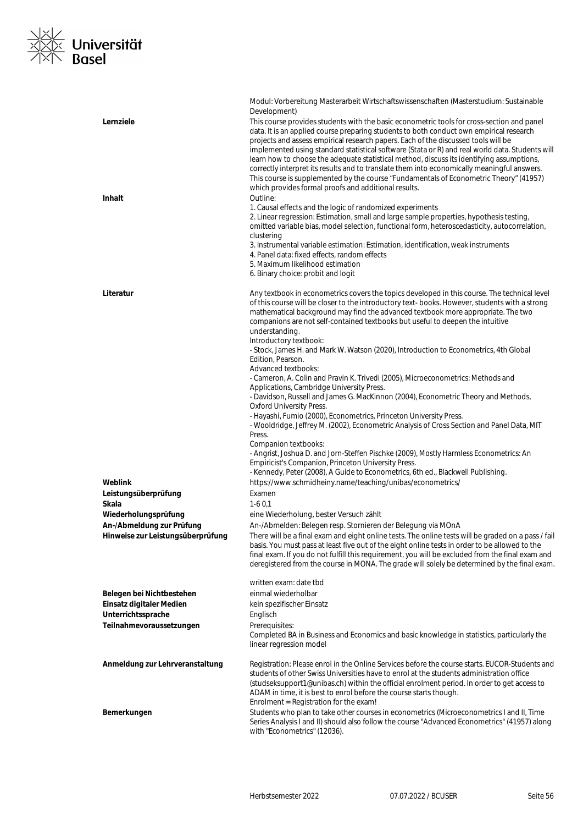### ×<u>l∕</u><br>×∑ Universität<br>×∧ Basel  $\frac{1}{2}$

|                                                                | Modul: Vorbereitung Masterarbeit Wirtschaftswissenschaften (Masterstudium: Sustainable<br>Development)                                                                                                                                                                                                                                                                                                                                                                                                                                                                                                                                                                                                                                                                                                                                                                                                                                                                                                                                                                                                                                                                |
|----------------------------------------------------------------|-----------------------------------------------------------------------------------------------------------------------------------------------------------------------------------------------------------------------------------------------------------------------------------------------------------------------------------------------------------------------------------------------------------------------------------------------------------------------------------------------------------------------------------------------------------------------------------------------------------------------------------------------------------------------------------------------------------------------------------------------------------------------------------------------------------------------------------------------------------------------------------------------------------------------------------------------------------------------------------------------------------------------------------------------------------------------------------------------------------------------------------------------------------------------|
| Lernziele                                                      | This course provides students with the basic econometric tools for cross-section and panel<br>data. It is an applied course preparing students to both conduct own empirical research<br>projects and assess empirical research papers. Each of the discussed tools will be<br>implemented using standard statistical software (Stata or R) and real world data. Students will<br>learn how to choose the adequate statistical method, discuss its identifying assumptions,<br>correctly interpret its results and to translate them into economically meaningful answers.<br>This course is supplemented by the course "Fundamentals of Econometric Theory" (41957)<br>which provides formal proofs and additional results.<br>Outline:                                                                                                                                                                                                                                                                                                                                                                                                                              |
| <b>Inhalt</b>                                                  | 1. Causal effects and the logic of randomized experiments<br>2. Linear regression: Estimation, small and large sample properties, hypothesis testing,<br>omitted variable bias, model selection, functional form, heteroscedasticity, autocorrelation,<br>clustering<br>3. Instrumental variable estimation: Estimation, identification, weak instruments<br>4. Panel data: fixed effects, random effects<br>5. Maximum likelihood estimation<br>6. Binary choice: probit and logit                                                                                                                                                                                                                                                                                                                                                                                                                                                                                                                                                                                                                                                                                   |
| Literatur                                                      | Any textbook in econometrics covers the topics developed in this course. The technical level<br>of this course will be closer to the introductory text-books. However, students with a strong<br>mathematical background may find the advanced textbook more appropriate. The two<br>companions are not self-contained textbooks but useful to deepen the intuitive<br>understanding.<br>Introductory textbook:<br>- Stock, James H. and Mark W. Watson (2020), Introduction to Econometrics, 4th Global<br>Edition, Pearson.<br>Advanced textbooks:<br>- Cameron, A. Colin and Pravin K. Trivedi (2005), Microeconometrics: Methods and<br>Applications, Cambridge University Press.<br>- Davidson, Russell and James G. MacKinnon (2004), Econometric Theory and Methods,<br><b>Oxford University Press.</b><br>- Hayashi, Fumio (2000), Econometrics, Princeton University Press.<br>- Wooldridge, Jeffrey M. (2002), Econometric Analysis of Cross Section and Panel Data, MIT<br>Press.<br>Companion textbooks:<br>- Angrist, Joshua D. and Jorn-Steffen Pischke (2009), Mostly Harmless Econometrics: An<br>Empiricist's Companion, Princeton University Press. |
|                                                                | - Kennedy, Peter (2008), A Guide to Econometrics, 6th ed., Blackwell Publishing.                                                                                                                                                                                                                                                                                                                                                                                                                                                                                                                                                                                                                                                                                                                                                                                                                                                                                                                                                                                                                                                                                      |
| Weblink                                                        | https://www.schmidheiny.name/teaching/unibas/econometrics/                                                                                                                                                                                                                                                                                                                                                                                                                                                                                                                                                                                                                                                                                                                                                                                                                                                                                                                                                                                                                                                                                                            |
| Leistungsüberprüfung                                           | Examen                                                                                                                                                                                                                                                                                                                                                                                                                                                                                                                                                                                                                                                                                                                                                                                                                                                                                                                                                                                                                                                                                                                                                                |
| Skala                                                          | $1-60.1$                                                                                                                                                                                                                                                                                                                                                                                                                                                                                                                                                                                                                                                                                                                                                                                                                                                                                                                                                                                                                                                                                                                                                              |
| Wiederholungsprüfung                                           | eine Wiederholung, bester Versuch zählt                                                                                                                                                                                                                                                                                                                                                                                                                                                                                                                                                                                                                                                                                                                                                                                                                                                                                                                                                                                                                                                                                                                               |
| An-/Abmeldung zur Prüfung<br>Hinweise zur Leistungsüberprüfung | An-/Abmelden: Belegen resp. Stornieren der Belegung via MOnA<br>There will be a final exam and eight online tests. The online tests will be graded on a pass / fail<br>basis. You must pass at least five out of the eight online tests in order to be allowed to the<br>final exam. If you do not fulfill this requirement, you will be excluded from the final exam and<br>deregistered from the course in MONA. The grade will solely be determined by the final exam.                                                                                                                                                                                                                                                                                                                                                                                                                                                                                                                                                                                                                                                                                             |
|                                                                | written exam: date tbd                                                                                                                                                                                                                                                                                                                                                                                                                                                                                                                                                                                                                                                                                                                                                                                                                                                                                                                                                                                                                                                                                                                                                |
| Belegen bei Nichtbestehen                                      | einmal wiederholbar                                                                                                                                                                                                                                                                                                                                                                                                                                                                                                                                                                                                                                                                                                                                                                                                                                                                                                                                                                                                                                                                                                                                                   |
| Einsatz digitaler Medien                                       | kein spezifischer Einsatz                                                                                                                                                                                                                                                                                                                                                                                                                                                                                                                                                                                                                                                                                                                                                                                                                                                                                                                                                                                                                                                                                                                                             |
| Unterrichtssprache                                             | Englisch                                                                                                                                                                                                                                                                                                                                                                                                                                                                                                                                                                                                                                                                                                                                                                                                                                                                                                                                                                                                                                                                                                                                                              |
| Teilnahmevoraussetzungen                                       | Prerequisites:<br>Completed BA in Business and Economics and basic knowledge in statistics, particularly the<br>linear regression model                                                                                                                                                                                                                                                                                                                                                                                                                                                                                                                                                                                                                                                                                                                                                                                                                                                                                                                                                                                                                               |
| Anmeldung zur Lehrveranstaltung                                | Registration: Please enrol in the Online Services before the course starts. EUCOR-Students and<br>students of other Swiss Universities have to enrol at the students administration office<br>(studseksupport1@unibas.ch) within the official enrolment period. In order to get access to<br>ADAM in time, it is best to enrol before the course starts though.<br>Enrolment = Registration for the exam!                                                                                                                                                                                                                                                                                                                                                                                                                                                                                                                                                                                                                                                                                                                                                             |
| Bemerkungen                                                    | Students who plan to take other courses in econometrics (Microeconometrics I and II, Time<br>Series Analysis I and II) should also follow the course "Advanced Econometrics" (41957) along<br>with "Econometrics" (12036).                                                                                                                                                                                                                                                                                                                                                                                                                                                                                                                                                                                                                                                                                                                                                                                                                                                                                                                                            |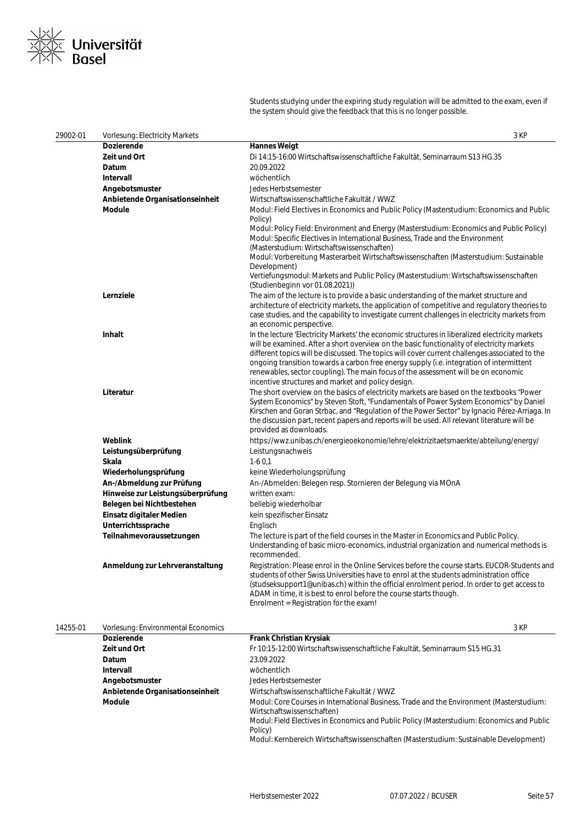

Students studying under the expiring study regulation will be admitted to the exam, even if the system should give the feedback that this is no longer possible.

| 29002-01 | <b>Vorlesung: Electricity Markets</b> | 3 KP                                                                                                                                                                                                                                                                                                                                                                                                                                                                                                                                                                    |
|----------|---------------------------------------|-------------------------------------------------------------------------------------------------------------------------------------------------------------------------------------------------------------------------------------------------------------------------------------------------------------------------------------------------------------------------------------------------------------------------------------------------------------------------------------------------------------------------------------------------------------------------|
|          | Dozierende                            | <b>Hannes Weigt</b>                                                                                                                                                                                                                                                                                                                                                                                                                                                                                                                                                     |
|          | Zeit und Ort                          | Di 14:15-16:00 Wirtschaftswissenschaftliche Fakultät, Seminarraum S13 HG.35                                                                                                                                                                                                                                                                                                                                                                                                                                                                                             |
|          | Datum                                 | 20.09.2022                                                                                                                                                                                                                                                                                                                                                                                                                                                                                                                                                              |
|          | Intervall                             | wöchentlich                                                                                                                                                                                                                                                                                                                                                                                                                                                                                                                                                             |
|          | Angebotsmuster                        | Jedes Herbstsemester                                                                                                                                                                                                                                                                                                                                                                                                                                                                                                                                                    |
|          | Anbietende Organisationseinheit       | Wirtschaftswissenschaftliche Fakultät / WWZ                                                                                                                                                                                                                                                                                                                                                                                                                                                                                                                             |
|          | <b>Module</b>                         | Modul: Field Electives in Economics and Public Policy (Masterstudium: Economics and Public<br>Policy)<br>Modul: Policy Field: Environment and Energy (Masterstudium: Economics and Public Policy)<br>Modul: Specific Electives in International Business, Trade and the Environment<br>(Masterstudium: Wirtschaftswissenschaften)<br>Modul: Vorbereitung Masterarbeit Wirtschaftswissenschaften (Masterstudium: Sustainable<br>Development)<br>Vertiefungsmodul: Markets and Public Policy (Masterstudium: Wirtschaftswissenschaften<br>(Studienbeginn vor 01.08.2021)) |
|          | Lernziele                             | The aim of the lecture is to provide a basic understanding of the market structure and<br>architecture of electricity markets, the application of competitive and regulatory theories to<br>case studies, and the capability to investigate current challenges in electricity markets from<br>an economic perspective.                                                                                                                                                                                                                                                  |
|          | <b>Inhalt</b>                         | In the lecture 'Electricity Markets' the economic structures in liberalized electricity markets<br>will be examined. After a short overview on the basic functionality of electricity markets<br>different topics will be discussed. The topics will cover current challenges associated to the<br>ongoing transition towards a carbon free energy supply (i.e. integration of intermittent<br>renewables, sector coupling). The main focus of the assessment will be on economic<br>incentive structures and market and policy design.                                 |
|          | Literatur                             | The short overview on the basics of electricity markets are based on the textbooks "Power<br>System Economics" by Steven Stoft, "Fundamentals of Power System Economics" by Daniel<br>Kirschen and Goran Strbac, and "Regulation of the Power Sector" by Ignacio Pérez-Arriaga. In<br>the discussion part, recent papers and reports will be used. All relevant literature will be<br>provided as downloads.                                                                                                                                                            |
|          | Weblink                               | https://wwz.unibas.ch/energieoekonomie/lehre/elektrizitaetsmaerkte/abteilung/energy/                                                                                                                                                                                                                                                                                                                                                                                                                                                                                    |
|          | Leistungsüberprüfung                  | Leistungsnachweis                                                                                                                                                                                                                                                                                                                                                                                                                                                                                                                                                       |
|          | Skala                                 | $1-60,1$                                                                                                                                                                                                                                                                                                                                                                                                                                                                                                                                                                |
|          | Wiederholungsprüfung                  | keine Wiederholungsprüfung                                                                                                                                                                                                                                                                                                                                                                                                                                                                                                                                              |
|          | An-/Abmeldung zur Prüfung             | An-/Abmelden: Belegen resp. Stornieren der Belegung via MOnA                                                                                                                                                                                                                                                                                                                                                                                                                                                                                                            |
|          | Hinweise zur Leistungsüberprüfung     | written exam:                                                                                                                                                                                                                                                                                                                                                                                                                                                                                                                                                           |
|          | Belegen bei Nichtbestehen             | beliebig wiederholbar                                                                                                                                                                                                                                                                                                                                                                                                                                                                                                                                                   |
|          | Einsatz digitaler Medien              | kein spezifischer Einsatz                                                                                                                                                                                                                                                                                                                                                                                                                                                                                                                                               |
|          | Unterrichtssprache                    | Englisch                                                                                                                                                                                                                                                                                                                                                                                                                                                                                                                                                                |
|          | Teilnahmevoraussetzungen              | The lecture is part of the field courses in the Master in Economics and Public Policy.<br>Understanding of basic micro-economics, industrial organization and numerical methods is<br>recommended.                                                                                                                                                                                                                                                                                                                                                                      |
|          | Anmeldung zur Lehrveranstaltung       | Registration: Please enrol in the Online Services before the course starts. EUCOR-Students and<br>students of other Swiss Universities have to enrol at the students administration office<br>(studseksupport1@unibas.ch) within the official enrolment period. In order to get access to<br>ADAM in time, it is best to enrol before the course starts though.<br>Enrolment = Registration for the exam!                                                                                                                                                               |

| 14255-01 | Vorlesung: Environmental Economics |                                                                                                                        | 3 KP |
|----------|------------------------------------|------------------------------------------------------------------------------------------------------------------------|------|
|          | <b>Dozierende</b>                  | <b>Frank Christian Krysiak</b>                                                                                         |      |
|          | Zeit und Ort                       | Fr 10:15-12:00 Wirtschaftswissenschaftliche Fakultät, Seminarraum S15 HG.31                                            |      |
|          | <b>Datum</b>                       | 23.09.2022                                                                                                             |      |
|          | Intervall                          | wöchentlich                                                                                                            |      |
|          | Angebotsmuster                     | Jedes Herbstsemester                                                                                                   |      |
|          | Anbietende Organisationseinheit    | Wirtschaftswissenschaftliche Fakultät / WWZ                                                                            |      |
|          | Module                             | Modul: Core Courses in International Business, Trade and the Environment (Masterstudium:<br>Wirtschaftswissenschaften) |      |
|          |                                    | Modul: Field Electives in Economics and Public Policy (Masterstudium: Economics and Public<br>Policy)                  |      |
|          |                                    | Modul: Kernbereich Wirtschaftswissenschaften (Masterstudium: Sustainable Development)                                  |      |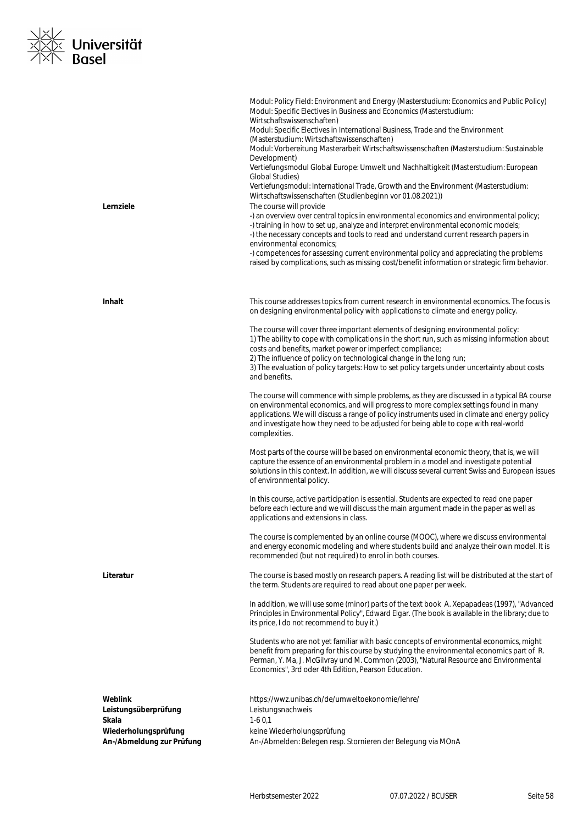

| Lernziele                                         | Modul: Policy Field: Environment and Energy (Masterstudium: Economics and Public Policy)<br>Modul: Specific Electives in Business and Economics (Masterstudium:<br>Wirtschaftswissenschaften)<br>Modul: Specific Electives in International Business, Trade and the Environment<br>(Masterstudium: Wirtschaftswissenschaften)<br>Modul: Vorbereitung Masterarbeit Wirtschaftswissenschaften (Masterstudium: Sustainable<br>Development)<br>Vertiefungsmodul Global Europe: Umwelt und Nachhaltigkeit (Masterstudium: European<br>Global Studies)<br>Vertiefungsmodul: International Trade, Growth and the Environment (Masterstudium:<br>Wirtschaftswissenschaften (Studienbeginn vor 01.08.2021))<br>The course will provide<br>-) an overview over central topics in environmental economics and environmental policy;<br>-) training in how to set up, analyze and interpret environmental economic models;<br>-) the necessary concepts and tools to read and understand current research papers in<br>environmental economics;<br>-) competences for assessing current environmental policy and appreciating the problems<br>raised by complications, such as missing cost/benefit information or strategic firm behavior. |
|---------------------------------------------------|---------------------------------------------------------------------------------------------------------------------------------------------------------------------------------------------------------------------------------------------------------------------------------------------------------------------------------------------------------------------------------------------------------------------------------------------------------------------------------------------------------------------------------------------------------------------------------------------------------------------------------------------------------------------------------------------------------------------------------------------------------------------------------------------------------------------------------------------------------------------------------------------------------------------------------------------------------------------------------------------------------------------------------------------------------------------------------------------------------------------------------------------------------------------------------------------------------------------------------|
| <b>Inhalt</b>                                     | This course addresses topics from current research in environmental economics. The focus is<br>on designing environmental policy with applications to climate and energy policy.                                                                                                                                                                                                                                                                                                                                                                                                                                                                                                                                                                                                                                                                                                                                                                                                                                                                                                                                                                                                                                                |
|                                                   | The course will cover three important elements of designing environmental policy:<br>1) The ability to cope with complications in the short run, such as missing information about<br>costs and benefits, market power or imperfect compliance;<br>2) The influence of policy on technological change in the long run;<br>3) The evaluation of policy targets: How to set policy targets under uncertainty about costs<br>and benefits.                                                                                                                                                                                                                                                                                                                                                                                                                                                                                                                                                                                                                                                                                                                                                                                         |
|                                                   | The course will commence with simple problems, as they are discussed in a typical BA course<br>on environmental economics, and will progress to more complex settings found in many<br>applications. We will discuss a range of policy instruments used in climate and energy policy<br>and investigate how they need to be adjusted for being able to cope with real-world<br>complexities.                                                                                                                                                                                                                                                                                                                                                                                                                                                                                                                                                                                                                                                                                                                                                                                                                                    |
|                                                   | Most parts of the course will be based on environmental economic theory, that is, we will<br>capture the essence of an environmental problem in a model and investigate potential<br>solutions in this context. In addition, we will discuss several current Swiss and European issues<br>of environmental policy.                                                                                                                                                                                                                                                                                                                                                                                                                                                                                                                                                                                                                                                                                                                                                                                                                                                                                                              |
|                                                   | In this course, active participation is essential. Students are expected to read one paper<br>before each lecture and we will discuss the main argument made in the paper as well as<br>applications and extensions in class.                                                                                                                                                                                                                                                                                                                                                                                                                                                                                                                                                                                                                                                                                                                                                                                                                                                                                                                                                                                                   |
|                                                   | The course is complemented by an online course (MOOC), where we discuss environmental<br>and energy economic modeling and where students build and analyze their own model. It is<br>recommended (but not required) to enrol in both courses.                                                                                                                                                                                                                                                                                                                                                                                                                                                                                                                                                                                                                                                                                                                                                                                                                                                                                                                                                                                   |
| Literatur                                         | The course is based mostly on research papers. A reading list will be distributed at the start of<br>the term. Students are required to read about one paper per week.                                                                                                                                                                                                                                                                                                                                                                                                                                                                                                                                                                                                                                                                                                                                                                                                                                                                                                                                                                                                                                                          |
|                                                   | In addition, we will use some (minor) parts of the text book A. Xepapadeas (1997), "Advanced<br>Principles in Environmental Policy", Edward Elgar. (The book is available in the library; due to<br>its price, I do not recommend to buy it.)                                                                                                                                                                                                                                                                                                                                                                                                                                                                                                                                                                                                                                                                                                                                                                                                                                                                                                                                                                                   |
|                                                   | Students who are not yet familiar with basic concepts of environmental economics, might<br>benefit from preparing for this course by studying the environmental economics part of R.<br>Perman, Y. Ma, J. McGilvray und M. Common (2003), "Natural Resource and Environmental<br>Economics", 3rd oder 4th Edition, Pearson Education.                                                                                                                                                                                                                                                                                                                                                                                                                                                                                                                                                                                                                                                                                                                                                                                                                                                                                           |
| Weblink                                           | https://wwz.unibas.ch/de/umweltoekonomie/lehre/                                                                                                                                                                                                                                                                                                                                                                                                                                                                                                                                                                                                                                                                                                                                                                                                                                                                                                                                                                                                                                                                                                                                                                                 |
| Leistungsüberprüfung                              | Leistungsnachweis                                                                                                                                                                                                                                                                                                                                                                                                                                                                                                                                                                                                                                                                                                                                                                                                                                                                                                                                                                                                                                                                                                                                                                                                               |
| Skala                                             | $1-60,1$                                                                                                                                                                                                                                                                                                                                                                                                                                                                                                                                                                                                                                                                                                                                                                                                                                                                                                                                                                                                                                                                                                                                                                                                                        |
| Wiederholungsprüfung<br>An-/Abmeldung zur Prüfung | keine Wiederholungsprüfung<br>An-/Abmelden: Belegen resp. Stornieren der Belegung via MOnA                                                                                                                                                                                                                                                                                                                                                                                                                                                                                                                                                                                                                                                                                                                                                                                                                                                                                                                                                                                                                                                                                                                                      |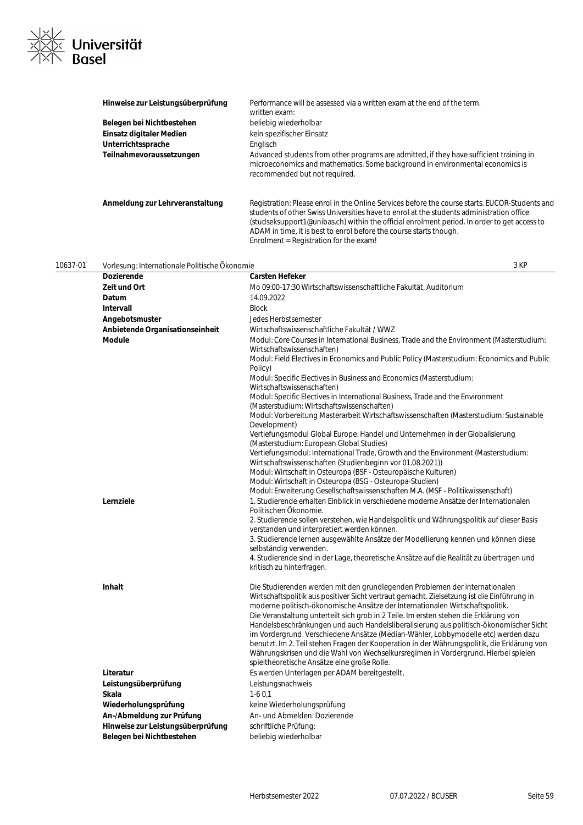

| Hinweise zur Leistungsüberprüfung | Performance will be assessed via a written exam at the end of the term.<br>written exam:                                                                                                                                                                                                                                                                                                                  |
|-----------------------------------|-----------------------------------------------------------------------------------------------------------------------------------------------------------------------------------------------------------------------------------------------------------------------------------------------------------------------------------------------------------------------------------------------------------|
| Belegen bei Nichtbestehen         | beliebig wiederholbar                                                                                                                                                                                                                                                                                                                                                                                     |
| Einsatz digitaler Medien          | kein spezifischer Einsatz                                                                                                                                                                                                                                                                                                                                                                                 |
| Unterrichtssprache                | Englisch                                                                                                                                                                                                                                                                                                                                                                                                  |
| Teilnahmevoraussetzungen          | Advanced students from other programs are admitted, if they have sufficient training in<br>microeconomics and mathematics. Some background in environmental economics is<br>recommended but not required.                                                                                                                                                                                                 |
| Anmeldung zur Lehrveranstaltung   | Registration: Please enrol in the Online Services before the course starts. EUCOR-Students and<br>students of other Swiss Universities have to enrol at the students administration office<br>(studseksupport1@unibas.ch) within the official enrolment period. In order to get access to<br>ADAM in time, it is best to enrol before the course starts though.<br>Enrolment = Registration for the exam! |

| 10637-01 | Vorlesung: Internationale Politische Okonomie | 3 KP                                                                                                                                                                                                                                                                                                                                                           |
|----------|-----------------------------------------------|----------------------------------------------------------------------------------------------------------------------------------------------------------------------------------------------------------------------------------------------------------------------------------------------------------------------------------------------------------------|
|          | <b>Dozierende</b>                             | <b>Carsten Hefeker</b>                                                                                                                                                                                                                                                                                                                                         |
|          | Zeit und Ort                                  | Mo 09:00-17:30 Wirtschaftswissenschaftliche Fakultät, Auditorium                                                                                                                                                                                                                                                                                               |
|          | Datum                                         | 14.09.2022                                                                                                                                                                                                                                                                                                                                                     |
|          | Intervall                                     | <b>Block</b>                                                                                                                                                                                                                                                                                                                                                   |
|          | Angebotsmuster                                | Jedes Herbstsemester                                                                                                                                                                                                                                                                                                                                           |
|          | Anbietende Organisationseinheit               | Wirtschaftswissenschaftliche Fakultät / WWZ                                                                                                                                                                                                                                                                                                                    |
|          | <b>Module</b>                                 | Modul: Core Courses in International Business, Trade and the Environment (Masterstudium:<br>Wirtschaftswissenschaften)                                                                                                                                                                                                                                         |
|          |                                               | Modul: Field Electives in Economics and Public Policy (Masterstudium: Economics and Public<br>Policy)                                                                                                                                                                                                                                                          |
|          |                                               | Modul: Specific Electives in Business and Economics (Masterstudium:<br>Wirtschaftswissenschaften)                                                                                                                                                                                                                                                              |
|          |                                               | Modul: Specific Electives in International Business, Trade and the Environment<br>(Masterstudium: Wirtschaftswissenschaften)                                                                                                                                                                                                                                   |
|          |                                               | Modul: Vorbereitung Masterarbeit Wirtschaftswissenschaften (Masterstudium: Sustainable<br>Development)                                                                                                                                                                                                                                                         |
|          |                                               | Vertiefungsmodul Global Europe: Handel und Unternehmen in der Globalisierung<br>(Masterstudium: European Global Studies)                                                                                                                                                                                                                                       |
|          |                                               | Vertiefungsmodul: International Trade, Growth and the Environment (Masterstudium:                                                                                                                                                                                                                                                                              |
|          |                                               | Wirtschaftswissenschaften (Studienbeginn vor 01.08.2021))                                                                                                                                                                                                                                                                                                      |
|          |                                               | Modul: Wirtschaft in Osteuropa (BSF - Osteuropäische Kulturen)                                                                                                                                                                                                                                                                                                 |
|          |                                               | Modul: Wirtschaft in Osteuropa (BSG - Osteuropa-Studien)<br>Modul: Erweiterung Gesellschaftswissenschaften M.A. (MSF - Politikwissenschaft)                                                                                                                                                                                                                    |
|          | Lernziele                                     | 1. Studierende erhalten Einblick in verschiedene moderne Ansätze der Internationalen                                                                                                                                                                                                                                                                           |
|          |                                               | Politischen Ökonomie.                                                                                                                                                                                                                                                                                                                                          |
|          |                                               | 2. Studierende sollen verstehen, wie Handelspolitik und Währungspolitik auf dieser Basis<br>verstanden und interpretiert werden können.                                                                                                                                                                                                                        |
|          |                                               | 3. Studierende lernen ausgewählte Ansätze der Modellierung kennen und können diese                                                                                                                                                                                                                                                                             |
|          |                                               | selbständig verwenden.                                                                                                                                                                                                                                                                                                                                         |
|          |                                               | 4. Studierende sind in der Lage, theoretische Ansätze auf die Realität zu übertragen und<br>kritisch zu hinterfragen.                                                                                                                                                                                                                                          |
|          | <b>Inhalt</b>                                 | Die Studierenden werden mit den grundlegenden Problemen der internationalen                                                                                                                                                                                                                                                                                    |
|          |                                               | Wirtschaftspolitik aus positiver Sicht vertraut gemacht. Zielsetzung ist die Einführung in<br>moderne politisch-ökonomische Ansätze der Internationalen Wirtschaftspolitik.<br>Die Veranstaltung unterteilt sich grob in 2 Teile. Im ersten stehen die Erklärung von<br>Handelsbeschränkungen und auch Handelsliberalisierung aus politisch-ökonomischer Sicht |
|          |                                               | im Vordergrund. Verschiedene Ansätze (Median-Wähler, Lobbymodelle etc) werden dazu<br>benutzt. Im 2. Teil stehen Fragen der Kooperation in der Währungspolitik, die Erklärung von<br>Währungskrisen und die Wahl von Wechselkursregimen in Vordergrund. Hierbei spielen                                                                                        |
|          |                                               | spieltheoretische Ansätze eine große Rolle.                                                                                                                                                                                                                                                                                                                    |
|          | Literatur                                     | Es werden Unterlagen per ADAM bereitgestellt,                                                                                                                                                                                                                                                                                                                  |
|          | Leistungsüberprüfung                          | Leistungsnachweis                                                                                                                                                                                                                                                                                                                                              |
|          | Skala                                         | $1-60,1$                                                                                                                                                                                                                                                                                                                                                       |
|          | Wiederholungsprüfung                          | keine Wiederholungsprüfung                                                                                                                                                                                                                                                                                                                                     |
|          | An-/Abmeldung zur Prüfung                     | An- und Abmelden: Dozierende                                                                                                                                                                                                                                                                                                                                   |
|          | Hinweise zur Leistungsüberprüfung             | schriftliche Prüfung:                                                                                                                                                                                                                                                                                                                                          |
|          | Belegen bei Nichtbestehen                     | beliebig wiederholbar                                                                                                                                                                                                                                                                                                                                          |